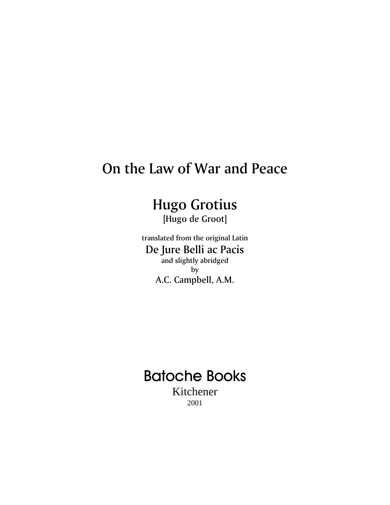## On the Law of War and Peace

## Hugo Grotius

[Hugo de Groot]

translated from the original Latin De Jure Belli ac Pacis and slightly abridged by A.C. Campbell, A.M.

# **Batoche Books**

Kitchener 2001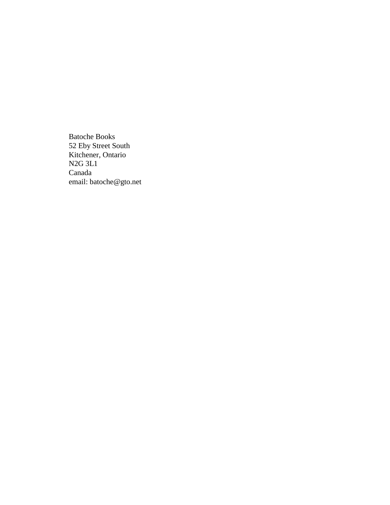Batoche Books 52 Eby Street South Kitchener, Ontario N2G 3L1 Canada email: batoche@gto.net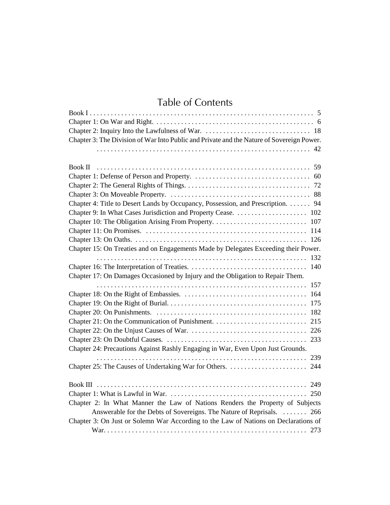## Table of Contents

| Chapter 3: The Division of War Into Public and Private and the Nature of Sovereign Power. |
|-------------------------------------------------------------------------------------------|
| 42                                                                                        |
|                                                                                           |
| Book II                                                                                   |
|                                                                                           |
|                                                                                           |
|                                                                                           |
| Chapter 4: Title to Desert Lands by Occupancy, Possession, and Prescription. 94           |
|                                                                                           |
|                                                                                           |
|                                                                                           |
|                                                                                           |
| Chapter 15: On Treaties and on Engagements Made by Delegates Exceeding their Power.       |
| 132                                                                                       |
| 140                                                                                       |
| Chapter 17: On Damages Occasioned by Injury and the Obligation to Repair Them.            |
| 157                                                                                       |
|                                                                                           |
|                                                                                           |
|                                                                                           |
|                                                                                           |
|                                                                                           |
|                                                                                           |
| Chapter 24: Precautions Against Rashly Engaging in War, Even Upon Just Grounds.           |
| 239                                                                                       |
|                                                                                           |
|                                                                                           |
|                                                                                           |
|                                                                                           |
| Chapter 2: In What Manner the Law of Nations Renders the Property of Subjects             |
| Answerable for the Debts of Sovereigns. The Nature of Reprisals.  266                     |
| Chapter 3: On Just or Solemn War According to the Law of Nations on Declarations of       |
|                                                                                           |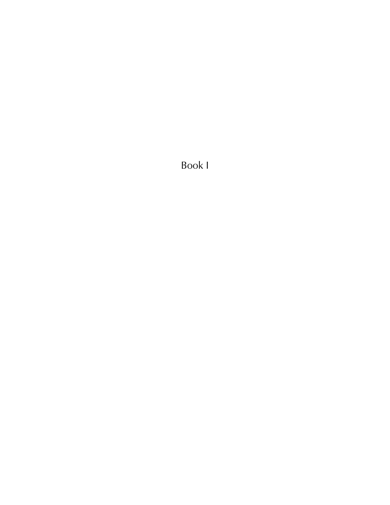<span id="page-4-0"></span>Book I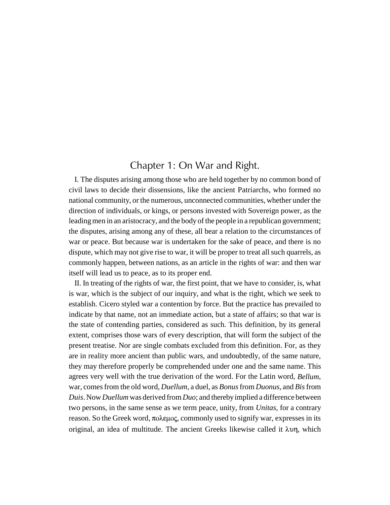## Chapter 1: On War and Right.

<span id="page-5-0"></span>I. The disputes arising among those who are held together by no common bond of civil laws to decide their dissensions, like the ancient Patriarchs, who formed no national community, or the numerous, unconnected communities, whether under the direction of individuals, or kings, or persons invested with Sovereign power, as the leading men in an aristocracy, and the body of the people in a republican government; the disputes, arising among any of these, all bear a relation to the circumstances of war or peace. But because war is undertaken for the sake of peace, and there is no dispute, which may not give rise to war, it will be proper to treat all such quarrels, as commonly happen, between nations, as an article in the rights of war: and then war itself will lead us to peace, as to its proper end.

II. In treating of the rights of war, the first point, that we have to consider, is, what is war, which is the subject of our inquiry, and what is the right, which we seek to establish. Cicero styled war a contention by force. But the practice has prevailed to indicate by that name, not an immediate action, but a state of affairs; so that war is the state of contending parties, considered as such. This definition, by its general extent, comprises those wars of every description, that will form the subject of the present treatise. Nor are single combats excluded from this definition. For, as they are in reality more ancient than public wars, and undoubtedly, of the same nature, they may therefore properly be comprehended under one and the same name. This agrees very well with the true derivation of the word. For the Latin word, *Bellum*, war, comes from the old word, *Duellum*, a duel, as *Bonus* from *Duonus*, and *Bis* from *Duis*. Now *Duellum* was derived from *Duo*; and thereby implied a difference between two persons, in the same sense as we term peace, unity, from *Unitas*, for a contrary reason. So the Greek word, πολεμος, commonly used to signify war, expresses in its original, an idea of multitude. The ancient Greeks likewise called it  $\lambda$  on, which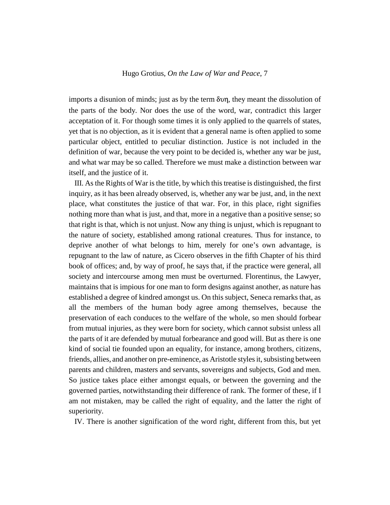imports a disunion of minds; just as by the term  $\delta \nu \eta$ , they meant the dissolution of the parts of the body. Nor does the use of the word, war, contradict this larger acceptation of it. For though some times it is only applied to the quarrels of states, yet that is no objection, as it is evident that a general name is often applied to some particular object, entitled to peculiar distinction. Justice is not included in the definition of war, because the very point to be decided is, whether any war be just, and what war may be so called. Therefore we must make a distinction between war itself, and the justice of it.

III. As the Rights of War is the title, by which this treatise is distinguished, the first inquiry, as it has been already observed, is, whether any war be just, and, in the next place, what constitutes the justice of that war. For, in this place, right signifies nothing more than what is just, and that, more in a negative than a positive sense; so that right is that, which is not unjust. Now any thing is unjust, which is repugnant to the nature of society, established among rational creatures. Thus for instance, to deprive another of what belongs to him, merely for one's own advantage, is repugnant to the law of nature, as Cicero observes in the fifth Chapter of his third book of offices; and, by way of proof, he says that, if the practice were general, all society and intercourse among men must be overturned. Florentinus, the Lawyer, maintains that is impious for one man to form designs against another, as nature has established a degree of kindred amongst us. On this subject, Seneca remarks that, as all the members of the human body agree among themselves, because the preservation of each conduces to the welfare of the whole, so men should forbear from mutual injuries, as they were born for society, which cannot subsist unless all the parts of it are defended by mutual forbearance and good will. But as there is one kind of social tie founded upon an equality, for instance, among brothers, citizens, friends, allies, and another on pre-eminence, as Aristotle styles it, subsisting between parents and children, masters and servants, sovereigns and subjects, God and men. So justice takes place either amongst equals, or between the governing and the governed parties, notwithstanding their difference of rank. The former of these, if I am not mistaken, may be called the right of equality, and the latter the right of superiority.

IV. There is another signification of the word right, different from this, but yet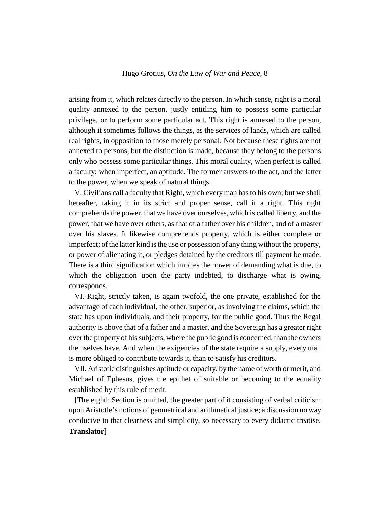arising from it, which relates directly to the person. In which sense, right is a moral quality annexed to the person, justly entitling him to possess some particular privilege, or to perform some particular act. This right is annexed to the person, although it sometimes follows the things, as the services of lands, which are called real rights, in opposition to those merely personal. Not because these rights are not annexed to persons, but the distinction is made, because they belong to the persons only who possess some particular things. This moral quality, when perfect is called a faculty; when imperfect, an aptitude. The former answers to the act, and the latter to the power, when we speak of natural things.

V. Civilians call a faculty that Right, which every man has to his own; but we shall hereafter, taking it in its strict and proper sense, call it a right. This right comprehends the power, that we have over ourselves, which is called liberty, and the power, that we have over others, as that of a father over his children, and of a master over his slaves. It likewise comprehends property, which is either complete or imperfect; of the latter kind is the use or possession of any thing without the property, or power of alienating it, or pledges detained by the creditors till payment be made. There is a third signification which implies the power of demanding what is due, to which the obligation upon the party indebted, to discharge what is owing, corresponds.

VI. Right, strictly taken, is again twofold, the one private, established for the advantage of each individual, the other, superior, as involving the claims, which the state has upon individuals, and their property, for the public good. Thus the Regal authority is above that of a father and a master, and the Sovereign has a greater right over the property of his subjects, where the public good is concerned, than the owners themselves have. And when the exigencies of the state require a supply, every man is more obliged to contribute towards it, than to satisfy his creditors.

VII. Aristotle distinguishes aptitude or capacity, by the name of worth or merit, and Michael of Ephesus, gives the epithet of suitable or becoming to the equality established by this rule of merit.

[The eighth Section is omitted, the greater part of it consisting of verbal criticism upon Aristotle's notions of geometrical and arithmetical justice; a discussion no way conducive to that clearness and simplicity, so necessary to every didactic treatise. **Translator**]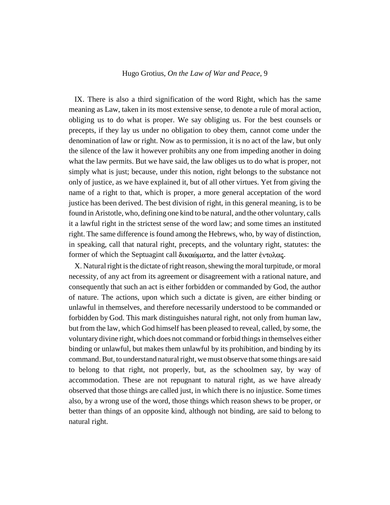IX. There is also a third signification of the word Right, which has the same meaning as Law, taken in its most extensive sense, to denote a rule of moral action, obliging us to do what is proper. We say obliging us. For the best counsels or precepts, if they lay us under no obligation to obey them, cannot come under the denomination of law or right. Now as to permission, it is no act of the law, but only the silence of the law it however prohibits any one from impeding another in doing what the law permits. But we have said, the law obliges us to do what is proper, not simply what is just; because, under this notion, right belongs to the substance not only of justice, as we have explained it, but of all other virtues. Yet from giving the name of a right to that, which is proper, a more general acceptation of the word justice has been derived. The best division of right, in this general meaning, is to be found in Aristotle, who, defining one kind to be natural, and the other voluntary, calls it a lawful right in the strictest sense of the word law; and some times an instituted right. The same difference is found among the Hebrews, who, by way of distinction, in speaking, call that natural right, precepts, and the voluntary right, statutes: the former of which the Septuagint call δικαώματα, and the latter έντολας.

X. Natural right is the dictate of right reason, shewing the moral turpitude, or moral necessity, of any act from its agreement or disagreement with a rational nature, and consequently that such an act is either forbidden or commanded by God, the author of nature. The actions, upon which such a dictate is given, are either binding or unlawful in themselves, and therefore necessarily understood to be commanded or forbidden by God. This mark distinguishes natural right, not only from human law, but from the law, which God himself has been pleased to reveal, called, by some, the voluntary divine right, which does not command or forbid things in themselves either binding or unlawful, but makes them unlawful by its prohibition, and binding by its command. But, to understand natural right, we must observe that some things are said to belong to that right, not properly, but, as the schoolmen say, by way of accommodation. These are not repugnant to natural right, as we have already observed that those things are called just, in which there is no injustice. Some times also, by a wrong use of the word, those things which reason shews to be proper, or better than things of an opposite kind, although not binding, are said to belong to natural right.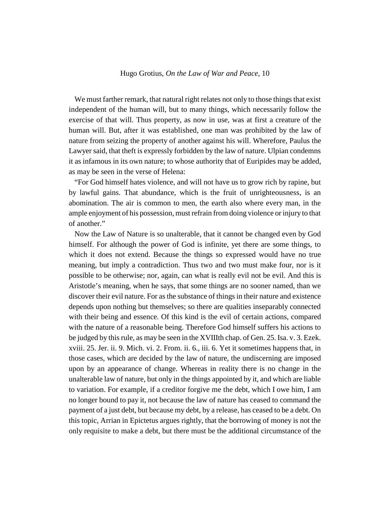We must farther remark, that natural right relates not only to those things that exist independent of the human will, but to many things, which necessarily follow the exercise of that will. Thus property, as now in use, was at first a creature of the human will. But, after it was established, one man was prohibited by the law of nature from seizing the property of another against his will. Wherefore, Paulus the Lawyer said, that theft is expressly forbidden by the law of nature. Ulpian condemns it as infamous in its own nature; to whose authority that of Euripides may be added, as may be seen in the verse of Helena:

"For God himself hates violence, and will not have us to grow rich by rapine, but by lawful gains. That abundance, which is the fruit of unrighteousness, is an abomination. The air is common to men, the earth also where every man, in the ample enjoyment of his possession, must refrain from doing violence or injury to that of another."

Now the Law of Nature is so unalterable, that it cannot be changed even by God himself. For although the power of God is infinite, yet there are some things, to which it does not extend. Because the things so expressed would have no true meaning, but imply a contradiction. Thus two and two must make four, nor is it possible to be otherwise; nor, again, can what is really evil not be evil. And this is Aristotle's meaning, when he says, that some things are no sooner named, than we discover their evil nature. For as the substance of things in their nature and existence depends upon nothing but themselves; so there are qualities inseparably connected with their being and essence. Of this kind is the evil of certain actions, compared with the nature of a reasonable being. Therefore God himself suffers his actions to be judged by this rule, as may be seen in the XVIIIth chap. of Gen. 25. Isa. v. 3. Ezek. xviii. 25. Jer. ii. 9. Mich. vi. 2. From. ii. 6., iii. 6. Yet it sometimes happens that, in those cases, which are decided by the law of nature, the undiscerning are imposed upon by an appearance of change. Whereas in reality there is no change in the unalterable law of nature, but only in the things appointed by it, and which are liable to variation. For example, if a creditor forgive me the debt, which I owe him, I am no longer bound to pay it, not because the law of nature has ceased to command the payment of a just debt, but because my debt, by a release, has ceased to be a debt. On this topic, Arrian in Epictetus argues rightly, that the borrowing of money is not the only requisite to make a debt, but there must be the additional circumstance of the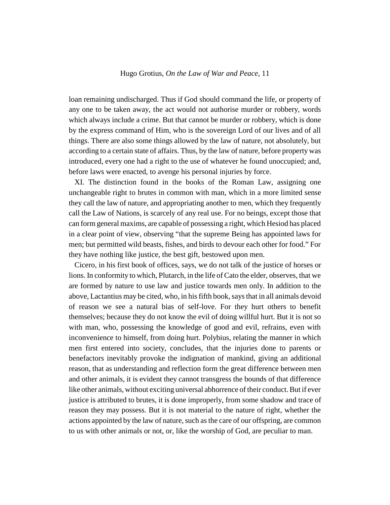loan remaining undischarged. Thus if God should command the life, or property of any one to be taken away, the act would not authorise murder or robbery, words which always include a crime. But that cannot be murder or robbery, which is done by the express command of Him, who is the sovereign Lord of our lives and of all things. There are also some things allowed by the law of nature, not absolutely, but according to a certain state of affairs. Thus, by the law of nature, before property was introduced, every one had a right to the use of whatever he found unoccupied; and, before laws were enacted, to avenge his personal injuries by force.

XI. The distinction found in the books of the Roman Law, assigning one unchangeable right to brutes in common with man, which in a more limited sense they call the law of nature, and appropriating another to men, which they frequently call the Law of Nations, is scarcely of any real use. For no beings, except those that can form general maxims, are capable of possessing a right, which Hesiod has placed in a clear point of view, observing "that the supreme Being has appointed laws for men; but permitted wild beasts, fishes, and birds to devour each other for food." For they have nothing like justice, the best gift, bestowed upon men.

Cicero, in his first book of offices, says, we do not talk of the justice of horses or lions. In conformity to which, Plutarch, in the life of Cato the elder, observes, that we are formed by nature to use law and justice towards men only. In addition to the above, Lactantius may be cited, who, in his fifth book, says that in all animals devoid of reason we see a natural bias of self-love. For they hurt others to benefit themselves; because they do not know the evil of doing willful hurt. But it is not so with man, who, possessing the knowledge of good and evil, refrains, even with inconvenience to himself, from doing hurt. Polybius, relating the manner in which men first entered into society, concludes, that the injuries done to parents or benefactors inevitably provoke the indignation of mankind, giving an additional reason, that as understanding and reflection form the great difference between men and other animals, it is evident they cannot transgress the bounds of that difference like other animals, without exciting universal abhorrence of their conduct. But if ever justice is attributed to brutes, it is done improperly, from some shadow and trace of reason they may possess. But it is not material to the nature of right, whether the actions appointed by the law of nature, such as the care of our offspring, are common to us with other animals or not, or, like the worship of God, are peculiar to man.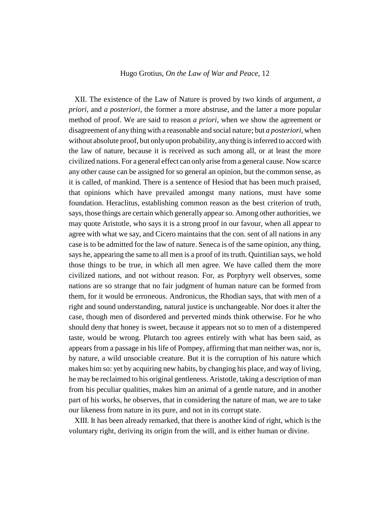XII. The existence of the Law of Nature is proved by two kinds of argument, *a priori*, and *a posteriori*, the former a more abstruse, and the latter a more popular method of proof. We are said to reason *a priori*, when we show the agreement or disagreement of any thing with a reasonable and social nature; but *a posteriori*, when without absolute proof, but only upon probability, any thing is inferred to accord with the law of nature, because it is received as such among all, or at least the more civilized nations. For a general effect can only arise from a general cause. Now scarce any other cause can be assigned for so general an opinion, but the common sense, as it is called, of mankind. There is a sentence of Hesiod that has been much praised, that opinions which have prevailed amongst many nations, must have some foundation. Heraclitus, establishing common reason as the best criterion of truth, says, those things are certain which generally appear so. Among other authorities, we may quote Aristotle, who says it is a strong proof in our favour, when all appear to agree with what we say, and Cicero maintains that the con. sent of all nations in any case is to be admitted for the law of nature. Seneca is of the same opinion, any thing, says he, appearing the same to all men is a proof of its truth. Quintilian says, we hold those things to be true, in which all men agree. We have called them the more civilized nations, and not without reason. For, as Porphyry well observes, some nations are so strange that no fair judgment of human nature can be formed from them, for it would be erroneous. Andronicus, the Rhodian says, that with men of a right and sound understanding, natural justice is unchangeable. Nor does it alter the case, though men of disordered and perverted minds think otherwise. For he who should deny that honey is sweet, because it appears not so to men of a distempered taste, would be wrong. Plutarch too agrees entirely with what has been said, as appears from a passage in his life of Pompey, affirming that man neither was, nor is, by nature, a wild unsociable creature. But it is the corruption of his nature which makes him so: yet by acquiring new habits, by changing his place, and way of living, he may be reclaimed to his original gentleness. Aristotle, taking a description of man from his peculiar qualities, makes him an animal of a gentle nature, and in another part of his works, he observes, that in considering the nature of man, we are to take our likeness from nature in its pure, and not in its corrupt state.

XIII. It has been already remarked, that there is another kind of right, which is the voluntary right, deriving its origin from the will, and is either human or divine.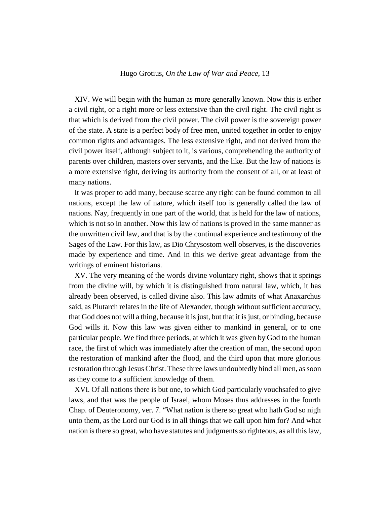XIV. We will begin with the human as more generally known. Now this is either a civil right, or a right more or less extensive than the civil right. The civil right is that which is derived from the civil power. The civil power is the sovereign power of the state. A state is a perfect body of free men, united together in order to enjoy common rights and advantages. The less extensive right, and not derived from the civil power itself, although subject to it, is various, comprehending the authority of parents over children, masters over servants, and the like. But the law of nations is a more extensive right, deriving its authority from the consent of all, or at least of many nations.

It was proper to add many, because scarce any right can be found common to all nations, except the law of nature, which itself too is generally called the law of nations. Nay, frequently in one part of the world, that is held for the law of nations, which is not so in another. Now this law of nations is proved in the same manner as the unwritten civil law, and that is by the continual experience and testimony of the Sages of the Law. For this law, as Dio Chrysostom well observes, is the discoveries made by experience and time. And in this we derive great advantage from the writings of eminent historians.

XV. The very meaning of the words divine voluntary right, shows that it springs from the divine will, by which it is distinguished from natural law, which, it has already been observed, is called divine also. This law admits of what Anaxarchus said, as Plutarch relates in the life of Alexander, though without sufficient accuracy, that God does not will a thing, because it is just, but that it is just, or binding, because God wills it. Now this law was given either to mankind in general, or to one particular people. We find three periods, at which it was given by God to the human race, the first of which was immediately after the creation of man, the second upon the restoration of mankind after the flood, and the third upon that more glorious restoration through Jesus Christ. These three laws undoubtedly bind all men, as soon as they come to a sufficient knowledge of them.

XVI. Of all nations there is but one, to which God particularly vouchsafed to give laws, and that was the people of Israel, whom Moses thus addresses in the fourth Chap. of Deuteronomy, ver. 7. "What nation is there so great who hath God so nigh unto them, as the Lord our God is in all things that we call upon him for? And what nation is there so great, who have statutes and judgments so righteous, as all this law,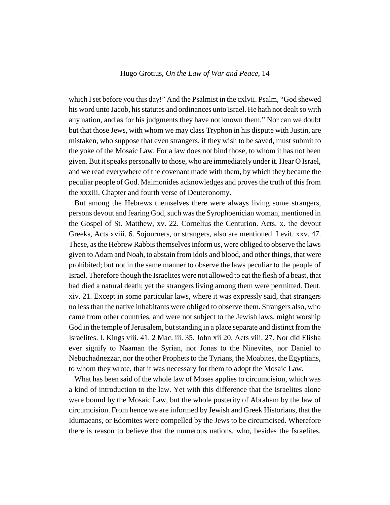which I set before you this day!" And the Psalmist in the cxlvii. Psalm, "God shewed his word unto Jacob, his statutes and ordinances unto Israel. He hath not dealt so with any nation, and as for his judgments they have not known them." Nor can we doubt but that those Jews, with whom we may class Tryphon in his dispute with Justin, are mistaken, who suppose that even strangers, if they wish to be saved, must submit to the yoke of the Mosaic Law. For a law does not bind those, to whom it has not been given. But it speaks personally to those, who are immediately under it. Hear O Israel, and we read everywhere of the covenant made with them, by which they became the peculiar people of God. Maimonides acknowledges and proves the truth of this from the xxxiii. Chapter and fourth verse of Deuteronomy.

But among the Hebrews themselves there were always living some strangers, persons devout and fearing God, such was the Syrophoenician woman, mentioned in the Gospel of St. Matthew, xv. 22. Cornelius the Centurion. Acts. x. the devout Greeks, Acts xviii. 6. Sojourners, or strangers, also are mentioned. Levit. xxv. 47. These, as the Hebrew Rabbis themselves inform us, were obliged to observe the laws given to Adam and Noah, to abstain from idols and blood, and other things, that were prohibited; but not in the same manner to observe the laws peculiar to the people of Israel. Therefore though the Israelites were not allowed to eat the flesh of a beast, that had died a natural death; yet the strangers living among them were permitted. Deut. xiv. 21. Except in some particular laws, where it was expressly said, that strangers no less than the native inhabitants were obliged to observe them. Strangers also, who came from other countries, and were not subject to the Jewish laws, might worship God in the temple of Jerusalem, but standing in a place separate and distinct from the Israelites. I. Kings viii. 41. 2 Mac. iii. 35. John xii 20. Acts viii. 27. Nor did Elisha ever signify to Naaman the Syrian, nor Jonas to the Ninevites, nor Daniel to Nebuchadnezzar, nor the other Prophets to the Tyrians, the Moabites, the Egyptians, to whom they wrote, that it was necessary for them to adopt the Mosaic Law.

What has been said of the whole law of Moses applies to circumcision, which was a kind of introduction to the law. Yet with this difference that the Israelites alone were bound by the Mosaic Law, but the whole posterity of Abraham by the law of circumcision. From hence we are informed by Jewish and Greek Historians, that the Idumaeans, or Edomites were compelled by the Jews to be circumcised. Wherefore there is reason to believe that the numerous nations, who, besides the Israelites,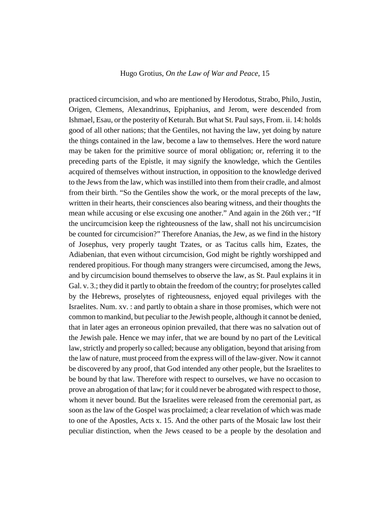practiced circumcision, and who are mentioned by Herodotus, Strabo, Philo, Justin, Origen, Clemens, Alexandrinus, Epiphanius, and Jerom, were descended from Ishmael, Esau, or the posterity of Keturah. But what St. Paul says, From. ii. 14: holds good of all other nations; that the Gentiles, not having the law, yet doing by nature the things contained in the law, become a law to themselves. Here the word nature may be taken for the primitive source of moral obligation; or, referring it to the preceding parts of the Epistle, it may signify the knowledge, which the Gentiles acquired of themselves without instruction, in opposition to the knowledge derived to the Jews from the law, which was instilled into them from their cradle, and almost from their birth. "So the Gentiles show the work, or the moral precepts of the law, written in their hearts, their consciences also bearing witness, and their thoughts the mean while accusing or else excusing one another." And again in the 26th ver.; "If the uncircumcision keep the righteousness of the law, shall not his uncircumcision be counted for circumcision?" Therefore Ananias, the Jew, as we find in the history of Josephus, very properly taught Tzates, or as Tacitus calls him, Ezates, the Adiabenian, that even without circumcision, God might be rightly worshipped and rendered propitious. For though many strangers were circumcised, among the Jews, and by circumcision bound themselves to observe the law, as St. Paul explains it in Gal. v. 3.; they did it partly to obtain the freedom of the country; for proselytes called by the Hebrews, proselytes of righteousness, enjoyed equal privileges with the Israelites. Num. xv. : and partly to obtain a share in those promises, which were not common to mankind, but peculiar to the Jewish people, although it cannot be denied, that in later ages an erroneous opinion prevailed, that there was no salvation out of the Jewish pale. Hence we may infer, that we are bound by no part of the Levitical law, strictly and properly so called; because any obligation, beyond that arising from the law of nature, must proceed from the express will of the law-giver. Now it cannot be discovered by any proof, that God intended any other people, but the Israelites to be bound by that law. Therefore with respect to ourselves, we have no occasion to prove an abrogation of that law; for it could never be abrogated with respect to those, whom it never bound. But the Israelites were released from the ceremonial part, as soon as the law of the Gospel was proclaimed; a clear revelation of which was made to one of the Apostles, Acts x. 15. And the other parts of the Mosaic law lost their peculiar distinction, when the Jews ceased to be a people by the desolation and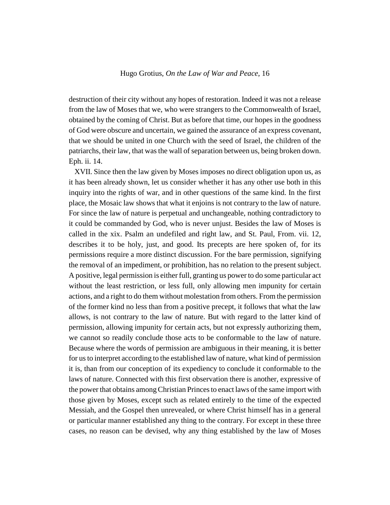destruction of their city without any hopes of restoration. Indeed it was not a release from the law of Moses that we, who were strangers to the Commonwealth of Israel, obtained by the coming of Christ. But as before that time, our hopes in the goodness of God were obscure and uncertain, we gained the assurance of an express covenant, that we should be united in one Church with the seed of Israel, the children of the patriarchs, their law, that was the wall of separation between us, being broken down. Eph. ii. 14.

XVII. Since then the law given by Moses imposes no direct obligation upon us, as it has been already shown, let us consider whether it has any other use both in this inquiry into the rights of war, and in other questions of the same kind. In the first place, the Mosaic law shows that what it enjoins is not contrary to the law of nature. For since the law of nature is perpetual and unchangeable, nothing contradictory to it could be commanded by God, who is never unjust. Besides the law of Moses is called in the xix. Psalm an undefiled and right law, and St. Paul, From. vii. 12, describes it to be holy, just, and good. Its precepts are here spoken of, for its permissions require a more distinct discussion. For the bare permission, signifying the removal of an impediment, or prohibition, has no relation to the present subject. A positive, legal permission is either full, granting us power to do some particular act without the least restriction, or less full, only allowing men impunity for certain actions, and a right to do them without molestation from others. From the permission of the former kind no less than from a positive precept, it follows that what the law allows, is not contrary to the law of nature. But with regard to the latter kind of permission, allowing impunity for certain acts, but not expressly authorizing them, we cannot so readily conclude those acts to be conformable to the law of nature. Because where the words of permission are ambiguous in their meaning, it is better for us to interpret according to the established law of nature, what kind of permission it is, than from our conception of its expediency to conclude it conformable to the laws of nature. Connected with this first observation there is another, expressive of the power that obtains among Christian Princes to enact laws of the same import with those given by Moses, except such as related entirely to the time of the expected Messiah, and the Gospel then unrevealed, or where Christ himself has in a general or particular manner established any thing to the contrary. For except in these three cases, no reason can be devised, why any thing established by the law of Moses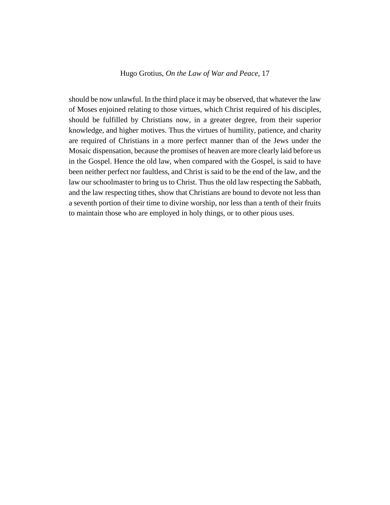should be now unlawful. In the third place it may be observed, that whatever the law of Moses enjoined relating to those virtues, which Christ required of his disciples, should be fulfilled by Christians now, in a greater degree, from their superior knowledge, and higher motives. Thus the virtues of humility, patience, and charity are required of Christians in a more perfect manner than of the Jews under the Mosaic dispensation, because the promises of heaven are more clearly laid before us in the Gospel. Hence the old law, when compared with the Gospel, is said to have been neither perfect nor faultless, and Christ is said to be the end of the law, and the law our schoolmaster to bring us to Christ. Thus the old law respecting the Sabbath, and the law respecting tithes, show that Christians are bound to devote not less than a seventh portion of their time to divine worship, nor less than a tenth of their fruits to maintain those who are employed in holy things, or to other pious uses.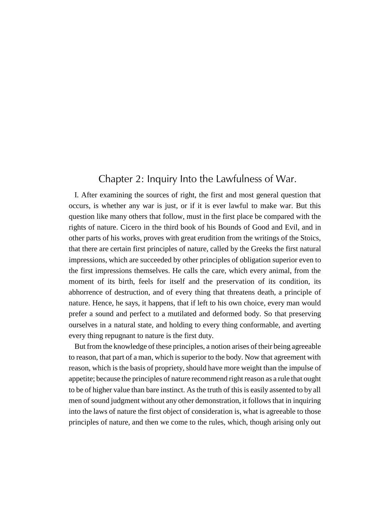## <span id="page-17-0"></span>Chapter 2: Inquiry Into the Lawfulness of War.

I. After examining the sources of right, the first and most general question that occurs, is whether any war is just, or if it is ever lawful to make war. But this question like many others that follow, must in the first place be compared with the rights of nature. Cicero in the third book of his Bounds of Good and Evil, and in other parts of his works, proves with great erudition from the writings of the Stoics, that there are certain first principles of nature, called by the Greeks the first natural impressions, which are succeeded by other principles of obligation superior even to the first impressions themselves. He calls the care, which every animal, from the moment of its birth, feels for itself and the preservation of its condition, its abhorrence of destruction, and of every thing that threatens death, a principle of nature. Hence, he says, it happens, that if left to his own choice, every man would prefer a sound and perfect to a mutilated and deformed body. So that preserving ourselves in a natural state, and holding to every thing conformable, and averting every thing repugnant to nature is the first duty.

But from the knowledge of these principles, a notion arises of their being agreeable to reason, that part of a man, which is superior to the body. Now that agreement with reason, which is the basis of propriety, should have more weight than the impulse of appetite; because the principles of nature recommend right reason as a rule that ought to be of higher value than bare instinct. As the truth of this is easily assented to by all men of sound judgment without any other demonstration, it follows that in inquiring into the laws of nature the first object of consideration is, what is agreeable to those principles of nature, and then we come to the rules, which, though arising only out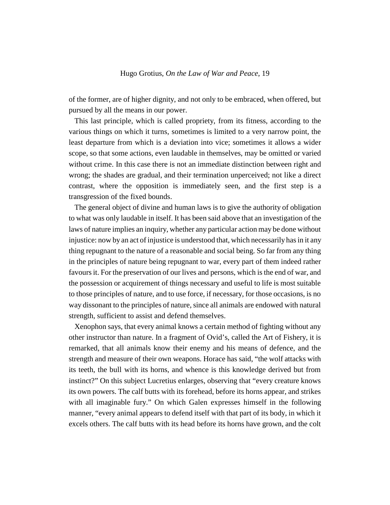of the former, are of higher dignity, and not only to be embraced, when offered, but pursued by all the means in our power.

This last principle, which is called propriety, from its fitness, according to the various things on which it turns, sometimes is limited to a very narrow point, the least departure from which is a deviation into vice; sometimes it allows a wider scope, so that some actions, even laudable in themselves, may be omitted or varied without crime. In this case there is not an immediate distinction between right and wrong; the shades are gradual, and their termination unperceived; not like a direct contrast, where the opposition is immediately seen, and the first step is a transgression of the fixed bounds.

The general object of divine and human laws is to give the authority of obligation to what was only laudable in itself. It has been said above that an investigation of the laws of nature implies an inquiry, whether any particular action may be done without injustice: now by an act of injustice is understood that, which necessarily has in it any thing repugnant to the nature of a reasonable and social being. So far from any thing in the principles of nature being repugnant to war, every part of them indeed rather favours it. For the preservation of our lives and persons, which is the end of war, and the possession or acquirement of things necessary and useful to life is most suitable to those principles of nature, and to use force, if necessary, for those occasions, is no way dissonant to the principles of nature, since all animals are endowed with natural strength, sufficient to assist and defend themselves.

Xenophon says, that every animal knows a certain method of fighting without any other instructor than nature. In a fragment of Ovid's, called the Art of Fishery, it is remarked, that all animals know their enemy and his means of defence, and the strength and measure of their own weapons. Horace has said, "the wolf attacks with its teeth, the bull with its horns, and whence is this knowledge derived but from instinct?" On this subject Lucretius enlarges, observing that "every creature knows its own powers. The calf butts with its forehead, before its horns appear, and strikes with all imaginable fury." On which Galen expresses himself in the following manner, "every animal appears to defend itself with that part of its body, in which it excels others. The calf butts with its head before its horns have grown, and the colt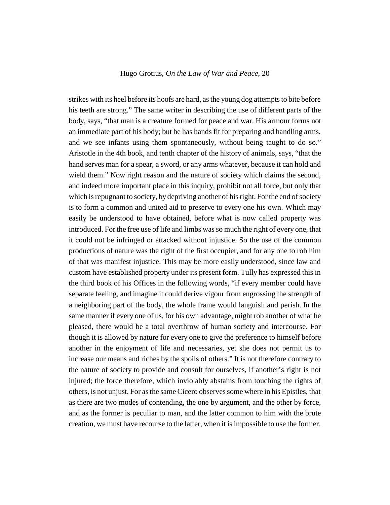strikes with its heel before its hoofs are hard, as the young dog attempts to bite before his teeth are strong." The same writer in describing the use of different parts of the body, says, "that man is a creature formed for peace and war. His armour forms not an immediate part of his body; but he has hands fit for preparing and handling arms, and we see infants using them spontaneously, without being taught to do so." Aristotle in the 4th book, and tenth chapter of the history of animals, says, "that the hand serves man for a spear, a sword, or any arms whatever, because it can hold and wield them." Now right reason and the nature of society which claims the second, and indeed more important place in this inquiry, prohibit not all force, but only that which is repugnant to society, by depriving another of his right. For the end of society is to form a common and united aid to preserve to every one his own. Which may easily be understood to have obtained, before what is now called property was introduced. For the free use of life and limbs was so much the right of every one, that it could not be infringed or attacked without injustice. So the use of the common productions of nature was the right of the first occupier, and for any one to rob him of that was manifest injustice. This may be more easily understood, since law and custom have established property under its present form. Tully has expressed this in the third book of his Offices in the following words, "if every member could have separate feeling, and imagine it could derive vigour from engrossing the strength of a neighboring part of the body, the whole frame would languish and perish. In the same manner if every one of us, for his own advantage, might rob another of what he pleased, there would be a total overthrow of human society and intercourse. For though it is allowed by nature for every one to give the preference to himself before another in the enjoyment of life and necessaries, yet she does not permit us to increase our means and riches by the spoils of others." It is not therefore contrary to the nature of society to provide and consult for ourselves, if another's right is not injured; the force therefore, which inviolably abstains from touching the rights of others, is not unjust. For as the same Cicero observes some where in his Epistles, that as there are two modes of contending, the one by argument, and the other by force, and as the former is peculiar to man, and the latter common to him with the brute creation, we must have recourse to the latter, when it is impossible to use the former.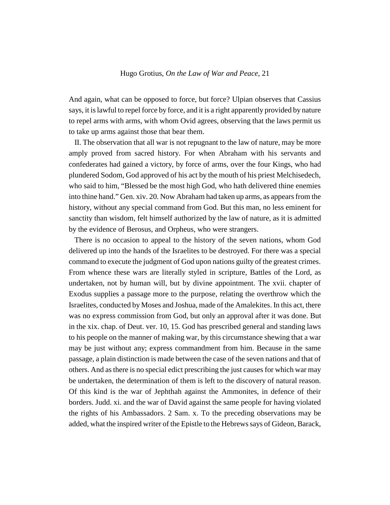And again, what can be opposed to force, but force? Ulpian observes that Cassius says, it is lawful to repel force by force, and it is a right apparently provided by nature to repel arms with arms, with whom Ovid agrees, observing that the laws permit us to take up arms against those that bear them.

II. The observation that all war is not repugnant to the law of nature, may be more amply proved from sacred history. For when Abraham with his servants and confederates had gained a victory, by force of arms, over the four Kings, who had plundered Sodom, God approved of his act by the mouth of his priest Melchisedech, who said to him, "Blessed be the most high God, who hath delivered thine enemies into thine hand." Gen. xiv. 20. Now Abraham had taken up arms, as appears from the history, without any special command from God. But this man, no less eminent for sanctity than wisdom, felt himself authorized by the law of nature, as it is admitted by the evidence of Berosus, and Orpheus, who were strangers.

There is no occasion to appeal to the history of the seven nations, whom God delivered up into the hands of the Israelites to be destroyed. For there was a special command to execute the judgment of God upon nations guilty of the greatest crimes. From whence these wars are literally styled in scripture, Battles of the Lord, as undertaken, not by human will, but by divine appointment. The xvii. chapter of Exodus supplies a passage more to the purpose, relating the overthrow which the Israelites, conducted by Moses and Joshua, made of the Amalekites. In this act, there was no express commission from God, but only an approval after it was done. But in the xix. chap. of Deut. ver. 10, 15. God has prescribed general and standing laws to his people on the manner of making war, by this circumstance shewing that a war may be just without any; express commandment from him. Because in the same passage, a plain distinction is made between the case of the seven nations and that of others. And as there is no special edict prescribing the just causes for which war may be undertaken, the determination of them is left to the discovery of natural reason. Of this kind is the war of Jephthah against the Ammonites, in defence of their borders. Judd. xi. and the war of David against the same people for having violated the rights of his Ambassadors. 2 Sam. x. To the preceding observations may be added, what the inspired writer of the Epistle to the Hebrews says of Gideon, Barack,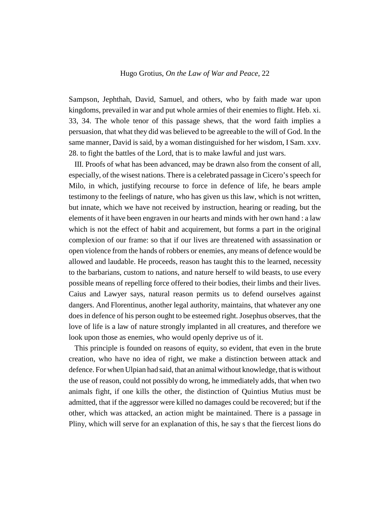Sampson, Jephthah, David, Samuel, and others, who by faith made war upon kingdoms, prevailed in war and put whole armies of their enemies to flight. Heb. xi. 33, 34. The whole tenor of this passage shews, that the word faith implies a persuasion, that what they did was believed to be agreeable to the will of God. In the same manner, David is said, by a woman distinguished for her wisdom, I Sam. xxv. 28. to fight the battles of the Lord, that is to make lawful and just wars.

III. Proofs of what has been advanced, may be drawn also from the consent of all, especially, of the wisest nations. There is a celebrated passage in Cicero's speech for Milo, in which, justifying recourse to force in defence of life, he bears ample testimony to the feelings of nature, who has given us this law, which is not written, but innate, which we have not received by instruction, hearing or reading, but the elements of it have been engraven in our hearts and minds with her own hand : a law which is not the effect of habit and acquirement, but forms a part in the original complexion of our frame: so that if our lives are threatened with assassination or open violence from the hands of robbers or enemies, any means of defence would be allowed and laudable. He proceeds, reason has taught this to the learned, necessity to the barbarians, custom to nations, and nature herself to wild beasts, to use every possible means of repelling force offered to their bodies, their limbs and their lives. Caius and Lawyer says, natural reason permits us to defend ourselves against dangers. And Florentinus, another legal authority, maintains, that whatever any one does in defence of his person ought to be esteemed right. Josephus observes, that the love of life is a law of nature strongly implanted in all creatures, and therefore we look upon those as enemies, who would openly deprive us of it.

This principle is founded on reasons of equity, so evident, that even in the brute creation, who have no idea of right, we make a distinction between attack and defence. For when Ulpian had said, that an animal without knowledge, that is without the use of reason, could not possibly do wrong, he immediately adds, that when two animals fight, if one kills the other, the distinction of Quintius Mutius must be admitted, that if the aggressor were killed no damages could be recovered; but if the other, which was attacked, an action might be maintained. There is a passage in Pliny, which will serve for an explanation of this, he say s that the fiercest lions do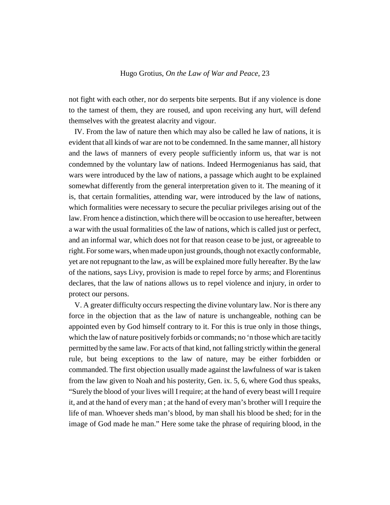not fight with each other, nor do serpents bite serpents. But if any violence is done to the tamest of them, they are roused, and upon receiving any hurt, will defend themselves with the greatest alacrity and vigour.

IV. From the law of nature then which may also be called he law of nations, it is evident that all kinds of war are not to be condemned. In the same manner, all history and the laws of manners of every people sufficiently inform us, that war is not condemned by the voluntary law of nations. Indeed Hermogenianus has said, that wars were introduced by the law of nations, a passage which aught to be explained somewhat differently from the general interpretation given to it. The meaning of it is, that certain formalities, attending war, were introduced by the law of nations, which formalities were necessary to secure the peculiar privileges arising out of the law. From hence a distinction, which there will be occasion to use hereafter, between a war with the usual formalities o£ the law of nations, which is called just or perfect, and an informal war, which does not for that reason cease to be just, or agreeable to right. For some wars, when made upon just grounds, though not exactly conformable, yet are not repugnant to the law, as will be explained more fully hereafter. By the law of the nations, says Livy, provision is made to repel force by arms; and Florentinus declares, that the law of nations allows us to repel violence and injury, in order to protect our persons.

V. A greater difficulty occurs respecting the divine voluntary law. Nor is there any force in the objection that as the law of nature is unchangeable, nothing can be appointed even by God himself contrary to it. For this is true only in those things, which the law of nature positively forbids or commands; no 'n those which are tacitly permitted by the same law. For acts of that kind, not falling strictly within the general rule, but being exceptions to the law of nature, may be either forbidden or commanded. The first objection usually made against the lawfulness of war is taken from the law given to Noah and his posterity, Gen. ix. 5, 6, where God thus speaks, "Surely the blood of your lives will I require; at the hand of every beast will I require it, and at the hand of every man ; at the hand of every man's brother will I require the life of man. Whoever sheds man's blood, by man shall his blood be shed; for in the image of God made he man." Here some take the phrase of requiring blood, in the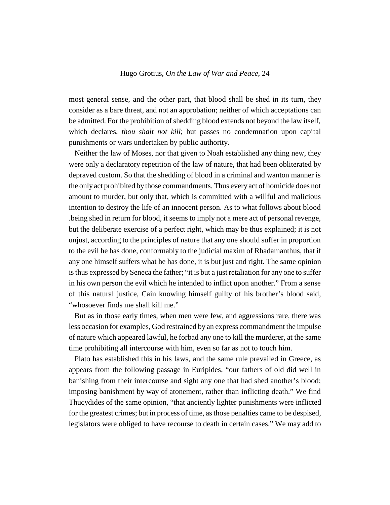most general sense, and the other part, that blood shall be shed in its turn, they consider as a bare threat, and not an approbation; neither of which acceptations can be admitted. For the prohibition of shedding blood extends not beyond the law itself, which declares, *thou shalt not kill*; but passes no condemnation upon capital punishments or wars undertaken by public authority.

Neither the law of Moses, nor that given to Noah established any thing new, they were only a declaratory repetition of the law of nature, that had been obliterated by depraved custom. So that the shedding of blood in a criminal and wanton manner is the only act prohibited by those commandments. Thus every act of homicide does not amount to murder, but only that, which is committed with a willful and malicious intention to destroy the life of an innocent person. As to what follows about blood .being shed in return for blood, it seems to imply not a mere act of personal revenge, but the deliberate exercise of a perfect right, which may be thus explained; it is not unjust, according to the principles of nature that any one should suffer in proportion to the evil he has done, conformably to the judicial maxim of Rhadamanthus, that if any one himself suffers what he has done, it is but just and right. The same opinion is thus expressed by Seneca the father; "it is but a just retaliation for any one to suffer in his own person the evil which he intended to inflict upon another." From a sense of this natural justice, Cain knowing himself guilty of his brother's blood said, "whosoever finds me shall kill me."

But as in those early times, when men were few, and aggressions rare, there was less occasion for examples, God restrained by an express commandment the impulse of nature which appeared lawful, he forbad any one to kill the murderer, at the same time prohibiting all intercourse with him, even so far as not to touch him.

Plato has established this in his laws, and the same rule prevailed in Greece, as appears from the following passage in Euripides, "our fathers of old did well in banishing from their intercourse and sight any one that had shed another's blood; imposing banishment by way of atonement, rather than inflicting death." We find Thucydides of the same opinion, "that anciently lighter punishments were inflicted for the greatest crimes; but in process of time, as those penalties came to be despised, legislators were obliged to have recourse to death in certain cases." We may add to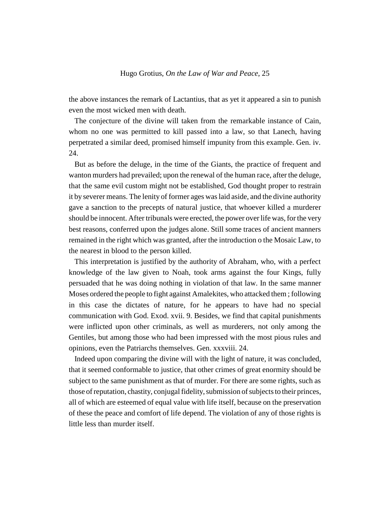the above instances the remark of Lactantius, that as yet it appeared a sin to punish even the most wicked men with death.

The conjecture of the divine will taken from the remarkable instance of Cain, whom no one was permitted to kill passed into a law, so that Lanech, having perpetrated a similar deed, promised himself impunity from this example. Gen. iv. 24.

But as before the deluge, in the time of the Giants, the practice of frequent and wanton murders had prevailed; upon the renewal of the human race, after the deluge, that the same evil custom might not be established, God thought proper to restrain it by severer means. The lenity of former ages was laid aside, and the divine authority gave a sanction to the precepts of natural justice, that whoever killed a murderer should be innocent. After tribunals were erected, the power over life was, for the very best reasons, conferred upon the judges alone. Still some traces of ancient manners remained in the right which was granted, after the introduction o the Mosaic Law, to the nearest in blood to the person killed.

This interpretation is justified by the authority of Abraham, who, with a perfect knowledge of the law given to Noah, took arms against the four Kings, fully persuaded that he was doing nothing in violation of that law. In the same manner Moses ordered the people to fight against Amalekites, who attacked them ; following in this case the dictates of nature, for he appears to have had no special communication with God. Exod. xvii. 9. Besides, we find that capital punishments were inflicted upon other criminals, as well as murderers, not only among the Gentiles, but among those who had been impressed with the most pious rules and opinions, even the Patriarchs themselves. Gen. xxxviii. 24.

Indeed upon comparing the divine will with the light of nature, it was concluded, that it seemed conformable to justice, that other crimes of great enormity should be subject to the same punishment as that of murder. For there are some rights, such as those of reputation, chastity, conjugal fidelity, submission of subjects to their princes, all of which are esteemed of equal value with life itself, because on the preservation of these the peace and comfort of life depend. The violation of any of those rights is little less than murder itself.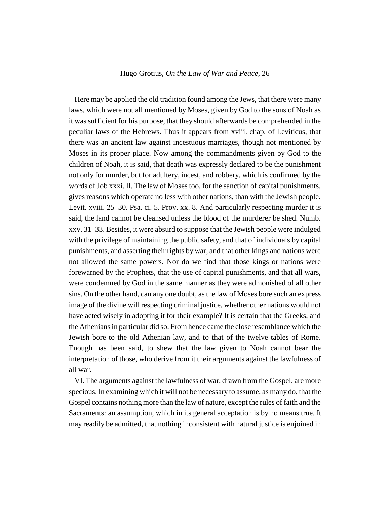Here may be applied the old tradition found among the Jews, that there were many laws, which were not all mentioned by Moses, given by God to the sons of Noah as it was sufficient for his purpose, that they should afterwards be comprehended in the peculiar laws of the Hebrews. Thus it appears from xviii. chap. of Leviticus, that there was an ancient law against incestuous marriages, though not mentioned by Moses in its proper place. Now among the commandments given by God to the children of Noah, it is said, that death was expressly declared to be the punishment not only for murder, but for adultery, incest, and robbery, which is confirmed by the words of Job xxxi. II. The law of Moses too, for the sanction of capital punishments, gives reasons which operate no less with other nations, than with the Jewish people. Levit. xviii. 25–30. Psa. ci. 5. Prov. xx. 8. And particularly respecting murder it is said, the land cannot be cleansed unless the blood of the murderer be shed. Numb. xxv. 31–33. Besides, it were absurd to suppose that the Jewish people were indulged with the privilege of maintaining the public safety, and that of individuals by capital punishments, and asserting their rights by war, and that other kings and nations were not allowed the same powers. Nor do we find that those kings or nations were forewarned by the Prophets, that the use of capital punishments, and that all wars, were condemned by God in the same manner as they were admonished of all other sins. On the other hand, can any one doubt, as the law of Moses bore such an express image of the divine will respecting criminal justice, whether other nations would not have acted wisely in adopting it for their example? It is certain that the Greeks, and the Athenians in particular did so. From hence came the close resemblance which the Jewish bore to the old Athenian law, and to that of the twelve tables of Rome. Enough has been said, to shew that the law given to Noah cannot bear the interpretation of those, who derive from it their arguments against the lawfulness of all war.

VI. The arguments against the lawfulness of war, drawn from the Gospel, are more specious. In examining which it will not be necessary to assume, as many do, that the Gospel contains nothing more than the law of nature, except the rules of faith and the Sacraments: an assumption, which in its general acceptation is by no means true. It may readily be admitted, that nothing inconsistent with natural justice is enjoined in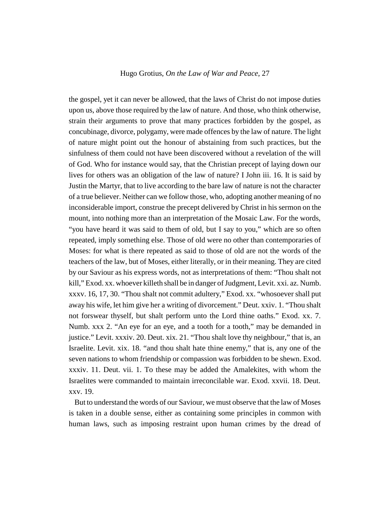the gospel, yet it can never be allowed, that the laws of Christ do not impose duties upon us, above those required by the law of nature. And those, who think otherwise, strain their arguments to prove that many practices forbidden by the gospel, as concubinage, divorce, polygamy, were made offences by the law of nature. The light of nature might point out the honour of abstaining from such practices, but the sinfulness of them could not have been discovered without a revelation of the will of God. Who for instance would say, that the Christian precept of laying down our lives for others was an obligation of the law of nature? I John iii. 16. It is said by Justin the Martyr, that to live according to the bare law of nature is not the character of a true believer. Neither can we follow those, who, adopting another meaning of no inconsiderable import, construe the precept delivered by Christ in his sermon on the mount, into nothing more than an interpretation of the Mosaic Law. For the words, "you have heard it was said to them of old, but I say to you," which are so often repeated, imply something else. Those of old were no other than contemporaries of Moses: for what is there repeated as said to those of old are not the words of the teachers of the law, but of Moses, either literally, or in their meaning. They are cited by our Saviour as his express words, not as interpretations of them: "Thou shalt not kill," Exod. xx. whoever killeth shall be in danger of Judgment, Levit. xxi. az. Numb. xxxv. 16, 17, 30. "Thou shalt not commit adultery," Exod. xx. "whosoever shall put away his wife, let him give her a writing of divorcement." Deut. xxiv. 1. "Thou shalt not forswear thyself, but shalt perform unto the Lord thine oaths." Exod. xx. 7. Numb. xxx 2. "An eye for an eye, and a tooth for a tooth," may be demanded in justice." Levit. xxxiv. 20. Deut. xix. 21. "Thou shalt love thy neighbour," that is, an Israelite. Levit. xix. 18. "and thou shalt hate thine enemy," that is, any one of the seven nations to whom friendship or compassion was forbidden to be shewn. Exod. xxxiv. 11. Deut. vii. 1. To these may be added the Amalekites, with whom the Israelites were commanded to maintain irreconcilable war. Exod. xxvii. 18. Deut. xxv. 19.

But to understand the words of our Saviour, we must observe that the law of Moses is taken in a double sense, either as containing some principles in common with human laws, such as imposing restraint upon human crimes by the dread of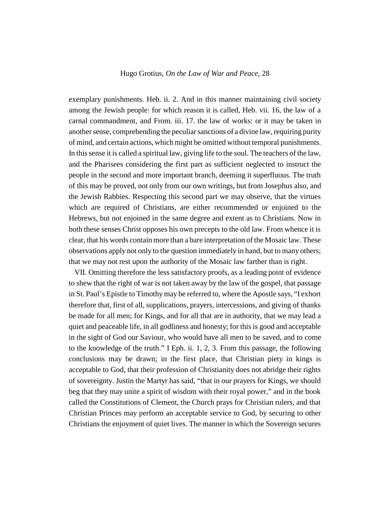exemplary punishments. Heb. ii. 2. And in this manner maintaining civil society among the Jewish people: for which reason it is called, Heb. vii. 16, the law of a carnal commandment, and From. iii. 17. the law of works: or it may be taken in another sense, comprehending the peculiar sanctions of a divine law, requiring purity of mind, and certain actions, which might be omitted without temporal punishments. In this sense it is called a spiritual law, giving life to the soul. The teachers of the law, and the Pharisees considering the first part as sufficient neglected to instruct the people in the second and more important branch, deeming it superfluous. The truth of this may be proved, not only from our own writings, but from Josephus also, and the Jewish Rabbies. Respecting this second part we may observe, that the virtues which are required of Christians, are either recommended or enjoined to the Hebrews, but not enjoined in the same degree and extent as to Christians. Now in both these senses Christ opposes his own precepts to the old law. From whence it is clear, that his words contain more than a bare interpretation of the Mosaic law. These observations apply not only to the question immediately in hand, but to many others; that we may not rest upon the authority of the Mosaic law farther than is right.

VII. Omitting therefore the less satisfactory proofs, as a leading point of evidence to shew that the right of war is not taken away by the law of the gospel, that passage in St. Paul's Epistle to Timothy may be referred to, where the Apostle says, "I exhort therefore that, first of all, supplications, prayers, intercessions, and giving of thanks be made for all men; for Kings, and for all that are in authority, that we may lead a quiet and peaceable life, in all godliness and honesty; for this is good and acceptable in the sight of God our Saviour, who would have all men to be saved, and to come to the knowledge of the truth." I Eph. ii. 1, 2, 3. From this passage, the following conclusions may be drawn; in the first place, that Christian piety in kings is acceptable to God, that their profession of Christianity does not abridge their rights of sovereignty. Justin the Martyr has said, "that in our prayers for Kings, we should beg that they may unite a spirit of wisdom with their royal power," and in the book called the Constitutions of Clement, the Church prays for Christian rulers, and that Christian Princes may perform an acceptable service to God, by securing to other Christians the enjoyment of quiet lives. The manner in which the Sovereign secures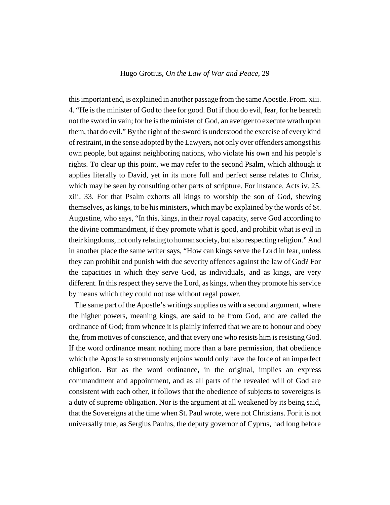this important end, is explained in another passage from the same Apostle. From. xiii. 4. "He is the minister of God to thee for good. But if thou do evil, fear, for he beareth not the sword in vain; for he is the minister of God, an avenger to execute wrath upon them, that do evil." By the right of the sword is understood the exercise of every kind of restraint, in the sense adopted by the Lawyers, not only over offenders amongst his own people, but against neighboring nations, who violate his own and his people's rights. To clear up this point, we may refer to the second Psalm, which although it applies literally to David, yet in its more full and perfect sense relates to Christ, which may be seen by consulting other parts of scripture. For instance, Acts iv. 25. xiii. 33. For that Psalm exhorts all kings to worship the son of God, shewing themselves, as kings, to be his ministers, which may be explained by the words of St. Augustine, who says, "In this, kings, in their royal capacity, serve God according to the divine commandment, if they promote what is good, and prohibit what is evil in their kingdoms, not only relating to human society, but also respecting religion." And in another place the same writer says, "How can kings serve the Lord in fear, unless they can prohibit and punish with due severity offences against the law of God? For the capacities in which they serve God, as individuals, and as kings, are very different. In this respect they serve the Lord, as kings, when they promote his service by means which they could not use without regal power.

The same part of the Apostle's writings supplies us with a second argument, where the higher powers, meaning kings, are said to be from God, and are called the ordinance of God; from whence it is plainly inferred that we are to honour and obey the, from motives of conscience, and that every one who resists him is resisting God. If the word ordinance meant nothing more than a bare permission, that obedience which the Apostle so strenuously enjoins would only have the force of an imperfect obligation. But as the word ordinance, in the original, implies an express commandment and appointment, and as all parts of the revealed will of God are consistent with each other, it follows that the obedience of subjects to sovereigns is a duty of supreme obligation. Nor is the argument at all weakened by its being said, that the Sovereigns at the time when St. Paul wrote, were not Christians. For it is not universally true, as Sergius Paulus, the deputy governor of Cyprus, had long before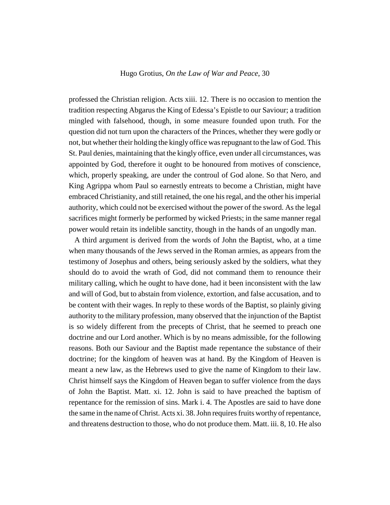professed the Christian religion. Acts xiii. 12. There is no occasion to mention the tradition respecting Abgarus the King of Edessa's Epistle to our Saviour; a tradition mingled with falsehood, though, in some measure founded upon truth. For the question did not turn upon the characters of the Princes, whether they were godly or not, but whether their holding the kingly office was repugnant to the law of God. This St. Paul denies, maintaining that the kingly office, even under all circumstances, was appointed by God, therefore it ought to be honoured from motives of conscience, which, properly speaking, are under the controul of God alone. So that Nero, and King Agrippa whom Paul so earnestly entreats to become a Christian, might have embraced Christianity, and still retained, the one his regal, and the other his imperial authority, which could not be exercised without the power of the sword. As the legal sacrifices might formerly be performed by wicked Priests; in the same manner regal power would retain its indelible sanctity, though in the hands of an ungodly man.

A third argument is derived from the words of John the Baptist, who, at a time when many thousands of the Jews served in the Roman armies, as appears from the testimony of Josephus and others, being seriously asked by the soldiers, what they should do to avoid the wrath of God, did not command them to renounce their military calling, which he ought to have done, had it been inconsistent with the law and will of God, but to abstain from violence, extortion, and false accusation, and to be content with their wages. In reply to these words of the Baptist, so plainly giving authority to the military profession, many observed that the injunction of the Baptist is so widely different from the precepts of Christ, that he seemed to preach one doctrine and our Lord another. Which is by no means admissible, for the following reasons. Both our Saviour and the Baptist made repentance the substance of their doctrine; for the kingdom of heaven was at hand. By the Kingdom of Heaven is meant a new law, as the Hebrews used to give the name of Kingdom to their law. Christ himself says the Kingdom of Heaven began to suffer violence from the days of John the Baptist. Matt. xi. 12. John is said to have preached the baptism of repentance for the remission of sins. Mark i. 4. The Apostles are said to have done the same in the name of Christ. Acts xi. 38. John requires fruits worthy of repentance, and threatens destruction to those, who do not produce them. Matt. iii. 8, 10. He also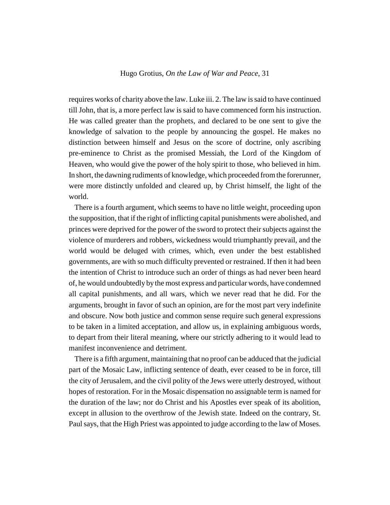requires works of charity above the law. Luke iii. 2. The law is said to have continued till John, that is, a more perfect law is said to have commenced form his instruction. He was called greater than the prophets, and declared to be one sent to give the knowledge of salvation to the people by announcing the gospel. He makes no distinction between himself and Jesus on the score of doctrine, only ascribing pre-eminence to Christ as the promised Messiah, the Lord of the Kingdom of Heaven, who would give the power of the holy spirit to those, who believed in him. In short, the dawning rudiments of knowledge, which proceeded from the forerunner, were more distinctly unfolded and cleared up, by Christ himself, the light of the world.

There is a fourth argument, which seems to have no little weight, proceeding upon the supposition, that if the right of inflicting capital punishments were abolished, and princes were deprived for the power of the sword to protect their subjects against the violence of murderers and robbers, wickedness would triumphantly prevail, and the world would be deluged with crimes, which, even under the best established governments, are with so much difficulty prevented or restrained. If then it had been the intention of Christ to introduce such an order of things as had never been heard of, he would undoubtedly by the most express and particular words, have condemned all capital punishments, and all wars, which we never read that he did. For the arguments, brought in favor of such an opinion, are for the most part very indefinite and obscure. Now both justice and common sense require such general expressions to be taken in a limited acceptation, and allow us, in explaining ambiguous words, to depart from their literal meaning, where our strictly adhering to it would lead to manifest inconvenience and detriment.

There is a fifth argument, maintaining that no proof can be adduced that the judicial part of the Mosaic Law, inflicting sentence of death, ever ceased to be in force, till the city of Jerusalem, and the civil polity of the Jews were utterly destroyed, without hopes of restoration. For in the Mosaic dispensation no assignable term is named for the duration of the law; nor do Christ and his Apostles ever speak of its abolition, except in allusion to the overthrow of the Jewish state. Indeed on the contrary, St. Paul says, that the High Priest was appointed to judge according to the law of Moses.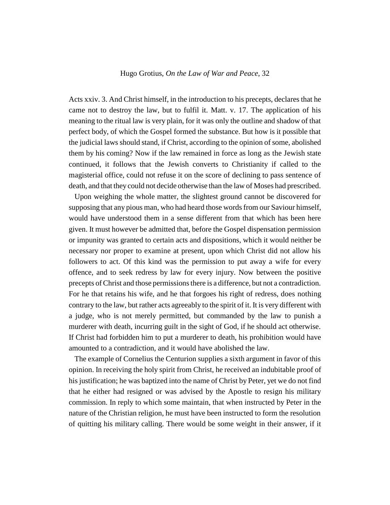Acts xxiv. 3. And Christ himself, in the introduction to his precepts, declares that he came not to destroy the law, but to fulfil it. Matt. v. 17. The application of his meaning to the ritual law is very plain, for it was only the outline and shadow of that perfect body, of which the Gospel formed the substance. But how is it possible that the judicial laws should stand, if Christ, according to the opinion of some, abolished them by his coming? Now if the law remained in force as long as the Jewish state continued, it follows that the Jewish converts to Christianity if called to the magisterial office, could not refuse it on the score of declining to pass sentence of death, and that they could not decide otherwise than the law of Moses had prescribed.

Upon weighing the whole matter, the slightest ground cannot be discovered for supposing that any pious man, who had heard those words from our Saviour himself, would have understood them in a sense different from that which has been here given. It must however be admitted that, before the Gospel dispensation permission or impunity was granted to certain acts and dispositions, which it would neither be necessary nor proper to examine at present, upon which Christ did not allow his followers to act. Of this kind was the permission to put away a wife for every offence, and to seek redress by law for every injury. Now between the positive precepts of Christ and those permissions there is a difference, but not a contradiction. For he that retains his wife, and he that forgoes his right of redress, does nothing contrary to the law, but rather acts agreeably to the spirit of it. It is very different with a judge, who is not merely permitted, but commanded by the law to punish a murderer with death, incurring guilt in the sight of God, if he should act otherwise. If Christ had forbidden him to put a murderer to death, his prohibition would have amounted to a contradiction, and it would have abolished the law.

The example of Cornelius the Centurion supplies a sixth argument in favor of this opinion. In receiving the holy spirit from Christ, he received an indubitable proof of his justification; he was baptized into the name of Christ by Peter, yet we do not find that he either had resigned or was advised by the Apostle to resign his military commission. In reply to which some maintain, that when instructed by Peter in the nature of the Christian religion, he must have been instructed to form the resolution of quitting his military calling. There would be some weight in their answer, if it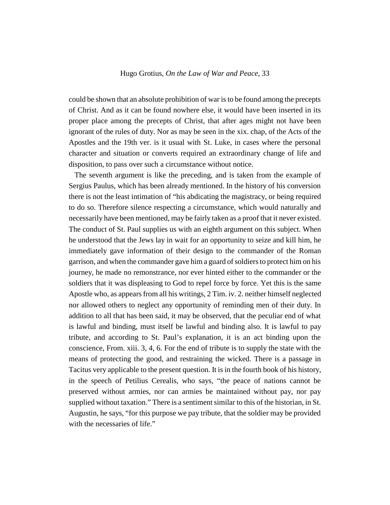could be shown that an absolute prohibition of war is to be found among the precepts of Christ. And as it can be found nowhere else, it would have been inserted in its proper place among the precepts of Christ, that after ages might not have been ignorant of the rules of duty. Nor as may be seen in the xix. chap, of the Acts of the Apostles and the 19th ver. is it usual with St. Luke, in cases where the personal character and situation or converts required an extraordinary change of life and disposition, to pass over such a circumstance without notice.

The seventh argument is like the preceding, and is taken from the example of Sergius Paulus, which has been already mentioned. In the history of his conversion there is not the least intimation of "his abdicating the magistracy, or being required to do so. Therefore silence respecting a circumstance, which would naturally and necessarily have been mentioned, may be fairly taken as a proof that it never existed. The conduct of St. Paul supplies us with an eighth argument on this subject. When he understood that the Jews lay in wait for an opportunity to seize and kill him, he immediately gave information of their design to the commander of the Roman garrison, and when the commander gave him a guard of soldiers to protect him on his journey, he made no remonstrance, nor ever hinted either to the commander or the soldiers that it was displeasing to God to repel force by force. Yet this is the same Apostle who, as appears from all his writings, 2 Tim. iv. 2. neither himself neglected nor allowed others to neglect any opportunity of reminding men of their duty. In addition to all that has been said, it may be observed, that the peculiar end of what is lawful and binding, must itself be lawful and binding also. It is lawful to pay tribute, and according to St. Paul's explanation, it is an act binding upon the conscience, From. xiii. 3, 4, 6. For the end of tribute is to supply the state with the means of protecting the good, and restraining the wicked. There is a passage in Tacitus very applicable to the present question. It is in the fourth book of his history, in the speech of Petilius Cerealis, who says, "the peace of nations cannot be preserved without armies, nor can armies be maintained without pay, nor pay supplied without taxation." There is a sentiment similar to this of the historian, in St. Augustin, he says, "for this purpose we pay tribute, that the soldier may be provided with the necessaries of life."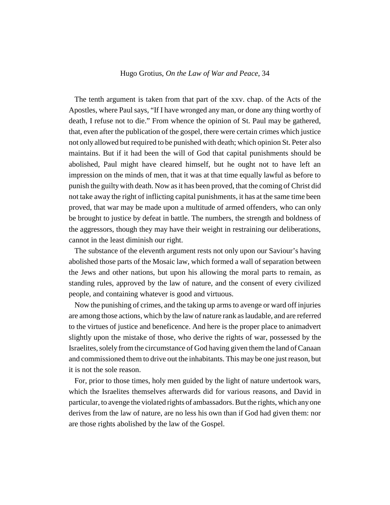The tenth argument is taken from that part of the xxv. chap. of the Acts of the Apostles, where Paul says, "If I have wronged any man, or done any thing worthy of death, I refuse not to die." From whence the opinion of St. Paul may be gathered, that, even after the publication of the gospel, there were certain crimes which justice not only allowed but required to be punished with death; which opinion St. Peter also maintains. But if it had been the will of God that capital punishments should be abolished, Paul might have cleared himself, but he ought not to have left an impression on the minds of men, that it was at that time equally lawful as before to punish the guilty with death. Now as it has been proved, that the coming of Christ did not take away the right of inflicting capital punishments, it has at the same time been proved, that war may be made upon a multitude of armed offenders, who can only be brought to justice by defeat in battle. The numbers, the strength and boldness of the aggressors, though they may have their weight in restraining our deliberations, cannot in the least diminish our right.

The substance of the eleventh argument rests not only upon our Saviour's having abolished those parts of the Mosaic law, which formed a wall of separation between the Jews and other nations, but upon his allowing the moral parts to remain, as standing rules, approved by the law of nature, and the consent of every civilized people, and containing whatever is good and virtuous.

Now the punishing of crimes, and the taking up arms to avenge or ward off injuries are among those actions, which by the law of nature rank as laudable, and are referred to the virtues of justice and beneficence. And here is the proper place to animadvert slightly upon the mistake of those, who derive the rights of war, possessed by the Israelites, solely from the circumstance of God having given them the land of Canaan and commissioned them to drive out the inhabitants. This may be one just reason, but it is not the sole reason.

For, prior to those times, holy men guided by the light of nature undertook wars, which the Israelites themselves afterwards did for various reasons, and David in particular, to avenge the violated rights of ambassadors. But the rights, which any one derives from the law of nature, are no less his own than if God had given them: nor are those rights abolished by the law of the Gospel.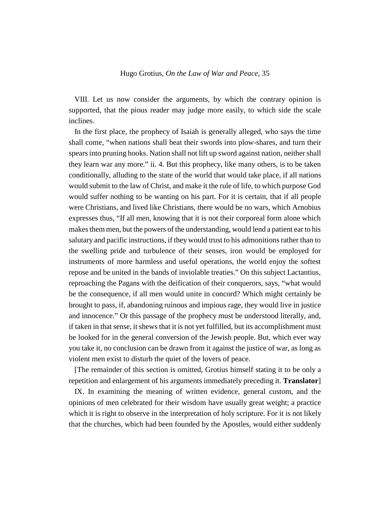VIII. Let us now consider the arguments, by which the contrary opinion is supported, that the pious reader may judge more easily, to which side the scale inclines.

In the first place, the prophecy of Isaiah is generally alleged, who says the time shall come, "when nations shall beat their swords into plow-shares, and turn their spears into pruning hooks. Nation shall not lift up sword against nation, neither shall they learn war any more." ii. 4. But this prophecy, like many others, is to be taken conditionally, alluding to the state of the world that would take place, if all nations would submit to the law of Christ, and make it the rule of life, to which purpose God would suffer nothing to be wanting on his part. For it is certain, that if all people were Christians, and lived like Christians, there would be no wars, which Arnobius expresses thus, "If all men, knowing that it is not their corporeal form alone which makes them men, but the powers of the understanding, would lend a patient ear to his salutary and pacific instructions, if they would trust to his admonitions rather than to the swelling pride and turbulence of their senses, iron would be employed for instruments of more harmless and useful operations, the world enjoy the softest repose and be united in the bands of inviolable treaties." On this subject Lactantius, reproaching the Pagans with the deification of their conquerors, says, "what would be the consequence, if all men would unite in concord? Which might certainly be brought to pass, if, abandoning ruinous and impious rage, they would live in justice and innocence." Or this passage of the prophecy must be understood literally, and, if taken in that sense, it shews that it is not yet fulfilled, but its accomplishment must be looked for in the general conversion of the Jewish people. But, which ever way you take it, no conclusion can be drawn from it against the justice of war, as long as violent men exist to disturb the quiet of the lovers of peace.

[The remainder of this section is omitted, Grotius himself stating it to be only a repetition and enlargement of his arguments immediately preceding it. **Translator**]

IX. In examining the meaning of written evidence, general custom, and the opinions of men celebrated for their wisdom have usually great weight; a practice which it is right to observe in the interpretation of holy scripture. For it is not likely that the churches, which had been founded by the Apostles, would either suddenly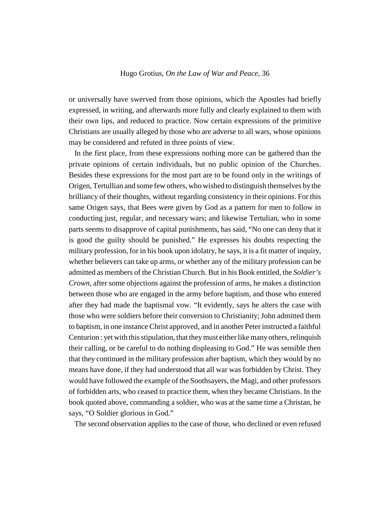or universally have swerved from those opinions, which the Apostles had briefly expressed, in writing, and afterwards more fully and clearly explained to them with their own lips, and reduced to practice. Now certain expressions of the primitive Christians are usually alleged by those who are adverse to all wars, whose opinions may be considered and refuted in three points of view.

In the first place, from these expressions nothing more can be gathered than the private opinions of certain individuals, but no public opinion of the Churches. Besides these expressions for the most part are to be found only in the writings of Origen, Tertullian and some few others, who wished to distinguish themselves by the brilliancy of their thoughts, without regarding consistency in their opinions. For this same Origen says, that Bees were given by God as a pattern for men to follow in conducting just, regular, and necessary wars; and likewise Tertulian, who in some parts seems to disapprove of capital punishments, has said, "No one can deny that it is good the guilty should be punished." He expresses his doubts respecting the military profession, for in his book upon idolatry, he says, it is a fit matter of inquiry, whether believers can take up arms, or whether any of the military profession can be admitted as members of the Christian Church. But in his Book entitled, the *Soldier's Crown*, after some objections against the profession of arms, he makes a distinction between those who are engaged in the army before baptism, and those who entered after they had made the baptismal vow. "It evidently, says he alters the case with those who were soldiers before their conversion to Christianity; John admitted them to baptism, in one instance Christ approved, and in another Peter instructed a faithful Centurion : yet with this stipulation, that they must either like many others, relinquish their calling, or be careful to do nothing displeasing to God." He was sensible then that they continued in the military profession after baptism, which they would by no means have done, if they had understood that all war was forbidden by Christ. They would have followed the example of the Soothsayers, the Magi, and other professors of forbidden arts, who ceased to practice them, when they became Christians. In the book quoted above, commanding a soldier, who was at the same time a Christan, he says, "O Soldier glorious in God."

The second observation applies to the case of those, who declined or even refused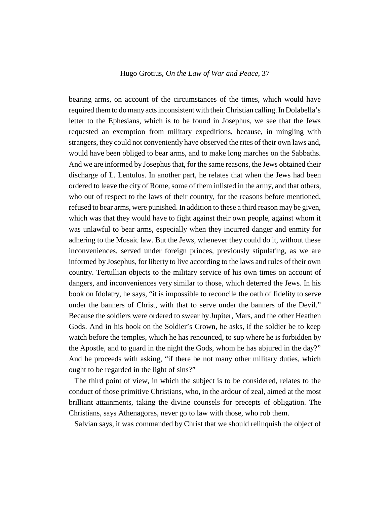bearing arms, on account of the circumstances of the times, which would have required them to do many acts inconsistent with their Christian calling. In Dolabella's letter to the Ephesians, which is to be found in Josephus, we see that the Jews requested an exemption from military expeditions, because, in mingling with strangers, they could not conveniently have observed the rites of their own laws and, would have been obliged to bear arms, and to make long marches on the Sabbaths. And we are informed by Josephus that, for the same reasons, the Jews obtained their discharge of L. Lentulus. In another part, he relates that when the Jews had been ordered to leave the city of Rome, some of them inlisted in the army, and that others, who out of respect to the laws of their country, for the reasons before mentioned, refused to bear arms, were punished. In addition to these a third reason may be given, which was that they would have to fight against their own people, against whom it was unlawful to bear arms, especially when they incurred danger and enmity for adhering to the Mosaic law. But the Jews, whenever they could do it, without these inconveniences, served under foreign princes, previously stipulating, as we are informed by Josephus, for liberty to live according to the laws and rules of their own country. Tertullian objects to the military service of his own times on account of dangers, and inconveniences very similar to those, which deterred the Jews. In his book on Idolatry, he says, "it is impossible to reconcile the oath of fidelity to serve under the banners of Christ, with that to serve under the banners of the Devil." Because the soldiers were ordered to swear by Jupiter, Mars, and the other Heathen Gods. And in his book on the Soldier's Crown, he asks, if the soldier be to keep watch before the temples, which he has renounced, to sup where he is forbidden by the Apostle, and to guard in the night the Gods, whom he has abjured in the day?" And he proceeds with asking, "if there be not many other military duties, which ought to be regarded in the light of sins?"

The third point of view, in which the subject is to be considered, relates to the conduct of those primitive Christians, who, in the ardour of zeal, aimed at the most brilliant attainments, taking the divine counsels for precepts of obligation. The Christians, says Athenagoras, never go to law with those, who rob them.

Salvian says, it was commanded by Christ that we should relinquish the object of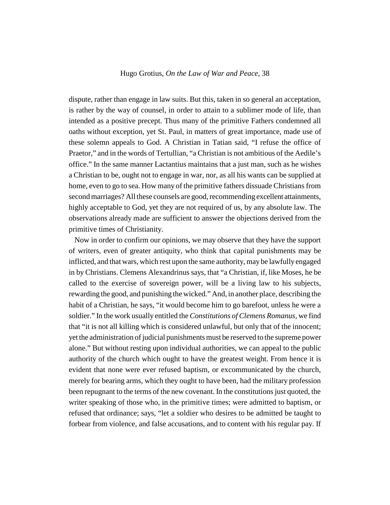dispute, rather than engage in law suits. But this, taken in so general an acceptation, is rather by the way of counsel, in order to attain to a sublimer mode of life, than intended as a positive precept. Thus many of the primitive Fathers condemned all oaths without exception, yet St. Paul, in matters of great importance, made use of these solemn appeals to God. A Christian in Tatian said, "I refuse the office of Praetor," and in the words of Tertullian, "a Christian is not ambitious of the Aedile's office." In the same manner Lactantius maintains that a just man, such as he wishes a Christian to be, ought not to engage in war, nor, as all his wants can be supplied at home, even to go to sea. How many of the primitive fathers dissuade Christians from second marriages? All these counsels are good, recommending excellent attainments, highly acceptable to God, yet they are not required of us, by any absolute law. The observations already made are sufficient to answer the objections derived from the primitive times of Christianity.

Now in order to confirm our opinions, we may observe that they have the support of writers, even of greater antiquity, who think that capital punishments may be inflicted, and that wars, which rest upon the same authority, may be lawfully engaged in by Christians. Clemens Alexandrinus says, that "a Christian, if, like Moses, he be called to the exercise of sovereign power, will be a living law to his subjects, rewarding the good, and punishing the wicked." And, in another place, describing the habit of a Christian, he says, "it would become him to go barefoot, unless he were a soldier." In the work usually entitled the *Constitutions of Clemens Romanus*, we find that "it is not all killing which is considered unlawful, but only that of the innocent; yet the administration of judicial punishments must be reserved to the supreme power alone." But without resting upon individual authorities, we can appeal to the public authority of the church which ought to have the greatest weight. From hence it is evident that none were ever refused baptism, or excommunicated by the church, merely for bearing arms, which they ought to have been, had the military profession been repugnant to the terms of the new covenant. In the constitutions just quoted, the writer speaking of those who, in the primitive times; were admitted to baptism, or refused that ordinance; says, "let a soldier who desires to be admitted be taught to forbear from violence, and false accusations, and to content with his regular pay. If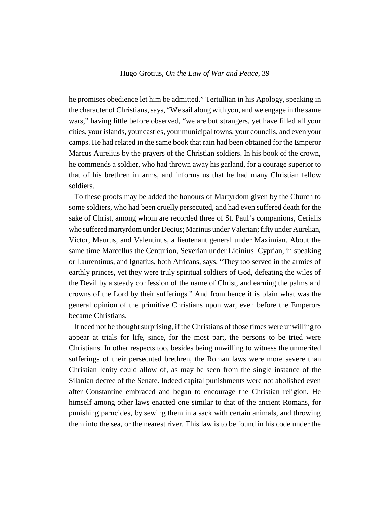he promises obedience let him be admitted." Tertullian in his Apology, speaking in the character of Christians, says, "We sail along with you, and we engage in the same wars," having little before observed, "we are but strangers, yet have filled all your cities, your islands, your castles, your municipal towns, your councils, and even your camps. He had related in the same book that rain had been obtained for the Emperor Marcus Aurelius by the prayers of the Christian soldiers. In his book of the crown, he commends a soldier, who had thrown away his garland, for a courage superior to that of his brethren in arms, and informs us that he had many Christian fellow soldiers.

To these proofs may be added the honours of Martyrdom given by the Church to some soldiers, who had been cruelly persecuted, and had even suffered death for the sake of Christ, among whom are recorded three of St. Paul's companions, Cerialis who suffered martyrdom under Decius; Marinus under Valerian; fifty under Aurelian, Victor, Maurus, and Valentinus, a lieutenant general under Maximian. About the same time Marcellus the Centurion, Severian under Licinius. Cyprian, in speaking or Laurentinus, and Ignatius, both Africans, says, "They too served in the armies of earthly princes, yet they were truly spiritual soldiers of God, defeating the wiles of the Devil by a steady confession of the name of Christ, and earning the palms and crowns of the Lord by their sufferings." And from hence it is plain what was the general opinion of the primitive Christians upon war, even before the Emperors became Christians.

It need not be thought surprising, if the Christians of those times were unwilling to appear at trials for life, since, for the most part, the persons to be tried were Christians. In other respects too, besides being unwilling to witness the unmerited sufferings of their persecuted brethren, the Roman laws were more severe than Christian lenity could allow of, as may be seen from the single instance of the Silanian decree of the Senate. Indeed capital punishments were not abolished even after Constantine embraced and began to encourage the Christian religion. He himself among other laws enacted one similar to that of the ancient Romans, for punishing parncides, by sewing them in a sack with certain animals, and throwing them into the sea, or the nearest river. This law is to be found in his code under the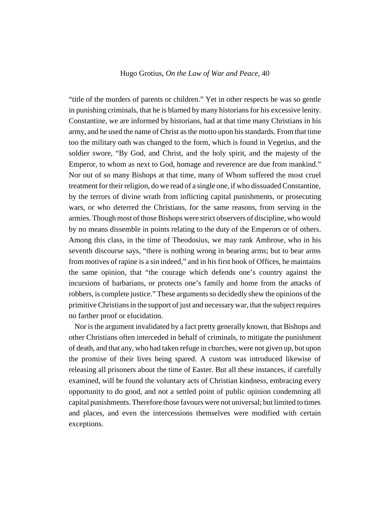"title of the murders of parents or children." Yet in other respects he was so gentle in punishing criminals, that he is blamed by many historians for his excessive lenity. Constantine, we are informed by historians, had at that time many Christians in his army, and he used the name of Christ as the motto upon his standards. From that time too the military oath was changed to the form, which is found in Vegetius, and the soldier swore, "By God, and Christ, and the holy spirit, and the majesty of the Emperor, to whom as next to God, homage and reverence are due from mankind." Nor out of so many Bishops at that time, many of Whom suffered the most cruel treatment for their religion, do we read of a single one, if who dissuaded Constantine, by the terrors of divine wrath from inflicting capital punishments, or prosecuting wars, or who deterred the Christians, for the same reasons, from serving in the armies. Though most of those Bishops were strict observers of discipline, who would by no means dissemble in points relating to the duty of the Emperors or of others. Among this class, in the time of Theodosius, we may rank Ambrose, who in his seventh discourse says, "there is nothing wrong in bearing arms; but to bear arms from motives of rapine is a sin indeed," and in his first book of Offices, he maintains the same opinion, that "the courage which defends one's country against the incursions of barbarians, or protects one's family and home from the attacks of robbers, is complete justice." These arguments so decidedly shew the opinions of the primitive Christians in the support of just and necessary war, that the subject requires no farther proof or elucidation.

Nor is the argument invalidated by a fact pretty generally known, that Bishops and other Christians often interceded in behalf of criminals, to mitigate the punishment of death, and that any, who had taken refuge in churches, were not given up, but upon the promise of their lives being spared. A custom was introduced likewise of releasing all prisoners about the time of Easter. But all these instances, if carefully examined, will be found the voluntary acts of Christian kindness, embracing every opportunity to do good, and not a settled point of public opinion condemning all capital punishments. Therefore those favours were not universal; but limited to times and places, and even the intercessions themselves were modified with certain exceptions.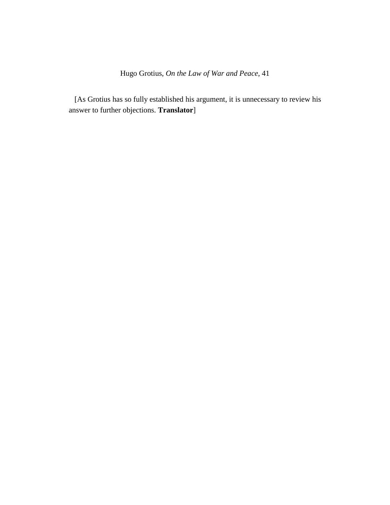[As Grotius has so fully established his argument, it is unnecessary to review his answer to further objections. **Translator**]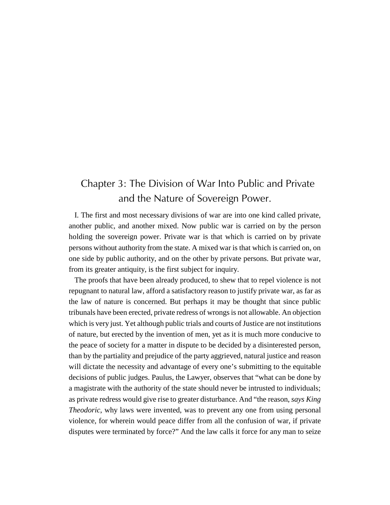# Chapter 3: The Division of War Into Public and Private and the Nature of Sovereign Power.

I. The first and most necessary divisions of war are into one kind called private, another public, and another mixed. Now public war is carried on by the person holding the sovereign power. Private war is that which is carried on by private persons without authority from the state. A mixed war is that which is carried on, on one side by public authority, and on the other by private persons. But private war, from its greater antiquity, is the first subject for inquiry.

The proofs that have been already produced, to shew that to repel violence is not repugnant to natural law, afford a satisfactory reason to justify private war, as far as the law of nature is concerned. But perhaps it may be thought that since public tribunals have been erected, private redress of wrongs is not allowable. An objection which is very just. Yet although public trials and courts of Justice are not institutions of nature, but erected by the invention of men, yet as it is much more conducive to the peace of society for a matter in dispute to be decided by a disinterested person, than by the partiality and prejudice of the party aggrieved, natural justice and reason will dictate the necessity and advantage of every one's submitting to the equitable decisions of public judges. Paulus, the Lawyer, observes that "what can be done by a magistrate with the authority of the state should never be intrusted to individuals; as private redress would give rise to greater disturbance. And "the reason, *says King Theodoric*, why laws were invented, was to prevent any one from using personal violence, for wherein would peace differ from all the confusion of war, if private disputes were terminated by force?" And the law calls it force for any man to seize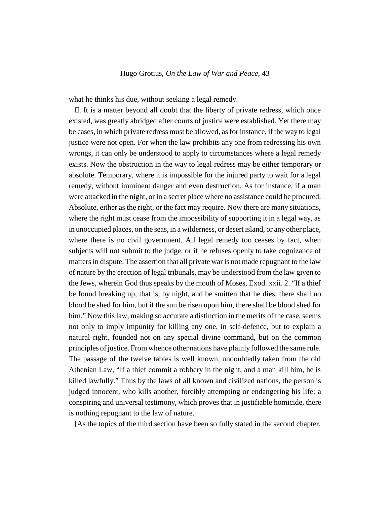what he thinks his due, without seeking a legal remedy.

II. It is a matter beyond all doubt that the liberty of private redress, which once existed, was greatly abridged after courts of justice were established. Yet there may be cases, in which private redress must be allowed, as for instance, if the way to legal justice were not open. For when the law prohibits any one from redressing his own wrongs, it can only be understood to apply to circumstances where a legal remedy exists. Now the obstruction in the way to legal redress may be either temporary or absolute. Temporary, where it is impossible for the injured party to wait for a legal remedy, without imminent danger and even destruction. As for instance, if a man were attacked in the night, or in a secret place where no assistance could be procured. Absolute, either as the right, or the fact may require. Now there are many situations, where the right must cease from the impossibility of supporting it in a legal way, as in unoccupied places, on the seas, in a wilderness, or desert island, or any other place, where there is no civil government. All legal remedy too ceases by fact, when subjects will not submit to the judge, or if he refuses openly to take cognizance of matters in dispute. The assertion that all private war is not made repugnant to the law of nature by the erection of legal tribunals, may be understood from the law given to the Jews, wherein God thus speaks by the mouth of Moses, Exod. xxii. 2. "If a thief be found breaking up, that is, by night, and be smitten that he dies, there shall no blood be shed for him, but if the sun be risen upon him, there shall be blood shed for him." Now this law, making so accurate a distinction in the merits of the case, seems not only to imply impunity for killing any one, in self-defence, but to explain a natural right, founded not on any special divine command, but on the common principles of justice. From whence other nations have plainly followed the same rule. The passage of the twelve tables is well known, undoubtedly taken from the old Athenian Law, "If a thief commit a robbery in the night, and a man kill him, he is killed lawfully." Thus by the laws of all known and civilized nations, the person is judged innocent, who kills another, forcibly attempting or endangering his life; a conspiring and universal testimony, which proves that in justifiable homicide, there is nothing repugnant to the law of nature.

[As the topics of the third section have been so fully stated in the second chapter,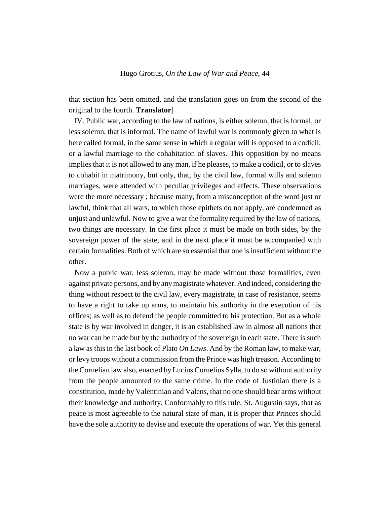that section has been omitted, and the translation goes on from the second of the original to the fourth. **Translator**]

IV. Public war, according to the law of nations, is either solemn, that is formal, or less solemn, that is informal. The name of lawful war is commonly given to what is here called formal, in the same sense in which a regular will is opposed to a codicil, or a lawful marriage to the cohabitation of slaves. This opposition by no means implies that it is not allowed to any man, if he pleases, to make a codicil, or to slaves to cohabit in matrimony, but only, that, by the civil law, formal wills and solemn marriages, were attended with peculiar privileges and effects. These observations were the more necessary ; because many, from a misconception of the word just or lawful, think that all wars, to which those epithets do not apply, are condemned as unjust and unlawful. Now to give a war the formality required by the law of nations, two things are necessary. In the first place it must be made on both sides, by the sovereign power of the state, and in the next place it must be accompanied with certain formalities. Both of which are so essential that one is insufficient without the other.

Now a public war, less solemn, may be made without those formalities, even against private persons, and by any magistrate whatever. And indeed, considering the thing without respect to the civil law, every magistrate, in case of resistance, seems to have a right to take up arms, to maintain his authority in the execution of his offices; as well as to defend the people committed to his protection. But as a whole state is by war involved in danger, it is an established law in almost all nations that no war can be made but by the authority of the sovereign in each state. There is such a law as this in the last book of Plato *On Laws*. And by the Roman law, to make war, or levy troops without a commission from the Prince was high treason. According to the Cornelian law also, enacted by Lucius Cornelius Sylla, to do so without authority from the people amounted to the same crime. In the code of Justinian there is a constitution, made by Valentinian and Valens, that no one should bear arms without their knowledge and authority. Conformably to this rule, St. Augustin says, that as peace is most agreeable to the natural state of man, it is proper that Princes should have the sole authority to devise and execute the operations of war. Yet this general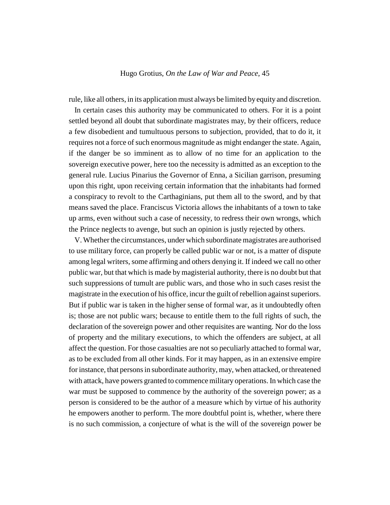rule, like all others, in its application must always be limited by equity and discretion.

In certain cases this authority may be communicated to others. For it is a point settled beyond all doubt that subordinate magistrates may, by their officers, reduce a few disobedient and tumultuous persons to subjection, provided, that to do it, it requires not a force of such enormous magnitude as might endanger the state. Again, if the danger be so imminent as to allow of no time for an application to the sovereign executive power, here too the necessity is admitted as an exception to the general rule. Lucius Pinarius the Governor of Enna, a Sicilian garrison, presuming upon this right, upon receiving certain information that the inhabitants had formed a conspiracy to revolt to the Carthaginians, put them all to the sword, and by that means saved the place. Franciscus Victoria allows the inhabitants of a town to take up arms, even without such a case of necessity, to redress their own wrongs, which the Prince neglects to avenge, but such an opinion is justly rejected by others.

V. Whether the circumstances, under which subordinate magistrates are authorised to use military force, can properly be called public war or not, is a matter of dispute among legal writers, some affirming and others denying it. If indeed we call no other public war, but that which is made by magisterial authority, there is no doubt but that such suppressions of tumult are public wars, and those who in such cases resist the magistrate in the execution of his office, incur the guilt of rebellion against superiors. But if public war is taken in the higher sense of formal war, as it undoubtedly often is; those are not public wars; because to entitle them to the full rights of such, the declaration of the sovereign power and other requisites are wanting. Nor do the loss of property and the military executions, to which the offenders are subject, at all affect the question. For those casualties are not so peculiarly attached to formal war, as to be excluded from all other kinds. For it may happen, as in an extensive empire for instance, that persons in subordinate authority, may, when attacked, or threatened with attack, have powers granted to commence military operations. In which case the war must be supposed to commence by the authority of the sovereign power; as a person is considered to be the author of a measure which by virtue of his authority he empowers another to perform. The more doubtful point is, whether, where there is no such commission, a conjecture of what is the will of the sovereign power be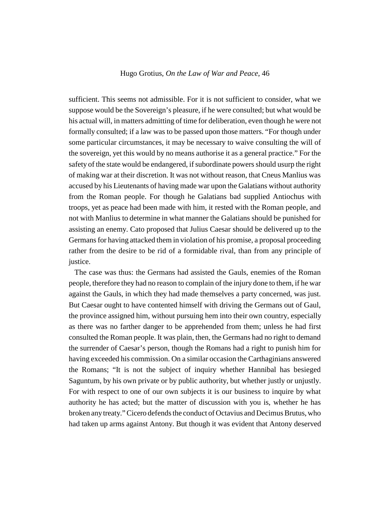sufficient. This seems not admissible. For it is not sufficient to consider, what we suppose would be the Sovereign's pleasure, if he were consulted; but what would be his actual will, in matters admitting of time for deliberation, even though he were not formally consulted; if a law was to be passed upon those matters. "For though under some particular circumstances, it may be necessary to waive consulting the will of the sovereign, yet this would by no means authorise it as a general practice." For the safety of the state would be endangered, if subordinate powers should usurp the right of making war at their discretion. It was not without reason, that Cneus Manlius was accused by his Lieutenants of having made war upon the Galatians without authority from the Roman people. For though he Galatians bad supplied Antiochus with troops, yet as peace had been made with him, it rested with the Roman people, and not with Manlius to determine in what manner the Galatians should be punished for assisting an enemy. Cato proposed that Julius Caesar should be delivered up to the Germans for having attacked them in violation of his promise, a proposal proceeding rather from the desire to be rid of a formidable rival, than from any principle of justice.

The case was thus: the Germans had assisted the Gauls, enemies of the Roman people, therefore they had no reason to complain of the injury done to them, if he war against the Gauls, in which they had made themselves a party concerned, was just. But Caesar ought to have contented himself with driving the Germans out of Gaul, the province assigned him, without pursuing hem into their own country, especially as there was no farther danger to be apprehended from them; unless he had first consulted the Roman people. It was plain, then, the Germans had no right to demand the surrender of Caesar's person, though the Romans had a right to punish him for having exceeded his commission. On a similar occasion the Carthaginians answered the Romans; "It is not the subject of inquiry whether Hannibal has besieged Saguntum, by his own private or by public authority, but whether justly or unjustly. For with respect to one of our own subjects it is our business to inquire by what authority he has acted; but the matter of discussion with you is, whether he has broken any treaty." Cicero defends the conduct of Octavius and Decimus Brutus, who had taken up arms against Antony. But though it was evident that Antony deserved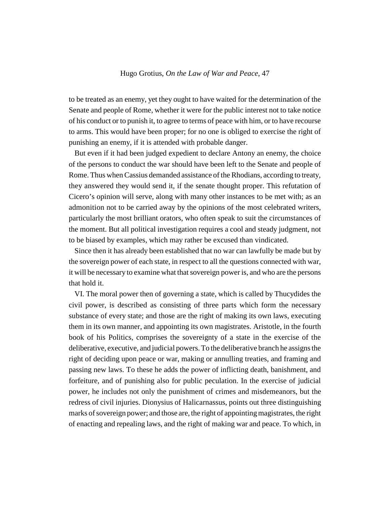to be treated as an enemy, yet they ought to have waited for the determination of the Senate and people of Rome, whether it were for the public interest not to take notice of his conduct or to punish it, to agree to terms of peace with him, or to have recourse to arms. This would have been proper; for no one is obliged to exercise the right of punishing an enemy, if it is attended with probable danger.

But even if it had been judged expedient to declare Antony an enemy, the choice of the persons to conduct the war should have been left to the Senate and people of Rome. Thus when Cassius demanded assistance of the Rhodians, according to treaty, they answered they would send it, if the senate thought proper. This refutation of Cicero's opinion will serve, along with many other instances to be met with; as an admonition not to be carried away by the opinions of the most celebrated writers, particularly the most brilliant orators, who often speak to suit the circumstances of the moment. But all political investigation requires a cool and steady judgment, not to be biased by examples, which may rather be excused than vindicated.

Since then it has already been established that no war can lawfully be made but by the sovereign power of each state, in respect to all the questions connected with war, it will be necessary to examine what that sovereign power is, and who are the persons that hold it.

VI. The moral power then of governing a state, which is called by Thucydides the civil power, is described as consisting of three parts which form the necessary substance of every state; and those are the right of making its own laws, executing them in its own manner, and appointing its own magistrates. Aristotle, in the fourth book of his Politics, comprises the sovereignty of a state in the exercise of the deliberative, executive, and judicial powers. To the deliberative branch he assigns the right of deciding upon peace or war, making or annulling treaties, and framing and passing new laws. To these he adds the power of inflicting death, banishment, and forfeiture, and of punishing also for public peculation. In the exercise of judicial power, he includes not only the punishment of crimes and misdemeanors, but the redress of civil injuries. Dionysius of Halicarnassus, points out three distinguishing marks of sovereign power; and those are, the right of appointing magistrates, the right of enacting and repealing laws, and the right of making war and peace. To which, in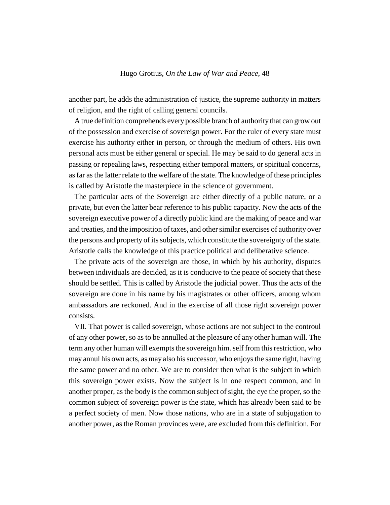another part, he adds the administration of justice, the supreme authority in matters of religion, and the right of calling general councils.

A true definition comprehends every possible branch of authority that can grow out of the possession and exercise of sovereign power. For the ruler of every state must exercise his authority either in person, or through the medium of others. His own personal acts must be either general or special. He may be said to do general acts in passing or repealing laws, respecting either temporal matters, or spiritual concerns, as far as the latter relate to the welfare of the state. The knowledge of these principles is called by Aristotle the masterpiece in the science of government.

The particular acts of the Sovereign are either directly of a public nature, or a private, but even the latter bear reference to his public capacity. Now the acts of the sovereign executive power of a directly public kind are the making of peace and war and treaties, and the imposition of taxes, and other similar exercises of authority over the persons and property of its subjects, which constitute the sovereignty of the state. Aristotle calls the knowledge of this practice political and deliberative science.

The private acts of the sovereign are those, in which by his authority, disputes between individuals are decided, as it is conducive to the peace of society that these should be settled. This is called by Aristotle the judicial power. Thus the acts of the sovereign are done in his name by his magistrates or other officers, among whom ambassadors are reckoned. And in the exercise of all those right sovereign power consists.

VII. That power is called sovereign, whose actions are not subject to the controul of any other power, so as to be annulled at the pleasure of any other human will. The term any other human will exempts the sovereign him. self from this restriction, who may annul his own acts, as may also his successor, who enjoys the same right, having the same power and no other. We are to consider then what is the subject in which this sovereign power exists. Now the subject is in one respect common, and in another proper, as the body is the common subject of sight, the eye the proper, so the common subject of sovereign power is the state, which has already been said to be a perfect society of men. Now those nations, who are in a state of subjugation to another power, as the Roman provinces were, are excluded from this definition. For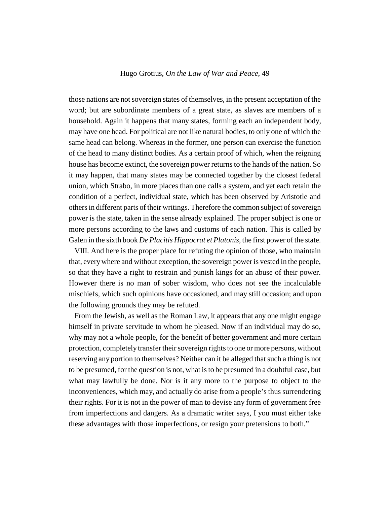those nations are not sovereign states of themselves, in the present acceptation of the word; but are subordinate members of a great state, as slaves are members of a household. Again it happens that many states, forming each an independent body, may have one head. For political are not like natural bodies, to only one of which the same head can belong. Whereas in the former, one person can exercise the function of the head to many distinct bodies. As a certain proof of which, when the reigning house has become extinct, the sovereign power returns to the hands of the nation. So it may happen, that many states may be connected together by the closest federal union, which Strabo, in more places than one calls a system, and yet each retain the condition of a perfect, individual state, which has been observed by Aristotle and others in different parts of their writings. Therefore the common subject of sovereign power is the state, taken in the sense already explained. The proper subject is one or more persons according to the laws and customs of each nation. This is called by Galen in the sixth book *De Placitis Hippocrat et Platonis*, the first power of the state.

VIII. And here is the proper place for refuting the opinion of those, who maintain that, every where and without exception, the sovereign power is vested in the people, so that they have a right to restrain and punish kings for an abuse of their power. However there is no man of sober wisdom, who does not see the incalculable mischiefs, which such opinions have occasioned, and may still occasion; and upon the following grounds they may be refuted.

From the Jewish, as well as the Roman Law, it appears that any one might engage himself in private servitude to whom he pleased. Now if an individual may do so, why may not a whole people, for the benefit of better government and more certain protection, completely transfer their sovereign rights to one or more persons, without reserving any portion to themselves? Neither can it be alleged that such a thing is not to be presumed, for the question is not, what is to be presumed in a doubtful case, but what may lawfully be done. Nor is it any more to the purpose to object to the inconveniences, which may, and actually do arise from a people's thus surrendering their rights. For it is not in the power of man to devise any form of government free from imperfections and dangers. As a dramatic writer says, I you must either take these advantages with those imperfections, or resign your pretensions to both."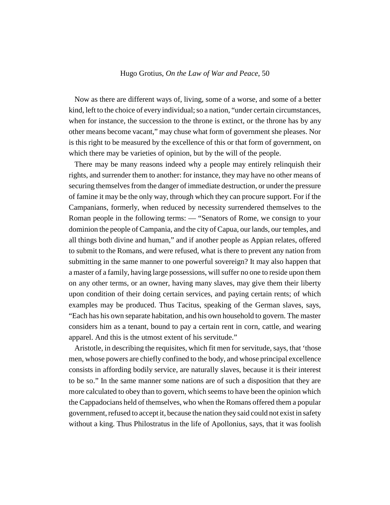Now as there are different ways of, living, some of a worse, and some of a better kind, left to the choice of every individual; so a nation, "under certain circumstances, when for instance, the succession to the throne is extinct, or the throne has by any other means become vacant," may chuse what form of government she pleases. Nor is this right to be measured by the excellence of this or that form of government, on which there may be varieties of opinion, but by the will of the people.

There may be many reasons indeed why a people may entirely relinquish their rights, and surrender them to another: for instance, they may have no other means of securing themselves from the danger of immediate destruction, or under the pressure of famine it may be the only way, through which they can procure support. For if the Campanians, formerly, when reduced by necessity surrendered themselves to the Roman people in the following terms: — "Senators of Rome, we consign to your dominion the people of Campania, and the city of Capua, our lands, our temples, and all things both divine and human," and if another people as Appian relates, offered to submit to the Romans, and were refused, what is there to prevent any nation from submitting in the same manner to one powerful sovereign? It may also happen that a master of a family, having large possessions, will suffer no one to reside upon them on any other terms, or an owner, having many slaves, may give them their liberty upon condition of their doing certain services, and paying certain rents; of which examples may be produced. Thus Tacitus, speaking of the German slaves, says, "Each has his own separate habitation, and his own household to govern. The master considers him as a tenant, bound to pay a certain rent in corn, cattle, and wearing apparel. And this is the utmost extent of his servitude."

Aristotle, in describing the requisites, which fit men for servitude, says, that 'those men, whose powers are chiefly confined to the body, and whose principal excellence consists in affording bodily service, are naturally slaves, because it is their interest to be so." In the same manner some nations are of such a disposition that they are more calculated to obey than to govern, which seems to have been the opinion which the Cappadocians held of themselves, who when the Romans offered them a popular government, refused to accept it, because the nation they said could not exist in safety without a king. Thus Philostratus in the life of Apollonius, says, that it was foolish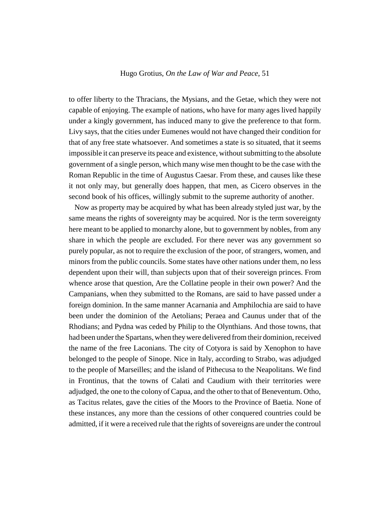to offer liberty to the Thracians, the Mysians, and the Getae, which they were not capable of enjoying. The example of nations, who have for many ages lived happily under a kingly government, has induced many to give the preference to that form. Livy says, that the cities under Eumenes would not have changed their condition for that of any free state whatsoever. And sometimes a state is so situated, that it seems impossible it can preserve its peace and existence, without submitting to the absolute government of a single person, which many wise men thought to be the case with the Roman Republic in the time of Augustus Caesar. From these, and causes like these it not only may, but generally does happen, that men, as Cicero observes in the second book of his offices, willingly submit to the supreme authority of another.

Now as property may be acquired by what has been already styled just war, by the same means the rights of sovereignty may be acquired. Nor is the term sovereignty here meant to be applied to monarchy alone, but to government by nobles, from any share in which the people are excluded. For there never was any government so purely popular, as not to require the exclusion of the poor, of strangers, women, and minors from the public councils. Some states have other nations under them, no less dependent upon their will, than subjects upon that of their sovereign princes. From whence arose that question, Are the Collatine people in their own power? And the Campanians, when they submitted to the Romans, are said to have passed under a foreign dominion. In the same manner Acarnania and Amphilochia are said to have been under the dominion of the Aetolians; Peraea and Caunus under that of the Rhodians; and Pydna was ceded by Philip to the Olynthians. And those towns, that had been under the Spartans, when they were delivered from their dominion, received the name of the free Laconians. The city of Cotyora is said by Xenophon to have belonged to the people of Sinope. Nice in Italy, according to Strabo, was adjudged to the people of Marseilles; and the island of Pithecusa to the Neapolitans. We find in Frontinus, that the towns of Calati and Caudium with their territories were adjudged, the one to the colony of Capua, and the other to that of Beneventum. Otho, as Tacitus relates, gave the cities of the Moors to the Province of Baetia. None of these instances, any more than the cessions of other conquered countries could be admitted, if it were a received rule that the rights of sovereigns are under the controul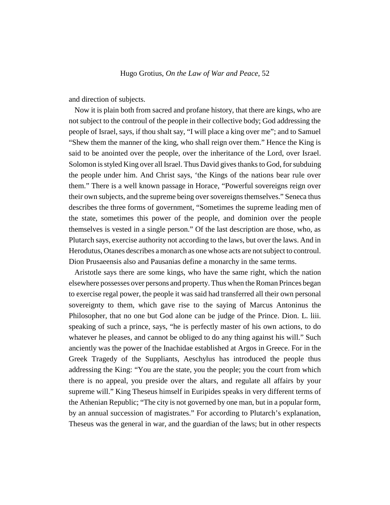and direction of subjects.

Now it is plain both from sacred and profane history, that there are kings, who are not subject to the controul of the people in their collective body; God addressing the people of Israel, says, if thou shalt say, "I will place a king over me"; and to Samuel "Shew them the manner of the king, who shall reign over them." Hence the King is said to be anointed over the people, over the inheritance of the Lord, over Israel. Solomon is styled King over all Israel. Thus David gives thanks to God, for subduing the people under him. And Christ says, 'the Kings of the nations bear rule over them." There is a well known passage in Horace, "Powerful sovereigns reign over their own subjects, and the supreme being over sovereigns themselves." Seneca thus describes the three forms of government, "Sometimes the supreme leading men of the state, sometimes this power of the people, and dominion over the people themselves is vested in a single person." Of the last description are those, who, as Plutarch says, exercise authority not according to the laws, but over the laws. And in Herodutus, Otanes describes a monarch as one whose acts are not subject to controul. Dion Prusaeensis also and Pausanias define a monarchy in the same terms.

Aristotle says there are some kings, who have the same right, which the nation elsewhere possesses over persons and property. Thus when the Roman Princes began to exercise regal power, the people it was said had transferred all their own personal sovereignty to them, which gave rise to the saying of Marcus Antoninus the Philosopher, that no one but God alone can be judge of the Prince. Dion. L. liii. speaking of such a prince, says, "he is perfectly master of his own actions, to do whatever he pleases, and cannot be obliged to do any thing against his will." Such anciently was the power of the Inachidae established at Argos in Greece. For in the Greek Tragedy of the Suppliants, Aeschylus has introduced the people thus addressing the King: "You are the state, you the people; you the court from which there is no appeal, you preside over the altars, and regulate all affairs by your supreme will." King Theseus himself in Euripides speaks in very different terms of the Athenian Republic; "The city is not governed by one man, but in a popular form, by an annual succession of magistrates." For according to Plutarch's explanation, Theseus was the general in war, and the guardian of the laws; but in other respects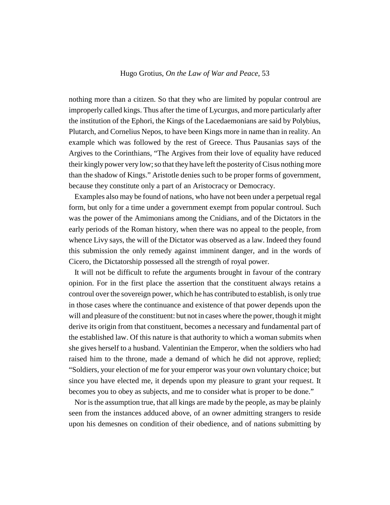nothing more than a citizen. So that they who are limited by popular controul are improperly called kings. Thus after the time of Lycurgus, and more particularly after the institution of the Ephori, the Kings of the Lacedaemonians are said by Polybius, Plutarch, and Cornelius Nepos, to have been Kings more in name than in reality. An example which was followed by the rest of Greece. Thus Pausanias says of the Argives to the Corinthians, "The Argives from their love of equality have reduced their kingly power very low; so that they have left the posterity of Cisus nothing more than the shadow of Kings." Aristotle denies such to be proper forms of government, because they constitute only a part of an Aristocracy or Democracy.

Examples also may be found of nations, who have not been under a perpetual regal form, but only for a time under a government exempt from popular controul. Such was the power of the Amimonians among the Cnidians, and of the Dictators in the early periods of the Roman history, when there was no appeal to the people, from whence Livy says, the will of the Dictator was observed as a law. Indeed they found this submission the only remedy against imminent danger, and in the words of Cicero, the Dictatorship possessed all the strength of royal power.

It will not be difficult to refute the arguments brought in favour of the contrary opinion. For in the first place the assertion that the constituent always retains a controul over the sovereign power, which he has contributed to establish, is only true in those cases where the continuance and existence of that power depends upon the will and pleasure of the constituent: but not in cases where the power, though it might derive its origin from that constituent, becomes a necessary and fundamental part of the established law. Of this nature is that authority to which a woman submits when she gives herself to a husband. Valentinian the Emperor, when the soldiers who had raised him to the throne, made a demand of which he did not approve, replied; "Soldiers, your election of me for your emperor was your own voluntary choice; but since you have elected me, it depends upon my pleasure to grant your request. It becomes you to obey as subjects, and me to consider what is proper to be done."

Nor is the assumption true, that all kings are made by the people, as may be plainly seen from the instances adduced above, of an owner admitting strangers to reside upon his demesnes on condition of their obedience, and of nations submitting by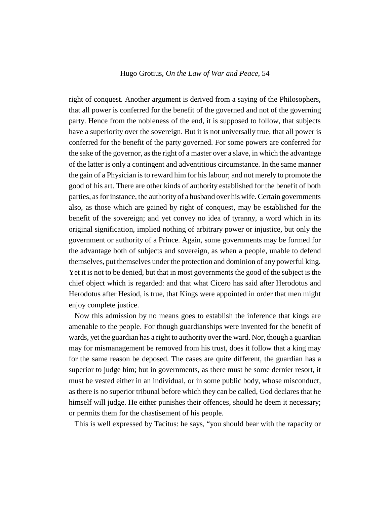right of conquest. Another argument is derived from a saying of the Philosophers, that all power is conferred for the benefit of the governed and not of the governing party. Hence from the nobleness of the end, it is supposed to follow, that subjects have a superiority over the sovereign. But it is not universally true, that all power is conferred for the benefit of the party governed. For some powers are conferred for the sake of the governor, as the right of a master over a slave, in which the advantage of the latter is only a contingent and adventitious circumstance. In the same manner the gain of a Physician is to reward him for his labour; and not merely to promote the good of his art. There are other kinds of authority established for the benefit of both parties, as for instance, the authority of a husband over his wife. Certain governments also, as those which are gained by right of conquest, may be established for the benefit of the sovereign; and yet convey no idea of tyranny, a word which in its original signification, implied nothing of arbitrary power or injustice, but only the government or authority of a Prince. Again, some governments may be formed for the advantage both of subjects and sovereign, as when a people, unable to defend themselves, put themselves under the protection and dominion of any powerful king. Yet it is not to be denied, but that in most governments the good of the subject is the chief object which is regarded: and that what Cicero has said after Herodotus and Herodotus after Hesiod, is true, that Kings were appointed in order that men might enjoy complete justice.

Now this admission by no means goes to establish the inference that kings are amenable to the people. For though guardianships were invented for the benefit of wards, yet the guardian has a right to authority over the ward. Nor, though a guardian may for mismanagement be removed from his trust, does it follow that a king may for the same reason be deposed. The cases are quite different, the guardian has a superior to judge him; but in governments, as there must be some dernier resort, it must be vested either in an individual, or in some public body, whose misconduct, as there is no superior tribunal before which they can be called, God declares that he himself will judge. He either punishes their offences, should he deem it necessary; or permits them for the chastisement of his people.

This is well expressed by Tacitus: he says, "you should bear with the rapacity or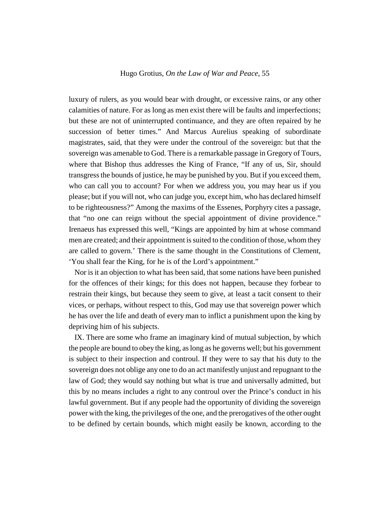luxury of rulers, as you would bear with drought, or excessive rains, or any other calamities of nature. For as long as men exist there will be faults and imperfections; but these are not of uninterrupted continuance, and they are often repaired by he succession of better times." And Marcus Aurelius speaking of subordinate magistrates, said, that they were under the controul of the sovereign: but that the sovereign was amenable to God. There is a remarkable passage in Gregory of Tours, where that Bishop thus addresses the King of France, "If any of us, Sir, should transgress the bounds of justice, he may be punished by you. But if you exceed them, who can call you to account? For when we address you, you may hear us if you please; but if you will not, who can judge you, except him, who has declared himself to be righteousness?" Among the maxims of the Essenes, Porphyry cites a passage, that "no one can reign without the special appointment of divine providence." Irenaeus has expressed this well, "Kings are appointed by him at whose command men are created; and their appointment is suited to the condition of those, whom they are called to govern.' There is the same thought in the Constitutions of Clement, 'You shall fear the King, for he is of the Lord's appointment."

Nor is it an objection to what has been said, that some nations have been punished for the offences of their kings; for this does not happen, because they forbear to restrain their kings, but because they seem to give, at least a tacit consent to their vices, or perhaps, without respect to this, God may use that sovereign power which he has over the life and death of every man to inflict a punishment upon the king by depriving him of his subjects.

IX. There are some who frame an imaginary kind of mutual subjection, by which the people are bound to obey the king, as long as he governs well; but his government is subject to their inspection and controul. If they were to say that his duty to the sovereign does not oblige any one to do an act manifestly unjust and repugnant to the law of God; they would say nothing but what is true and universally admitted, but this by no means includes a right to any controul over the Prince's conduct in his lawful government. But if any people had the opportunity of dividing the sovereign power with the king, the privileges of the one, and the prerogatives of the other ought to be defined by certain bounds, which might easily be known, according to the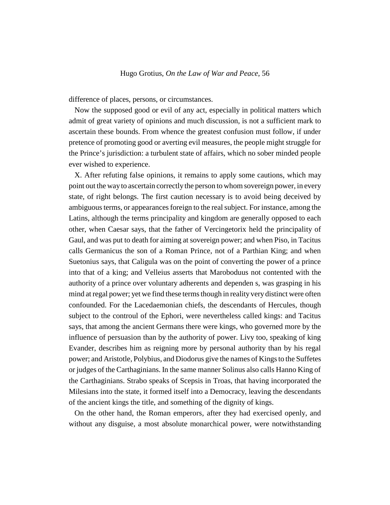difference of places, persons, or circumstances.

Now the supposed good or evil of any act, especially in political matters which admit of great variety of opinions and much discussion, is not a sufficient mark to ascertain these bounds. From whence the greatest confusion must follow, if under pretence of promoting good or averting evil measures, the people might struggle for the Prince's jurisdiction: a turbulent state of affairs, which no sober minded people ever wished to experience.

X. After refuting false opinions, it remains to apply some cautions, which may point out the way to ascertain correctly the person to whom sovereign power, in every state, of right belongs. The first caution necessary is to avoid being deceived by ambiguous terms, or appearances foreign to the real subject. For instance, among the Latins, although the terms principality and kingdom are generally opposed to each other, when Caesar says, that the father of Vercingetorix held the principality of Gaul, and was put to death for aiming at sovereign power; and when Piso, in Tacitus calls Germanicus the son of a Roman Prince, not of a Parthian King; and when Suetonius says, that Caligula was on the point of converting the power of a prince into that of a king; and Velleius asserts that Maroboduus not contented with the authority of a prince over voluntary adherents and dependen s, was grasping in his mind at regal power; yet we find these terms though in reality very distinct were often confounded. For the Lacedaemonian chiefs, the descendants of Hercules, though subject to the controul of the Ephori, were nevertheless called kings: and Tacitus says, that among the ancient Germans there were kings, who governed more by the influence of persuasion than by the authority of power. Livy too, speaking of king Evander, describes him as reigning more by personal authority than by his regal power; and Aristotle, Polybius, and Diodorus give the names of Kings to the Suffetes or judges of the Carthaginians. In the same manner Solinus also calls Hanno King of the Carthaginians. Strabo speaks of Scepsis in Troas, that having incorporated the Milesians into the state, it formed itself into a Democracy, leaving the descendants of the ancient kings the title, and something of the dignity of kings.

On the other hand, the Roman emperors, after they had exercised openly, and without any disguise, a most absolute monarchical power, were notwithstanding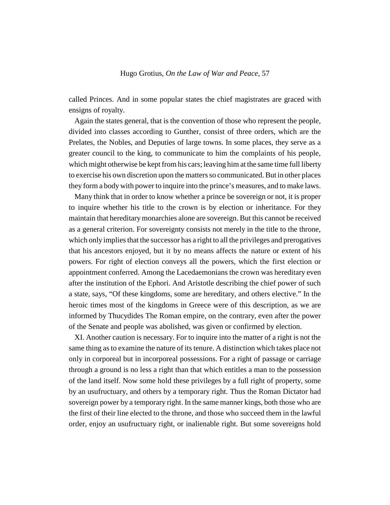called Princes. And in some popular states the chief magistrates are graced with ensigns of royalty.

Again the states general, that is the convention of those who represent the people, divided into classes according to Gunther, consist of three orders, which are the Prelates, the Nobles, and Deputies of large towns. In some places, they serve as a greater council to the king, to communicate to him the complaints of his people, which might otherwise be kept from his cars; leaving him at the same time full liberty to exercise his own discretion upon the matters so communicated. But in other places they form a body with power to inquire into the prince's measures, and to make laws.

Many think that in order to know whether a prince be sovereign or not, it is proper to inquire whether his title to the crown is by election or inheritance. For they maintain that hereditary monarchies alone are sovereign. But this cannot be received as a general criterion. For sovereignty consists not merely in the title to the throne, which only implies that the successor has a right to all the privileges and prerogatives that his ancestors enjoyed, but it by no means affects the nature or extent of his powers. For right of election conveys all the powers, which the first election or appointment conferred. Among the Lacedaemonians the crown was hereditary even after the institution of the Ephori. And Aristotle describing the chief power of such a state, says, "Of these kingdoms, some are hereditary, and others elective." In the heroic times most of the kingdoms in Greece were of this description, as we are informed by Thucydides The Roman empire, on the contrary, even after the power of the Senate and people was abolished, was given or confirmed by election.

XI. Another caution is necessary. For to inquire into the matter of a right is not the same thing as to examine the nature of its tenure. A distinction which takes place not only in corporeal but in incorporeal possessions. For a right of passage or carriage through a ground is no less a right than that which entitles a man to the possession of the land itself. Now some hold these privileges by a full right of property, some by an usufructuary, and others by a temporary right. Thus the Roman Dictator had sovereign power by a temporary right. In the same manner kings, both those who are the first of their line elected to the throne, and those who succeed them in the lawful order, enjoy an usufructuary right, or inalienable right. But some sovereigns hold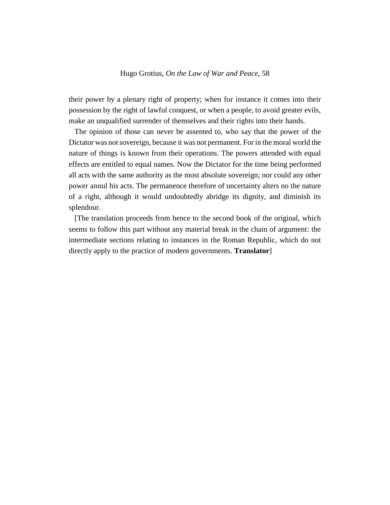their power by a plenary right of property; when for instance it comes into their possession by the right of lawful conquest, or when a people, to avoid greater evils, make an unqualified surrender of themselves and their rights into their hands.

The opinion of those can never be assented to, who say that the power of the Dictator was not sovereign, because it was not permanent. For in the moral world the nature of things is known from their operations. The powers attended with equal effects are entitled to equal names. Now the Dictator for the time being performed all acts with the same authority as the most absolute sovereign; nor could any other power annul his acts. The permanence therefore of uncertainty alters no the nature of a right, although it would undoubtedly abridge its dignity, and diminish its splendour.

[The translation proceeds from hence to the second book of the original, which seems to follow this part without any material break in the chain of argument: the intermediate sections relating to instances in the Roman Republic, which do not directly apply to the practice of modern governments. **Translator**]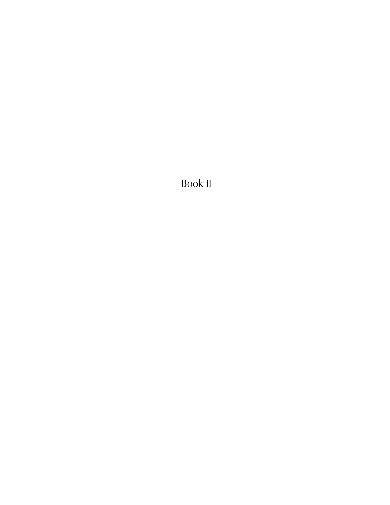Book II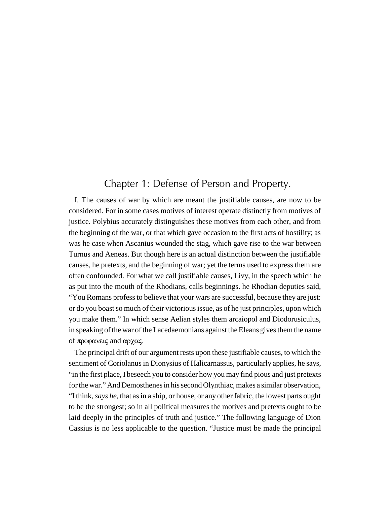## Chapter 1: Defense of Person and Property.

I. The causes of war by which are meant the justifiable causes, are now to be considered. For in some cases motives of interest operate distinctly from motives of justice. Polybius accurately distinguishes these motives from each other, and from the beginning of the war, or that which gave occasion to the first acts of hostility; as was he case when Ascanius wounded the stag, which gave rise to the war between Turnus and Aeneas. But though here is an actual distinction between the justifiable causes, he pretexts, and the beginning of war; yet the terms used to express them are often confounded. For what we call justifiable causes, Livy, in the speech which he as put into the mouth of the Rhodians, calls beginnings. he Rhodian deputies said, "You Romans profess to believe that your wars are successful, because they are just: or do you boast so much of their victorious issue, as of he just principles, upon which you make them." In which sense Aelian styles them arcaiopol and Diodorusiculus, in speaking of the war of the Lacedaemonians against the Eleans gives them the name of προφανεις and αρχας.

The principal drift of our argument rests upon these justifiable causes, to which the sentiment of Coriolanus in Dionysius of Halicarnassus, particularly applies, he says, "in the first place, I beseech you to consider how you may find pious and just pretexts for the war." And Demosthenes in his second Olynthiac, makes a similar observation, "I think, *says he*, that as in a ship, or house, or any other fabric, the lowest parts ought to be the strongest; so in all political measures the motives and pretexts ought to be laid deeply in the principles of truth and justice." The following language of Dion Cassius is no less applicable to the question. "Justice must be made the principal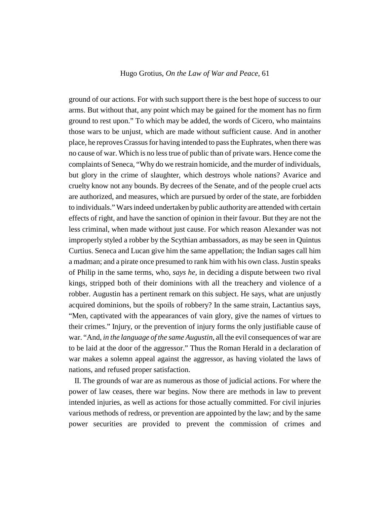ground of our actions. For with such support there is the best hope of success to our arms. But without that, any point which may be gained for the moment has no firm ground to rest upon." To which may be added, the words of Cicero, who maintains those wars to be unjust, which are made without sufficient cause. And in another place, he reproves Crassus for having intended to pass the Euphrates, when there was no cause of war. Which is no less true of public than of private wars. Hence come the complaints of Seneca, "Why do we restrain homicide, and the murder of individuals, but glory in the crime of slaughter, which destroys whole nations? Avarice and cruelty know not any bounds. By decrees of the Senate, and of the people cruel acts are authorized, and measures, which are pursued by order of the state, are forbidden to individuals." Wars indeed undertaken by public authority are attended with certain effects of right, and have the sanction of opinion in their favour. But they are not the less criminal, when made without just cause. For which reason Alexander was not improperly styled a robber by the Scythian ambassadors, as may be seen in Quintus Curtius. Seneca and Lucan give him the same appellation; the Indian sages call him a madman; and a pirate once presumed to rank him with his own class. Justin speaks of Philip in the same terms, who, *says he*, in deciding a dispute between two rival kings, stripped both of their dominions with all the treachery and violence of a robber. Augustin has a pertinent remark on this subject. He says, what are unjustly acquired dominions, but the spoils of robbery? In the same strain, Lactantius says, "Men, captivated with the appearances of vain glory, give the names of virtues to their crimes." Injury, or the prevention of injury forms the only justifiable cause of war. "And, *in the language of the same Augustin*, all the evil consequences of war are to be laid at the door of the aggressor." Thus the Roman Herald in a declaration of war makes a solemn appeal against the aggressor, as having violated the laws of nations, and refused proper satisfaction.

II. The grounds of war are as numerous as those of judicial actions. For where the power of law ceases, there war begins. Now there are methods in law to prevent intended injuries, as well as actions for those actually committed. For civil injuries various methods of redress, or prevention are appointed by the law; and by the same power securities are provided to prevent the commission of crimes and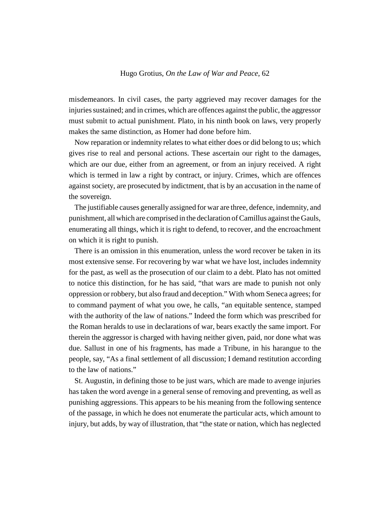misdemeanors. In civil cases, the party aggrieved may recover damages for the injuries sustained; and in crimes, which are offences against the public, the aggressor must submit to actual punishment. Plato, in his ninth book on laws, very properly makes the same distinction, as Homer had done before him.

Now reparation or indemnity relates to what either does or did belong to us; which gives rise to real and personal actions. These ascertain our right to the damages, which are our due, either from an agreement, or from an injury received. A right which is termed in law a right by contract, or injury. Crimes, which are offences against society, are prosecuted by indictment, that is by an accusation in the name of the sovereign.

The justifiable causes generally assigned for war are three, defence, indemnity, and punishment, all which are comprised in the declaration of Camillus against the Gauls, enumerating all things, which it is right to defend, to recover, and the encroachment on which it is right to punish.

There is an omission in this enumeration, unless the word recover be taken in its most extensive sense. For recovering by war what we have lost, includes indemnity for the past, as well as the prosecution of our claim to a debt. Plato has not omitted to notice this distinction, for he has said, "that wars are made to punish not only oppression or robbery, but also fraud and deception." With whom Seneca agrees; for to command payment of what you owe, he calls, "an equitable sentence, stamped with the authority of the law of nations." Indeed the form which was prescribed for the Roman heralds to use in declarations of war, bears exactly the same import. For therein the aggressor is charged with having neither given, paid, nor done what was due. Sallust in one of his fragments, has made a Tribune, in his harangue to the people, say, "As a final settlement of all discussion; I demand restitution according to the law of nations."

St. Augustin, in defining those to be just wars, which are made to avenge injuries has taken the word avenge in a general sense of removing and preventing, as well as punishing aggressions. This appears to be his meaning from the following sentence of the passage, in which he does not enumerate the particular acts, which amount to injury, but adds, by way of illustration, that "the state or nation, which has neglected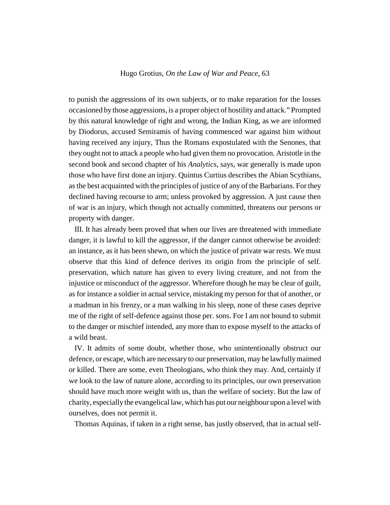to punish the aggressions of its own subjects, or to make reparation for the losses occasioned by those aggressions, is a proper object of hostility and attack." Prompted by this natural knowledge of right and wrong, the Indian King, as we are informed by Diodorus, accused Semiramis of having commenced war against him without having received any injury, Thus the Romans expostulated with the Senones, that they ought not to attack a people who had given them no provocation. Aristotle in the second book and second chapter of his *Analytics*, says, war generally is made upon those who have first done an injury. Quintus Curtius describes the Abian Scythians, as the best acquainted with the principles of justice of any of the Barbarians. For they declined having recourse to arm; unless provoked by aggression. A just cause then of war is an injury, which though not actually committed, threatens our persons or property with danger.

III. It has already been proved that when our lives are threatened with immediate danger, it is lawful to kill the aggressor, if the danger cannot otherwise be avoided: an instance, as it has been shewn, on which the justice of private war rests. We must observe that this kind of defence derives its origin from the principle of self. preservation, which nature has given to every living creature, and not from the injustice or misconduct of the aggressor. Wherefore though he may be clear of guilt, as for instance a soldier in actual service, mistaking my person for that of another, or a madman in his frenzy, or a man walking in his sleep, none of these cases deprive me of the right of self-defence against those per. sons. For I am not bound to submit to the danger or mischief intended, any more than to expose myself to the attacks of a wild beast.

IV. It admits of some doubt, whether those, who unintentionally obstruct our defence, or escape, which are necessary to our preservation, may be lawfully maimed or killed. There are some, even Theologians, who think they may. And, certainly if we look to the law of nature alone, according to its principles, our own preservation should have much more weight with us, than the welfare of society. But the law of charity, especially the evangelical law, which has put our neighbour upon a level with ourselves, does not permit it.

Thomas Aquinas, if taken in a right sense, has justly observed, that in actual self-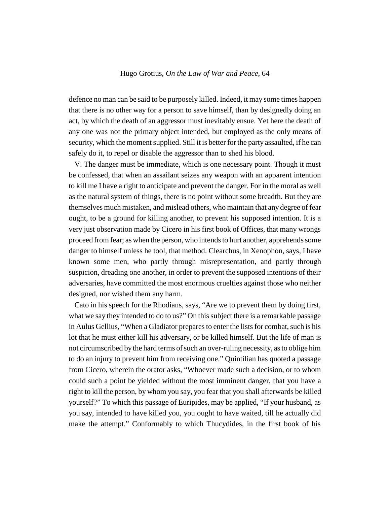defence no man can be said to be purposely killed. Indeed, it may some times happen that there is no other way for a person to save himself, than by designedly doing an act, by which the death of an aggressor must inevitably ensue. Yet here the death of any one was not the primary object intended, but employed as the only means of security, which the moment supplied. Still it is better for the party assaulted, if he can safely do it, to repel or disable the aggressor than to shed his blood.

V. The danger must be immediate, which is one necessary point. Though it must be confessed, that when an assailant seizes any weapon with an apparent intention to kill me I have a right to anticipate and prevent the danger. For in the moral as well as the natural system of things, there is no point without some breadth. But they are themselves much mistaken, and mislead others, who maintain that any degree of fear ought, to be a ground for killing another, to prevent his supposed intention. It is a very just observation made by Cicero in his first book of Offices, that many wrongs proceed from fear; as when the person, who intends to hurt another, apprehends some danger to himself unless he tool, that method. Clearchus, in Xenophon, says, I have known some men, who partly through misrepresentation, and partly through suspicion, dreading one another, in order to prevent the supposed intentions of their adversaries, have committed the most enormous cruelties against those who neither designed, nor wished them any harm.

Cato in his speech for the Rhodians, says, "Are we to prevent them by doing first, what we say they intended to do to us?" On this subject there is a remarkable passage in Aulus Gellius, "When a Gladiator prepares to enter the lists for combat, such is his lot that he must either kill his adversary, or be killed himself. But the life of man is not circumscribed by the hard terms of such an over-ruling necessity, as to oblige him to do an injury to prevent him from receiving one." Quintilian has quoted a passage from Cicero, wherein the orator asks, "Whoever made such a decision, or to whom could such a point be yielded without the most imminent danger, that you have a right to kill the person, by whom you say, you fear that you shall afterwards be killed yourself?" To which this passage of Euripides, may be applied, "If your husband, as you say, intended to have killed you, you ought to have waited, till he actually did make the attempt." Conformably to which Thucydides, in the first book of his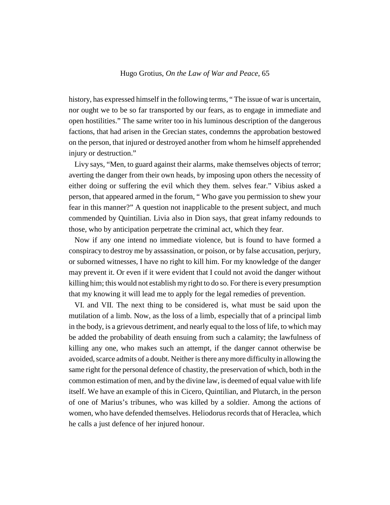history, has expressed himself in the following terms, " The issue of war is uncertain, nor ought we to be so far transported by our fears, as to engage in immediate and open hostilities." The same writer too in his luminous description of the dangerous factions, that had arisen in the Grecian states, condemns the approbation bestowed on the person, that injured or destroyed another from whom he himself apprehended injury or destruction."

Livy says, "Men, to guard against their alarms, make themselves objects of terror; averting the danger from their own heads, by imposing upon others the necessity of either doing or suffering the evil which they them. selves fear." Vibius asked a person, that appeared armed in the forum, " Who gave you permission to shew your fear in this manner?" A question not inapplicable to the present subject, and much commended by Quintilian. Livia also in Dion says, that great infamy redounds to those, who by anticipation perpetrate the criminal act, which they fear.

Now if any one intend no immediate violence, but is found to have formed a conspiracy to destroy me by assassination, or poison, or by false accusation, perjury, or suborned witnesses, I have no right to kill him. For my knowledge of the danger may prevent it. Or even if it were evident that I could not avoid the danger without killing him; this would not establish my right to do so. For there is every presumption that my knowing it will lead me to apply for the legal remedies of prevention.

VI. and VII. The next thing to be considered is, what must be said upon the mutilation of a limb. Now, as the loss of a limb, especially that of a principal limb in the body, is a grievous detriment, and nearly equal to the loss of life, to which may be added the probability of death ensuing from such a calamity; the lawfulness of killing any one, who makes such an attempt, if the danger cannot otherwise be avoided, scarce admits of a doubt. Neither is there any more difficulty in allowing the same right for the personal defence of chastity, the preservation of which, both in the common estimation of men, and by the divine law, is deemed of equal value with life itself. We have an example of this in Cicero, Quintilian, and Plutarch, in the person of one of Marius's tribunes, who was killed by a soldier. Among the actions of women, who have defended themselves. Heliodorus records that of Heraclea, which he calls a just defence of her injured honour.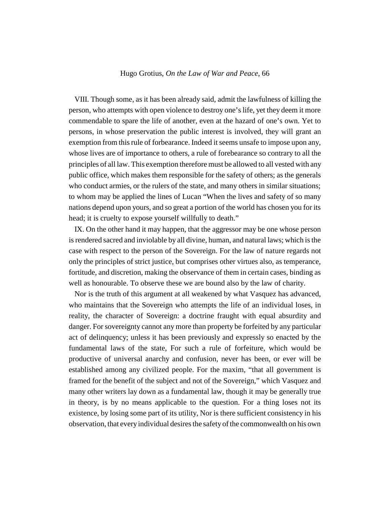VIII. Though some, as it has been already said, admit the lawfulness of killing the person, who attempts with open violence to destroy one's life, yet they deem it more commendable to spare the life of another, even at the hazard of one's own. Yet to persons, in whose preservation the public interest is involved, they will grant an exemption from this rule of forbearance. Indeed it seems unsafe to impose upon any, whose lives are of importance to others, a rule of forebearance so contrary to all the principles of all law. This exemption therefore must be allowed to all vested with any public office, which makes them responsible for the safety of others; as the generals who conduct armies, or the rulers of the state, and many others in similar situations; to whom may be applied the lines of Lucan "When the lives and safety of so many nations depend upon yours, and so great a portion of the world has chosen you for its head; it is cruelty to expose yourself willfully to death."

IX. On the other hand it may happen, that the aggressor may be one whose person is rendered sacred and inviolable by all divine, human, and natural laws; which is the case with respect to the person of the Sovereign. For the law of nature regards not only the principles of strict justice, but comprises other virtues also, as temperance, fortitude, and discretion, making the observance of them in certain cases, binding as well as honourable. To observe these we are bound also by the law of charity.

Nor is the truth of this argument at all weakened by what Vasquez has advanced, who maintains that the Sovereign who attempts the life of an individual loses, in reality, the character of Sovereign: a doctrine fraught with equal absurdity and danger. For sovereignty cannot any more than property be forfeited by any particular act of delinquency; unless it has been previously and expressly so enacted by the fundamental laws of the state, For such a rule of forfeiture, which would be productive of universal anarchy and confusion, never has been, or ever will be established among any civilized people. For the maxim, "that all government is framed for the benefit of the subject and not of the Sovereign," which Vasquez and many other writers lay down as a fundamental law, though it may be generally true in theory, is by no means applicable to the question. For a thing loses not its existence, by losing some part of its utility, Nor is there sufficient consistency in his observation, that every individual desires the safety of the commonwealth on his own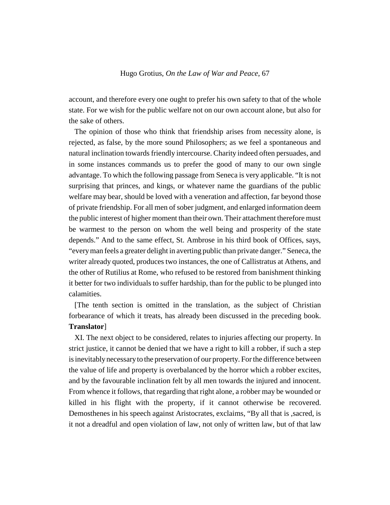account, and therefore every one ought to prefer his own safety to that of the whole state. For we wish for the public welfare not on our own account alone, but also for the sake of others.

The opinion of those who think that friendship arises from necessity alone, is rejected, as false, by the more sound Philosophers; as we feel a spontaneous and natural inclination towards friendly intercourse. Charity indeed often persuades, and in some instances commands us to prefer the good of many to our own single advantage. To which the following passage from Seneca is very applicable. "It is not surprising that princes, and kings, or whatever name the guardians of the public welfare may bear, should be loved with a veneration and affection, far beyond those of private friendship. For all men of sober judgment, and enlarged information deem the public interest of higher moment than their own. Their attachment therefore must be warmest to the person on whom the well being and prosperity of the state depends." And to the same effect, St. Ambrose in his third book of Offices, says, "every man feels a greater delight in averting public than private danger." Seneca, the writer already quoted, produces two instances, the one of Callistratus at Athens, and the other of Rutilius at Rome, who refused to be restored from banishment thinking it better for two individuals to suffer hardship, than for the public to be plunged into calamities.

[The tenth section is omitted in the translation, as the subject of Christian forbearance of which it treats, has already been discussed in the preceding book. **Translator**]

XI. The next object to be considered, relates to injuries affecting our property. In strict justice, it cannot be denied that we have a right to kill a robber, if such a step is inevitably necessary to the preservation of our property. For the difference between the value of life and property is overbalanced by the horror which a robber excites, and by the favourable inclination felt by all men towards the injured and innocent. From whence it follows, that regarding that right alone, a robber may be wounded or killed in his flight with the property, if it cannot otherwise be recovered. Demosthenes in his speech against Aristocrates, exclaims, "By all that is ,sacred, is it not a dreadful and open violation of law, not only of written law, but of that law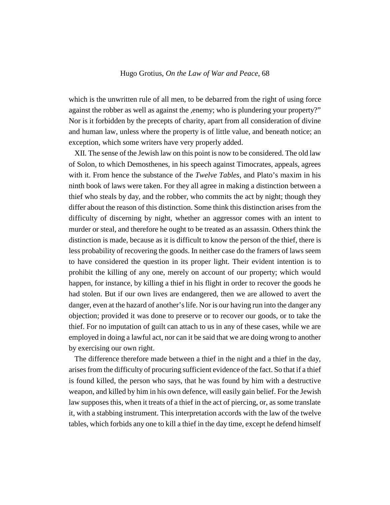which is the unwritten rule of all men, to be debarred from the right of using force against the robber as well as against the ,enemy; who is plundering your property?" Nor is it forbidden by the precepts of charity, apart from all consideration of divine and human law, unless where the property is of little value, and beneath notice; an exception, which some writers have very properly added.

XII. The sense of the Jewish law on this point is now to be considered. The old law of Solon, to which Demosthenes, in his speech against Timocrates, appeals, agrees with it. From hence the substance of the *Twelve Tables*, and Plato's maxim in his ninth book of laws were taken. For they all agree in making a distinction between a thief who steals by day, and the robber, who commits the act by night; though they differ about the reason of this distinction. Some think this distinction arises from the difficulty of discerning by night, whether an aggressor comes with an intent to murder or steal, and therefore he ought to be treated as an assassin. Others think the distinction is made, because as it is difficult to know the person of the thief, there is less probability of recovering the goods. In neither case do the framers of laws seem to have considered the question in its proper light. Their evident intention is to prohibit the killing of any one, merely on account of our property; which would happen, for instance, by killing a thief in his flight in order to recover the goods he had stolen. But if our own lives are endangered, then we are allowed to avert the danger, even at the hazard of another's life. Nor is our having run into the danger any objection; provided it was done to preserve or to recover our goods, or to take the thief. For no imputation of guilt can attach to us in any of these cases, while we are employed in doing a lawful act, nor can it be said that we are doing wrong to another by exercising our own right.

The difference therefore made between a thief in the night and a thief in the day, arises from the difficulty of procuring sufficient evidence of the fact. So that if a thief is found killed, the person who says, that he was found by him with a destructive weapon, and killed by him in his own defence, will easily gain belief. For the Jewish law supposes this, when it treats of a thief in the act of piercing, or, as some translate it, with a stabbing instrument. This interpretation accords with the law of the twelve tables, which forbids any one to kill a thief in the day time, except he defend himself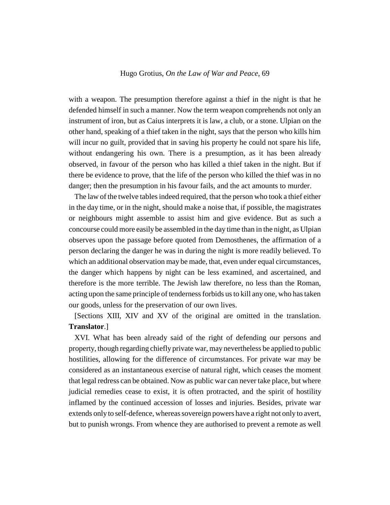with a weapon. The presumption therefore against a thief in the night is that he defended himself in such a manner. Now the term weapon comprehends not only an instrument of iron, but as Caius interprets it is law, a club, or a stone. Ulpian on the other hand, speaking of a thief taken in the night, says that the person who kills him will incur no guilt, provided that in saving his property he could not spare his life, without endangering his own. There is a presumption, as it has been already observed, in favour of the person who has killed a thief taken in the night. But if there be evidence to prove, that the life of the person who killed the thief was in no danger; then the presumption in his favour fails, and the act amounts to murder.

The law of the twelve tables indeed required, that the person who took a thief either in the day time, or in the night, should make a noise that, if possible, the magistrates or neighbours might assemble to assist him and give evidence. But as such a concourse could more easily be assembled in the day time than in the night, as Ulpian observes upon the passage before quoted from Demosthenes, the affirmation of a person declaring the danger he was in during the night is more readily believed. To which an additional observation may be made, that, even under equal circumstances, the danger which happens by night can be less examined, and ascertained, and therefore is the more terrible. The Jewish law therefore, no less than the Roman, acting upon the same principle of tenderness forbids us to kill any one, who has taken our goods, unless for the preservation of our own lives.

[Sections XIII, XIV and XV of the original are omitted in the translation. **Translator**.]

XVI. What has been already said of the right of defending our persons and property, though regarding chiefly private war, may nevertheless be applied to public hostilities, allowing for the difference of circumstances. For private war may be considered as an instantaneous exercise of natural right, which ceases the moment that legal redress can be obtained. Now as public war can never take place, but where judicial remedies cease to exist, it is often protracted, and the spirit of hostility inflamed by the continued accession of losses and injuries. Besides, private war extends only to self-defence, whereas sovereign powers have a right not only to avert, but to punish wrongs. From whence they are authorised to prevent a remote as well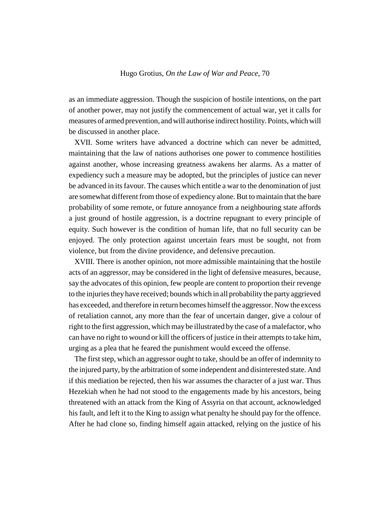as an immediate aggression. Though the suspicion of hostile intentions, on the part of another power, may not justify the commencement of actual war, yet it calls for measures of armed prevention, and will authorise indirect hostility. Points, which will be discussed in another place.

XVII. Some writers have advanced a doctrine which can never be admitted, maintaining that the law of nations authorises one power to commence hostilities against another, whose increasing greatness awakens her alarms. As a matter of expediency such a measure may be adopted, but the principles of justice can never be advanced in its favour. The causes which entitle a war to the denomination of just are somewhat different from those of expediency alone. But to maintain that the bare probability of some remote, or future annoyance from a neighbouring state affords a just ground of hostile aggression, is a doctrine repugnant to every principle of equity. Such however is the condition of human life, that no full security can be enjoyed. The only protection against uncertain fears must be sought, not from violence, but from the divine providence, and defensive precaution.

XVIII. There is another opinion, not more admissible maintaining that the hostile acts of an aggressor, may be considered in the light of defensive measures, because, say the advocates of this opinion, few people are content to proportion their revenge to the injuries they have received; bounds which in all probability the party aggrieved has exceeded, and therefore in return becomes himself the aggressor. Now the excess of retaliation cannot, any more than the fear of uncertain danger, give a colour of right to the first aggression, which may be illustrated by the case of a malefactor, who can have no right to wound or kill the officers of justice in their attempts to take him, urging as a plea that he feared the punishment would exceed the offense.

The first step, which an aggressor ought to take, should be an offer of indemnity to the injured party, by the arbitration of some independent and disinterested state. And if this mediation be rejected, then his war assumes the character of a just war. Thus Hezekiah when he had not stood to the engagements made by his ancestors, being threatened with an attack from the King of Assyria on that account, acknowledged his fault, and left it to the King to assign what penalty he should pay for the offence. After he had clone so, finding himself again attacked, relying on the justice of his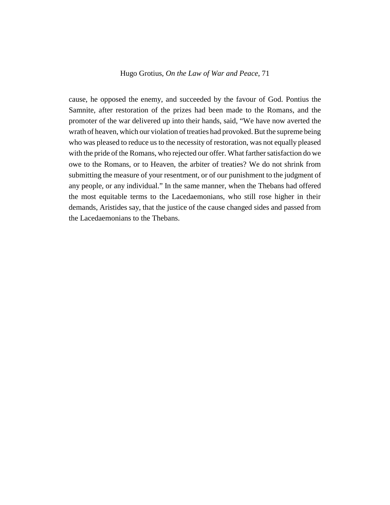cause, he opposed the enemy, and succeeded by the favour of God. Pontius the Samnite, after restoration of the prizes had been made to the Romans, and the promoter of the war delivered up into their hands, said, "We have now averted the wrath of heaven, which our violation of treaties had provoked. But the supreme being who was pleased to reduce us to the necessity of restoration, was not equally pleased with the pride of the Romans, who rejected our offer. What farther satisfaction do we owe to the Romans, or to Heaven, the arbiter of treaties? We do not shrink from submitting the measure of your resentment, or of our punishment to the judgment of any people, or any individual." In the same manner, when the Thebans had offered the most equitable terms to the Lacedaemonians, who still rose higher in their demands, Aristides say, that the justice of the cause changed sides and passed from the Lacedaemonians to the Thebans.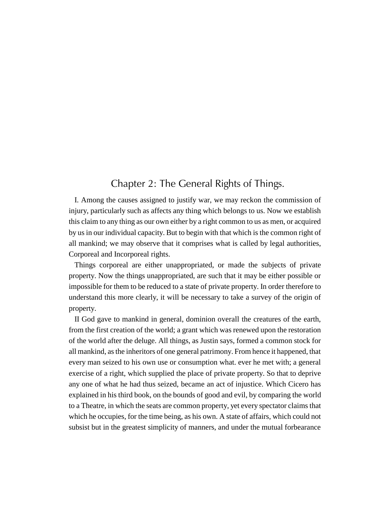## Chapter 2: The General Rights of Things.

I. Among the causes assigned to justify war, we may reckon the commission of injury, particularly such as affects any thing which belongs to us. Now we establish this claim to any thing as our own either by a right common to us as men, or acquired by us in our individual capacity. But to begin with that which is the common right of all mankind; we may observe that it comprises what is called by legal authorities, Corporeal and Incorporeal rights.

Things corporeal are either unappropriated, or made the subjects of private property. Now the things unappropriated, are such that it may be either possible or impossible for them to be reduced to a state of private property. In order therefore to understand this more clearly, it will be necessary to take a survey of the origin of property.

II God gave to mankind in general, dominion overall the creatures of the earth, from the first creation of the world; a grant which was renewed upon the restoration of the world after the deluge. All things, as Justin says, formed a common stock for all mankind, as the inheritors of one general patrimony. From hence it happened, that every man seized to his own use or consumption what. ever he met with; a general exercise of a right, which supplied the place of private property. So that to deprive any one of what he had thus seized, became an act of injustice. Which Cicero has explained in his third book, on the bounds of good and evil, by comparing the world to a Theatre, in which the seats are common property, yet every spectator claims that which he occupies, for the time being, as his own. A state of affairs, which could not subsist but in the greatest simplicity of manners, and under the mutual forbearance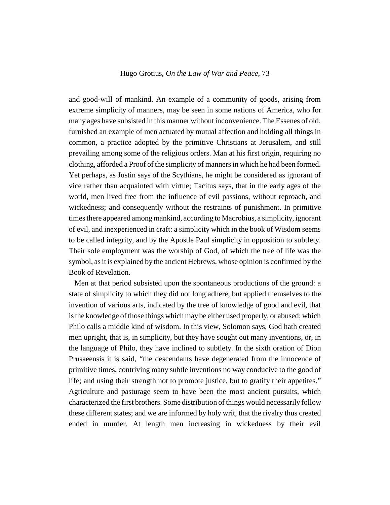and good-will of mankind. An example of a community of goods, arising from extreme simplicity of manners, may be seen in some nations of America, who for many ages have subsisted in this manner without inconvenience. The Essenes of old, furnished an example of men actuated by mutual affection and holding all things in common, a practice adopted by the primitive Christians at Jerusalem, and still prevailing among some of the religious orders. Man at his first origin, requiring no clothing, afforded a Proof of the simplicity of manners in which he had been formed. Yet perhaps, as Justin says of the Scythians, he might be considered as ignorant of vice rather than acquainted with virtue; Tacitus says, that in the early ages of the world, men lived free from the influence of evil passions, without reproach, and wickedness; and consequently without the restraints of punishment. In primitive times there appeared among mankind, according to Macrobius, a simplicity, ignorant of evil, and inexperienced in craft: a simplicity which in the book of Wisdom seems to be called integrity, and by the Apostle Paul simplicity in opposition to subtlety. Their sole employment was the worship of God, of which the tree of life was the symbol, as it is explained by the ancient Hebrews, whose opinion is confirmed by the Book of Revelation.

Men at that period subsisted upon the spontaneous productions of the ground: a state of simplicity to which they did not long adhere, but applied themselves to the invention of various arts, indicated by the tree of knowledge of good and evil, that is the knowledge of those things which may be either used properly, or abused; which Philo calls a middle kind of wisdom. In this view, Solomon says, God hath created men upright, that is, in simplicity, but they have sought out many inventions, or, in the language of Philo, they have inclined to subtlety. In the sixth oration of Dion Prusaeensis it is said, "the descendants have degenerated from the innocence of primitive times, contriving many subtle inventions no way conducive to the good of life; and using their strength not to promote justice, but to gratify their appetites." Agriculture and pasturage seem to have been the most ancient pursuits, which characterized the first brothers. Some distribution of things would necessarily follow these different states; and we are informed by holy writ, that the rivalry thus created ended in murder. At length men increasing in wickedness by their evil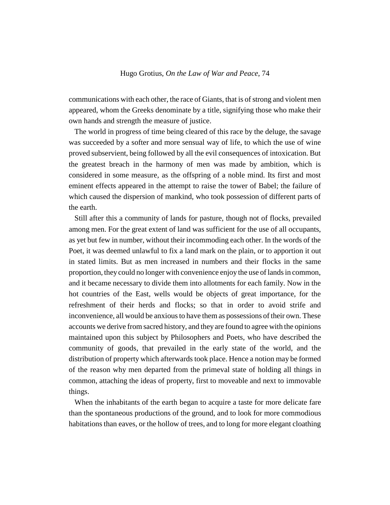communications with each other, the race of Giants, that is of strong and violent men appeared, whom the Greeks denominate by a title, signifying those who make their own hands and strength the measure of justice.

The world in progress of time being cleared of this race by the deluge, the savage was succeeded by a softer and more sensual way of life, to which the use of wine proved subservient, being followed by all the evil consequences of intoxication. But the greatest breach in the harmony of men was made by ambition, which is considered in some measure, as the offspring of a noble mind. Its first and most eminent effects appeared in the attempt to raise the tower of Babel; the failure of which caused the dispersion of mankind, who took possession of different parts of the earth.

Still after this a community of lands for pasture, though not of flocks, prevailed among men. For the great extent of land was sufficient for the use of all occupants, as yet but few in number, without their incommoding each other. In the words of the Poet, it was deemed unlawful to fix a land mark on the plain, or to apportion it out in stated limits. But as men increased in numbers and their flocks in the same proportion, they could no longer with convenience enjoy the use of lands in common, and it became necessary to divide them into allotments for each family. Now in the hot countries of the East, wells would be objects of great importance, for the refreshment of their herds and flocks; so that in order to avoid strife and inconvenience, all would be anxious to have them as possessions of their own. These accounts we derive from sacred history, and they are found to agree with the opinions maintained upon this subject by Philosophers and Poets, who have described the community of goods, that prevailed in the early state of the world, and the distribution of property which afterwards took place. Hence a notion may be formed of the reason why men departed from the primeval state of holding all things in common, attaching the ideas of property, first to moveable and next to immovable things.

When the inhabitants of the earth began to acquire a taste for more delicate fare than the spontaneous productions of the ground, and to look for more commodious habitations than eaves, or the hollow of trees, and to long for more elegant cloathing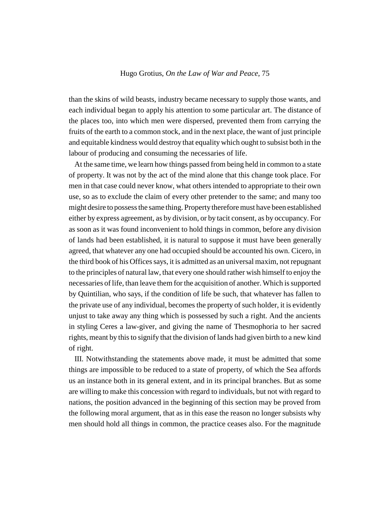than the skins of wild beasts, industry became necessary to supply those wants, and each individual began to apply his attention to some particular art. The distance of the places too, into which men were dispersed, prevented them from carrying the fruits of the earth to a common stock, and in the next place, the want of just principle and equitable kindness would destroy that equality which ought to subsist both in the labour of producing and consuming the necessaries of life.

At the same time, we learn how things passed from being held in common to a state of property. It was not by the act of the mind alone that this change took place. For men in that case could never know, what others intended to appropriate to their own use, so as to exclude the claim of every other pretender to the same; and many too might desire to possess the same thing. Property therefore must have been established either by express agreement, as by division, or by tacit consent, as by occupancy. For as soon as it was found inconvenient to hold things in common, before any division of lands had been established, it is natural to suppose it must have been generally agreed, that whatever any one had occupied should be accounted his own. Cicero, in the third book of his Offices says, it is admitted as an universal maxim, not repugnant to the principles of natural law, that every one should rather wish himself to enjoy the necessaries of life, than leave them for the acquisition of another. Which is supported by Quintilian, who says, if the condition of life be such, that whatever has fallen to the private use of any individual, becomes the property of such holder, it is evidently unjust to take away any thing which is possessed by such a right. And the ancients in styling Ceres a law-giver, and giving the name of Thesmophoria to her sacred rights, meant by this to signify that the division of lands had given birth to a new kind of right.

III. Notwithstanding the statements above made, it must be admitted that some things are impossible to be reduced to a state of property, of which the Sea affords us an instance both in its general extent, and in its principal branches. But as some are willing to make this concession with regard to individuals, but not with regard to nations, the position advanced in the beginning of this section may be proved from the following moral argument, that as in this ease the reason no longer subsists why men should hold all things in common, the practice ceases also. For the magnitude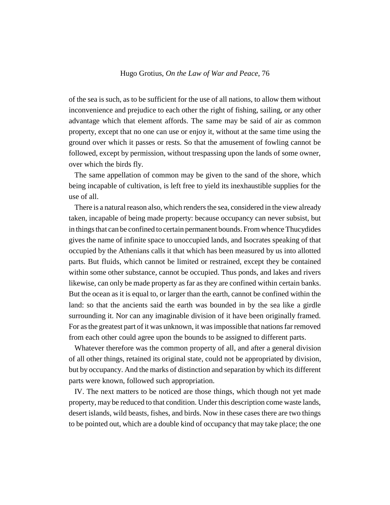of the sea is such, as to be sufficient for the use of all nations, to allow them without inconvenience and prejudice to each other the right of fishing, sailing, or any other advantage which that element affords. The same may be said of air as common property, except that no one can use or enjoy it, without at the same time using the ground over which it passes or rests. So that the amusement of fowling cannot be followed, except by permission, without trespassing upon the lands of some owner, over which the birds fly.

The same appellation of common may be given to the sand of the shore, which being incapable of cultivation, is left free to yield its inexhaustible supplies for the use of all.

There is a natural reason also, which renders the sea, considered in the view already taken, incapable of being made property: because occupancy can never subsist, but in things that can be confined to certain permanent bounds. From whence Thucydides gives the name of infinite space to unoccupied lands, and Isocrates speaking of that occupied by the Athenians calls it that which has been measured by us into allotted parts. But fluids, which cannot be limited or restrained, except they be contained within some other substance, cannot be occupied. Thus ponds, and lakes and rivers likewise, can only be made property as far as they are confined within certain banks. But the ocean as it is equal to, or larger than the earth, cannot be confined within the land: so that the ancients said the earth was bounded in by the sea like a girdle surrounding it. Nor can any imaginable division of it have been originally framed. For as the greatest part of it was unknown, it was impossible that nations far removed from each other could agree upon the bounds to be assigned to different parts.

Whatever therefore was the common property of all, and after a general division of all other things, retained its original state, could not be appropriated by division, but by occupancy. And the marks of distinction and separation by which its different parts were known, followed such appropriation.

IV. The next matters to be noticed are those things, which though not yet made property, may be reduced to that condition. Under this description come waste lands, desert islands, wild beasts, fishes, and birds. Now in these cases there are two things to be pointed out, which are a double kind of occupancy that may take place; the one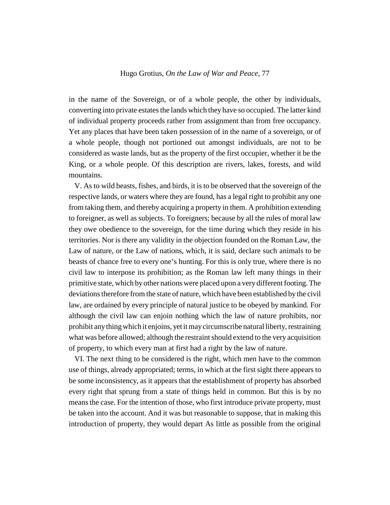in the name of the Sovereign, or of a whole people, the other by individuals, converting into private estates the lands which they have so occupied. The latter kind of individual property proceeds rather from assignment than from free occupancy. Yet any places that have been taken possession of in the name of a sovereign, or of a whole people, though not portioned out amongst individuals, are not to be considered as waste lands, but as the property of the first occupier, whether it be the King, or a whole people. Of this description are rivers, lakes, forests, and wild mountains.

V. As to wild beasts, fishes, and birds, it is to be observed that the sovereign of the respective lands, or waters where they are found, has a legal right to prohibit any one from taking them, and thereby acquiring a property in them. A prohibition extending to foreigner, as well as subjects. To foreigners; because by all the rules of moral law they owe obedience to the sovereign, for the time during which they reside in his territories. Nor is there any validity in the objection founded on the Roman Law, the Law of nature, or the Law of nations, which, it is said, declare such animals to be beasts of chance free to every one's hunting. For this is only true, where there is no civil law to interpose its prohibition; as the Roman law left many things in their primitive state, which by other nations were placed upon a very different footing. The deviations therefore from the state of nature, which have been established by the civil law, are ordained by every principle of natural justice to be obeyed by mankind. For although the civil law can enjoin nothing which the law of nature prohibits, nor prohibit any thing which it enjoins, yet it may circumscribe natural liberty, restraining what was before allowed; although the restraint should extend to the very acquisition of property, to which every man at first had a right by the law of nature.

VI. The next thing to be considered is the right, which men have to the common use of things, already appropriated; terms, in which at the first sight there appears to be some inconsistency, as it appears that the establishment of property has absorbed every right that sprung from a state of things held in common. But this is by no means the case. For the intention of those, who first introduce private property, must be taken into the account. And it was but reasonable to suppose, that in making this introduction of property, they would depart As little as possible from the original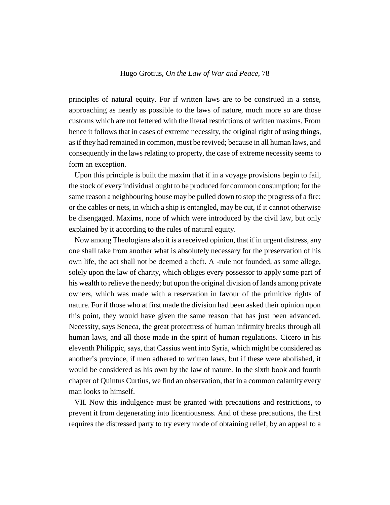principles of natural equity. For if written laws are to be construed in a sense, approaching as nearly as possible to the laws of nature, much more so are those customs which are not fettered with the literal restrictions of written maxims. From hence it follows that in cases of extreme necessity, the original right of using things, as if they had remained in common, must be revived; because in all human laws, and consequently in the laws relating to property, the case of extreme necessity seems to form an exception.

Upon this principle is built the maxim that if in a voyage provisions begin to fail, the stock of every individual ought to be produced for common consumption; for the same reason a neighbouring house may be pulled down to stop the progress of a fire: or the cables or nets, in which a ship is entangled, may be cut, if it cannot otherwise be disengaged. Maxims, none of which were introduced by the civil law, but only explained by it according to the rules of natural equity.

Now among Theologians also it is a received opinion, that if in urgent distress, any one shall take from another what is absolutely necessary for the preservation of his own life, the act shall not be deemed a theft. A -rule not founded, as some allege, solely upon the law of charity, which obliges every possessor to apply some part of his wealth to relieve the needy; but upon the original division of lands among private owners, which was made with a reservation in favour of the primitive rights of nature. For if those who at first made the division had been asked their opinion upon this point, they would have given the same reason that has just been advanced. Necessity, says Seneca, the great protectress of human infirmity breaks through all human laws, and all those made in the spirit of human regulations. Cicero in his eleventh Philippic, says, that Cassius went into Syria, which might be considered as another's province, if men adhered to written laws, but if these were abolished, it would be considered as his own by the law of nature. In the sixth book and fourth chapter of Quintus Curtius, we find an observation, that in a common calamity every man looks to himself.

VII. Now this indulgence must be granted with precautions and restrictions, to prevent it from degenerating into licentiousness. And of these precautions, the first requires the distressed party to try every mode of obtaining relief, by an appeal to a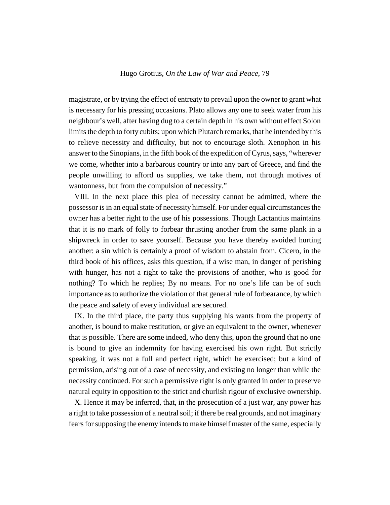magistrate, or by trying the effect of entreaty to prevail upon the owner to grant what is necessary for his pressing occasions. Plato allows any one to seek water from his neighbour's well, after having dug to a certain depth in his own without effect Solon limits the depth to forty cubits; upon which Plutarch remarks, that he intended by this to relieve necessity and difficulty, but not to encourage sloth. Xenophon in his answer to the Sinopians, in the fifth book of the expedition of Cyrus, says, "wherever we come, whether into a barbarous country or into any part of Greece, and find the people unwilling to afford us supplies, we take them, not through motives of wantonness, but from the compulsion of necessity."

VIII. In the next place this plea of necessity cannot be admitted, where the possessor is in an equal state of necessity himself. For under equal circumstances the owner has a better right to the use of his possessions. Though Lactantius maintains that it is no mark of folly to forbear thrusting another from the same plank in a shipwreck in order to save yourself. Because you have thereby avoided hurting another: a sin which is certainly a proof of wisdom to abstain from. Cicero, in the third book of his offices, asks this question, if a wise man, in danger of perishing with hunger, has not a right to take the provisions of another, who is good for nothing? To which he replies; By no means. For no one's life can be of such importance as to authorize the violation of that general rule of forbearance, by which the peace and safety of every individual are secured.

IX. In the third place, the party thus supplying his wants from the property of another, is bound to make restitution, or give an equivalent to the owner, whenever that is possible. There are some indeed, who deny this, upon the ground that no one is bound to give an indemnity for having exercised his own right. But strictly speaking, it was not a full and perfect right, which he exercised; but a kind of permission, arising out of a case of necessity, and existing no longer than while the necessity continued. For such a permissive right is only granted in order to preserve natural equity in opposition to the strict and churlish rigour of exclusive ownership.

X. Hence it may be inferred, that, in the prosecution of a just war, any power has a right to take possession of a neutral soil; if there be real grounds, and not imaginary fears for supposing the enemy intends to make himself master of the same, especially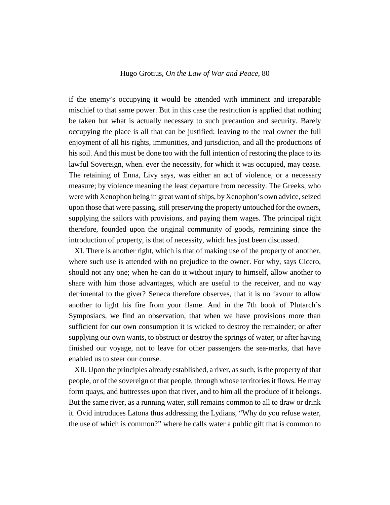if the enemy's occupying it would be attended with imminent and irreparable mischief to that same power. But in this case the restriction is applied that nothing be taken but what is actually necessary to such precaution and security. Barely occupying the place is all that can be justified: leaving to the real owner the full enjoyment of all his rights, immunities, and jurisdiction, and all the productions of his soil. And this must be done too with the full intention of restoring the place to its lawful Sovereign, when. ever the necessity, for which it was occupied, may cease. The retaining of Enna, Livy says, was either an act of violence, or a necessary measure; by violence meaning the least departure from necessity. The Greeks, who were with Xenophon being in great want of ships, by Xenophon's own advice, seized upon those that were passing, still preserving the property untouched for the owners, supplying the sailors with provisions, and paying them wages. The principal right therefore, founded upon the original community of goods, remaining since the introduction of property, is that of necessity, which has just been discussed.

XI. There is another right, which is that of making use of the property of another, where such use is attended with no prejudice to the owner. For why, says Cicero, should not any one; when he can do it without injury to himself, allow another to share with him those advantages, which are useful to the receiver, and no way detrimental to the giver? Seneca therefore observes, that it is no favour to allow another to light his fire from your flame. And in the 7th book of Plutarch's Symposiacs, we find an observation, that when we have provisions more than sufficient for our own consumption it is wicked to destroy the remainder; or after supplying our own wants, to obstruct or destroy the springs of water; or after having finished our voyage, not to leave for other passengers the sea-marks, that have enabled us to steer our course.

XII. Upon the principles already established, a river, as such, is the property of that people, or of the sovereign of that people, through whose territories it flows. He may form quays, and buttresses upon that river, and to him all the produce of it belongs. But the same river, as a running water, still remains common to all to draw or drink it. Ovid introduces Latona thus addressing the Lydians, "Why do you refuse water, the use of which is common?" where he calls water a public gift that is common to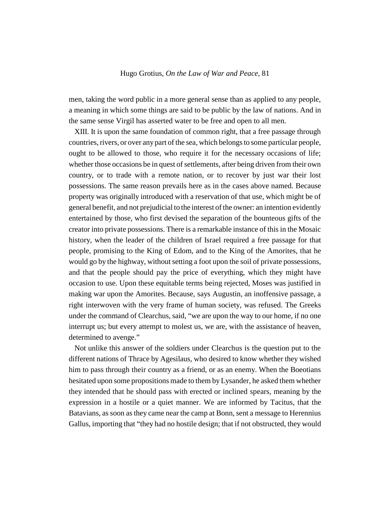men, taking the word public in a more general sense than as applied to any people, a meaning in which some things are said to be public by the law of nations. And in the same sense Virgil has asserted water to be free and open to all men.

XIII. It is upon the same foundation of common right, that a free passage through countries, rivers, or over any part of the sea, which belongs to some particular people, ought to be allowed to those, who require it for the necessary occasions of life; whether those occasions be in quest of settlements, after being driven from their own country, or to trade with a remote nation, or to recover by just war their lost possessions. The same reason prevails here as in the cases above named. Because property was originally introduced with a reservation of that use, which might be of general benefit, and not prejudicial to the interest of the owner: an intention evidently entertained by those, who first devised the separation of the bounteous gifts of the creator into private possessions. There is a remarkable instance of this in the Mosaic history, when the leader of the children of Israel required a free passage for that people, promising to the King of Edom, and to the King of the Amorites, that he would go by the highway, without setting a foot upon the soil of private possessions, and that the people should pay the price of everything, which they might have occasion to use. Upon these equitable terms being rejected, Moses was justified in making war upon the Amorites. Because, says Augustin, an inoffensive passage, a right interwoven with the very frame of human society, was refused. The Greeks under the command of Clearchus, said, "we are upon the way to our home, if no one interrupt us; but every attempt to molest us, we are, with the assistance of heaven, determined to avenge."

Not unlike this answer of the soldiers under Clearchus is the question put to the different nations of Thrace by Agesilaus, who desired to know whether they wished him to pass through their country as a friend, or as an enemy. When the Boeotians hesitated upon some propositions made to them by Lysander, he asked them whether they intended that he should pass with erected or inclined spears, meaning by the expression in a hostile or a quiet manner. We are informed by Tacitus, that the Batavians, as soon as they came near the camp at Bonn, sent a message to Herennius Gallus, importing that "they had no hostile design; that if not obstructed, they would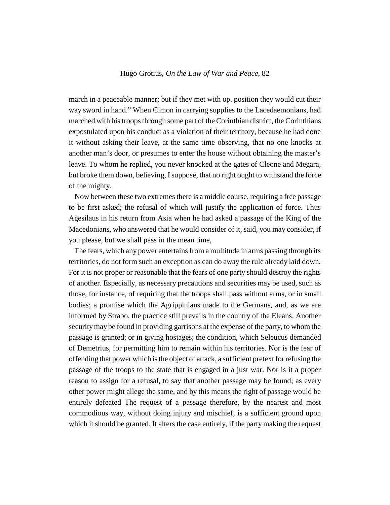march in a peaceable manner; but if they met with op. position they would cut their way sword in hand." When Cimon in carrying supplies to the Lacedaemonians, had marched with his troops through some part of the Corinthian district, the Corinthians expostulated upon his conduct as a violation of their territory, because he had done it without asking their leave, at the same time observing, that no one knocks at another man's door, or presumes to enter the house without obtaining the master's leave. To whom he replied, you never knocked at the gates of Cleone and Megara, but broke them down, believing, I suppose, that no right ought to withstand the force of the mighty.

Now between these two extremes there is a middle course, requiring a free passage to be first asked; the refusal of which will justify the application of force. Thus Agesilaus in his return from Asia when he had asked a passage of the King of the Macedonians, who answered that he would consider of it, said, you may consider, if you please, but we shall pass in the mean time,

The fears, which any power entertains from a multitude in arms passing through its territories, do not form such an exception as can do away the rule already laid down. For it is not proper or reasonable that the fears of one party should destroy the rights of another. Especially, as necessary precautions and securities may be used, such as those, for instance, of requiring that the troops shall pass without arms, or in small bodies; a promise which the Agrippinians made to the Germans, and, as we are informed by Strabo, the practice still prevails in the country of the Eleans. Another security may be found in providing garrisons at the expense of the party, to whom the passage is granted; or in giving hostages; the condition, which Seleucus demanded of Demetrius, for permitting him to remain within his territories. Nor is the fear of offending that power which is the object of attack, a sufficient pretext for refusing the passage of the troops to the state that is engaged in a just war. Nor is it a proper reason to assign for a refusal, to say that another passage may be found; as every other power might allege the same, and by this means the right of passage would be entirely defeated The request of a passage therefore, by the nearest and most commodious way, without doing injury and mischief, is a sufficient ground upon which it should be granted. It alters the case entirely, if the party making the request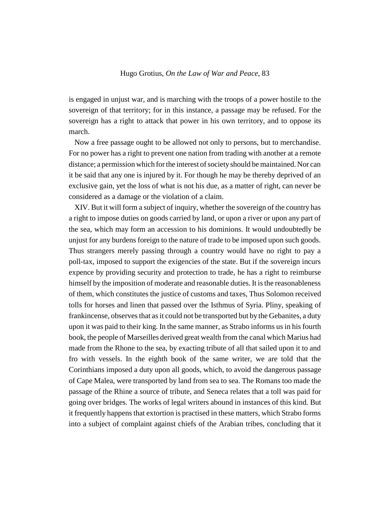is engaged in unjust war, and is marching with the troops of a power hostile to the sovereign of that territory; for in this instance, a passage may be refused. For the sovereign has a right to attack that power in his own territory, and to oppose its march.

Now a free passage ought to be allowed not only to persons, but to merchandise. For no power has a right to prevent one nation from trading with another at a remote distance; a permission which for the interest of society should be maintained. Nor can it be said that any one is injured by it. For though he may be thereby deprived of an exclusive gain, yet the loss of what is not his due, as a matter of right, can never be considered as a damage or the violation of a claim.

XIV. But it will form a subject of inquiry, whether the sovereign of the country has a right to impose duties on goods carried by land, or upon a river or upon any part of the sea, which may form an accession to his dominions. It would undoubtedly be unjust for any burdens foreign to the nature of trade to be imposed upon such goods. Thus strangers merely passing through a country would have no right to pay a poll-tax, imposed to support the exigencies of the state. But if the sovereign incurs expence by providing security and protection to trade, he has a right to reimburse himself by the imposition of moderate and reasonable duties. It is the reasonableness of them, which constitutes the justice of customs and taxes, Thus Solomon received tolls for horses and linen that passed over the Isthmus of Syria. Pliny, speaking of frankincense, observes that as it could not be transported but by the Gebanites, a duty upon it was paid to their king. In the same manner, as Strabo informs us in his fourth book, the people of Marseilles derived great wealth from the canal which Marius had made from the Rhone to the sea, by exacting tribute of all that sailed upon it to and fro with vessels. In the eighth book of the same writer, we are told that the Corinthians imposed a duty upon all goods, which, to avoid the dangerous passage of Cape Malea, were transported by land from sea to sea. The Romans too made the passage of the Rhine a source of tribute, and Seneca relates that a toll was paid for going over bridges. The works of legal writers abound in instances of this kind. But it frequently happens that extortion is practised in these matters, which Strabo forms into a subject of complaint against chiefs of the Arabian tribes, concluding that it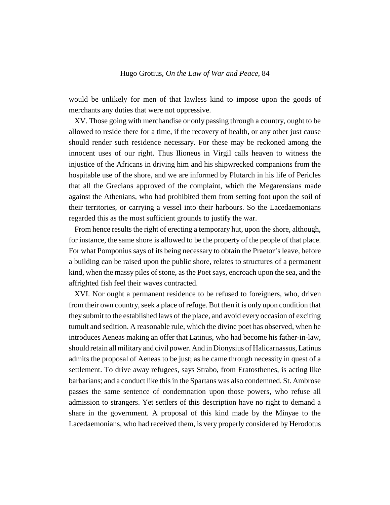would be unlikely for men of that lawless kind to impose upon the goods of merchants any duties that were not oppressive.

XV. Those going with merchandise or only passing through a country, ought to be allowed to reside there for a time, if the recovery of health, or any other just cause should render such residence necessary. For these may be reckoned among the innocent uses of our right. Thus Ilioneus in Virgil calls heaven to witness the injustice of the Africans in driving him and his shipwrecked companions from the hospitable use of the shore, and we are informed by Plutarch in his life of Pericles that all the Grecians approved of the complaint, which the Megarensians made against the Athenians, who had prohibited them from setting foot upon the soil of their territories, or carrying a vessel into their harbours. So the Lacedaemonians regarded this as the most sufficient grounds to justify the war.

From hence results the right of erecting a temporary hut, upon the shore, although, for instance, the same shore is allowed to be the property of the people of that place. For what Pomponius says of its being necessary to obtain the Praetor's leave, before a building can be raised upon the public shore, relates to structures of a permanent kind, when the massy piles of stone, as the Poet says, encroach upon the sea, and the affrighted fish feel their waves contracted.

XVI. Nor ought a permanent residence to be refused to foreigners, who, driven from their own country, seek a place of refuge. But then it is only upon condition that they submit to the established laws of the place, and avoid every occasion of exciting tumult and sedition. A reasonable rule, which the divine poet has observed, when he introduces Aeneas making an offer that Latinus, who had become his father-in-law, should retain all military and civil power. And in Dionysius of Halicarnassus, Latinus admits the proposal of Aeneas to be just; as he came through necessity in quest of a settlement. To drive away refugees, says Strabo, from Eratosthenes, is acting like barbarians; and a conduct like this in the Spartans was also condemned. St. Ambrose passes the same sentence of condemnation upon those powers, who refuse all admission to strangers. Yet settlers of this description have no right to demand a share in the government. A proposal of this kind made by the Minyae to the Lacedaemonians, who had received them, is very properly considered by Herodotus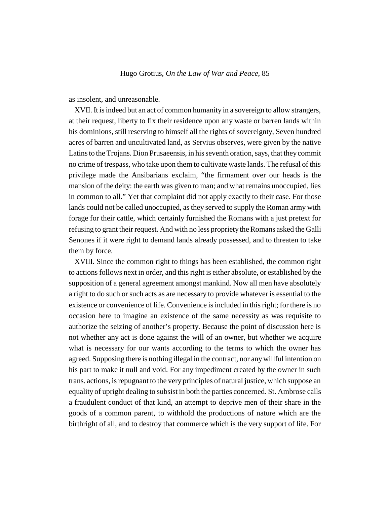as insolent, and unreasonable.

XVII. It is indeed but an act of common humanity in a sovereign to allow strangers, at their request, liberty to fix their residence upon any waste or barren lands within his dominions, still reserving to himself all the rights of sovereignty, Seven hundred acres of barren and uncultivated land, as Servius observes, were given by the native Latins to the Trojans. Dion Prusaeensis, in his seventh oration, says, that they commit no crime of trespass, who take upon them to cultivate waste lands. The refusal of this privilege made the Ansibarians exclaim, "the firmament over our heads is the mansion of the deity: the earth was given to man; and what remains unoccupied, lies in common to all." Yet that complaint did not apply exactly to their case. For those lands could not be called unoccupied, as they served to supply the Roman army with forage for their cattle, which certainly furnished the Romans with a just pretext for refusing to grant their request. And with no less propriety the Romans asked the Galli Senones if it were right to demand lands already possessed, and to threaten to take them by force.

XVIII. Since the common right to things has been established, the common right to actions follows next in order, and this right is either absolute, or established by the supposition of a general agreement amongst mankind. Now all men have absolutely a right to do such or such acts as are necessary to provide whatever is essential to the existence or convenience of life. Convenience is included in this right; for there is no occasion here to imagine an existence of the same necessity as was requisite to authorize the seizing of another's property. Because the point of discussion here is not whether any act is done against the will of an owner, but whether we acquire what is necessary for our wants according to the terms to which the owner has agreed. Supposing there is nothing illegal in the contract, nor any willful intention on his part to make it null and void. For any impediment created by the owner in such trans. actions, is repugnant to the very principles of natural justice, which suppose an equality of upright dealing to subsist in both the parties concerned. St. Ambrose calls a fraudulent conduct of that kind, an attempt to deprive men of their share in the goods of a common parent, to withhold the productions of nature which are the birthright of all, and to destroy that commerce which is the very support of life. For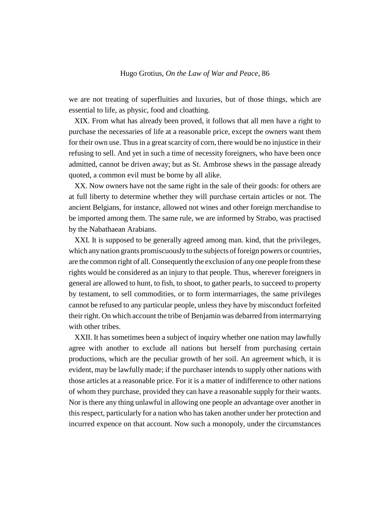we are not treating of superfluities and luxuries, but of those things, which are essential to life, as physic, food and cloathing.

XIX. From what has already been proved, it follows that all men have a right to purchase the necessaries of life at a reasonable price, except the owners want them for their own use. Thus in a great scarcity of corn, there would be no injustice in their refusing to sell. And yet in such a time of necessity foreigners, who have been once admitted, cannot be driven away; but as St. Ambrose shews in the passage already quoted, a common evil must be borne by all alike.

XX. Now owners have not the same right in the sale of their goods: for others are at full liberty to determine whether they will purchase certain articles or not. The ancient Belgians, for instance, allowed not wines and other foreign merchandise to be imported among them. The same rule, we are informed by Strabo, was practised by the Nabathaean Arabians.

XXI. It is supposed to be generally agreed among man. kind, that the privileges, which any nation grants promiscuously to the subjects of foreign powers or countries, are the common right of all. Consequently the exclusion of any one people from these rights would be considered as an injury to that people. Thus, wherever foreigners in general are allowed to hunt, to fish, to shoot, to gather pearls, to succeed to property by testament, to sell commodities, or to form intermarriages, the same privileges cannot be refused to any particular people, unless they have by misconduct forfeited their right. On which account the tribe of Benjamin was debarred from intermarrying with other tribes.

XXII. It has sometimes been a subject of inquiry whether one nation may lawfully agree with another to exclude all nations but herself from purchasing certain productions, which are the peculiar growth of her soil. An agreement which, it is evident, may be lawfully made; if the purchaser intends to supply other nations with those articles at a reasonable price. For it is a matter of indifference to other nations of whom they purchase, provided they can have a reasonable supply for their wants. Nor is there any thing unlawful in allowing one people an advantage over another in this respect, particularly for a nation who has taken another under her protection and incurred expence on that account. Now such a monopoly, under the circumstances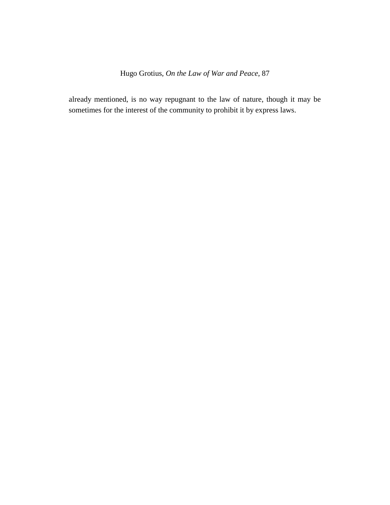already mentioned, is no way repugnant to the law of nature, though it may be sometimes for the interest of the community to prohibit it by express laws.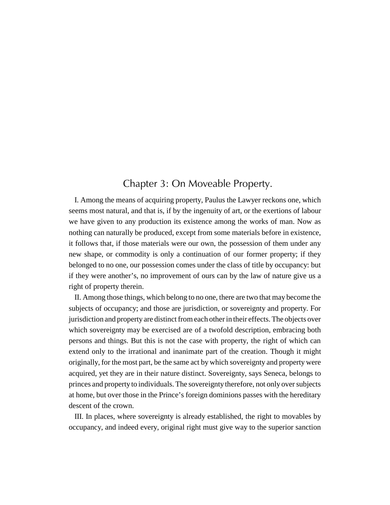## Chapter 3: On Moveable Property.

I. Among the means of acquiring property, Paulus the Lawyer reckons one, which seems most natural, and that is, if by the ingenuity of art, or the exertions of labour we have given to any production its existence among the works of man. Now as nothing can naturally be produced, except from some materials before in existence, it follows that, if those materials were our own, the possession of them under any new shape, or commodity is only a continuation of our former property; if they belonged to no one, our possession comes under the class of title by occupancy: but if they were another's, no improvement of ours can by the law of nature give us a right of property therein.

II. Among those things, which belong to no one, there are two that may become the subjects of occupancy; and those are jurisdiction, or sovereignty and property. For jurisdiction and property are distinct from each other in their effects. The objects over which sovereignty may be exercised are of a twofold description, embracing both persons and things. But this is not the case with property, the right of which can extend only to the irrational and inanimate part of the creation. Though it might originally, for the most part, be the same act by which sovereignty and property were acquired, yet they are in their nature distinct. Sovereignty, says Seneca, belongs to princes and property to individuals. The sovereignty therefore, not only over subjects at home, but over those in the Prince's foreign dominions passes with the hereditary descent of the crown.

III. In places, where sovereignty is already established, the right to movables by occupancy, and indeed every, original right must give way to the superior sanction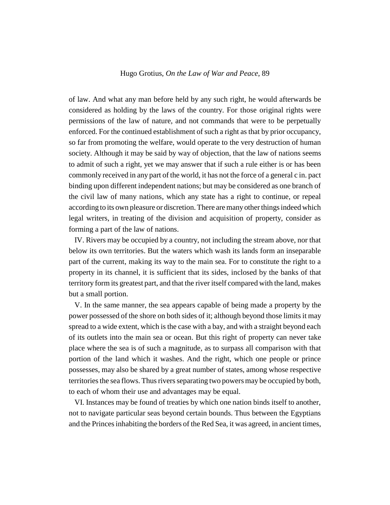of law. And what any man before held by any such right, he would afterwards be considered as holding by the laws of the country. For those original rights were permissions of the law of nature, and not commands that were to be perpetually enforced. For the continued establishment of such a right as that by prior occupancy, so far from promoting the welfare, would operate to the very destruction of human society. Although it may be said by way of objection, that the law of nations seems to admit of such a right, yet we may answer that if such a rule either is or has been commonly received in any part of the world, it has not the force of a general c in. pact binding upon different independent nations; but may be considered as one branch of the civil law of many nations, which any state has a right to continue, or repeal according to its own pleasure or discretion. There are many other things indeed which legal writers, in treating of the division and acquisition of property, consider as forming a part of the law of nations.

IV. Rivers may be occupied by a country, not including the stream above, nor that below its own territories. But the waters which wash its lands form an inseparable part of the current, making its way to the main sea. For to constitute the right to a property in its channel, it is sufficient that its sides, inclosed by the banks of that territory form its greatest part, and that the river itself compared with the land, makes but a small portion.

V. In the same manner, the sea appears capable of being made a property by the power possessed of the shore on both sides of it; although beyond those limits it may spread to a wide extent, which is the case with a bay, and with a straight beyond each of its outlets into the main sea or ocean. But this right of property can never take place where the sea is of such a magnitude, as to surpass all comparison with that portion of the land which it washes. And the right, which one people or prince possesses, may also be shared by a great number of states, among whose respective territories the sea flows. Thus rivers separating two powers may be occupied by both, to each of whom their use and advantages may be equal.

VI. Instances may be found of treaties by which one nation binds itself to another, not to navigate particular seas beyond certain bounds. Thus between the Egyptians and the Princes inhabiting the borders of the Red Sea, it was agreed, in ancient times,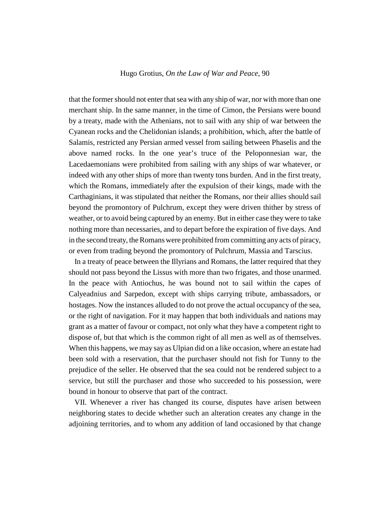that the former should not enter that sea with any ship of war, nor with more than one merchant ship. In the same manner, in the time of Cimon, the Persians were bound by a treaty, made with the Athenians, not to sail with any ship of war between the Cyanean rocks and the Chelidonian islands; a prohibition, which, after the battle of Salamis, restricted any Persian armed vessel from sailing between Phaselis and the above named rocks. In the one year's truce of the Peloponnesian war, the Lacedaemonians were prohibited from sailing with any ships of war whatever, or indeed with any other ships of more than twenty tons burden. And in the first treaty, which the Romans, immediately after the expulsion of their kings, made with the Carthaginians, it was stipulated that neither the Romans, nor their allies should sail beyond the promontory of Pulchrum, except they were driven thither by stress of weather, or to avoid being captured by an enemy. But in either case they were to take nothing more than necessaries, and to depart before the expiration of five days. And in the second treaty, the Romans were prohibited from committing any acts of piracy, or even from trading beyond the promontory of Pulchrum, Massia and Tarscius.

In a treaty of peace between the Illyrians and Romans, the latter required that they should not pass beyond the Lissus with more than two frigates, and those unarmed. In the peace with Antiochus, he was bound not to sail within the capes of Calyeadnius and Sarpedon, except with ships carrying tribute, ambassadors, or hostages. Now the instances alluded to do not prove the actual occupancy of the sea, or the right of navigation. For it may happen that both individuals and nations may grant as a matter of favour or compact, not only what they have a competent right to dispose of, but that which is the common right of all men as well as of themselves. When this happens, we may say as Ulpian did on a like occasion, where an estate had been sold with a reservation, that the purchaser should not fish for Tunny to the prejudice of the seller. He observed that the sea could not be rendered subject to a service, but still the purchaser and those who succeeded to his possession, were bound in honour to observe that part of the contract.

VII. Whenever a river has changed its course, disputes have arisen between neighboring states to decide whether such an alteration creates any change in the adjoining territories, and to whom any addition of land occasioned by that change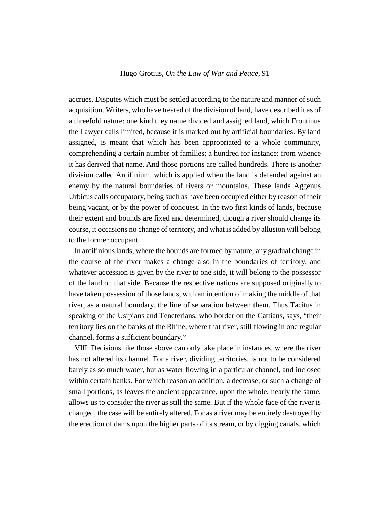accrues. Disputes which must be settled according to the nature and manner of such acquisition. Writers, who have treated of the division of land, have described it as of a threefold nature: one kind they name divided and assigned land, which Frontinus the Lawyer calls limited, because it is marked out by artificial boundaries. By land assigned, is meant that which has been appropriated to a whole community, comprehending a certain number of families; a hundred for instance: from whence it has derived that name. And those portions are called hundreds. There is another division called Arcifinium, which is applied when the land is defended against an enemy by the natural boundaries of rivers or mountains. These lands Aggenus Urbicus calls occupatory, being such as have been occupied either by reason of their being vacant, or by the power of conquest. In the two first kinds of lands, because their extent and bounds are fixed and determined, though a river should change its course, it occasions no change of territory, and what is added by allusion will belong to the former occupant.

In arcifinious lands, where the bounds are formed by nature, any gradual change in the course of the river makes a change also in the boundaries of territory, and whatever accession is given by the river to one side, it will belong to the possessor of the land on that side. Because the respective nations are supposed originally to have taken possession of those lands, with an intention of making the middle of that river, as a natural boundary, the line of separation between them. Thus Tacitus in speaking of the Usipians and Tencterians, who border on the Cattians, says, "their territory lies on the banks of the Rhine, where that river, still flowing in one regular channel, forms a sufficient boundary."

VIII. Decisions like those above can only take place in instances, where the river has not altered its channel. For a river, dividing territories, is not to be considered barely as so much water, but as water flowing in a particular channel, and inclosed within certain banks. For which reason an addition, a decrease, or such a change of small portions, as leaves the ancient appearance, upon the whole, nearly the same, allows us to consider the river as still the same. But if the whole face of the river is changed, the case will be entirely altered. For as a river may be entirely destroyed by the erection of dams upon the higher parts of its stream, or by digging canals, which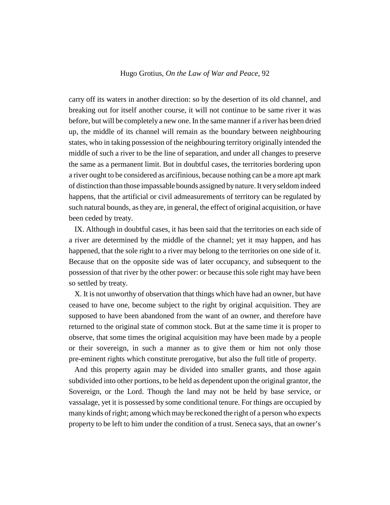carry off its waters in another direction: so by the desertion of its old channel, and breaking out for itself another course, it will not continue to be same river it was before, but will be completely a new one. In the same manner if a river has been dried up, the middle of its channel will remain as the boundary between neighbouring states, who in taking possession of the neighbouring territory originally intended the middle of such a river to be the line of separation, and under all changes to preserve the same as a permanent limit. But in doubtful cases, the territories bordering upon a river ought to be considered as arcifinious, because nothing can be a more apt mark of distinction than those impassable bounds assigned by nature. It very seldom indeed happens, that the artificial or civil admeasurements of territory can be regulated by such natural bounds, as they are, in general, the effect of original acquisition, or have been ceded by treaty.

IX. Although in doubtful cases, it has been said that the territories on each side of a river are determined by the middle of the channel; yet it may happen, and has happened, that the sole right to a river may belong to the territories on one side of it. Because that on the opposite side was of later occupancy, and subsequent to the possession of that river by the other power: or because this sole right may have been so settled by treaty.

X. It is not unworthy of observation that things which have had an owner, but have ceased to have one, become subject to the right by original acquisition. They are supposed to have been abandoned from the want of an owner, and therefore have returned to the original state of common stock. But at the same time it is proper to observe, that some times the original acquisition may have been made by a people or their sovereign, in such a manner as to give them or him not only those pre-eminent rights which constitute prerogative, but also the full title of property.

And this property again may be divided into smaller grants, and those again subdivided into other portions, to be held as dependent upon the original grantor, the Sovereign, or the Lord. Though the land may not be held by base service, or vassalage, yet it is possessed by some conditional tenure. For things are occupied by many kinds of right; among which may be reckoned the right of a person who expects property to be left to him under the condition of a trust. Seneca says, that an owner's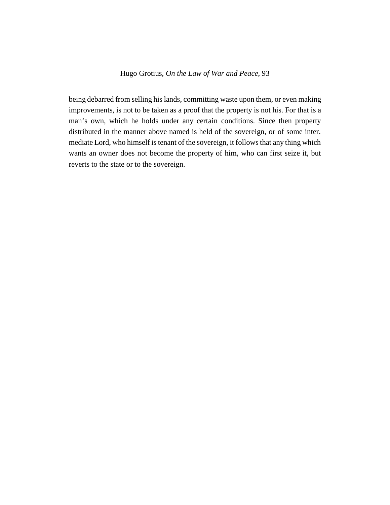being debarred from selling his lands, committing waste upon them, or even making improvements, is not to be taken as a proof that the property is not his. For that is a man's own, which he holds under any certain conditions. Since then property distributed in the manner above named is held of the sovereign, or of some inter. mediate Lord, who himself is tenant of the sovereign, it follows that any thing which wants an owner does not become the property of him, who can first seize it, but reverts to the state or to the sovereign.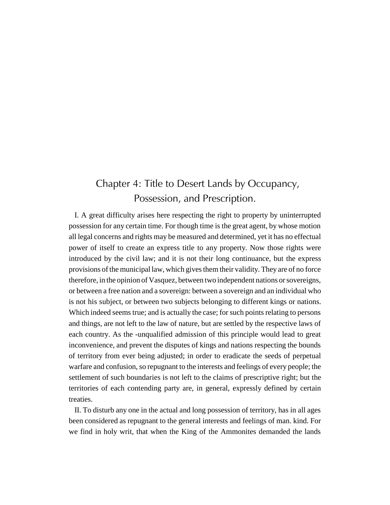# Chapter 4: Title to Desert Lands by Occupancy, Possession, and Prescription.

I. A great difficulty arises here respecting the right to property by uninterrupted possession for any certain time. For though time is the great agent, by whose motion all legal concerns and rights may be measured and determined, yet it has no effectual power of itself to create an express title to any property. Now those rights were introduced by the civil law; and it is not their long continuance, but the express provisions of the municipal law, which gives them their validity. They are of no force therefore, in the opinion of Vasquez, between two independent nations or sovereigns, or between a free nation and a sovereign: between a sovereign and an individual who is not his subject, or between two subjects belonging to different kings or nations. Which indeed seems true; and is actually the case; for such points relating to persons and things, are not left to the law of nature, but are settled by the respective laws of each country. As the -unqualified admission of this principle would lead to great inconvenience, and prevent the disputes of kings and nations respecting the bounds of territory from ever being adjusted; in order to eradicate the seeds of perpetual warfare and confusion, so repugnant to the interests and feelings of every people; the settlement of such boundaries is not left to the claims of prescriptive right; but the territories of each contending party are, in general, expressly defined by certain treaties.

II. To disturb any one in the actual and long possession of territory, has in all ages been considered as repugnant to the general interests and feelings of man. kind. For we find in holy writ, that when the King of the Ammonites demanded the lands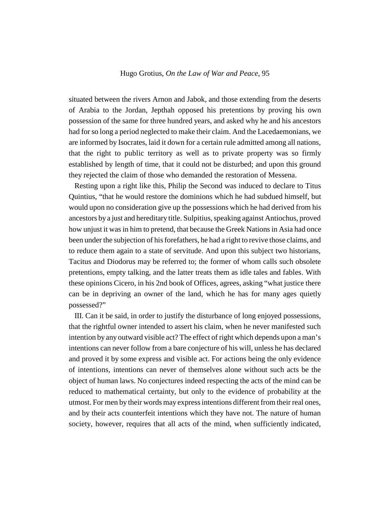situated between the rivers Arnon and Jabok, and those extending from the deserts of Arabia to the Jordan, Jepthah opposed his pretentions by proving his own possession of the same for three hundred years, and asked why he and his ancestors had for so long a period neglected to make their claim. And the Lacedaemonians, we are informed by Isocrates, laid it down for a certain rule admitted among all nations, that the right to public territory as well as to private property was so firmly established by length of time, that it could not be disturbed; and upon this ground they rejected the claim of those who demanded the restoration of Messena.

Resting upon a right like this, Philip the Second was induced to declare to Titus Quintius, "that he would restore the dominions which he had subdued himself, but would upon no consideration give up the possessions which he had derived from his ancestors by a just and hereditary title. Sulpitius, speaking against Antiochus, proved how unjust it was in him to pretend, that because the Greek Nations in Asia had once been under the subjection of his forefathers, he had a right to revive those claims, and to reduce them again to a state of servitude. And upon this subject two historians, Tacitus and Diodorus may be referred to; the former of whom calls such obsolete pretentions, empty talking, and the latter treats them as idle tales and fables. With these opinions Cicero, in his 2nd book of Offices, agrees, asking "what justice there can be in depriving an owner of the land, which he has for many ages quietly possessed?"

III. Can it be said, in order to justify the disturbance of long enjoyed possessions, that the rightful owner intended to assert his claim, when he never manifested such intention by any outward visible act? The effect of right which depends upon a man's intentions can never follow from a bare conjecture of his will, unless he has declared and proved it by some express and visible act. For actions being the only evidence of intentions, intentions can never of themselves alone without such acts be the object of human laws. No conjectures indeed respecting the acts of the mind can be reduced to mathematical certainty, but only to the evidence of probability at the utmost. For men by their words may express intentions different from their real ones, and by their acts counterfeit intentions which they have not. The nature of human society, however, requires that all acts of the mind, when sufficiently indicated,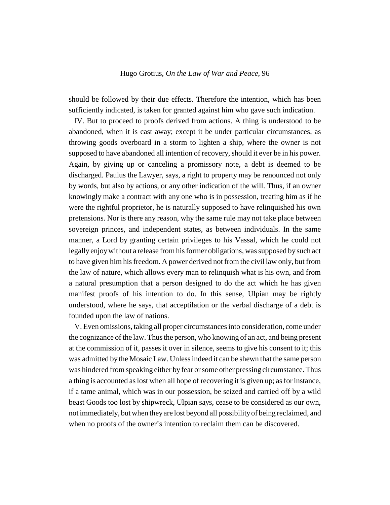should be followed by their due effects. Therefore the intention, which has been sufficiently indicated, is taken for granted against him who gave such indication.

IV. But to proceed to proofs derived from actions. A thing is understood to be abandoned, when it is cast away; except it be under particular circumstances, as throwing goods overboard in a storm to lighten a ship, where the owner is not supposed to have abandoned all intention of recovery, should it ever be in his power. Again, by giving up or canceling a promissory note, a debt is deemed to be discharged. Paulus the Lawyer, says, a right to property may be renounced not only by words, but also by actions, or any other indication of the will. Thus, if an owner knowingly make a contract with any one who is in possession, treating him as if he were the rightful proprietor, he is naturally supposed to have relinquished his own pretensions. Nor is there any reason, why the same rule may not take place between sovereign princes, and independent states, as between individuals. In the same manner, a Lord by granting certain privileges to his Vassal, which he could not legally enjoy without a release from his former obligations, was supposed by such act to have given him his freedom. A power derived not from the civil law only, but from the law of nature, which allows every man to relinquish what is his own, and from a natural presumption that a person designed to do the act which he has given manifest proofs of his intention to do. In this sense, Ulpian may be rightly understood, where he says, that acceptilation or the verbal discharge of a debt is founded upon the law of nations.

V. Even omissions, taking all proper circumstances into consideration, come under the cognizance of the law. Thus the person, who knowing of an act, and being present at the commission of it, passes it over in silence, seems to give his consent to it; this was admitted by the Mosaic Law. Unless indeed it can be shewn that the same person was hindered from speaking either by fear or some other pressing circumstance. Thus a thing is accounted as lost when all hope of recovering it is given up; as for instance, if a tame animal, which was in our possession, be seized and carried off by a wild beast Goods too lost by shipwreck, Ulpian says, cease to be considered as our own, not immediately, but when they are lost beyond all possibility of being reclaimed, and when no proofs of the owner's intention to reclaim them can be discovered.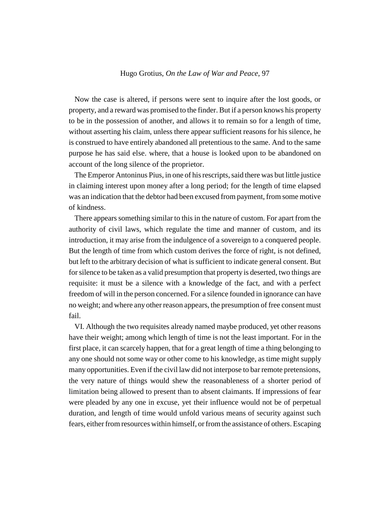Now the case is altered, if persons were sent to inquire after the lost goods, or property, and a reward was promised to the finder. But if a person knows his property to be in the possession of another, and allows it to remain so for a length of time, without asserting his claim, unless there appear sufficient reasons for his silence, he is construed to have entirely abandoned all pretentious to the same. And to the same purpose he has said else. where, that a house is looked upon to be abandoned on account of the long silence of the proprietor.

The Emperor Antoninus Pius, in one of his rescripts, said there was but little justice in claiming interest upon money after a long period; for the length of time elapsed was an indication that the debtor had been excused from payment, from some motive of kindness.

There appears something similar to this in the nature of custom. For apart from the authority of civil laws, which regulate the time and manner of custom, and its introduction, it may arise from the indulgence of a sovereign to a conquered people. But the length of time from which custom derives the force of right, is not defined, but left to the arbitrary decision of what is sufficient to indicate general consent. But for silence to be taken as a valid presumption that property is deserted, two things are requisite: it must be a silence with a knowledge of the fact, and with a perfect freedom of will in the person concerned. For a silence founded in ignorance can have no weight; and where any other reason appears, the presumption of free consent must fail.

VI. Although the two requisites already named maybe produced, yet other reasons have their weight; among which length of time is not the least important. For in the first place, it can scarcely happen, that for a great length of time a thing belonging to any one should not some way or other come to his knowledge, as time might supply many opportunities. Even if the civil law did not interpose to bar remote pretensions, the very nature of things would shew the reasonableness of a shorter period of limitation being allowed to present than to absent claimants. If impressions of fear were pleaded by any one in excuse, yet their influence would not be of perpetual duration, and length of time would unfold various means of security against such fears, either from resources within himself, or from the assistance of others. Escaping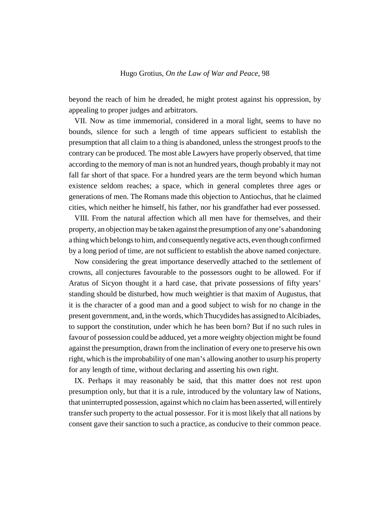beyond the reach of him he dreaded, he might protest against his oppression, by appealing to proper judges and arbitrators.

VII. Now as time immemorial, considered in a moral light, seems to have no bounds, silence for such a length of time appears sufficient to establish the presumption that all claim to a thing is abandoned, unless the strongest proofs to the contrary can be produced. The most able Lawyers have properly observed, that time according to the memory of man is not an hundred years, though probably it may not fall far short of that space. For a hundred years are the term beyond which human existence seldom reaches; a space, which in general completes three ages or generations of men. The Romans made this objection to Antiochus, that he claimed cities, which neither he himself, his father, nor his grandfather had ever possessed.

VIII. From the natural affection which all men have for themselves, and their property, an objection may be taken against the presumption of any one's abandoning a thing which belongs to him, and consequently negative acts, even though confirmed by a long period of time, are not sufficient to establish the above named conjecture.

Now considering the great importance deservedly attached to the settlement of crowns, all conjectures favourable to the possessors ought to be allowed. For if Aratus of Sicyon thought it a hard case, that private possessions of fifty years' standing should be disturbed, how much weightier is that maxim of Augustus, that it is the character of a good man and a good subject to wish for no change in the present government, and, in the words, which Thucydides has assigned to Alcibiades, to support the constitution, under which he has been born? But if no such rules in favour of possession could be adduced, yet a more weighty objection might be found against the presumption, drawn from the inclination of every one to preserve his own right, which is the improbability of one man's allowing another to usurp his property for any length of time, without declaring and asserting his own right.

IX. Perhaps it may reasonably be said, that this matter does not rest upon presumption only, but that it is a rule, introduced by the voluntary law of Nations, that uninterrupted possession, against which no claim has been asserted, will entirely transfer such property to the actual possessor. For it is most likely that all nations by consent gave their sanction to such a practice, as conducive to their common peace.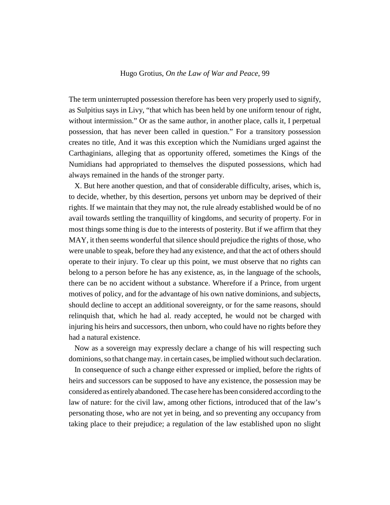The term uninterrupted possession therefore has been very properly used to signify, as Sulpitius says in Livy, "that which has been held by one uniform tenour of right, without intermission." Or as the same author, in another place, calls it, I perpetual possession, that has never been called in question." For a transitory possession creates no title, And it was this exception which the Numidians urged against the Carthaginians, alleging that as opportunity offered, sometimes the Kings of the Numidians had appropriated to themselves the disputed possessions, which had always remained in the hands of the stronger party.

X. But here another question, and that of considerable difficulty, arises, which is, to decide, whether, by this desertion, persons yet unborn may be deprived of their rights. If we maintain that they may not, the rule already established would be of no avail towards settling the tranquillity of kingdoms, and security of property. For in most things some thing is due to the interests of posterity. But if we affirm that they MAY, it then seems wonderful that silence should prejudice the rights of those, who were unable to speak, before they had any existence, and that the act of others should operate to their injury. To clear up this point, we must observe that no rights can belong to a person before he has any existence, as, in the language of the schools, there can be no accident without a substance. Wherefore if a Prince, from urgent motives of policy, and for the advantage of his own native dominions, and subjects, should decline to accept an additional sovereignty, or for the same reasons, should relinquish that, which he had al. ready accepted, he would not be charged with injuring his heirs and successors, then unborn, who could have no rights before they had a natural existence.

Now as a sovereign may expressly declare a change of his will respecting such dominions, so that change may. in certain cases, be implied without such declaration.

In consequence of such a change either expressed or implied, before the rights of heirs and successors can be supposed to have any existence, the possession may be considered as entirely abandoned. The case here has been considered according to the law of nature: for the civil law, among other fictions, introduced that of the law's personating those, who are not yet in being, and so preventing any occupancy from taking place to their prejudice; a regulation of the law established upon no slight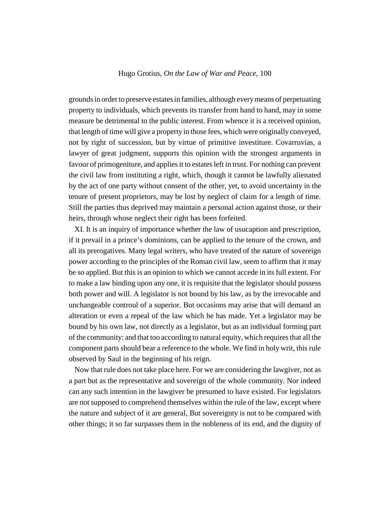grounds in order to preserve estates in families, although every means of perpetuating property to individuals, which prevents its transfer from hand to hand, may in some measure be detrimental to the public interest. From whence it is a received opinion, that length of time will give a property in those fees, which were originally conveyed, not by right of succession, but by virtue of primitive investiture. Covarruvias, a lawyer of great judgment, supports this opinion with the strongest arguments in favour of primogeniture, and applies it to estates left in trust. For nothing can prevent the civil law from instituting a right, which, though it cannot be lawfully alienated by the act of one party without consent of the other, yet, to avoid uncertainty in the tenure of present proprietors, may be lost by neglect of claim for a length of time. Still the parties thus deprived may maintain a personal action against those, or their heirs, through whose neglect their right has been forfeited.

XI. It is an inquiry of importance whether the law of usucaption and prescription, if it prevail in a prince's dominions, can be applied to the tenure of the crown, and all its prerogatives. Many legal writers, who have treated of the nature of sovereign power according to the principles of the Roman civil law, seem to affirm that it may be so applied. But this is an opinion to which we cannot accede in its full extent. For to make a law binding upon any one, it is requisite that the legislator should possess both power and will. A legislator is not bound by his law, as by the irrevocable and unchangeable controul of a superior. But occasions may arise that will demand an alteration or even a repeal of the law which he has made. Yet a legislator may be bound by his own law, not directly as a legislator, but as an individual forming part of the community: and that too according to natural equity, which requires that all the component parts should bear a reference to the whole. We find in holy writ, this rule observed by Saul in the beginning of his reign.

Now that rule does not take place here. For we are considering the lawgiver, not as a part but as the representative and sovereign of the whole community. Nor indeed can any such intention in the lawgiver be presumed to have existed. For legislators are not supposed to comprehend themselves within the rule of the law, except where the nature and subject of it are general, But sovereignty is not to be compared with other things; it so far surpasses them in the nobleness of its end, and the dignity of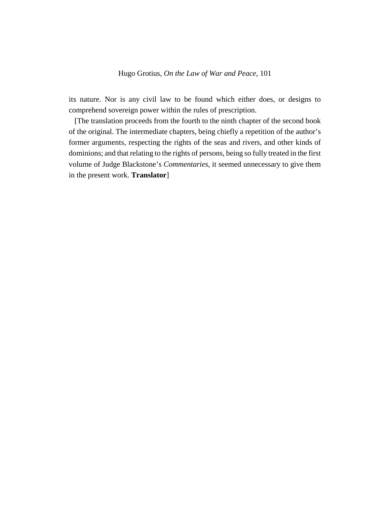its nature. Nor is any civil law to be found which either does, or designs to comprehend sovereign power within the rules of prescription.

[The translation proceeds from the fourth to the ninth chapter of the second book of the original. The intermediate chapters, being chiefly a repetition of the author's former arguments, respecting the rights of the seas and rivers, and other kinds of dominions; and that relating to the rights of persons, being so fully treated in the first volume of Judge Blackstone's *Commentaries*, it seemed unnecessary to give them in the present work. **Translator**]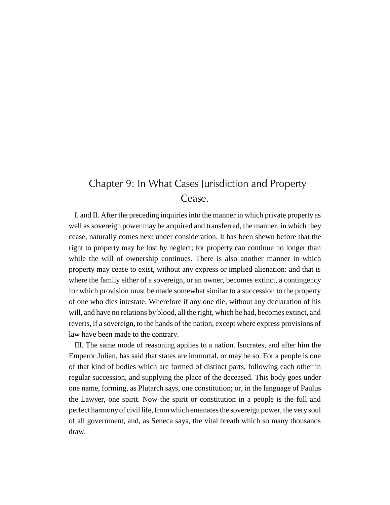# Chapter 9: In What Cases Jurisdiction and Property Cease.

I. and II. After the preceding inquiries into the manner in which private property as well as sovereign power may be acquired and transferred, the manner, in which they cease, naturally comes next under consideration. It has been shewn before that the right to property may be lost by neglect; for property can continue no longer than while the will of ownership continues. There is also another manner in which property may cease to exist, without any express or implied alienation: and that is where the family either of a sovereign, or an owner, becomes extinct, a contingency for which provision must be made somewhat similar to a succession to the property of one who dies intestate. Wherefore if any one die, without any declaration of his will, and have no relations by blood, all the right, which he had, becomes extinct, and reverts, if a sovereign, to the hands of the nation, except where express provisions of law have been made to the contrary.

III. The same mode of reasoning applies to a nation. Isocrates, and after him the Emperor Julian, has said that states are immortal, or may be so. For a people is one of that kind of bodies which are formed of distinct parts, following each other in regular succession, and supplying the place of the deceased. This body goes under one name, forming, as Plutarch says, one constitution; or, in the language of Paulus the Lawyer, one spirit. Now the spirit or constitution in a people is the full and perfect harmony of civil life, from which emanates the sovereign power, the very soul of all government, and, as Seneca says, the vital breath which so many thousands draw.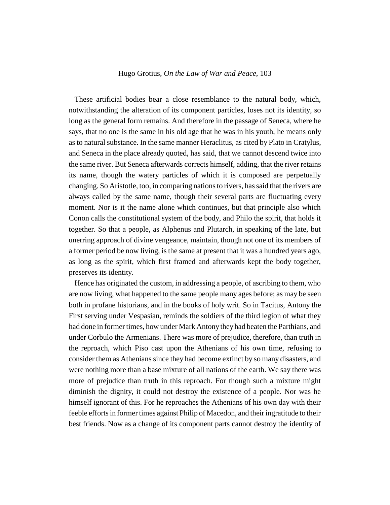These artificial bodies bear a close resemblance to the natural body, which, notwithstanding the alteration of its component particles, loses not its identity, so long as the general form remains. And therefore in the passage of Seneca, where he says, that no one is the same in his old age that he was in his youth, he means only as to natural substance. In the same manner Heraclitus, as cited by Plato in Cratylus, and Seneca in the place already quoted, has said, that we cannot descend twice into the same river. But Seneca afterwards corrects himself, adding, that the river retains its name, though the watery particles of which it is composed are perpetually changing. So Aristotle, too, in comparing nations to rivers, has said that the rivers are always called by the same name, though their several parts are fluctuating every moment. Nor is it the name alone which continues, but that principle also which Conon calls the constitutional system of the body, and Philo the spirit, that holds it together. So that a people, as Alphenus and Plutarch, in speaking of the late, but unerring approach of divine vengeance, maintain, though not one of its members of a former period be now living, is the same at present that it was a hundred years ago, as long as the spirit, which first framed and afterwards kept the body together, preserves its identity.

Hence has originated the custom, in addressing a people, of ascribing to them, who are now living, what happened to the same people many ages before; as may be seen both in profane historians, and in the books of holy writ. So in Tacitus, Antony the First serving under Vespasian, reminds the soldiers of the third legion of what they had done in former times, how under Mark Antony they had beaten the Parthians, and under Corbulo the Armenians. There was more of prejudice, therefore, than truth in the reproach, which Piso cast upon the Athenians of his own time, refusing to consider them as Athenians since they had become extinct by so many disasters, and were nothing more than a base mixture of all nations of the earth. We say there was more of prejudice than truth in this reproach. For though such a mixture might diminish the dignity, it could not destroy the existence of a people. Nor was he himself ignorant of this. For he reproaches the Athenians of his own day with their feeble efforts in former times against Philip of Macedon, and their ingratitude to their best friends. Now as a change of its component parts cannot destroy the identity of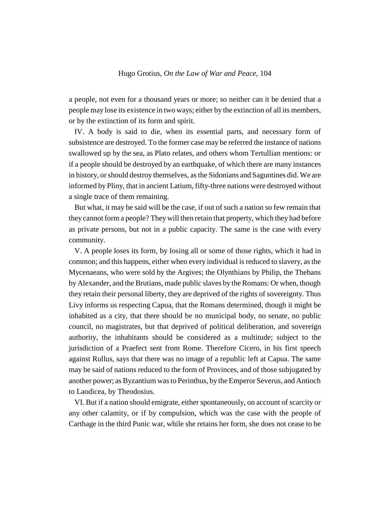a people, not even for a thousand years or more; so neither can it be denied that a people may lose its existence in two ways; either by the extinction of all its members, or by the extinction of its form and spirit.

IV. A body is said to die, when its essential parts, and necessary form of subsistence are destroyed. To the former case may be referred the instance of nations swallowed up by the sea, as Plato relates, and others whom Tertullian mentions: or if a people should be destroyed by an earthquake, of which there are many instances in history, or should destroy themselves, as the Sidonians and Saguntines did. We are informed by Pliny, that in ancient Latium, fifty-three nations were destroyed without a single trace of them remaining.

But what, it may be said will be the case, if out of such a nation so few remain that they cannot form a people? They will then retain that property, which they had before as private persons, but not in a public capacity. The same is the case with every community.

V. A people loses its form, by losing all or some of those rights, which it had in common; and this happens, either when every individual is reduced to slavery, as the Mycenaeans, who were sold by the Argives; the Olynthians by Philip, the Thebans by Alexander, and the Brutians, made public slaves by the Romans: Or when, though they retain their personal liberty, they are deprived of the rights of sovereignty. Thus Livy informs us respecting Capua, that the Romans determined, though it might be inhabited as a city, that there should be no municipal body, no senate, no public council, no magistrates, but that deprived of political deliberation, and sovereign authority, the inhabitants should be considered as a multitude; subject to the jurisdiction of a Praefect sent from Rome. Therefore Cicero, in his first speech against Rullus, says that there was no image of a republic left at Capua. The same may be said of nations reduced to the form of Provinces, and of those subjugated by another power; as Byzantium was to Perinthus, by the Emperor Severus, and Antioch to Laodicea, by Theodosius.

VI. But if a nation should emigrate, either spontaneously, on account of scarcity or any other calamity, or if by compulsion, which was the case with the people of Carthage in the third Punic war, while she retains her form, she does not cease to be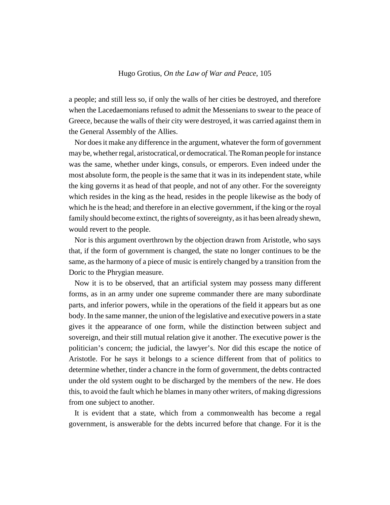a people; and still less so, if only the walls of her cities be destroyed, and therefore when the Lacedaemonians refused to admit the Messenians to swear to the peace of Greece, because the walls of their city were destroyed, it was carried against them in the General Assembly of the Allies.

Nor does it make any difference in the argument, whatever the form of government may be, whether regal, aristocratical, or democratical. The Roman people for instance was the same, whether under kings, consuls, or emperors. Even indeed under the most absolute form, the people is the same that it was in its independent state, while the king governs it as head of that people, and not of any other. For the sovereignty which resides in the king as the head, resides in the people likewise as the body of which he is the head; and therefore in an elective government, if the king or the royal family should become extinct, the rights of sovereignty, as it has been already shewn, would revert to the people.

Nor is this argument overthrown by the objection drawn from Aristotle, who says that, if the form of government is changed, the state no longer continues to be the same, as the harmony of a piece of music is entirely changed by a transition from the Doric to the Phrygian measure.

Now it is to be observed, that an artificial system may possess many different forms, as in an army under one supreme commander there are many subordinate parts, and inferior powers, while in the operations of the field it appears but as one body. In the same manner, the union of the legislative and executive powers in a state gives it the appearance of one form, while the distinction between subject and sovereign, and their still mutual relation give it another. The executive power is the politician's concern; the judicial, the lawyer's. Nor did this escape the notice of Aristotle. For he says it belongs to a science different from that of politics to determine whether, tinder a chancre in the form of government, the debts contracted under the old system ought to be discharged by the members of the new. He does this, to avoid the fault which he blames in many other writers, of making digressions from one subject to another.

It is evident that a state, which from a commonwealth has become a regal government, is answerable for the debts incurred before that change. For it is the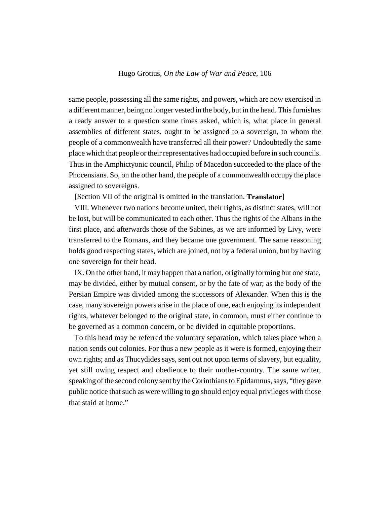same people, possessing all the same rights, and powers, which are now exercised in a different manner, being no longer vested in the body, but in the head. This furnishes a ready answer to a question some times asked, which is, what place in general assemblies of different states, ought to be assigned to a sovereign, to whom the people of a commonwealth have transferred all their power? Undoubtedly the same place which that people or their representatives had occupied before in such councils. Thus in the Amphictyonic council, Philip of Macedon succeeded to the place of the Phocensians. So, on the other hand, the people of a commonwealth occupy the place assigned to sovereigns.

[Section VII of the original is omitted in the translation. **Translator**]

VIII. Whenever two nations become united, their rights, as distinct states, will not be lost, but will be communicated to each other. Thus the rights of the Albans in the first place, and afterwards those of the Sabines, as we are informed by Livy, were transferred to the Romans, and they became one government. The same reasoning holds good respecting states, which are joined, not by a federal union, but by having one sovereign for their head.

IX. On the other hand, it may happen that a nation, originally forming but one state, may be divided, either by mutual consent, or by the fate of war; as the body of the Persian Empire was divided among the successors of Alexander. When this is the case, many sovereign powers arise in the place of one, each enjoying its independent rights, whatever belonged to the original state, in common, must either continue to be governed as a common concern, or be divided in equitable proportions.

To this head may be referred the voluntary separation, which takes place when a nation sends out colonies. For thus a new people as it were is formed, enjoying their own rights; and as Thucydides says, sent out not upon terms of slavery, but equality, yet still owing respect and obedience to their mother-country. The same writer, speaking of the second colony sent by the Corinthians to Epidamnus, says, "they gave public notice that such as were willing to go should enjoy equal privileges with those that staid at home."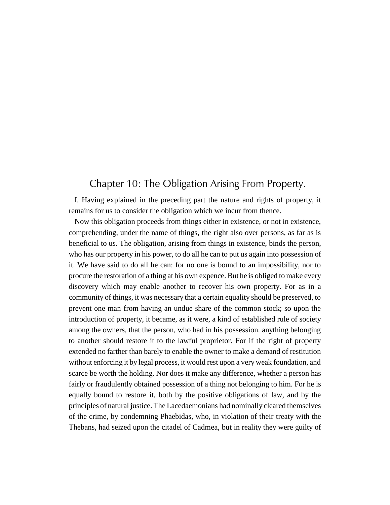### Chapter 10: The Obligation Arising From Property.

I. Having explained in the preceding part the nature and rights of property, it remains for us to consider the obligation which we incur from thence.

Now this obligation proceeds from things either in existence, or not in existence, comprehending, under the name of things, the right also over persons, as far as is beneficial to us. The obligation, arising from things in existence, binds the person, who has our property in his power, to do all he can to put us again into possession of it. We have said to do all he can: for no one is bound to an impossibility, nor to procure the restoration of a thing at his own expence. But he is obliged to make every discovery which may enable another to recover his own property. For as in a community of things, it was necessary that a certain equality should be preserved, to prevent one man from having an undue share of the common stock; so upon the introduction of property, it became, as it were, a kind of established rule of society among the owners, that the person, who had in his possession. anything belonging to another should restore it to the lawful proprietor. For if the right of property extended no farther than barely to enable the owner to make a demand of restitution without enforcing it by legal process, it would rest upon a very weak foundation, and scarce be worth the holding. Nor does it make any difference, whether a person has fairly or fraudulently obtained possession of a thing not belonging to him. For he is equally bound to restore it, both by the positive obligations of law, and by the principles of natural justice. The Lacedaemonians had nominally cleared themselves of the crime, by condemning Phaebidas, who, in violation of their treaty with the Thebans, had seized upon the citadel of Cadmea, but in reality they were guilty of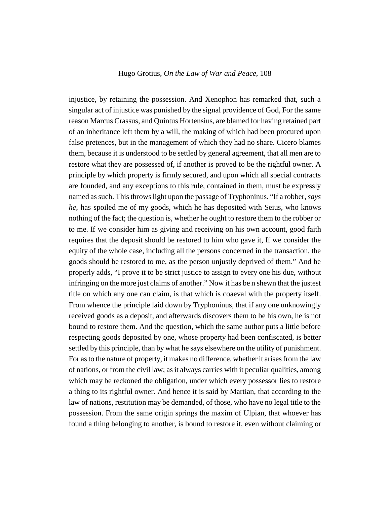injustice, by retaining the possession. And Xenophon has remarked that, such a singular act of injustice was punished by the signal providence of God, For the same reason Marcus Crassus, and Quintus Hortensius, are blamed for having retained part of an inheritance left them by a will, the making of which had been procured upon false pretences, but in the management of which they had no share. Cicero blames them, because it is understood to be settled by general agreement, that all men are to restore what they are possessed of, if another is proved to be the rightful owner. A principle by which property is firmly secured, and upon which all special contracts are founded, and any exceptions to this rule, contained in them, must be expressly named as such. This throws light upon the passage of Tryphoninus. "If a robber, *says he*, has spoiled me of my goods, which he has deposited with Seius, who knows nothing of the fact; the question is, whether he ought to restore them to the robber or to me. If we consider him as giving and receiving on his own account, good faith requires that the deposit should be restored to him who gave it, If we consider the equity of the whole case, including all the persons concerned in the transaction, the goods should be restored to me, as the person unjustly deprived of them." And he properly adds, "I prove it to be strict justice to assign to every one his due, without infringing on the more just claims of another." Now it has be n shewn that the justest title on which any one can claim, is that which is coaeval with the property itself. From whence the principle laid down by Tryphoninus, that if any one unknowingly received goods as a deposit, and afterwards discovers them to be his own, he is not bound to restore them. And the question, which the same author puts a little before respecting goods deposited by one, whose property had been confiscated, is better settled by this principle, than by what he says elsewhere on the utility of punishment. For as to the nature of property, it makes no difference, whether it arises from the law of nations, or from the civil law; as it always carries with it peculiar qualities, among which may be reckoned the obligation, under which every possessor lies to restore a thing to its rightful owner. And hence it is said by Martian, that according to the law of nations, restitution may be demanded, of those, who have no legal title to the possession. From the same origin springs the maxim of Ulpian, that whoever has found a thing belonging to another, is bound to restore it, even without claiming or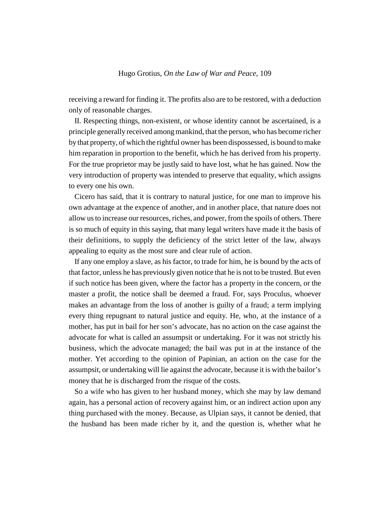receiving a reward for finding it. The profits also are to be restored, with a deduction only of reasonable charges.

II. Respecting things, non-existent, or whose identity cannot be ascertained, is a principle generally received among mankind, that the person, who has become richer by that property, of which the rightful owner has been dispossessed, is bound to make him reparation in proportion to the benefit, which he has derived from his property. For the true proprietor may be justly said to have lost, what he has gained. Now the very introduction of property was intended to preserve that equality, which assigns to every one his own.

Cicero has said, that it is contrary to natural justice, for one man to improve his own advantage at the expence of another, and in another place, that nature does not allow us to increase our resources, riches, and power, from the spoils of others. There is so much of equity in this saying, that many legal writers have made it the basis of their definitions, to supply the deficiency of the strict letter of the law, always appealing to equity as the most sure and clear rule of action.

If any one employ a slave, as his factor, to trade for him, he is bound by the acts of that factor, unless he has previously given notice that he is not to be trusted. But even if such notice has been given, where the factor has a property in the concern, or the master a profit, the notice shall be deemed a fraud. For, says Proculus, whoever makes an advantage from the loss of another is guilty of a fraud; a term implying every thing repugnant to natural justice and equity. He, who, at the instance of a mother, has put in bail for her son's advocate, has no action on the case against the advocate for what is called an assumpsit or undertaking. For it was not strictly his business, which the advocate managed; the bail was put in at the instance of the mother. Yet according to the opinion of Papinian, an action on the case for the assumpsit, or undertaking will lie against the advocate, because it is with the bailor's money that he is discharged from the risque of the costs.

So a wife who has given to her husband money, which she may by law demand again, has a personal action of recovery against him, or an indirect action upon any thing purchased with the money. Because, as Ulpian says, it cannot be denied, that the husband has been made richer by it, and the question is, whether what he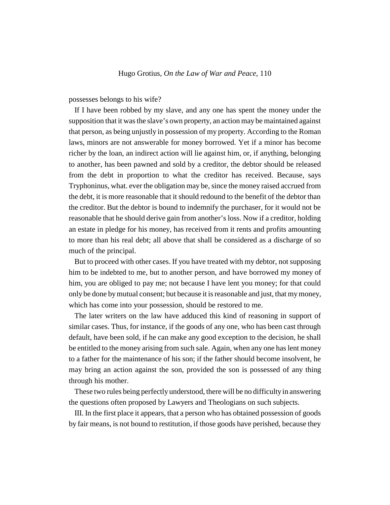possesses belongs to his wife?

If I have been robbed by my slave, and any one has spent the money under the supposition that it was the slave's own property, an action may be maintained against that person, as being unjustly in possession of my property. According to the Roman laws, minors are not answerable for money borrowed. Yet if a minor has become richer by the loan, an indirect action will lie against him, or, if anything, belonging to another, has been pawned and sold by a creditor, the debtor should be released from the debt in proportion to what the creditor has received. Because, says Tryphoninus, what. ever the obligation may be, since the money raised accrued from the debt, it is more reasonable that it should redound to the benefit of the debtor than the creditor. But the debtor is bound to indemnify the purchaser, for it would not be reasonable that he should derive gain from another's loss. Now if a creditor, holding an estate in pledge for his money, has received from it rents and profits amounting to more than his real debt; all above that shall be considered as a discharge of so much of the principal.

But to proceed with other cases. If you have treated with my debtor, not supposing him to be indebted to me, but to another person, and have borrowed my money of him, you are obliged to pay me; not because I have lent you money; for that could only be done by mutual consent; but because it is reasonable and just, that my money, which has come into your possession, should be restored to me.

The later writers on the law have adduced this kind of reasoning in support of similar cases. Thus, for instance, if the goods of any one, who has been cast through default, have been sold, if he can make any good exception to the decision, he shall be entitled to the money arising from such sale. Again, when any one has lent money to a father for the maintenance of his son; if the father should become insolvent, he may bring an action against the son, provided the son is possessed of any thing through his mother.

These two rules being perfectly understood, there will be no difficulty in answering the questions often proposed by Lawyers and Theologians on such subjects.

III. In the first place it appears, that a person who has obtained possession of goods by fair means, is not bound to restitution, if those goods have perished, because they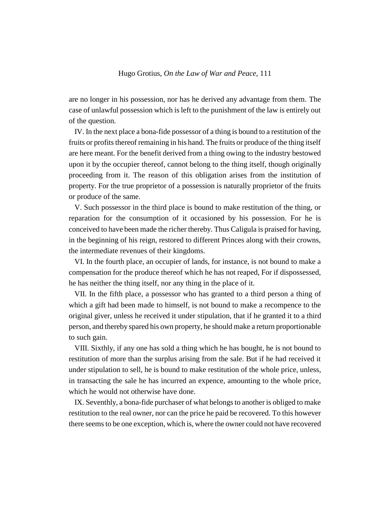are no longer in his possession, nor has he derived any advantage from them. The case of unlawful possession which is left to the punishment of the law is entirely out of the question.

IV. In the next place a bona-fide possessor of a thing is bound to a restitution of the fruits or profits thereof remaining in his hand. The fruits or produce of the thing itself are here meant. For the benefit derived from a thing owing to the industry bestowed upon it by the occupier thereof, cannot belong to the thing itself, though originally proceeding from it. The reason of this obligation arises from the institution of property. For the true proprietor of a possession is naturally proprietor of the fruits or produce of the same.

V. Such possessor in the third place is bound to make restitution of the thing, or reparation for the consumption of it occasioned by his possession. For he is conceived to have been made the richer thereby. Thus Caligula is praised for having, in the beginning of his reign, restored to different Princes along with their crowns, the intermediate revenues of their kingdoms.

VI. In the fourth place, an occupier of lands, for instance, is not bound to make a compensation for the produce thereof which he has not reaped, For if dispossessed, he has neither the thing itself, nor any thing in the place of it.

VII. In the fifth place, a possessor who has granted to a third person a thing of which a gift had been made to himself, is not bound to make a recompence to the original giver, unless he received it under stipulation, that if he granted it to a third person, and thereby spared his own property, he should make a return proportionable to such gain.

VIII. Sixthly, if any one has sold a thing which he has bought, he is not bound to restitution of more than the surplus arising from the sale. But if he had received it under stipulation to sell, he is bound to make restitution of the whole price, unless, in transacting the sale he has incurred an expence, amounting to the whole price, which he would not otherwise have done.

IX. Seventhly, a bona-fide purchaser of what belongs to another is obliged to make restitution to the real owner, nor can the price he paid be recovered. To this however there seems to be one exception, which is, where the owner could not have recovered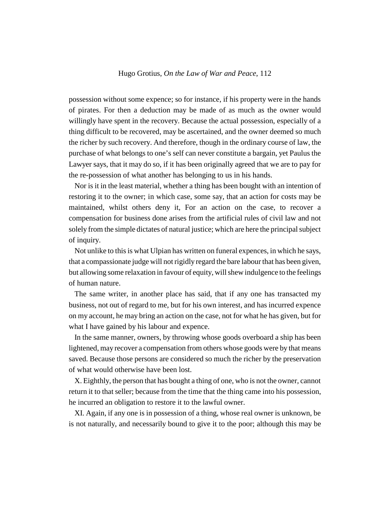possession without some expence; so for instance, if his property were in the hands of pirates. For then a deduction may be made of as much as the owner would willingly have spent in the recovery. Because the actual possession, especially of a thing difficult to be recovered, may be ascertained, and the owner deemed so much the richer by such recovery. And therefore, though in the ordinary course of law, the purchase of what belongs to one's self can never constitute a bargain, yet Paulus the Lawyer says, that it may do so, if it has been originally agreed that we are to pay for the re-possession of what another has belonging to us in his hands.

Nor is it in the least material, whether a thing has been bought with an intention of restoring it to the owner; in which case, some say, that an action for costs may be maintained, whilst others deny it, For an action on the case, to recover a compensation for business done arises from the artificial rules of civil law and not solely from the simple dictates of natural justice; which are here the principal subject of inquiry.

Not unlike to this is what Ulpian has written on funeral expences, in which he says, that a compassionate judge will not rigidly regard the bare labour that has been given, but allowing some relaxation in favour of equity, will shew indulgence to the feelings of human nature.

The same writer, in another place has said, that if any one has transacted my business, not out of regard to me, but for his own interest, and has incurred expence on my account, he may bring an action on the case, not for what he has given, but for what I have gained by his labour and expence.

In the same manner, owners, by throwing whose goods overboard a ship has been lightened, may recover a compensation from others whose goods were by that means saved. Because those persons are considered so much the richer by the preservation of what would otherwise have been lost.

X. Eighthly, the person that has bought a thing of one, who is not the owner, cannot return it to that seller; because from the time that the thing came into his possession, he incurred an obligation to restore it to the lawful owner.

XI. Again, if any one is in possession of a thing, whose real owner is unknown, be is not naturally, and necessarily bound to give it to the poor; although this may be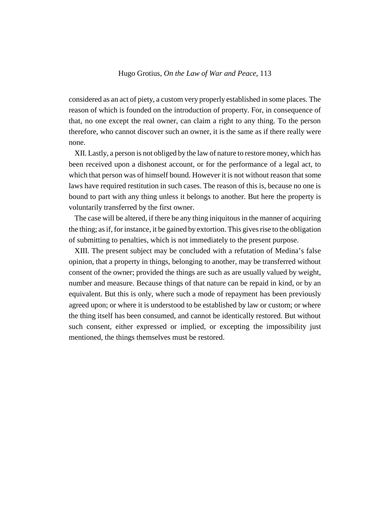considered as an act of piety, a custom very properly established in some places. The reason of which is founded on the introduction of property. For, in consequence of that, no one except the real owner, can claim a right to any thing. To the person therefore, who cannot discover such an owner, it is the same as if there really were none.

XII. Lastly, a person is not obliged by the law of nature to restore money, which has been received upon a dishonest account, or for the performance of a legal act, to which that person was of himself bound. However it is not without reason that some laws have required restitution in such cases. The reason of this is, because no one is bound to part with any thing unless it belongs to another. But here the property is voluntarily transferred by the first owner.

The case will be altered, if there be any thing iniquitous in the manner of acquiring the thing; as if, for instance, it be gained by extortion. This gives rise to the obligation of submitting to penalties, which is not immediately to the present purpose.

XIII. The present subject may be concluded with a refutation of Medina's false opinion, that a property in things, belonging to another, may be transferred without consent of the owner; provided the things are such as are usually valued by weight, number and measure. Because things of that nature can be repaid in kind, or by an equivalent. But this is only, where such a mode of repayment has been previously agreed upon; or where it is understood to be established by law or custom; or where the thing itself has been consumed, and cannot be identically restored. But without such consent, either expressed or implied, or excepting the impossibility just mentioned, the things themselves must be restored.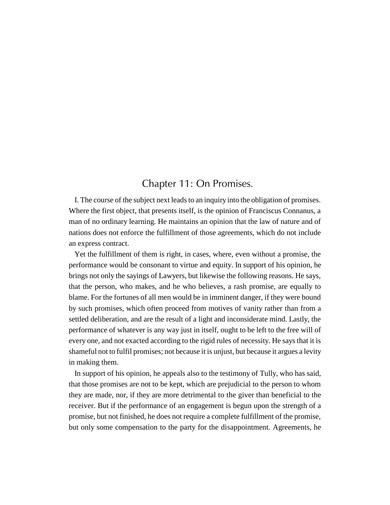## Chapter 11: On Promises.

I. The course of the subject next leads to an inquiry into the obligation of promises. Where the first object, that presents itself, is the opinion of Franciscus Connanus, a man of no ordinary learning. He maintains an opinion that the law of nature and of nations does not enforce the fulfillment of those agreements, which do not include an express contract.

Yet the fulfillment of them is right, in cases, where, even without a promise, the performance would be consonant to virtue and equity. In support of his opinion, he brings not only the sayings of Lawyers, but likewise the following reasons. He says, that the person, who makes, and he who believes, a rash promise, are equally to blame. For the fortunes of all men would be in imminent danger, if they were bound by such promises, which often proceed from motives of vanity rather than from a settled deliberation, and are the result of a light and inconsiderate mind. Lastly, the performance of whatever is any way just in itself, ought to be left to the free will of every one, and not exacted according to the rigid rules of necessity. He says that it is shameful not to fulfil promises; not because it is unjust, but because it argues a levity in making them.

In support of his opinion, he appeals also to the testimony of Tully, who has said, that those promises are not to be kept, which are prejudicial to the person to whom they are made, nor, if they are more detrimental to the giver than beneficial to the receiver. But if the performance of an engagement is begun upon the strength of a promise, but not finished, he does not require a complete fulfillment of the promise, but only some compensation to the party for the disappointment. Agreements, he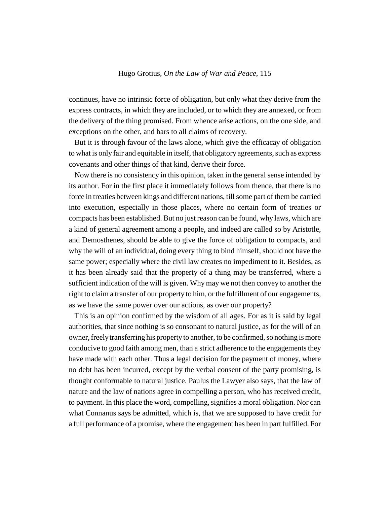continues, have no intrinsic force of obligation, but only what they derive from the express contracts, in which they are included, or to which they are annexed, or from the delivery of the thing promised. From whence arise actions, on the one side, and exceptions on the other, and bars to all claims of recovery.

But it is through favour of the laws alone, which give the efficacay of obligation to what is only fair and equitable in itself, that obligatory agreements, such as express covenants and other things of that kind, derive their force.

Now there is no consistency in this opinion, taken in the general sense intended by its author. For in the first place it immediately follows from thence, that there is no force in treaties between kings and different nations, till some part of them be carried into execution, especially in those places, where no certain form of treaties or compacts has been established. But no just reason can be found, why laws, which are a kind of general agreement among a people, and indeed are called so by Aristotle, and Demosthenes, should be able to give the force of obligation to compacts, and why the will of an individual, doing every thing to bind himself, should not have the same power; especially where the civil law creates no impediment to it. Besides, as it has been already said that the property of a thing may be transferred, where a sufficient indication of the will is given. Why may we not then convey to another the right to claim a transfer of our property to him, or the fulfillment of our engagements, as we have the same power over our actions, as over our property?

This is an opinion confirmed by the wisdom of all ages. For as it is said by legal authorities, that since nothing is so consonant to natural justice, as for the will of an owner, freely transferring his property to another, to be confirmed, so nothing is more conducive to good faith among men, than a strict adherence to the engagements they have made with each other. Thus a legal decision for the payment of money, where no debt has been incurred, except by the verbal consent of the party promising, is thought conformable to natural justice. Paulus the Lawyer also says, that the law of nature and the law of nations agree in compelling a person, who has received credit, to payment. In this place the word, compelling, signifies a moral obligation. Nor can what Connanus says be admitted, which is, that we are supposed to have credit for a full performance of a promise, where the engagement has been in part fulfilled. For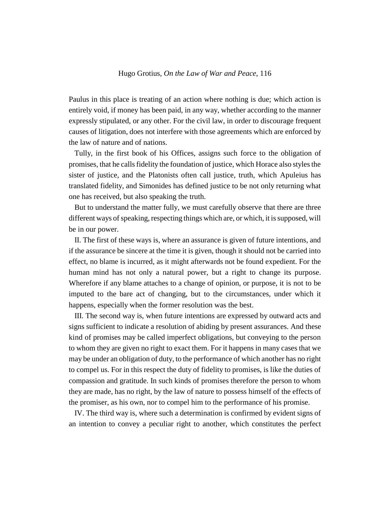Paulus in this place is treating of an action where nothing is due; which action is entirely void, if money has been paid, in any way, whether according to the manner expressly stipulated, or any other. For the civil law, in order to discourage frequent causes of litigation, does not interfere with those agreements which are enforced by the law of nature and of nations.

Tully, in the first book of his Offices, assigns such force to the obligation of promises, that he calls fidelity the foundation of justice, which Horace also styles the sister of justice, and the Platonists often call justice, truth, which Apuleius has translated fidelity, and Simonides has defined justice to be not only returning what one has received, but also speaking the truth.

But to understand the matter fully, we must carefully observe that there are three different ways of speaking, respecting things which are, or which, it is supposed, will be in our power.

II. The first of these ways is, where an assurance is given of future intentions, and if the assurance be sincere at the time it is given, though it should not be carried into effect, no blame is incurred, as it might afterwards not be found expedient. For the human mind has not only a natural power, but a right to change its purpose. Wherefore if any blame attaches to a change of opinion, or purpose, it is not to be imputed to the bare act of changing, but to the circumstances, under which it happens, especially when the former resolution was the best.

III. The second way is, when future intentions are expressed by outward acts and signs sufficient to indicate a resolution of abiding by present assurances. And these kind of promises may be called imperfect obligations, but conveying to the person to whom they are given no right to exact them. For it happens in many cases that we may be under an obligation of duty, to the performance of which another has no right to compel us. For in this respect the duty of fidelity to promises, is like the duties of compassion and gratitude. In such kinds of promises therefore the person to whom they are made, has no right, by the law of nature to possess himself of the effects of the promiser, as his own, nor to compel him to the performance of his promise.

IV. The third way is, where such a determination is confirmed by evident signs of an intention to convey a peculiar right to another, which constitutes the perfect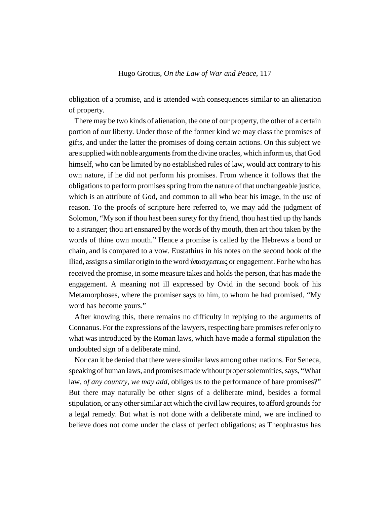obligation of a promise, and is attended with consequences similar to an alienation of property.

There may be two kinds of alienation, the one of our property, the other of a certain portion of our liberty. Under those of the former kind we may class the promises of gifts, and under the latter the promises of doing certain actions. On this subject we are supplied with noble arguments from the divine oracles, which inform us, that God himself, who can be limited by no established rules of law, would act contrary to his own nature, if he did not perform his promises. From whence it follows that the obligations to perform promises spring from the nature of that unchangeable justice, which is an attribute of God, and common to all who bear his image, in the use of reason. To the proofs of scripture here referred to, we may add the judgment of Solomon, "My son if thou hast been surety for thy friend, thou hast tied up thy hands to a stranger; thou art ensnared by the words of thy mouth, then art thou taken by the words of thine own mouth." Hence a promise is called by the Hebrews a bond or chain, and is compared to a vow. Eustathius in his notes on the second book of the Iliad, assigns a similar origin to the word ύποσχεσεως or engagement. For he who has received the promise, in some measure takes and holds the person, that has made the engagement. A meaning not ill expressed by Ovid in the second book of his Metamorphoses, where the promiser says to him, to whom he had promised, "My word has become yours."

After knowing this, there remains no difficulty in replying to the arguments of Connanus. For the expressions of the lawyers, respecting bare promises refer only to what was introduced by the Roman laws, which have made a formal stipulation the undoubted sign of a deliberate mind.

Nor can it be denied that there were similar laws among other nations. For Seneca, speaking of human laws, and promises made without proper solemnities, says, "What law, *of any country, we may add*, obliges us to the performance of bare promises?" But there may naturally be other signs of a deliberate mind, besides a formal stipulation, or any other similar act which the civil law requires, to afford grounds for a legal remedy. But what is not done with a deliberate mind, we are inclined to believe does not come under the class of perfect obligations; as Theophrastus has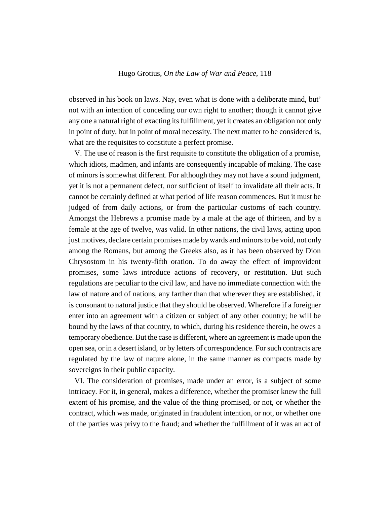observed in his book on laws. Nay, even what is done with a deliberate mind, but' not with an intention of conceding our own right to another; though it cannot give any one a natural right of exacting its fulfillment, yet it creates an obligation not only in point of duty, but in point of moral necessity. The next matter to be considered is, what are the requisites to constitute a perfect promise.

V. The use of reason is the first requisite to constitute the obligation of a promise, which idiots, madmen, and infants are consequently incapable of making. The case of minors is somewhat different. For although they may not have a sound judgment, yet it is not a permanent defect, nor sufficient of itself to invalidate all their acts. It cannot be certainly defined at what period of life reason commences. But it must be judged of from daily actions, or from the particular customs of each country. Amongst the Hebrews a promise made by a male at the age of thirteen, and by a female at the age of twelve, was valid. In other nations, the civil laws, acting upon just motives, declare certain promises made by wards and minors to be void, not only among the Romans, but among the Greeks also, as it has been observed by Dion Chrysostom in his twenty-fifth oration. To do away the effect of improvident promises, some laws introduce actions of recovery, or restitution. But such regulations are peculiar to the civil law, and have no immediate connection with the law of nature and of nations, any farther than that wherever they are established, it is consonant to natural justice that they should be observed. Wherefore if a foreigner enter into an agreement with a citizen or subject of any other country; he will be bound by the laws of that country, to which, during his residence therein, he owes a temporary obedience. But the case is different, where an agreement is made upon the open sea, or in a desert island, or by letters of correspondence. For such contracts are regulated by the law of nature alone, in the same manner as compacts made by sovereigns in their public capacity.

VI. The consideration of promises, made under an error, is a subject of some intricacy. For it, in general, makes a difference, whether the promiser knew the full extent of his promise, and the value of the thing promised, or not, or whether the contract, which was made, originated in fraudulent intention, or not, or whether one of the parties was privy to the fraud; and whether the fulfillment of it was an act of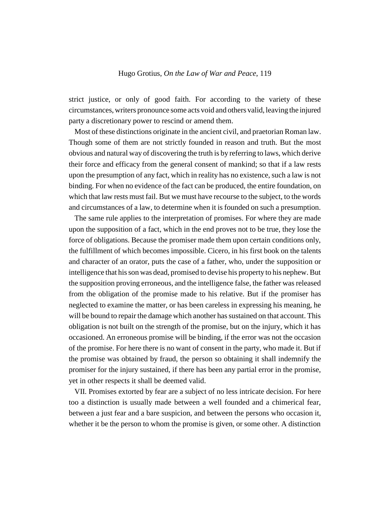strict justice, or only of good faith. For according to the variety of these circumstances, writers pronounce some acts void and others valid, leaving the injured party a discretionary power to rescind or amend them.

Most of these distinctions originate in the ancient civil, and praetorian Roman law. Though some of them are not strictly founded in reason and truth. But the most obvious and natural way of discovering the truth is by referring to laws, which derive their force and efficacy from the general consent of mankind; so that if a law rests upon the presumption of any fact, which in reality has no existence, such a law is not binding. For when no evidence of the fact can be produced, the entire foundation, on which that law rests must fail. But we must have recourse to the subject, to the words and circumstances of a law, to determine when it is founded on such a presumption.

The same rule applies to the interpretation of promises. For where they are made upon the supposition of a fact, which in the end proves not to be true, they lose the force of obligations. Because the promiser made them upon certain conditions only, the fulfillment of which becomes impossible. Cicero, in his first book on the talents and character of an orator, puts the case of a father, who, under the supposition or intelligence that his son was dead, promised to devise his property to his nephew. But the supposition proving erroneous, and the intelligence false, the father was released from the obligation of the promise made to his relative. But if the promiser has neglected to examine the matter, or has been careless in expressing his meaning, he will be bound to repair the damage which another has sustained on that account. This obligation is not built on the strength of the promise, but on the injury, which it has occasioned. An erroneous promise will be binding, if the error was not the occasion of the promise. For here there is no want of consent in the party, who made it. But if the promise was obtained by fraud, the person so obtaining it shall indemnify the promiser for the injury sustained, if there has been any partial error in the promise, yet in other respects it shall be deemed valid.

VII. Promises extorted by fear are a subject of no less intricate decision. For here too a distinction is usually made between a well founded and a chimerical fear, between a just fear and a bare suspicion, and between the persons who occasion it, whether it be the person to whom the promise is given, or some other. A distinction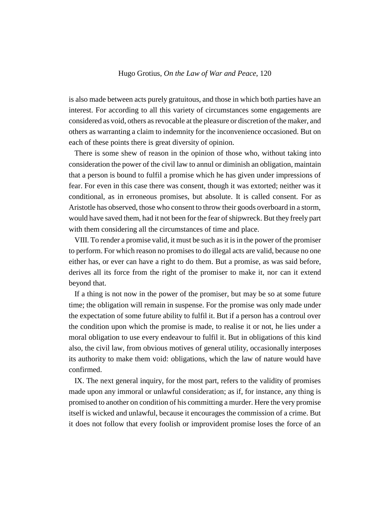is also made between acts purely gratuitous, and those in which both parties have an interest. For according to all this variety of circumstances some engagements are considered as void, others as revocable at the pleasure or discretion of the maker, and others as warranting a claim to indemnity for the inconvenience occasioned. But on each of these points there is great diversity of opinion.

There is some shew of reason in the opinion of those who, without taking into consideration the power of the civil law to annul or diminish an obligation, maintain that a person is bound to fulfil a promise which he has given under impressions of fear. For even in this case there was consent, though it was extorted; neither was it conditional, as in erroneous promises, but absolute. It is called consent. For as Aristotle has observed, those who consent to throw their goods overboard in a storm, would have saved them, had it not been for the fear of shipwreck. But they freely part with them considering all the circumstances of time and place.

VIII. To render a promise valid, it must be such as it is in the power of the promiser to perform. For which reason no promises to do illegal acts are valid, because no one either has, or ever can have a right to do them. But a promise, as was said before, derives all its force from the right of the promiser to make it, nor can it extend beyond that.

If a thing is not now in the power of the promiser, but may be so at some future time; the obligation will remain in suspense. For the promise was only made under the expectation of some future ability to fulfil it. But if a person has a controul over the condition upon which the promise is made, to realise it or not, he lies under a moral obligation to use every endeavour to fulfil it. But in obligations of this kind also, the civil law, from obvious motives of general utility, occasionally interposes its authority to make them void: obligations, which the law of nature would have confirmed.

IX. The next general inquiry, for the most part, refers to the validity of promises made upon any immoral or unlawful consideration; as if, for instance, any thing is promised to another on condition of his committing a murder. Here the very promise itself is wicked and unlawful, because it encourages the commission of a crime. But it does not follow that every foolish or improvident promise loses the force of an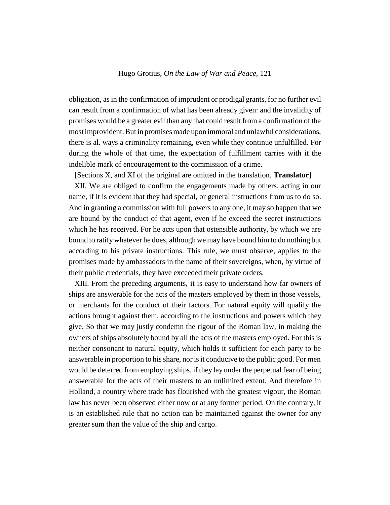obligation, as in the confirmation of imprudent or prodigal grants, for no further evil can result from a confirmation of what has been already given: and the invalidity of promises would be a greater evil than any that could result from a confirmation of the most improvident. But in promises made upon immoral and unlawful considerations, there is al. ways a criminality remaining, even while they continue unfulfilled. For during the whole of that time, the expectation of fulfillment carries with it the indelible mark of encouragement to the commission of a crime.

[Sections X, and XI of the original are omitted in the translation. **Translator**] XII. We are obliged to confirm the engagements made by others, acting in our name, if it is evident that they had special, or general instructions from us to do so. And in granting a commission with full powers to any one, it may so happen that we are bound by the conduct of that agent, even if he exceed the secret instructions which he has received. For he acts upon that ostensible authority, by which we are bound to ratify whatever he does, although we may have bound him to do nothing but according to his private instructions. This rule, we must observe, applies to the promises made by ambassadors in the name of their sovereigns, when, by virtue of their public credentials, they have exceeded their private orders.

XIII. From the preceding arguments, it is easy to understand how far owners of ships are answerable for the acts of the masters employed by them in those vessels, or merchants for the conduct of their factors. For natural equity will qualify the actions brought against them, according to the instructions and powers which they give. So that we may justly condemn the rigour of the Roman law, in making the owners of ships absolutely bound by all the acts of the masters employed. For this is neither consonant to natural equity, which holds it sufficient for each party to be answerable in proportion to his share, nor is it conducive to the public good. For men would be deterred from employing ships, if they lay under the perpetual fear of being answerable for the acts of their masters to an unlimited extent. And therefore in Holland, a country where trade has flourished with the greatest vigour, the Roman law has never been observed either now or at any former period. On the contrary, it is an established rule that no action can be maintained against the owner for any greater sum than the value of the ship and cargo.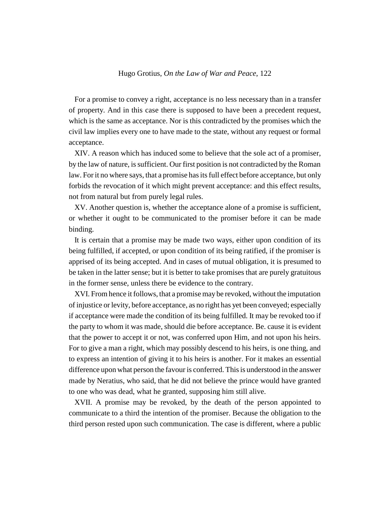For a promise to convey a right, acceptance is no less necessary than in a transfer of property. And in this case there is supposed to have been a precedent request, which is the same as acceptance. Nor is this contradicted by the promises which the civil law implies every one to have made to the state, without any request or formal acceptance.

XIV. A reason which has induced some to believe that the sole act of a promiser, by the law of nature, is sufficient. Our first position is not contradicted by the Roman law. For it no where says, that a promise has its full effect before acceptance, but only forbids the revocation of it which might prevent acceptance: and this effect results, not from natural but from purely legal rules.

XV. Another question is, whether the acceptance alone of a promise is sufficient, or whether it ought to be communicated to the promiser before it can be made binding.

It is certain that a promise may be made two ways, either upon condition of its being fulfilled, if accepted, or upon condition of its being ratified, if the promiser is apprised of its being accepted. And in cases of mutual obligation, it is presumed to be taken in the latter sense; but it is better to take promises that are purely gratuitous in the former sense, unless there be evidence to the contrary.

XVI. From hence it follows, that a promise may be revoked, without the imputation of injustice or levity, before acceptance, as no right has yet been conveyed; especially if acceptance were made the condition of its being fulfilled. It may be revoked too if the party to whom it was made, should die before acceptance. Be. cause it is evident that the power to accept it or not, was conferred upon Him, and not upon his heirs. For to give a man a right, which may possibly descend to his heirs, is one thing, and to express an intention of giving it to his heirs is another. For it makes an essential difference upon what person the favour is conferred. This is understood in the answer made by Neratius, who said, that he did not believe the prince would have granted to one who was dead, what he granted, supposing him still alive.

XVII. A promise may be revoked, by the death of the person appointed to communicate to a third the intention of the promiser. Because the obligation to the third person rested upon such communication. The case is different, where a public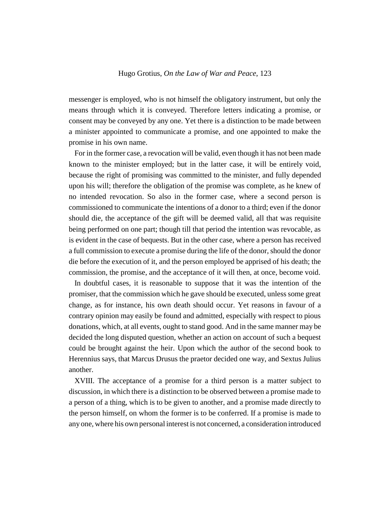messenger is employed, who is not himself the obligatory instrument, but only the means through which it is conveyed. Therefore letters indicating a promise, or consent may be conveyed by any one. Yet there is a distinction to be made between a minister appointed to communicate a promise, and one appointed to make the promise in his own name.

For in the former case, a revocation will be valid, even though it has not been made known to the minister employed; but in the latter case, it will be entirely void, because the right of promising was committed to the minister, and fully depended upon his will; therefore the obligation of the promise was complete, as he knew of no intended revocation. So also in the former case, where a second person is commissioned to communicate the intentions of a donor to a third; even if the donor should die, the acceptance of the gift will be deemed valid, all that was requisite being performed on one part; though till that period the intention was revocable, as is evident in the case of bequests. But in the other case, where a person has received a full commission to execute a promise during the life of the donor, should the donor die before the execution of it, and the person employed be apprised of his death; the commission, the promise, and the acceptance of it will then, at once, become void.

In doubtful cases, it is reasonable to suppose that it was the intention of the promiser, that the commission which he gave should be executed, unless some great change, as for instance, his own death should occur. Yet reasons in favour of a contrary opinion may easily be found and admitted, especially with respect to pious donations, which, at all events, ought to stand good. And in the same manner may be decided the long disputed question, whether an action on account of such a bequest could be brought against the heir. Upon which the author of the second book to Herennius says, that Marcus Drusus the praetor decided one way, and Sextus Julius another.

XVIII. The acceptance of a promise for a third person is a matter subject to discussion, in which there is a distinction to be observed between a promise made to a person of a thing, which is to be given to another, and a promise made directly to the person himself, on whom the former is to be conferred. If a promise is made to any one, where his own personal interest is not concerned, a consideration introduced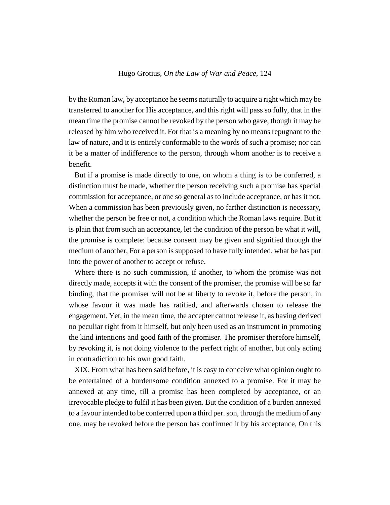by the Roman law, by acceptance he seems naturally to acquire a right which may be transferred to another for His acceptance, and this right will pass so fully, that in the mean time the promise cannot be revoked by the person who gave, though it may be released by him who received it. For that is a meaning by no means repugnant to the law of nature, and it is entirely conformable to the words of such a promise; nor can it be a matter of indifference to the person, through whom another is to receive a benefit.

But if a promise is made directly to one, on whom a thing is to be conferred, a distinction must be made, whether the person receiving such a promise has special commission for acceptance, or one so general as to include acceptance, or has it not. When a commission has been previously given, no farther distinction is necessary, whether the person be free or not, a condition which the Roman laws require. But it is plain that from such an acceptance, let the condition of the person be what it will, the promise is complete: because consent may be given and signified through the medium of another, For a person is supposed to have fully intended, what be has put into the power of another to accept or refuse.

Where there is no such commission, if another, to whom the promise was not directly made, accepts it with the consent of the promiser, the promise will be so far binding, that the promiser will not be at liberty to revoke it, before the person, in whose favour it was made has ratified, and afterwards chosen to release the engagement. Yet, in the mean time, the accepter cannot release it, as having derived no peculiar right from it himself, but only been used as an instrument in promoting the kind intentions and good faith of the promiser. The promiser therefore himself, by revoking it, is not doing violence to the perfect right of another, but only acting in contradiction to his own good faith.

XIX. From what has been said before, it is easy to conceive what opinion ought to be entertained of a burdensome condition annexed to a promise. For it may be annexed at any time, till a promise has been completed by acceptance, or an irrevocable pledge to fulfil it has been given. But the condition of a burden annexed to a favour intended to be conferred upon a third per. son, through the medium of any one, may be revoked before the person has confirmed it by his acceptance, On this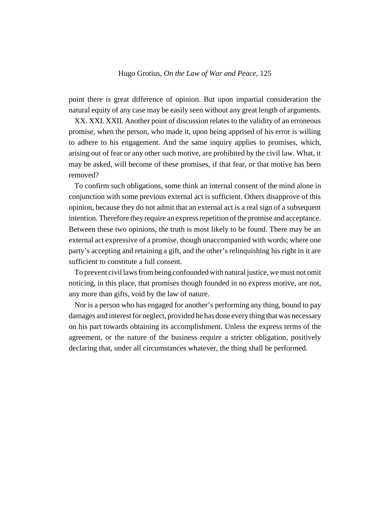point there is great difference of opinion. But upon impartial consideration the natural equity of any case may be easily seen without any great length of arguments.

XX. XXI. XXII. Another point of discussion relates to the validity of an erroneous promise, when the person, who made it, upon being apprised of his error is willing to adhere to his engagement. And the same inquiry applies to promises, which, arising out of fear or any other such motive, are prohibited by the civil law. What, it may be asked, will become of these promises, if that fear, or that motive has been removed?

To confirm such obligations, some think an internal consent of the mind alone in conjunction with some previous external act is sufficient. Others disapprove of this opinion, because they do not admit that an external act is a real sign of a subsequent intention. Therefore they require an express repetition of the promise and acceptance. Between these two opinions, the truth is most likely to be found. There may be an external act expressive of a promise, though unaccompanied with words; where one party's accepting and retaining a gift, and the other's relinquishing his right in it are sufficient to constitute a full consent.

To prevent civil laws from being confounded with natural justice, we must not omit noticing, in this place, that promises though founded in no express motive, are not, any more than gifts, void by the law of nature.

Nor is a person who has engaged for another's performing any thing, bound to pay damages and interest for neglect, provided he has done every thing that was necessary on his part towards obtaining its accomplishment. Unless the express terms of the agreement, or the nature of the business require a stricter obligation, positively declaring that, under all circumstances whatever, the thing shall be performed.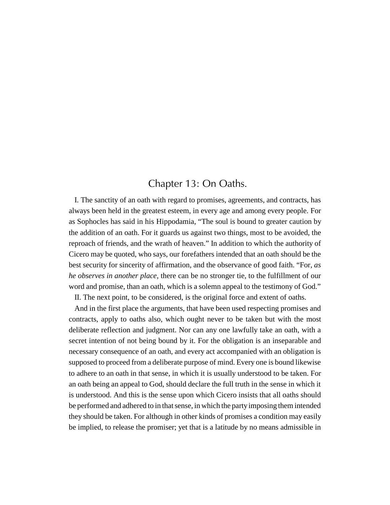# Chapter 13: On Oaths.

I. The sanctity of an oath with regard to promises, agreements, and contracts, has always been held in the greatest esteem, in every age and among every people. For as Sophocles has said in his Hippodamia, "The soul is bound to greater caution by the addition of an oath. For it guards us against two things, most to be avoided, the reproach of friends, and the wrath of heaven." In addition to which the authority of Cicero may be quoted, who says, our forefathers intended that an oath should be the best security for sincerity of affirmation, and the observance of good faith. "For, *as he observes in another place*, there can be no stronger tie, to the fulfillment of our word and promise, than an oath, which is a solemn appeal to the testimony of God."

II. The next point, to be considered, is the original force and extent of oaths.

And in the first place the arguments, that have been used respecting promises and contracts, apply to oaths also, which ought never to be taken but with the most deliberate reflection and judgment. Nor can any one lawfully take an oath, with a secret intention of not being bound by it. For the obligation is an inseparable and necessary consequence of an oath, and every act accompanied with an obligation is supposed to proceed from a deliberate purpose of mind. Every one is bound likewise to adhere to an oath in that sense, in which it is usually understood to be taken. For an oath being an appeal to God, should declare the full truth in the sense in which it is understood. And this is the sense upon which Cicero insists that all oaths should be performed and adhered to in that sense, in which the party imposing them intended they should be taken. For although in other kinds of promises a condition may easily be implied, to release the promiser; yet that is a latitude by no means admissible in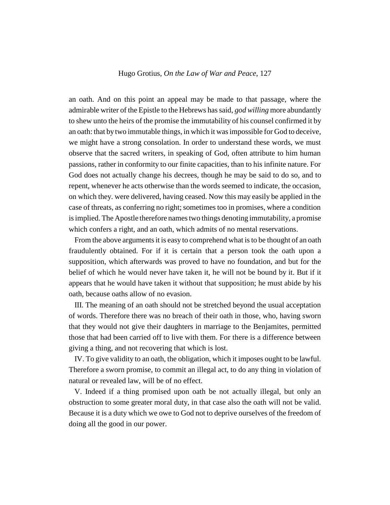an oath. And on this point an appeal may be made to that passage, where the admirable writer of the Epistle to the Hebrews has said, *god willing* more abundantly to shew unto the heirs of the promise the immutability of his counsel confirmed it by an oath: that by two immutable things, in which it was impossible for God to deceive, we might have a strong consolation. In order to understand these words, we must observe that the sacred writers, in speaking of God, often attribute to him human passions, rather in conformity to our finite capacities, than to his infinite nature. For God does not actually change his decrees, though he may be said to do so, and to repent, whenever he acts otherwise than the words seemed to indicate, the occasion, on which they. were delivered, having ceased. Now this may easily be applied in the case of threats, as conferring no right; sometimes too in promises, where a condition is implied. The Apostle therefore names two things denoting immutability, a promise which confers a right, and an oath, which admits of no mental reservations.

From the above arguments it is easy to comprehend what is to be thought of an oath fraudulently obtained. For if it is certain that a person took the oath upon a supposition, which afterwards was proved to have no foundation, and but for the belief of which he would never have taken it, he will not be bound by it. But if it appears that he would have taken it without that supposition; he must abide by his oath, because oaths allow of no evasion.

III. The meaning of an oath should not be stretched beyond the usual acceptation of words. Therefore there was no breach of their oath in those, who, having sworn that they would not give their daughters in marriage to the Benjamites, permitted those that had been carried off to live with them. For there is a difference between giving a thing, and not recovering that which is lost.

IV. To give validity to an oath, the obligation, which it imposes ought to be lawful. Therefore a sworn promise, to commit an illegal act, to do any thing in violation of natural or revealed law, will be of no effect.

V. Indeed if a thing promised upon oath be not actually illegal, but only an obstruction to some greater moral duty, in that case also the oath will not be valid. Because it is a duty which we owe to God not to deprive ourselves of the freedom of doing all the good in our power.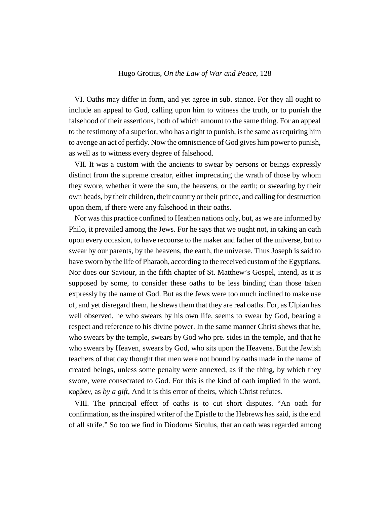VI. Oaths may differ in form, and yet agree in sub. stance. For they all ought to include an appeal to God, calling upon him to witness the truth, or to punish the falsehood of their assertions, both of which amount to the same thing. For an appeal to the testimony of a superior, who has a right to punish, is the same as requiring him to avenge an act of perfidy. Now the omniscience of God gives him power to punish, as well as to witness every degree of falsehood.

VII. It was a custom with the ancients to swear by persons or beings expressly distinct from the supreme creator, either imprecating the wrath of those by whom they swore, whether it were the sun, the heavens, or the earth; or swearing by their own heads, by their children, their country or their prince, and calling for destruction upon them, if there were any falsehood in their oaths.

Nor was this practice confined to Heathen nations only, but, as we are informed by Philo, it prevailed among the Jews. For he says that we ought not, in taking an oath upon every occasion, to have recourse to the maker and father of the universe, but to swear by our parents, by the heavens, the earth, the universe. Thus Joseph is said to have sworn by the life of Pharaoh, according to the received custom of the Egyptians. Nor does our Saviour, in the fifth chapter of St. Matthew's Gospel, intend, as it is supposed by some, to consider these oaths to be less binding than those taken expressly by the name of God. But as the Jews were too much inclined to make use of, and yet disregard them, he shews them that they are real oaths. For, as Ulpian has well observed, he who swears by his own life, seems to swear by God, bearing a respect and reference to his divine power. In the same manner Christ shews that he, who swears by the temple, swears by God who pre. sides in the temple, and that he who swears by Heaven, swears by God, who sits upon the Heavens. But the Jewish teachers of that day thought that men were not bound by oaths made in the name of created beings, unless some penalty were annexed, as if the thing, by which they swore, were consecrated to God. For this is the kind of oath implied in the word,  $\kappa$ ορβαν, as *by a gift*, And it is this error of theirs, which Christ refutes.

VIII. The principal effect of oaths is to cut short disputes. "An oath for confirmation, as the inspired writer of the Epistle to the Hebrews has said, is the end of all strife." So too we find in Diodorus Siculus, that an oath was regarded among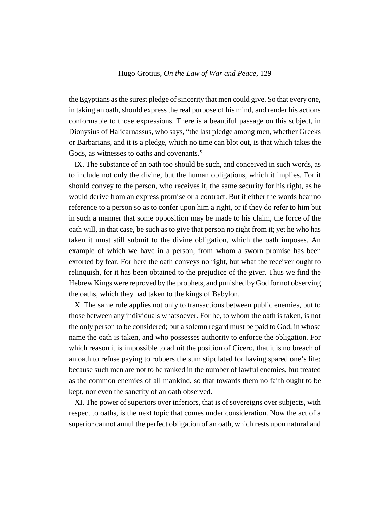the Egyptians as the surest pledge of sincerity that men could give. So that every one, in taking an oath, should express the real purpose of his mind, and render his actions conformable to those expressions. There is a beautiful passage on this subject, in Dionysius of Halicarnassus, who says, "the last pledge among men, whether Greeks or Barbarians, and it is a pledge, which no time can blot out, is that which takes the Gods, as witnesses to oaths and covenants."

IX. The substance of an oath too should be such, and conceived in such words, as to include not only the divine, but the human obligations, which it implies. For it should convey to the person, who receives it, the same security for his right, as he would derive from an express promise or a contract. But if either the words bear no reference to a person so as to confer upon him a right, or if they do refer to him but in such a manner that some opposition may be made to his claim, the force of the oath will, in that case, be such as to give that person no right from it; yet he who has taken it must still submit to the divine obligation, which the oath imposes. An example of which we have in a person, from whom a sworn promise has been extorted by fear. For here the oath conveys no right, but what the receiver ought to relinquish, for it has been obtained to the prejudice of the giver. Thus we find the Hebrew Kings were reproved by the prophets, and punished by God for not observing the oaths, which they had taken to the kings of Babylon.

X. The same rule applies not only to transactions between public enemies, but to those between any individuals whatsoever. For he, to whom the oath is taken, is not the only person to be considered; but a solemn regard must be paid to God, in whose name the oath is taken, and who possesses authority to enforce the obligation. For which reason it is impossible to admit the position of Cicero, that it is no breach of an oath to refuse paying to robbers the sum stipulated for having spared one's life; because such men are not to be ranked in the number of lawful enemies, but treated as the common enemies of all mankind, so that towards them no faith ought to be kept, nor even the sanctity of an oath observed.

XI. The power of superiors over inferiors, that is of sovereigns over subjects, with respect to oaths, is the next topic that comes under consideration. Now the act of a superior cannot annul the perfect obligation of an oath, which rests upon natural and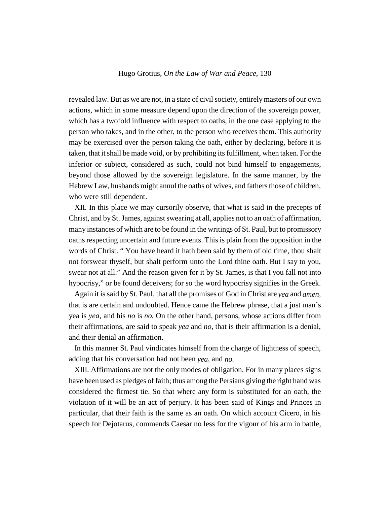revealed law. But as we are not, in a state of civil society, entirely masters of our own actions, which in some measure depend upon the direction of the sovereign power, which has a twofold influence with respect to oaths, in the one case applying to the person who takes, and in the other, to the person who receives them. This authority may be exercised over the person taking the oath, either by declaring, before it is taken, that it shall be made void, or by prohibiting its fulfillment, when taken. For the inferior or subject, considered as such, could not bind himself to engagements, beyond those allowed by the sovereign legislature. In the same manner, by the Hebrew Law, husbands might annul the oaths of wives, and fathers those of children, who were still dependent.

XII. In this place we may cursorily observe, that what is said in the precepts of Christ, and by St. James, against swearing at all, applies not to an oath of affirmation, many instances of which are to be found in the writings of St. Paul, but to promissory oaths respecting uncertain and future events. This is plain from the opposition in the words of Christ. " You have heard it hath been said by them of old time, thou shalt not forswear thyself, but shalt perform unto the Lord thine oath. But I say to you, swear not at all." And the reason given for it by St. James, is that I you fall not into hypocrisy," or be found deceivers; for so the word hypocrisy signifies in the Greek.

Again it is said by St. Paul, that all the promises of God in Christ are *yea* and *amen*, that is are certain and undoubted. Hence came the Hebrew phrase, that a just man's yea is *yea*, and his *no* is *no.* On the other hand, persons, whose actions differ from their affirmations, are said to speak *yea* and *no*, that is their affirmation is a denial, and their denial an affirmation.

In this manner St. Paul vindicates himself from the charge of lightness of speech, adding that his conversation had not been *yea*, and *no.*

XIII. Affirmations are not the only modes of obligation. For in many places signs have been used as pledges of faith; thus among the Persians giving the right hand was considered the firmest tie. So that where any form is substituted for an oath, the violation of it will be an act of perjury. It has been said of Kings and Princes in particular, that their faith is the same as an oath. On which account Cicero, in his speech for Dejotarus, commends Caesar no less for the vigour of his arm in battle,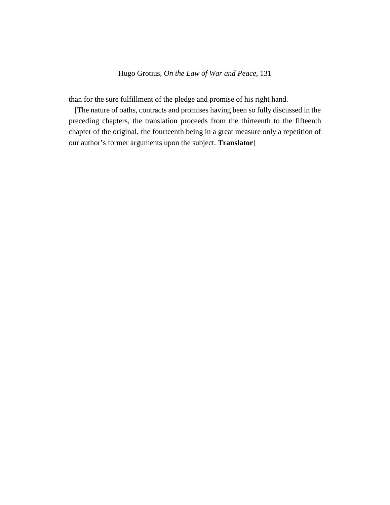than for the sure fulfillment of the pledge and promise of his right hand.

[The nature of oaths, contracts and promises having been so fully discussed in the preceding chapters, the translation proceeds from the thirteenth to the fifteenth chapter of the original, the fourteenth being in a great measure only a repetition of our author's former arguments upon the subject. **Translator**]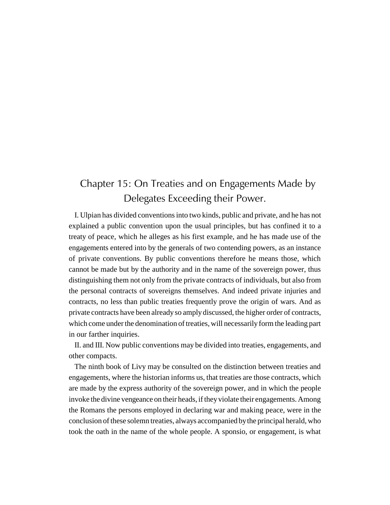# Chapter 15: On Treaties and on Engagements Made by Delegates Exceeding their Power.

I. Ulpian has divided conventions into two kinds, public and private, and he has not explained a public convention upon the usual principles, but has confined it to a treaty of peace, which he alleges as his first example, and he has made use of the engagements entered into by the generals of two contending powers, as an instance of private conventions. By public conventions therefore he means those, which cannot be made but by the authority and in the name of the sovereign power, thus distinguishing them not only from the private contracts of individuals, but also from the personal contracts of sovereigns themselves. And indeed private injuries and contracts, no less than public treaties frequently prove the origin of wars. And as private contracts have been already so amply discussed, the higher order of contracts, which come under the denomination of treaties, will necessarily form the leading part in our farther inquiries.

II. and III. Now public conventions may be divided into treaties, engagements, and other compacts.

The ninth book of Livy may be consulted on the distinction between treaties and engagements, where the historian informs us, that treaties are those contracts, which are made by the express authority of the sovereign power, and in which the people invoke the divine vengeance on their heads, if they violate their engagements. Among the Romans the persons employed in declaring war and making peace, were in the conclusion of these solemn treaties, always accompanied by the principal herald, who took the oath in the name of the whole people. A sponsio, or engagement, is what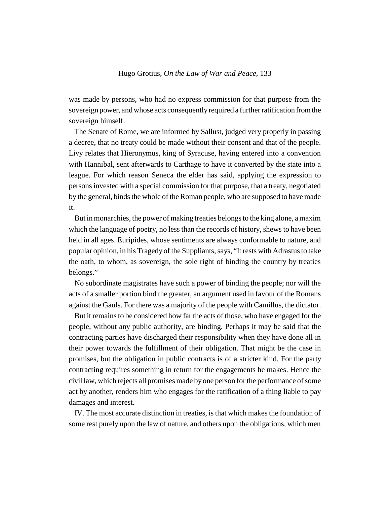was made by persons, who had no express commission for that purpose from the sovereign power, and whose acts consequently required a further ratification from the sovereign himself.

The Senate of Rome, we are informed by Sallust, judged very properly in passing a decree, that no treaty could be made without their consent and that of the people. Livy relates that Hieronymus, king of Syracuse, having entered into a convention with Hannibal, sent afterwards to Carthage to have it converted by the state into a league. For which reason Seneca the elder has said, applying the expression to persons invested with a special commission for that purpose, that a treaty, negotiated by the general, binds the whole of the Roman people, who are supposed to have made it.

But in monarchies, the power of making treaties belongs to the king alone, a maxim which the language of poetry, no less than the records of history, shews to have been held in all ages. Euripides, whose sentiments are always conformable to nature, and popular opinion, in his Tragedy of the Suppliants, says, "It rests with Adrastus to take the oath, to whom, as sovereign, the sole right of binding the country by treaties belongs."

No subordinate magistrates have such a power of binding the people; nor will the acts of a smaller portion bind the greater, an argument used in favour of the Romans against the Gauls. For there was a majority of the people with Camillus, the dictator.

But it remains to be considered how far the acts of those, who have engaged for the people, without any public authority, are binding. Perhaps it may be said that the contracting parties have discharged their responsibility when they have done all in their power towards the fulfillment of their obligation. That might be the case in promises, but the obligation in public contracts is of a stricter kind. For the party contracting requires something in return for the engagements he makes. Hence the civil law, which rejects all promises made by one person for the performance of some act by another, renders him who engages for the ratification of a thing liable to pay damages and interest.

IV. The most accurate distinction in treaties, is that which makes the foundation of some rest purely upon the law of nature, and others upon the obligations, which men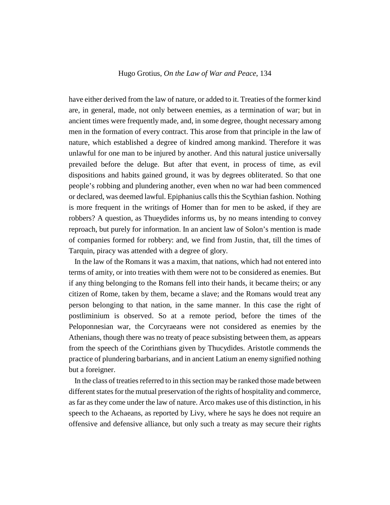have either derived from the law of nature, or added to it. Treaties of the former kind are, in general, made, not only between enemies, as a termination of war; but in ancient times were frequently made, and, in some degree, thought necessary among men in the formation of every contract. This arose from that principle in the law of nature, which established a degree of kindred among mankind. Therefore it was unlawful for one man to be injured by another. And this natural justice universally prevailed before the deluge. But after that event, in process of time, as evil dispositions and habits gained ground, it was by degrees obliterated. So that one people's robbing and plundering another, even when no war had been commenced or declared, was deemed lawful. Epiphanius calls this the Scythian fashion. Nothing is more frequent in the writings of Homer than for men to be asked, if they are robbers? A question, as Thueydides informs us, by no means intending to convey reproach, but purely for information. In an ancient law of Solon's mention is made of companies formed for robbery: and, we find from Justin, that, till the times of Tarquin, piracy was attended with a degree of glory.

In the law of the Romans it was a maxim, that nations, which had not entered into terms of amity, or into treaties with them were not to be considered as enemies. But if any thing belonging to the Romans fell into their hands, it became theirs; or any citizen of Rome, taken by them, became a slave; and the Romans would treat any person belonging to that nation, in the same manner. In this case the right of postliminium is observed. So at a remote period, before the times of the Peloponnesian war, the Corcyraeans were not considered as enemies by the Athenians, though there was no treaty of peace subsisting between them, as appears from the speech of the Corinthians given by Thucydides. Aristotle commends the practice of plundering barbarians, and in ancient Latium an enemy signified nothing but a foreigner.

In the class of treaties referred to in this section may be ranked those made between different states for the mutual preservation of the rights of hospitality and commerce, as far as they come under the law of nature. Arco makes use of this distinction, in his speech to the Achaeans, as reported by Livy, where he says he does not require an offensive and defensive alliance, but only such a treaty as may secure their rights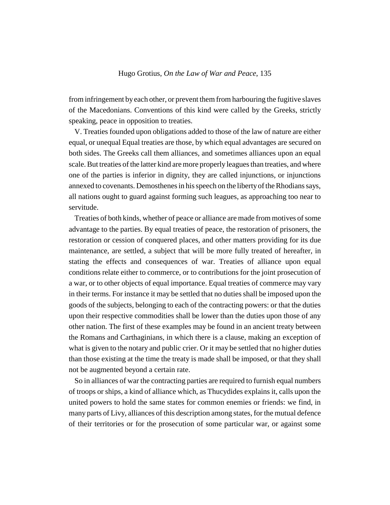from infringement by each other, or prevent them from harbouring the fugitive slaves of the Macedonians. Conventions of this kind were called by the Greeks, strictly speaking, peace in opposition to treaties.

V. Treaties founded upon obligations added to those of the law of nature are either equal, or unequal Equal treaties are those, by which equal advantages are secured on both sides. The Greeks call them alliances, and sometimes alliances upon an equal scale. But treaties of the latter kind are more properly leagues than treaties, and where one of the parties is inferior in dignity, they are called injunctions, or injunctions annexed to covenants. Demosthenes in his speech on the liberty of the Rhodians says, all nations ought to guard against forming such leagues, as approaching too near to servitude.

Treaties of both kinds, whether of peace or alliance are made from motives of some advantage to the parties. By equal treaties of peace, the restoration of prisoners, the restoration or cession of conquered places, and other matters providing for its due maintenance, are settled, a subject that will be more fully treated of hereafter, in stating the effects and consequences of war. Treaties of alliance upon equal conditions relate either to commerce, or to contributions for the joint prosecution of a war, or to other objects of equal importance. Equal treaties of commerce may vary in their terms. For instance it may be settled that no duties shall be imposed upon the goods of the subjects, belonging to each of the contracting powers: or that the duties upon their respective commodities shall be lower than the duties upon those of any other nation. The first of these examples may be found in an ancient treaty between the Romans and Carthaginians, in which there is a clause, making an exception of what is given to the notary and public crier. Or it may be settled that no higher duties than those existing at the time the treaty is made shall be imposed, or that they shall not be augmented beyond a certain rate.

So in alliances of war the contracting parties are required to furnish equal numbers of troops or ships, a kind of alliance which, as Thucydides explains it, calls upon the united powers to hold the same states for common enemies or friends: we find, in many parts of Livy, alliances of this description among states, for the mutual defence of their territories or for the prosecution of some particular war, or against some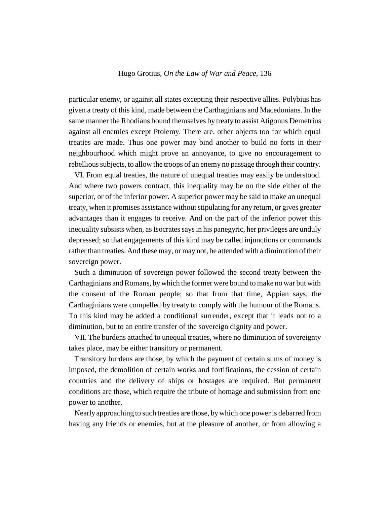particular enemy, or against all states excepting their respective allies. Polybius has given a treaty of this kind, made between the Carthaginians and Macedonians. In the same manner the Rhodians bound themselves by treaty to assist Atigonus Demetrius against all enemies except Ptolemy. There are. other objects too for which equal treaties are made. Thus one power may bind another to build no forts in their neighbourhood which might prove an annoyance, to give no encouragement to rebellious subjects, to allow the troops of an enemy no passage through their country.

VI. From equal treaties, the nature of unequal treaties may easily be understood. And where two powers contract, this inequality may be on the side either of the superior, or of the inferior power. A superior power may be said to make an unequal treaty, when it promises assistance without stipulating for any return, or gives greater advantages than it engages to receive. And on the part of the inferior power this inequality subsists when, as Isocrates says in his panegyric, her privileges are unduly depressed; so that engagements of this kind may be called injunctions or commands rather than treaties. And these may, or may not, be attended with a diminution of their sovereign power.

Such a diminution of sovereign power followed the second treaty between the Carthaginians and Romans, by which the former were bound to make no war but with the consent of the Roman people; so that from that time, Appian says, the Carthaginians were compelled by treaty to comply with the humour of the Romans. To this kind may be added a conditional surrender, except that it leads not to a diminution, but to an entire transfer of the sovereign dignity and power.

VII. The burdens attached to unequal treaties, where no diminution of sovereignty takes place, may be either transitory or permanent.

Transitory burdens are those, by which the payment of certain sums of money is imposed, the demolition of certain works and fortifications, the cession of certain countries and the delivery of ships or hostages are required. But permanent conditions are those, which require the tribute of homage and submission from one power to another.

Nearly approaching to such treaties are those, by which one power is debarred from having any friends or enemies, but at the pleasure of another, or from allowing a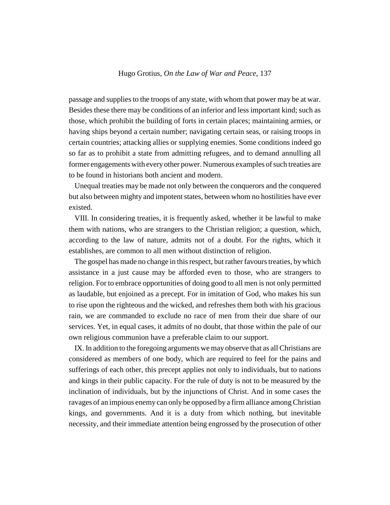passage and supplies to the troops of any state, with whom that power may be at war. Besides these there may be conditions of an inferior and less important kind; such as those, which prohibit the building of forts in certain places; maintaining armies, or having ships beyond a certain number; navigating certain seas, or raising troops in certain countries; attacking allies or supplying enemies. Some conditions indeed go so far as to prohibit a state from admitting refugees, and to demand annulling all former engagements with every other power. Numerous examples of such treaties are to be found in historians both ancient and modern.

Unequal treaties may be made not only between the conquerors and the conquered but also between mighty and impotent states, between whom no hostilities have ever existed.

VIII. In considering treaties, it is frequently asked, whether it be lawful to make them with nations, who are strangers to the Christian religion; a question, which, according to the law of nature, admits not of a doubt. For the rights, which it establishes, are common to all men without distinction of religion.

The gospel has made no change in this respect, but rather favours treaties, by which assistance in a just cause may be afforded even to those, who are strangers to religion. For to embrace opportunities of doing good to all men is not only permitted as laudable, but enjoined as a precept. For in imitation of God, who makes his sun to rise upon the righteous and the wicked, and refreshes them both with his gracious rain, we are commanded to exclude no race of men from their due share of our services. Yet, in equal cases, it admits of no doubt, that those within the pale of our own religious communion have a preferable claim to our support.

IX. In addition to the foregoing arguments we may observe that as all Christians are considered as members of one body, which are required to feel for the pains and sufferings of each other, this precept applies not only to individuals, but to nations and kings in their public capacity. For the rule of duty is not to be measured by the inclination of individuals, but by the injunctions of Christ. And in some cases the ravages of an impious enemy can only be opposed by a firm alliance among Christian kings, and governments. And it is a duty from which nothing, but inevitable necessity, and their immediate attention being engrossed by the prosecution of other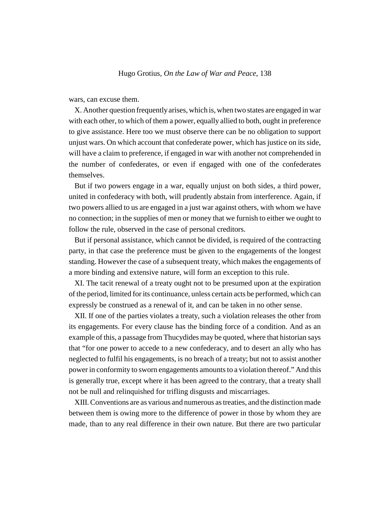wars, can excuse them.

X. Another question frequently arises, which is, when two states are engaged in war with each other, to which of them a power, equally allied to both, ought in preference to give assistance. Here too we must observe there can be no obligation to support unjust wars. On which account that confederate power, which has justice on its side, will have a claim to preference, if engaged in war with another not comprehended in the number of confederates, or even if engaged with one of the confederates themselves.

But if two powers engage in a war, equally unjust on both sides, a third power, united in confederacy with both, will prudently abstain from interference. Again, if two powers allied to us are engaged in a just war against others, with whom we have no connection; in the supplies of men or money that we furnish to either we ought to follow the rule, observed in the case of personal creditors.

But if personal assistance, which cannot be divided, is required of the contracting party, in that case the preference must be given to the engagements of the longest standing. However the case of a subsequent treaty, which makes the engagements of a more binding and extensive nature, will form an exception to this rule.

XI. The tacit renewal of a treaty ought not to be presumed upon at the expiration of the period, limited for its continuance, unless certain acts be performed, which can expressly be construed as a renewal of it, and can be taken in no other sense.

XII. If one of the parties violates a treaty, such a violation releases the other from its engagements. For every clause has the binding force of a condition. And as an example of this, a passage from Thucydides may be quoted, where that historian says that "for one power to accede to a new confederacy, and to desert an ally who has neglected to fulfil his engagements, is no breach of a treaty; but not to assist another power in conformity to sworn engagements amounts to a violation thereof." And this is generally true, except where it has been agreed to the contrary, that a treaty shall not be null and relinquished for trifling disgusts and miscarriages.

XIII. Conventions are as various and numerous as treaties, and the distinction made between them is owing more to the difference of power in those by whom they are made, than to any real difference in their own nature. But there are two particular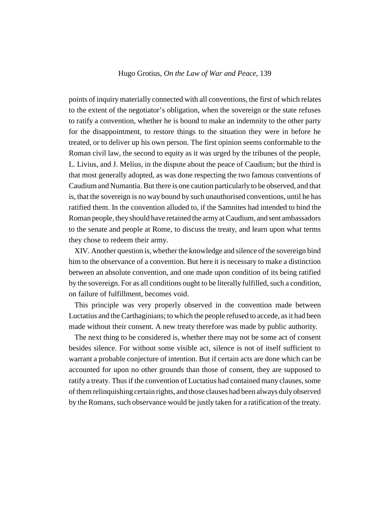points of inquiry materially connected with all conventions, the first of which relates to the extent of the negotiator's obligation, when the sovereign or the state refuses to ratify a convention, whether he is bound to make an indemnity to the other party for the disappointment, to restore things to the situation they were in before he treated, or to deliver up his own person. The first opinion seems conformable to the Roman civil law, the second to equity as it was urged by the tribunes of the people, L. Livius, and J. Melius, in the dispute about the peace of Caudium; but the third is that most generally adopted, as was done respecting the two famous conventions of Caudium and Numantia. But there is one caution particularly to be observed, and that is, that the sovereign is no way bound by such unauthorised conventions, until he has ratified them. In the convention alluded to, if the Samnites had intended to bind the Roman people, they should have retained the army at Caudium, and sent ambassadors to the senate and people at Rome, to discuss the treaty, and learn upon what terms they chose to redeem their army.

XIV. Another question is, whether the knowledge and silence of the sovereign bind him to the observance of a convention. But here it is necessary to make a distinction between an absolute convention, and one made upon condition of its being ratified by the sovereign. For as all conditions ought to be literally fulfilled, such a condition, on failure of fulfillment, becomes void.

This principle was very properly observed in the convention made between Luctatius and the Carthaginians; to which the people refused to accede, as it had been made without their consent. A new treaty therefore was made by public authority.

The next thing to be considered is, whether there may not be some act of consent besides silence. For without some visible act, silence is not of itself sufficient to warrant a probable conjecture of intention. But if certain acts are done which can be accounted for upon no other grounds than those of consent, they are supposed to ratify a treaty. Thus if the convention of Luctatius had contained many clauses, some of them relinquishing certain rights, and those clauses had been always duly observed by the Romans, such observance would be justly taken for a ratification of the treaty.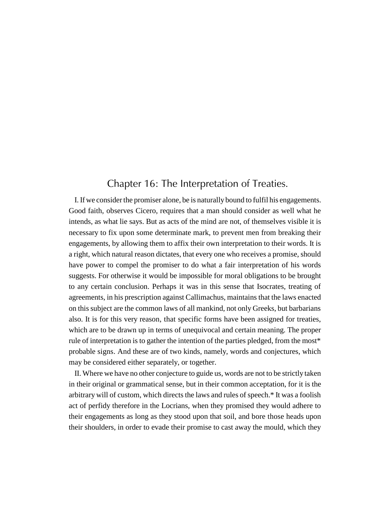## Chapter 16: The Interpretation of Treaties.

I. If we consider the promiser alone, be is naturally bound to fulfil his engagements. Good faith, observes Cicero, requires that a man should consider as well what he intends, as what lie says. But as acts of the mind are not, of themselves visible it is necessary to fix upon some determinate mark, to prevent men from breaking their engagements, by allowing them to affix their own interpretation to their words. It is a right, which natural reason dictates, that every one who receives a promise, should have power to compel the promiser to do what a fair interpretation of his words suggests. For otherwise it would be impossible for moral obligations to be brought to any certain conclusion. Perhaps it was in this sense that Isocrates, treating of agreements, in his prescription against Callimachus, maintains that the laws enacted on this subject are the common laws of all mankind, not only Greeks, but barbarians also. It is for this very reason, that specific forms have been assigned for treaties, which are to be drawn up in terms of unequivocal and certain meaning. The proper rule of interpretation is to gather the intention of the parties pledged, from the most\* probable signs. And these are of two kinds, namely, words and conjectures, which may be considered either separately, or together.

II. Where we have no other conjecture to guide us, words are not to be strictly taken in their original or grammatical sense, but in their common acceptation, for it is the arbitrary will of custom, which directs the laws and rules of speech.\* It was a foolish act of perfidy therefore in the Locrians, when they promised they would adhere to their engagements as long as they stood upon that soil, and bore those heads upon their shoulders, in order to evade their promise to cast away the mould, which they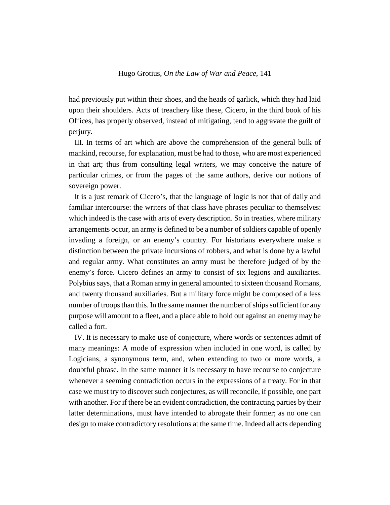had previously put within their shoes, and the heads of garlick, which they had laid upon their shoulders. Acts of treachery like these, Cicero, in the third book of his Offices, has properly observed, instead of mitigating, tend to aggravate the guilt of perjury.

III. In terms of art which are above the comprehension of the general bulk of mankind, recourse, for explanation, must be had to those, who are most experienced in that art; thus from consulting legal writers, we may conceive the nature of particular crimes, or from the pages of the same authors, derive our notions of sovereign power.

It is a just remark of Cicero's, that the language of logic is not that of daily and familiar intercourse: the writers of that class have phrases peculiar to themselves: which indeed is the case with arts of every description. So in treaties, where military arrangements occur, an army is defined to be a number of soldiers capable of openly invading a foreign, or an enemy's country. For historians everywhere make a distinction between the private incursions of robbers, and what is done by a lawful and regular army. What constitutes an army must be therefore judged of by the enemy's force. Cicero defines an army to consist of six legions and auxiliaries. Polybius says, that a Roman army in general amounted to sixteen thousand Romans, and twenty thousand auxiliaries. But a military force might be composed of a less number of troops than this. In the same manner the number of ships sufficient for any purpose will amount to a fleet, and a place able to hold out against an enemy may be called a fort.

IV. It is necessary to make use of conjecture, where words or sentences admit of many meanings: A mode of expression when included in one word, is called by Logicians, a synonymous term, and, when extending to two or more words, a doubtful phrase. In the same manner it is necessary to have recourse to conjecture whenever a seeming contradiction occurs in the expressions of a treaty. For in that case we must try to discover such conjectures, as will reconcile, if possible, one part with another. For if there be an evident contradiction, the contracting parties by their latter determinations, must have intended to abrogate their former; as no one can design to make contradictory resolutions at the same time. Indeed all acts depending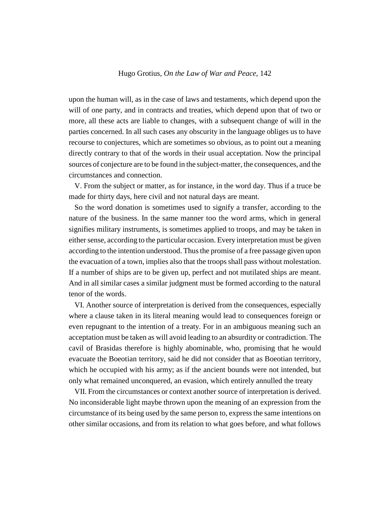upon the human will, as in the case of laws and testaments, which depend upon the will of one party, and in contracts and treaties, which depend upon that of two or more, all these acts are liable to changes, with a subsequent change of will in the parties concerned. In all such cases any obscurity in the language obliges us to have recourse to conjectures, which are sometimes so obvious, as to point out a meaning directly contrary to that of the words in their usual acceptation. Now the principal sources of conjecture are to be found in the subject-matter, the consequences, and the circumstances and connection.

V. From the subject or matter, as for instance, in the word day. Thus if a truce be made for thirty days, here civil and not natural days are meant.

So the word donation is sometimes used to signify a transfer, according to the nature of the business. In the same manner too the word arms, which in general signifies military instruments, is sometimes applied to troops, and may be taken in either sense, according to the particular occasion. Every interpretation must be given according to the intention understood. Thus the promise of a free passage given upon the evacuation of a town, implies also that the troops shall pass without molestation. If a number of ships are to be given up, perfect and not mutilated ships are meant. And in all similar cases a similar judgment must be formed according to the natural tenor of the words.

VI. Another source of interpretation is derived from the consequences, especially where a clause taken in its literal meaning would lead to consequences foreign or even repugnant to the intention of a treaty. For in an ambiguous meaning such an acceptation must be taken as will avoid leading to an absurdity or contradiction. The cavil of Brasidas therefore is highly abominable, who, promising that he would evacuate the Boeotian territory, said he did not consider that as Boeotian territory, which he occupied with his army; as if the ancient bounds were not intended, but only what remained unconquered, an evasion, which entirely annulled the treaty

VII. From the circumstances or context another source of interpretation is derived. No inconsiderable light maybe thrown upon the meaning of an expression from the circumstance of its being used by the same person to, express the same intentions on other similar occasions, and from its relation to what goes before, and what follows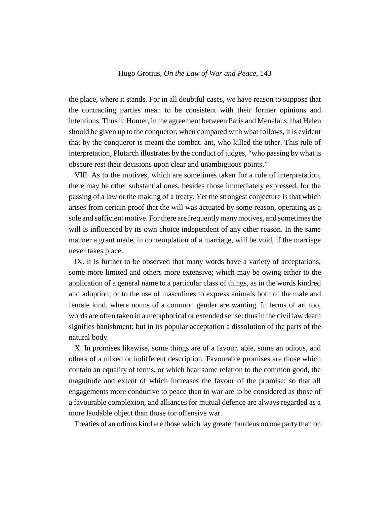the place, where it stands. For in all doubtful cases, we have reason to suppose that the contracting parties mean to be consistent with their former opinions and intentions. Thus in Homer, in the agreement between Paris and Menelaus, that Helen should be given up to the conqueror, when compared with what follows, it is evident that by the conqueror is meant the combat. ant, who killed the other. This rule of interpretation, Plutarch illustrates by the conduct of judges, "who passing by what is obscure rest their decisions upon clear and unambiguous points."

VIII. As to the motives, which are sometimes taken for a rule of interpretation, there may be other substantial ones, besides those immediately expressed, for the passing of a law or the making of a treaty. Yet the strongest conjecture is that which arises from certain proof that the will was actuated by some reason, operating as a sole and sufficient motive. For there are frequently many motives, and sometimes the will is influenced by its own choice independent of any other reason. In the same manner a grant made, in contemplation of a marriage, will be void, if the marriage never takes place.

IX. It is further to be observed that many words have a variety of acceptations, some more limited and others more extensive; which may be owing either to the application of a general name to a particular class of things, as in the words kindred and adoption; or to the use of masculines to express animals both of the male and female kind, where nouns of a common gender are wanting. In terms of art too, words are often taken in a metaphorical or extended sense: thus in the civil law death signifies banishment; but in its popular acceptation a dissolution of the parts of the natural body.

X. In promises likewise, some things are of a favour. able, some an odious, and others of a mixed or indifferent description. Favourable promises are those which contain an equality of terms, or which bear some relation to the common good, the magnitude and extent of which increases the favour of the promise: so that all engagements more conducive to peace than to war are to be considered as those of a favourable complexion, and alliances for mutual defence are always regarded as a more laudable object than those for offensive war.

Treaties of an odious kind are those which lay greater burdens on one party than on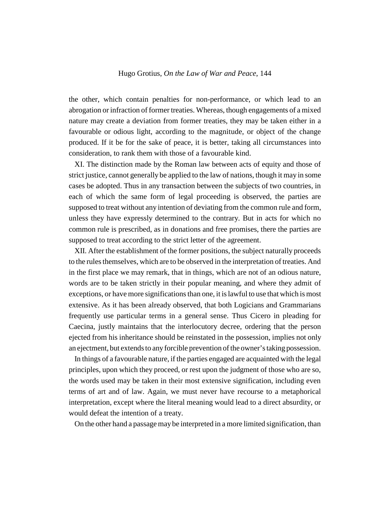the other, which contain penalties for non-performance, or which lead to an abrogation or infraction of former treaties. Whereas, though engagements of a mixed nature may create a deviation from former treaties, they may be taken either in a favourable or odious light, according to the magnitude, or object of the change produced. If it be for the sake of peace, it is better, taking all circumstances into consideration, to rank them with those of a favourable kind.

XI. The distinction made by the Roman law between acts of equity and those of strict justice, cannot generally be applied to the law of nations, though it may in some cases be adopted. Thus in any transaction between the subjects of two countries, in each of which the same form of legal proceeding is observed, the parties are supposed to treat without any intention of deviating from the common rule and form, unless they have expressly determined to the contrary. But in acts for which no common rule is prescribed, as in donations and free promises, there the parties are supposed to treat according to the strict letter of the agreement.

XII. After the establishment of the former positions, the subject naturally proceeds to the rules themselves, which are to be observed in the interpretation of treaties. And in the first place we may remark, that in things, which are not of an odious nature, words are to be taken strictly in their popular meaning, and where they admit of exceptions, or have more significations than one, it is lawful to use that which is most extensive. As it has been already observed, that both Logicians and Grammarians frequently use particular terms in a general sense. Thus Cicero in pleading for Caecina, justly maintains that the interlocutory decree, ordering that the person ejected from his inheritance should be reinstated in the possession, implies not only an ejectment, but extends to any forcible prevention of the owner's taking possession.

In things of a favourable nature, if the parties engaged are acquainted with the legal principles, upon which they proceed, or rest upon the judgment of those who are so, the words used may be taken in their most extensive signification, including even terms of art and of law. Again, we must never have recourse to a metaphorical interpretation, except where the literal meaning would lead to a direct absurdity, or would defeat the intention of a treaty.

On the other hand a passage may be interpreted in a more limited signification, than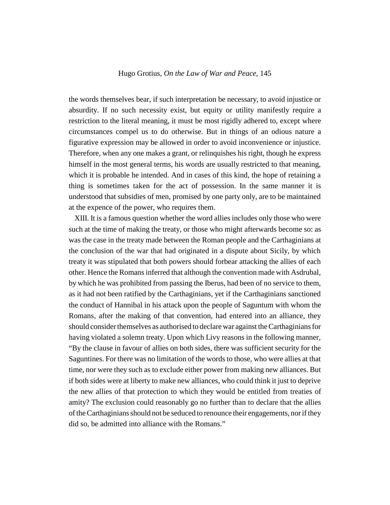the words themselves bear, if such interpretation be necessary, to avoid injustice or absurdity. If no such necessity exist, but equity or utility manifestly require a restriction to the literal meaning, it must be most rigidly adhered to, except where circumstances compel us to do otherwise. But in things of an odious nature a figurative expression may be allowed in order to avoid inconvenience or injustice. Therefore, when any one makes a grant, or relinquishes his right, though he express himself in the most general terms, his words are usually restricted to that meaning, which it is probable he intended. And in cases of this kind, the hope of retaining a thing is sometimes taken for the act of possession. In the same manner it is understood that subsidies of men, promised by one party only, are to be maintained at the expence of the power, who requires them.

XIII. It is a famous question whether the word allies includes only those who were such at the time of making the treaty, or those who might afterwards become so: as was the case in the treaty made between the Roman people and the Carthaginians at the conclusion of the war that had originated in a dispute about Sicily, by which treaty it was stipulated that both powers should forbear attacking the allies of each other. Hence the Romans inferred that although the convention made with Asdrubal, by which he was prohibited from passing the Iberus, had been of no service to them, as it had not been ratified by the Carthaginians, yet if the Carthaginians sanctioned the conduct of Hannibal in his attack upon the people of Saguntum with whom the Romans, after the making of that convention, had entered into an alliance, they should consider themselves as authorised to declare war against the Carthaginians for having violated a solemn treaty. Upon which Livy reasons in the following manner, "By the clause in favour of allies on both sides, there was sufficient security for the Saguntines. For there was no limitation of the words to those, who were allies at that time, nor were they such as to exclude either power from making new alliances. But if both sides were at liberty to make new alliances, who could think it just to deprive the new allies of that protection to which they would be entitled from treaties of amity? The exclusion could reasonably go no further than to declare that the allies of the Carthaginians should not be seduced to renounce their engagements, nor if they did so, be admitted into alliance with the Romans."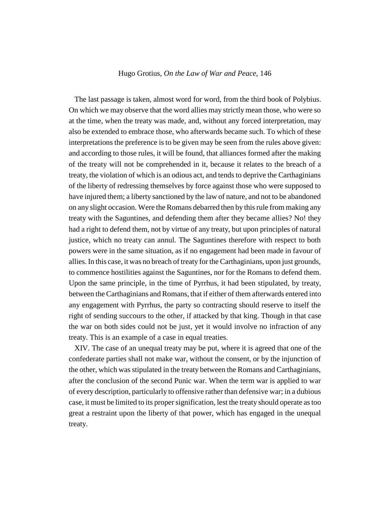The last passage is taken, almost word for word, from the third book of Polybius. On which we may observe that the word allies may strictly mean those, who were so at the time, when the treaty was made, and, without any forced interpretation, may also be extended to embrace those, who afterwards became such. To which of these interpretations the preference is to be given may be seen from the rules above given: and according to those rules, it will be found, that alliances formed after the making of the treaty will not be comprehended in it, because it relates to the breach of a treaty, the violation of which is an odious act, and tends to deprive the Carthaginians of the liberty of redressing themselves by force against those who were supposed to have injured them; a liberty sanctioned by the law of nature, and not to be abandoned on any slight occasion. Were the Romans debarred then by this rule from making any treaty with the Saguntines, and defending them after they became allies? No! they had a right to defend them, not by virtue of any treaty, but upon principles of natural justice, which no treaty can annul. The Saguntines therefore with respect to both powers were in the same situation, as if no engagement had been made in favour of allies. In this case, it was no breach of treaty for the Carthaginians, upon just grounds, to commence hostilities against the Saguntines, nor for the Romans to defend them. Upon the same principle, in the time of Pyrrhus, it had been stipulated, by treaty, between the Carthaginians and Romans, that if either of them afterwards entered into any engagement with Pyrrhus, the party so contracting should reserve to itself the right of sending succours to the other, if attacked by that king. Though in that case the war on both sides could not be just, yet it would involve no infraction of any treaty. This is an example of a case in equal treaties.

XIV. The case of an unequal treaty may be put, where it is agreed that one of the confederate parties shall not make war, without the consent, or by the injunction of the other, which was stipulated in the treaty between the Romans and Carthaginians, after the conclusion of the second Punic war. When the term war is applied to war of every description, particularly to offensive rather than defensive war; in a dubious case, it must be limited to its proper signification, lest the treaty should operate as too great a restraint upon the liberty of that power, which has engaged in the unequal treaty.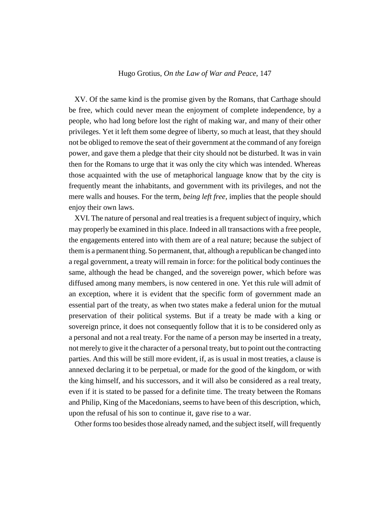XV. Of the same kind is the promise given by the Romans, that Carthage should be free, which could never mean the enjoyment of complete independence, by a people, who had long before lost the right of making war, and many of their other privileges. Yet it left them some degree of liberty, so much at least, that they should not be obliged to remove the seat of their government at the command of any foreign power, and gave them a pledge that their city should not be disturbed. It was in vain then for the Romans to urge that it was only the city which was intended. Whereas those acquainted with the use of metaphorical language know that by the city is frequently meant the inhabitants, and government with its privileges, and not the mere walls and houses. For the term, *being left free*, implies that the people should enjoy their own laws.

XVI. The nature of personal and real treaties is a frequent subject of inquiry, which may properly be examined in this place. Indeed in all transactions with a free people, the engagements entered into with them are of a real nature; because the subject of them is a permanent thing. So permanent, that, although a republican be changed into a regal government, a treaty will remain in force: for the political body continues the same, although the head be changed, and the sovereign power, which before was diffused among many members, is now centered in one. Yet this rule will admit of an exception, where it is evident that the specific form of government made an essential part of the treaty, as when two states make a federal union for the mutual preservation of their political systems. But if a treaty be made with a king or sovereign prince, it does not consequently follow that it is to be considered only as a personal and not a real treaty. For the name of a person may be inserted in a treaty, not merely to give it the character of a personal treaty, but to point out the contracting parties. And this will be still more evident, if, as is usual in most treaties, a clause is annexed declaring it to be perpetual, or made for the good of the kingdom, or with the king himself, and his successors, and it will also be considered as a real treaty, even if it is stated to be passed for a definite time. The treaty between the Romans and Philip, King of the Macedonians, seems to have been of this description, which, upon the refusal of his son to continue it, gave rise to a war.

Other forms too besides those already named, and the subject itself, will frequently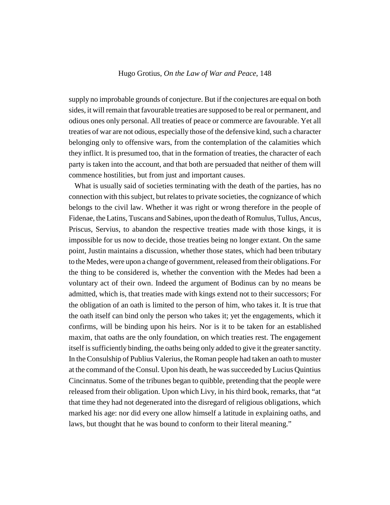supply no improbable grounds of conjecture. But if the conjectures are equal on both sides, it will remain that favourable treaties are supposed to be real or permanent, and odious ones only personal. All treaties of peace or commerce are favourable. Yet all treaties of war are not odious, especially those of the defensive kind, such a character belonging only to offensive wars, from the contemplation of the calamities which they inflict. It is presumed too, that in the formation of treaties, the character of each party is taken into the account, and that both are persuaded that neither of them will commence hostilities, but from just and important causes.

What is usually said of societies terminating with the death of the parties, has no connection with this subject, but relates to private societies, the cognizance of which belongs to the civil law. Whether it was right or wrong therefore in the people of Fidenae, the Latins, Tuscans and Sabines, upon the death of Romulus, Tullus, Ancus, Priscus, Servius, to abandon the respective treaties made with those kings, it is impossible for us now to decide, those treaties being no longer extant. On the same point, Justin maintains a discussion, whether those states, which had been tributary to the Medes, were upon a change of government, released from their obligations. For the thing to be considered is, whether the convention with the Medes had been a voluntary act of their own. Indeed the argument of Bodinus can by no means be admitted, which is, that treaties made with kings extend not to their successors; For the obligation of an oath is limited to the person of him, who takes it. It is true that the oath itself can bind only the person who takes it; yet the engagements, which it confirms, will be binding upon his heirs. Nor is it to be taken for an established maxim, that oaths are the only foundation, on which treaties rest. The engagement itself is sufficiently binding, the oaths being only added to give it the greater sanctity. In the Consulship of Publius Valerius, the Roman people had taken an oath to muster at the command of the Consul. Upon his death, he was succeeded by Lucius Quintius Cincinnatus. Some of the tribunes began to quibble, pretending that the people were released from their obligation. Upon which Livy, in his third book, remarks, that "at that time they had not degenerated into the disregard of religious obligations, which marked his age: nor did every one allow himself a latitude in explaining oaths, and laws, but thought that he was bound to conform to their literal meaning."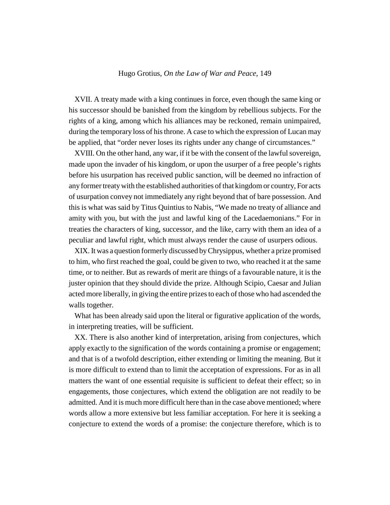XVII. A treaty made with a king continues in force, even though the same king or his successor should be banished from the kingdom by rebellious subjects. For the rights of a king, among which his alliances may be reckoned, remain unimpaired, during the temporary loss of his throne. A case to which the expression of Lucan may be applied, that "order never loses its rights under any change of circumstances."

XVIII. On the other hand, any war, if it be with the consent of the lawful sovereign, made upon the invader of his kingdom, or upon the usurper of a free people's rights before his usurpation has received public sanction, will be deemed no infraction of any former treaty with the established authorities of that kingdom or country, For acts of usurpation convey not immediately any right beyond that of bare possession. And this is what was said by Titus Quintius to Nabis, "We made no treaty of alliance and amity with you, but with the just and lawful king of the Lacedaemonians." For in treaties the characters of king, successor, and the like, carry with them an idea of a peculiar and lawful right, which must always render the cause of usurpers odious.

XIX. It was a question formerly discussed by Chrysippus, whether a prize promised to him, who first reached the goal, could be given to two, who reached it at the same time, or to neither. But as rewards of merit are things of a favourable nature, it is the juster opinion that they should divide the prize. Although Scipio, Caesar and Julian acted more liberally, in giving the entire prizes to each of those who had ascended the walls together.

What has been already said upon the literal or figurative application of the words, in interpreting treaties, will be sufficient.

XX. There is also another kind of interpretation, arising from conjectures, which apply exactly to the signification of the words containing a promise or engagement; and that is of a twofold description, either extending or limiting the meaning. But it is more difficult to extend than to limit the acceptation of expressions. For as in all matters the want of one essential requisite is sufficient to defeat their effect; so in engagements, those conjectures, which extend the obligation are not readily to be admitted. And it is much more difficult here than in the case above mentioned; where words allow a more extensive but less familiar acceptation. For here it is seeking a conjecture to extend the words of a promise: the conjecture therefore, which is to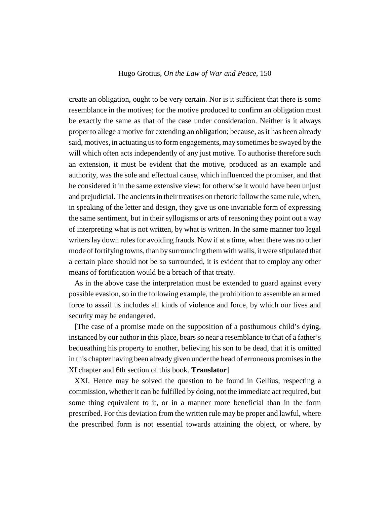create an obligation, ought to be very certain. Nor is it sufficient that there is some resemblance in the motives; for the motive produced to confirm an obligation must be exactly the same as that of the case under consideration. Neither is it always proper to allege a motive for extending an obligation; because, as it has been already said, motives, in actuating us to form engagements, may sometimes be swayed by the will which often acts independently of any just motive. To authorise therefore such an extension, it must be evident that the motive, produced as an example and authority, was the sole and effectual cause, which influenced the promiser, and that he considered it in the same extensive view; for otherwise it would have been unjust and prejudicial. The ancients in their treatises on rhetoric follow the same rule, when, in speaking of the letter and design, they give us one invariable form of expressing the same sentiment, but in their syllogisms or arts of reasoning they point out a way of interpreting what is not written, by what is written. In the same manner too legal writers lay down rules for avoiding frauds. Now if at a time, when there was no other mode of fortifying towns, than by surrounding them with walls, it were stipulated that a certain place should not be so surrounded, it is evident that to employ any other means of fortification would be a breach of that treaty.

As in the above case the interpretation must be extended to guard against every possible evasion, so in the following example, the prohibition to assemble an armed force to assail us includes all kinds of violence and force, by which our lives and security may be endangered.

[The case of a promise made on the supposition of a posthumous child's dying, instanced by our author in this place, bears so near a resemblance to that of a father's bequeathing his property to another, believing his son to be dead, that it is omitted in this chapter having been already given under the head of erroneous promises in the XI chapter and 6th section of this book. **Translator**]

XXI. Hence may be solved the question to be found in Gellius, respecting a commission, whether it can be fulfilled by doing, not the immediate act required, but some thing equivalent to it, or in a manner more beneficial than in the form prescribed. For this deviation from the written rule may be proper and lawful, where the prescribed form is not essential towards attaining the object, or where, by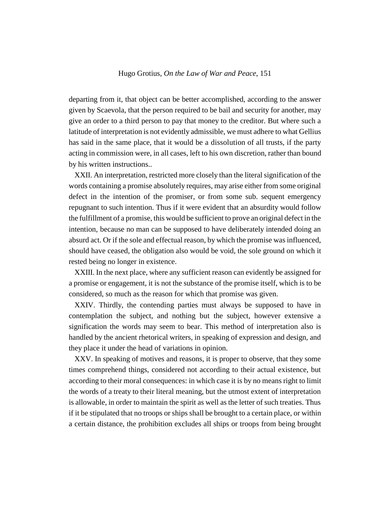departing from it, that object can be better accomplished, according to the answer given by Scaevola, that the person required to be bail and security for another, may give an order to a third person to pay that money to the creditor. But where such a latitude of interpretation is not evidently admissible, we must adhere to what Gellius has said in the same place, that it would be a dissolution of all trusts, if the party acting in commission were, in all cases, left to his own discretion, rather than bound by his written instructions..

XXII. An interpretation, restricted more closely than the literal signification of the words containing a promise absolutely requires, may arise either from some original defect in the intention of the promiser, or from some sub. sequent emergency repugnant to such intention. Thus if it were evident that an absurdity would follow the fulfillment of a promise, this would be sufficient to prove an original defect in the intention, because no man can be supposed to have deliberately intended doing an absurd act. Or if the sole and effectual reason, by which the promise was influenced, should have ceased, the obligation also would be void, the sole ground on which it rested being no longer in existence.

XXIII. In the next place, where any sufficient reason can evidently be assigned for a promise or engagement, it is not the substance of the promise itself, which is to be considered, so much as the reason for which that promise was given.

XXIV. Thirdly, the contending parties must always be supposed to have in contemplation the subject, and nothing but the subject, however extensive a signification the words may seem to bear. This method of interpretation also is handled by the ancient rhetorical writers, in speaking of expression and design, and they place it under the head of variations in opinion.

XXV. In speaking of motives and reasons, it is proper to observe, that they some times comprehend things, considered not according to their actual existence, but according to their moral consequences: in which case it is by no means right to limit the words of a treaty to their literal meaning, but the utmost extent of interpretation is allowable, in order to maintain the spirit as well as the letter of such treaties. Thus if it be stipulated that no troops or ships shall be brought to a certain place, or within a certain distance, the prohibition excludes all ships or troops from being brought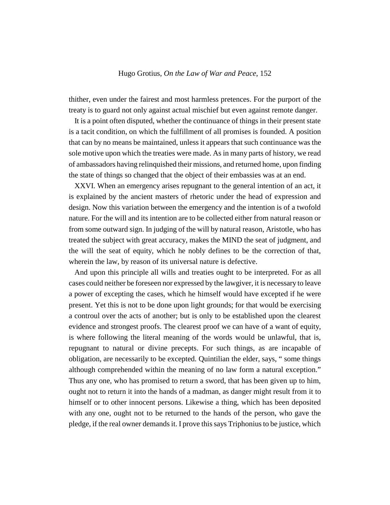thither, even under the fairest and most harmless pretences. For the purport of the treaty is to guard not only against actual mischief but even against remote danger.

It is a point often disputed, whether the continuance of things in their present state is a tacit condition, on which the fulfillment of all promises is founded. A position that can by no means be maintained, unless it appears that such continuance was the sole motive upon which the treaties were made. As in many parts of history, we read of ambassadors having relinquished their missions, and returned home, upon finding the state of things so changed that the object of their embassies was at an end.

XXVI. When an emergency arises repugnant to the general intention of an act, it is explained by the ancient masters of rhetoric under the head of expression and design. Now this variation between the emergency and the intention is of a twofold nature. For the will and its intention are to be collected either from natural reason or from some outward sign. In judging of the will by natural reason, Aristotle, who has treated the subject with great accuracy, makes the MIND the seat of judgment, and the will the seat of equity, which he nobly defines to be the correction of that, wherein the law, by reason of its universal nature is defective.

And upon this principle all wills and treaties ought to be interpreted. For as all cases could neither be foreseen nor expressed by the lawgiver, it is necessary to leave a power of excepting the cases, which he himself would have excepted if he were present. Yet this is not to be done upon light grounds; for that would be exercising a controul over the acts of another; but is only to be established upon the clearest evidence and strongest proofs. The clearest proof we can have of a want of equity, is where following the literal meaning of the words would be unlawful, that is, repugnant to natural or divine precepts. For such things, as are incapable of obligation, are necessarily to be excepted. Quintilian the elder, says, " some things although comprehended within the meaning of no law form a natural exception." Thus any one, who has promised to return a sword, that has been given up to him, ought not to return it into the hands of a madman, as danger might result from it to himself or to other innocent persons. Likewise a thing, which has been deposited with any one, ought not to be returned to the hands of the person, who gave the pledge, if the real owner demands it. I prove this says Triphonius to be justice, which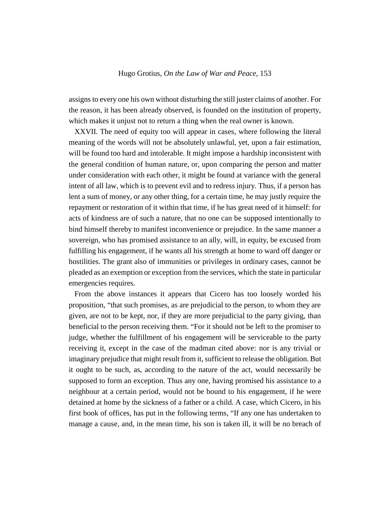assigns to every one his own without disturbing the still juster claims of another. For the reason, it has been already observed, is founded on the institution of property, which makes it unjust not to return a thing when the real owner is known.

XXVII. The need of equity too will appear in cases, where following the literal meaning of the words will not be absolutely unlawful, yet, upon a fair estimation, will be found too hard and intolerable. It might impose a hardship inconsistent with the general condition of human nature, or, upon comparing the person and matter under consideration with each other, it might be found at variance with the general intent of all law, which is to prevent evil and to redress injury. Thus, if a person has lent a sum of money, or any other thing, for a certain time, he may justly require the repayment or restoration of it within that time, if he has great need of it himself: for acts of kindness are of such a nature, that no one can be supposed intentionally to bind himself thereby to manifest inconvenience or prejudice. In the same manner a sovereign, who has promised assistance to an ally, will, in equity, be excused from fulfilling his engagement, if he wants all his strength at home to ward off danger or hostilities. The grant also of immunities or privileges in ordinary cases, cannot be pleaded as an exemption or exception from the services, which the state in particular emergencies requires.

From the above instances it appears that Cicero has too loosely worded his proposition, "that such promises, as are prejudicial to the person, to whom they are given, are not to be kept, nor, if they are more prejudicial to the party giving, than beneficial to the person receiving them. "For it should not be left to the promiser to judge, whether the fulfillment of his engagement will be serviceable to the party receiving it, except in the case of the madman cited above: nor is any trivial or imaginary prejudice that might result from it, sufficient to release the obligation. But it ought to be such, as, according to the nature of the act, would necessarily be supposed to form an exception. Thus any one, having promised his assistance to a neighbour at a certain period, would not be bound to his engagement, if he were detained at home by the sickness of a father or a child. A case, which Cicero, in his first book of offices, has put in the following terms, "If any one has undertaken to manage a cause, and, in the mean time, his son is taken ill, it will be no breach of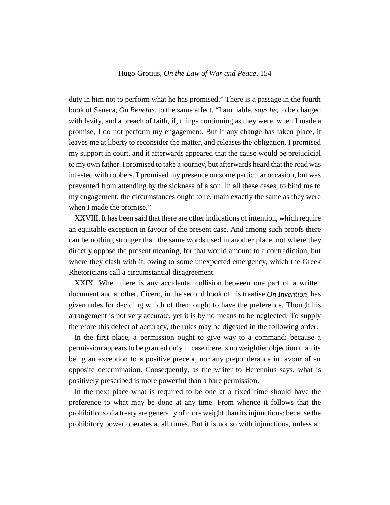duty in him not to perform what he has promised." There is a passage in the fourth book of Seneca, *On Benefits*, to the same effect. "I am liable, *says he*, to be charged with levity, and a breach of faith, if, things continuing as they were, when I made a promise, I do not perform my engagement. But if any change has taken place, it leaves me at liberty to reconsider the matter, and releases the obligation. I promised my support in court, and it afterwards appeared that the cause would be prejudicial to my own father. I promised to take a journey, but afterwards heard that the road was infested with robbers. I promised my presence on some particular occasion, but was prevented from attending by the sickness of a son. In all these cases, to bind me to my engagement, the circumstances ought to re. main exactly the same as they were when I made the promise."

XXVIII. It has been said that there are other indications of intention, which require an equitable exception in favour of the present case. And among such proofs there can be nothing stronger than the same words used in another place, not where they directly oppose the present meaning, for that would amount to a contradiction, but where they clash with it, owing to some unexpected emergency, which the Greek Rhetoricians call a circumstantial disagreement.

XXIX. When there is any accidental collision between one part of a written document and another, Cicero, in the second book of his treatise *On Invention*, has given rules for deciding which of them ought to have the preference. Though his arrangement is not very accurate, yet it is by no means to be neglected. To supply therefore this defect of accuracy, the rules may be digested in the following order.

In the first place, a permission ought to give way to a command: because a permission appears to be granted only in case there is no weightier objection than its being an exception to a positive precept, nor any preponderance in favour of an opposite determination. Consequently, as the writer to Herennius says, what is positively prescribed is more powerful than a bare permission.

In the next place what is required to be one at a fixed time should have the preference to what may be done at any time. From whence it follows that the prohibitions of a treaty are generally of more weight than its injunctions: because the prohibitory power operates at all times. But it is not so with injunctions, unless an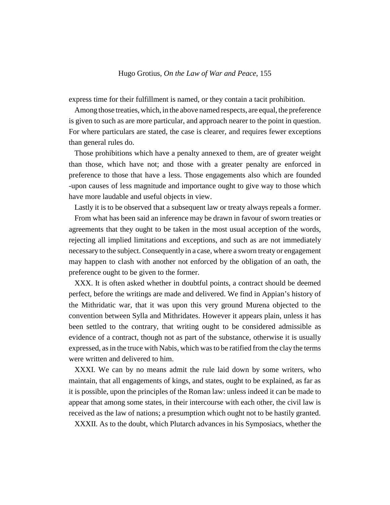express time for their fulfillment is named, or they contain a tacit prohibition.

Among those treaties, which, in the above named respects, are equal, the preference is given to such as are more particular, and approach nearer to the point in question. For where particulars are stated, the case is clearer, and requires fewer exceptions than general rules do.

Those prohibitions which have a penalty annexed to them, are of greater weight than those, which have not; and those with a greater penalty are enforced in preference to those that have a less. Those engagements also which are founded -upon causes of less magnitude and importance ought to give way to those which have more laudable and useful objects in view.

Lastly it is to be observed that a subsequent law or treaty always repeals a former.

From what has been said an inference may be drawn in favour of sworn treaties or agreements that they ought to be taken in the most usual acception of the words, rejecting all implied limitations and exceptions, and such as are not immediately necessary to the subject. Consequently in a case, where a sworn treaty or engagement may happen to clash with another not enforced by the obligation of an oath, the preference ought to be given to the former.

XXX. It is often asked whether in doubtful points, a contract should be deemed perfect, before the writings are made and delivered. We find in Appian's history of the Mithridatic war, that it was upon this very ground Murena objected to the convention between Sylla and Mithridates. However it appears plain, unless it has been settled to the contrary, that writing ought to be considered admissible as evidence of a contract, though not as part of the substance, otherwise it is usually expressed, as in the truce with Nabis, which was to be ratified from the clay the terms were written and delivered to him.

XXXI. We can by no means admit the rule laid down by some writers, who maintain, that all engagements of kings, and states, ought to be explained, as far as it is possible, upon the principles of the Roman law: unless indeed it can be made to appear that among some states, in their intercourse with each other, the civil law is received as the law of nations; a presumption which ought not to be hastily granted.

XXXII. As to the doubt, which Plutarch advances in his Symposiacs, whether the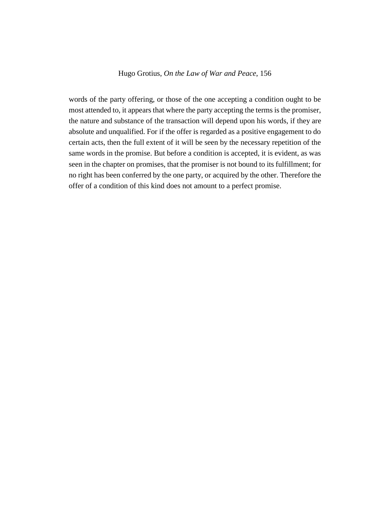words of the party offering, or those of the one accepting a condition ought to be most attended to, it appears that where the party accepting the terms is the promiser, the nature and substance of the transaction will depend upon his words, if they are absolute and unqualified. For if the offer is regarded as a positive engagement to do certain acts, then the full extent of it will be seen by the necessary repetition of the same words in the promise. But before a condition is accepted, it is evident, as was seen in the chapter on promises, that the promiser is not bound to its fulfillment; for no right has been conferred by the one party, or acquired by the other. Therefore the offer of a condition of this kind does not amount to a perfect promise.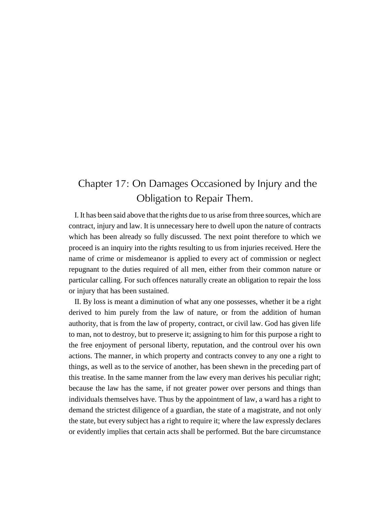# Chapter 17: On Damages Occasioned by Injury and the Obligation to Repair Them.

I. It has been said above that the rights due to us arise from three sources, which are contract, injury and law. It is unnecessary here to dwell upon the nature of contracts which has been already so fully discussed. The next point therefore to which we proceed is an inquiry into the rights resulting to us from injuries received. Here the name of crime or misdemeanor is applied to every act of commission or neglect repugnant to the duties required of all men, either from their common nature or particular calling. For such offences naturally create an obligation to repair the loss or injury that has been sustained.

II. By loss is meant a diminution of what any one possesses, whether it be a right derived to him purely from the law of nature, or from the addition of human authority, that is from the law of property, contract, or civil law. God has given life to man, not to destroy, but to preserve it; assigning to him for this purpose a right to the free enjoyment of personal liberty, reputation, and the controul over his own actions. The manner, in which property and contracts convey to any one a right to things, as well as to the service of another, has been shewn in the preceding part of this treatise. In the same manner from the law every man derives his peculiar right; because the law has the same, if not greater power over persons and things than individuals themselves have. Thus by the appointment of law, a ward has a right to demand the strictest diligence of a guardian, the state of a magistrate, and not only the state, but every subject has a right to require it; where the law expressly declares or evidently implies that certain acts shall be performed. But the bare circumstance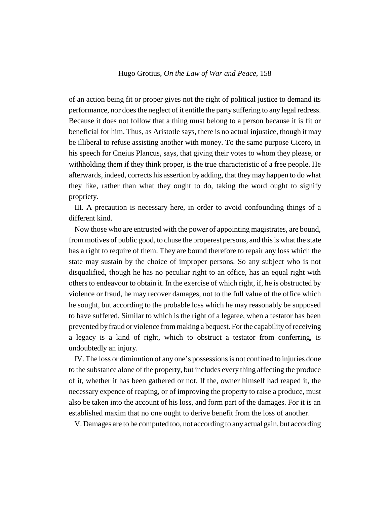of an action being fit or proper gives not the right of political justice to demand its performance, nor does the neglect of it entitle the party suffering to any legal redress. Because it does not follow that a thing must belong to a person because it is fit or beneficial for him. Thus, as Aristotle says, there is no actual injustice, though it may be illiberal to refuse assisting another with money. To the same purpose Cicero, in his speech for Cneius Plancus, says, that giving their votes to whom they please, or withholding them if they think proper, is the true characteristic of a free people. He afterwards, indeed, corrects his assertion by adding, that they may happen to do what they like, rather than what they ought to do, taking the word ought to signify propriety.

III. A precaution is necessary here, in order to avoid confounding things of a different kind.

Now those who are entrusted with the power of appointing magistrates, are bound, from motives of public good, to chuse the properest persons, and this is what the state has a right to require of them. They are bound therefore to repair any loss which the state may sustain by the choice of improper persons. So any subject who is not disqualified, though he has no peculiar right to an office, has an equal right with others to endeavour to obtain it. In the exercise of which right, if, he is obstructed by violence or fraud, he may recover damages, not to the full value of the office which he sought, but according to the probable loss which he may reasonably be supposed to have suffered. Similar to which is the right of a legatee, when a testator has been prevented by fraud or violence from making a bequest. For the capability of receiving a legacy is a kind of right, which to obstruct a testator from conferring, is undoubtedly an injury.

IV. The loss or diminution of any one's possessions is not confined to injuries done to the substance alone of the property, but includes every thing affecting the produce of it, whether it has been gathered or not. If the, owner himself had reaped it, the necessary expence of reaping, or of improving the property to raise a produce, must also be taken into the account of his loss, and form part of the damages. For it is an established maxim that no one ought to derive benefit from the loss of another.

V. Damages are to be computed too, not according to any actual gain, but according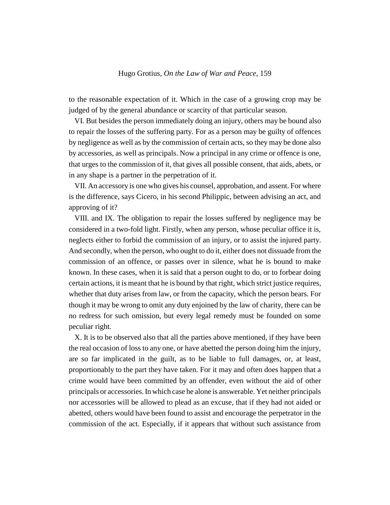to the reasonable expectation of it. Which in the case of a growing crop may be judged of by the general abundance or scarcity of that particular season.

VI. But besides the person immediately doing an injury, others may be bound also to repair the losses of the suffering party. For as a person may be guilty of offences by negligence as well as by the commission of certain acts, so they may be done also by accessories, as well as principals. Now a principal in any crime or offence is one, that urges to the commission of it, that gives all possible consent, that aids, abets, or in any shape is a partner in the perpetration of it.

VII. An accessory is one who gives his counsel, approbation, and assent. For where is the difference, says Cicero, in his second Philippic, between advising an act, and approving of it?

VIII. and IX. The obligation to repair the losses suffered by negligence may be considered in a two-fold light. Firstly, when any person, whose peculiar office it is, neglects either to forbid the commission of an injury, or to assist the injured party. And secondly, when the person, who ought to do it, either does not dissuade from the commission of an offence, or passes over in silence, what he is bound to make known. In these cases, when it is said that a person ought to do, or to forbear doing certain actions, it is meant that he is bound by that right, which strict justice requires, whether that duty arises from law, or from the capacity, which the person bears. For though it may be wrong to omit any duty enjoined by the law of charity, there can be no redress for such omission, but every legal remedy must be founded on some peculiar right.

X. It is to be observed also that all the parties above mentioned, if they have been the real occasion of loss to any one, or have abetted the person doing him the injury, are so far implicated in the guilt, as to be liable to full damages, or, at least, proportionably to the part they have taken. For it may and often does happen that a crime would have been committed by an offender, even without the aid of other principals or accessories. In which case he alone is answerable. Yet neither principals nor accessories will be allowed to plead as an excuse, that if they had not aided or abetted, others would have been found to assist and encourage the perpetrator in the commission of the act. Especially, if it appears that without such assistance from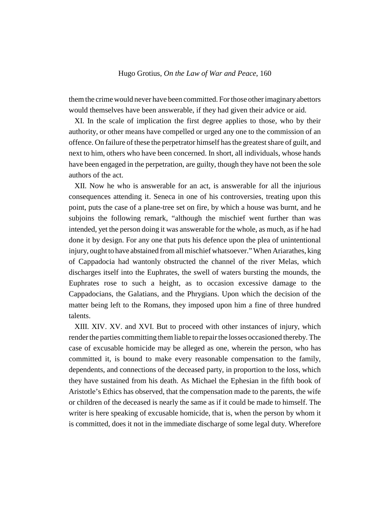them the crime would never have been committed. For those other imaginary abettors would themselves have been answerable, if they had given their advice or aid.

XI. In the scale of implication the first degree applies to those, who by their authority, or other means have compelled or urged any one to the commission of an offence. On failure of these the perpetrator himself has the greatest share of guilt, and next to him, others who have been concerned. In short, all individuals, whose hands have been engaged in the perpetration, are guilty, though they have not been the sole authors of the act.

XII. Now he who is answerable for an act, is answerable for all the injurious consequences attending it. Seneca in one of his controversies, treating upon this point, puts the case of a plane-tree set on fire, by which a house was burnt, and he subjoins the following remark, "although the mischief went further than was intended, yet the person doing it was answerable for the whole, as much, as if he had done it by design. For any one that puts his defence upon the plea of unintentional injury, ought to have abstained from all mischief whatsoever." When Ariarathes, king of Cappadocia had wantonly obstructed the channel of the river Melas, which discharges itself into the Euphrates, the swell of waters bursting the mounds, the Euphrates rose to such a height, as to occasion excessive damage to the Cappadocians, the Galatians, and the Phrygians. Upon which the decision of the matter being left to the Romans, they imposed upon him a fine of three hundred talents.

XIII. XIV. XV. and XVI. But to proceed with other instances of injury, which render the parties committing them liable to repair the losses occasioned thereby. The case of excusable homicide may be alleged as one, wherein the person, who has committed it, is bound to make every reasonable compensation to the family, dependents, and connections of the deceased party, in proportion to the loss, which they have sustained from his death. As Michael the Ephesian in the fifth book of Aristotle's Ethics has observed, that the compensation made to the parents, the wife or children of the deceased is nearly the same as if it could be made to himself. The writer is here speaking of excusable homicide, that is, when the person by whom it is committed, does it not in the immediate discharge of some legal duty. Wherefore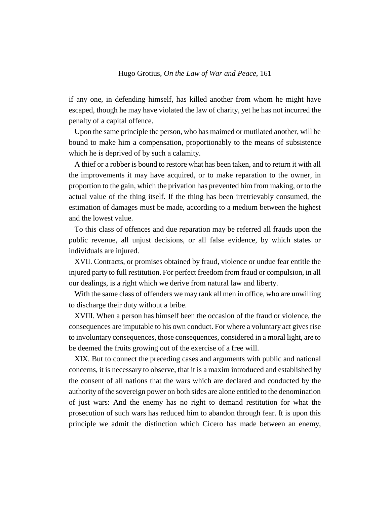if any one, in defending himself, has killed another from whom he might have escaped, though he may have violated the law of charity, yet he has not incurred the penalty of a capital offence.

Upon the same principle the person, who has maimed or mutilated another, will be bound to make him a compensation, proportionably to the means of subsistence which he is deprived of by such a calamity.

A thief or a robber is bound to restore what has been taken, and to return it with all the improvements it may have acquired, or to make reparation to the owner, in proportion to the gain, which the privation has prevented him from making, or to the actual value of the thing itself. If the thing has been irretrievably consumed, the estimation of damages must be made, according to a medium between the highest and the lowest value.

To this class of offences and due reparation may be referred all frauds upon the public revenue, all unjust decisions, or all false evidence, by which states or individuals are injured.

XVII. Contracts, or promises obtained by fraud, violence or undue fear entitle the injured party to full restitution. For perfect freedom from fraud or compulsion, in all our dealings, is a right which we derive from natural law and liberty.

With the same class of offenders we may rank all men in office, who are unwilling to discharge their duty without a bribe.

XVIII. When a person has himself been the occasion of the fraud or violence, the consequences are imputable to his own conduct. For where a voluntary act gives rise to involuntary consequences, those consequences, considered in a moral light, are to be deemed the fruits growing out of the exercise of a free will.

XIX. But to connect the preceding cases and arguments with public and national concerns, it is necessary to observe, that it is a maxim introduced and established by the consent of all nations that the wars which are declared and conducted by the authority of the sovereign power on both sides are alone entitled to the denomination of just wars: And the enemy has no right to demand restitution for what the prosecution of such wars has reduced him to abandon through fear. It is upon this principle we admit the distinction which Cicero has made between an enemy,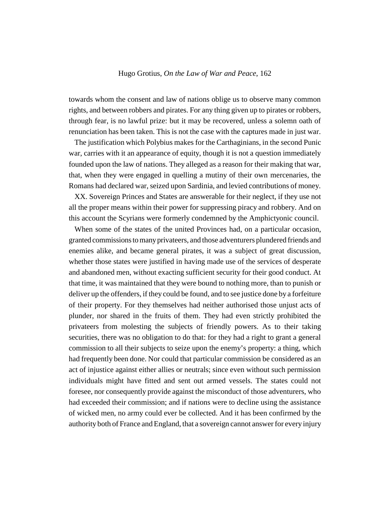towards whom the consent and law of nations oblige us to observe many common rights, and between robbers and pirates. For any thing given up to pirates or robbers, through fear, is no lawful prize: but it may be recovered, unless a solemn oath of renunciation has been taken. This is not the case with the captures made in just war.

The justification which Polybius makes for the Carthaginians, in the second Punic war, carries with it an appearance of equity, though it is not a question immediately founded upon the law of nations. They alleged as a reason for their making that war, that, when they were engaged in quelling a mutiny of their own mercenaries, the Romans had declared war, seized upon Sardinia, and levied contributions of money.

XX. Sovereign Princes and States are answerable for their neglect, if they use not all the proper means within their power for suppressing piracy and robbery. And on this account the Scyrians were formerly condemned by the Amphictyonic council.

When some of the states of the united Provinces had, on a particular occasion, granted commissions to many privateers, and those adventurers plundered friends and enemies alike, and became general pirates, it was a subject of great discussion, whether those states were justified in having made use of the services of desperate and abandoned men, without exacting sufficient security for their good conduct. At that time, it was maintained that they were bound to nothing more, than to punish or deliver up the offenders, if they could be found, and to see justice done by a forfeiture of their property. For they themselves had neither authorised those unjust acts of plunder, nor shared in the fruits of them. They had even strictly prohibited the privateers from molesting the subjects of friendly powers. As to their taking securities, there was no obligation to do that: for they had a right to grant a general commission to all their subjects to seize upon the enemy's property: a thing, which had frequently been done. Nor could that particular commission be considered as an act of injustice against either allies or neutrals; since even without such permission individuals might have fitted and sent out armed vessels. The states could not foresee, nor consequently provide against the misconduct of those adventurers, who had exceeded their commission; and if nations were to decline using the assistance of wicked men, no army could ever be collected. And it has been confirmed by the authority both of France and England, that a sovereign cannot answer for every injury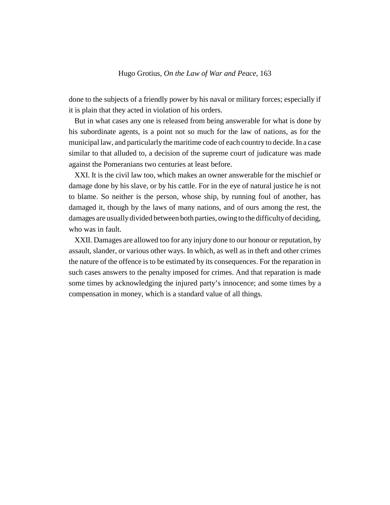done to the subjects of a friendly power by his naval or military forces; especially if it is plain that they acted in violation of his orders.

But in what cases any one is released from being answerable for what is done by his subordinate agents, is a point not so much for the law of nations, as for the municipal law, and particularly the maritime code of each country to decide. In a case similar to that alluded to, a decision of the supreme court of judicature was made against the Pomeranians two centuries at least before.

XXI. It is the civil law too, which makes an owner answerable for the mischief or damage done by his slave, or by his cattle. For in the eye of natural justice he is not to blame. So neither is the person, whose ship, by running foul of another, has damaged it, though by the laws of many nations, and of ours among the rest, the damages are usually divided between both parties, owing to the difficulty of deciding, who was in fault.

XXII. Damages are allowed too for any injury done to our honour or reputation, by assault, slander, or various other ways. In which, as well as in theft and other crimes the nature of the offence is to be estimated by its consequences. For the reparation in such cases answers to the penalty imposed for crimes. And that reparation is made some times by acknowledging the injured party's innocence; and some times by a compensation in money, which is a standard value of all things.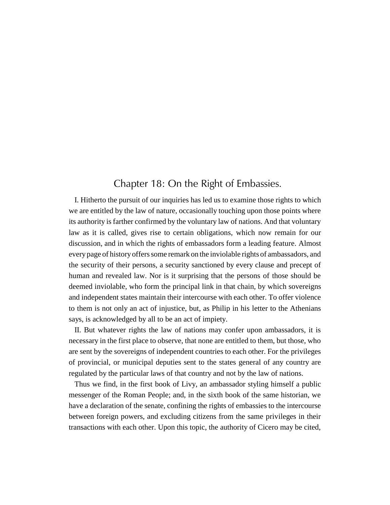### Chapter 18: On the Right of Embassies.

I. Hitherto the pursuit of our inquiries has led us to examine those rights to which we are entitled by the law of nature, occasionally touching upon those points where its authority is farther confirmed by the voluntary law of nations. And that voluntary law as it is called, gives rise to certain obligations, which now remain for our discussion, and in which the rights of embassadors form a leading feature. Almost every page of history offers some remark on the inviolable rights of ambassadors, and the security of their persons, a security sanctioned by every clause and precept of human and revealed law. Nor is it surprising that the persons of those should be deemed inviolable, who form the principal link in that chain, by which sovereigns and independent states maintain their intercourse with each other. To offer violence to them is not only an act of injustice, but, as Philip in his letter to the Athenians says, is acknowledged by all to be an act of impiety.

II. But whatever rights the law of nations may confer upon ambassadors, it is necessary in the first place to observe, that none are entitled to them, but those, who are sent by the sovereigns of independent countries to each other. For the privileges of provincial, or municipal deputies sent to the states general of any country are regulated by the particular laws of that country and not by the law of nations.

Thus we find, in the first book of Livy, an ambassador styling himself a public messenger of the Roman People; and, in the sixth book of the same historian, we have a declaration of the senate, confining the rights of embassies to the intercourse between foreign powers, and excluding citizens from the same privileges in their transactions with each other. Upon this topic, the authority of Cicero may be cited,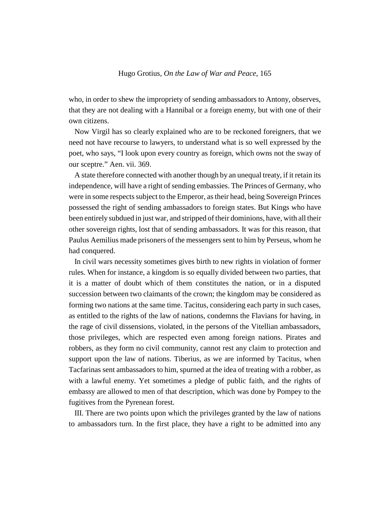who, in order to shew the impropriety of sending ambassadors to Antony, observes, that they are not dealing with a Hannibal or a foreign enemy, but with one of their own citizens.

Now Virgil has so clearly explained who are to be reckoned foreigners, that we need not have recourse to lawyers, to understand what is so well expressed by the poet, who says, "I look upon every country as foreign, which owns not the sway of our sceptre." Aen. vii. 369.

A state therefore connected with another though by an unequal treaty, if it retain its independence, will have a right of sending embassies. The Princes of Germany, who were in some respects subject to the Emperor, as their head, being Sovereign Princes possessed the right of sending ambassadors to foreign states. But Kings who have been entirely subdued in just war, and stripped of their dominions, have, with all their other sovereign rights, lost that of sending ambassadors. It was for this reason, that Paulus Aemilius made prisoners of the messengers sent to him by Perseus, whom he had conquered.

In civil wars necessity sometimes gives birth to new rights in violation of former rules. When for instance, a kingdom is so equally divided between two parties, that it is a matter of doubt which of them constitutes the nation, or in a disputed succession between two claimants of the crown; the kingdom may be considered as forming two nations at the same time. Tacitus, considering each party in such cases, as entitled to the rights of the law of nations, condemns the Flavians for having, in the rage of civil dissensions, violated, in the persons of the Vitellian ambassadors, those privileges, which are respected even among foreign nations. Pirates and robbers, as they form no civil community, cannot rest any claim to protection and support upon the law of nations. Tiberius, as we are informed by Tacitus, when Tacfarinas sent ambassadors to him, spurned at the idea of treating with a robber, as with a lawful enemy. Yet sometimes a pledge of public faith, and the rights of embassy are allowed to men of that description, which was done by Pompey to the fugitives from the Pyrenean forest.

III. There are two points upon which the privileges granted by the law of nations to ambassadors turn. In the first place, they have a right to be admitted into any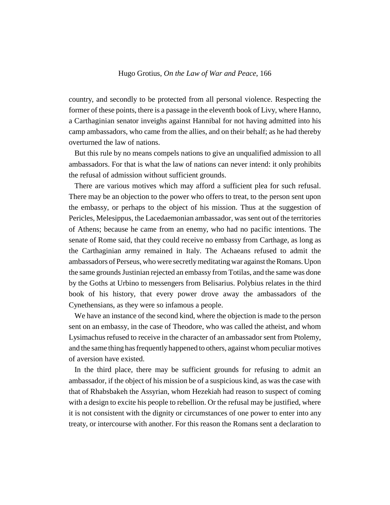country, and secondly to be protected from all personal violence. Respecting the former of these points, there is a passage in the eleventh book of Livy, where Hanno, a Carthaginian senator inveighs against Hannibal for not having admitted into his camp ambassadors, who came from the allies, and on their behalf; as he had thereby overturned the law of nations.

But this rule by no means compels nations to give an unqualified admission to all ambassadors. For that is what the law of nations can never intend: it only prohibits the refusal of admission without sufficient grounds.

There are various motives which may afford a sufficient plea for such refusal. There may be an objection to the power who offers to treat, to the person sent upon the embassy, or perhaps to the object of his mission. Thus at the suggestion of Pericles, Melesippus, the Lacedaemonian ambassador, was sent out of the territories of Athens; because he came from an enemy, who had no pacific intentions. The senate of Rome said, that they could receive no embassy from Carthage, as long as the Carthaginian army remained in Italy. The Achaeans refused to admit the ambassadors of Perseus, who were secretly meditating war against the Romans. Upon the same grounds Justinian rejected an embassy from Totilas, and the same was done by the Goths at Urbino to messengers from Belisarius. Polybius relates in the third book of his history, that every power drove away the ambassadors of the Cynethensians, as they were so infamous a people.

We have an instance of the second kind, where the objection is made to the person sent on an embassy, in the case of Theodore, who was called the atheist, and whom Lysimachus refused to receive in the character of an ambassador sent from Ptolemy, and the same thing has frequently happened to others, against whom peculiar motives of aversion have existed.

In the third place, there may be sufficient grounds for refusing to admit an ambassador, if the object of his mission be of a suspicious kind, as was the case with that of Rhabsbakeh the Assyrian, whom Hezekiah had reason to suspect of coming with a design to excite his people to rebellion. Or the refusal may be justified, where it is not consistent with the dignity or circumstances of one power to enter into any treaty, or intercourse with another. For this reason the Romans sent a declaration to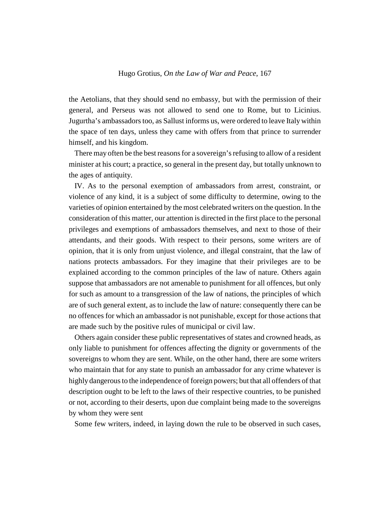the Aetolians, that they should send no embassy, but with the permission of their general, and Perseus was not allowed to send one to Rome, but to Licinius. Jugurtha's ambassadors too, as Sallust informs us, were ordered to leave Italy within the space of ten days, unless they came with offers from that prince to surrender himself, and his kingdom.

There may often be the best reasons for a sovereign's refusing to allow of a resident minister at his court; a practice, so general in the present day, but totally unknown to the ages of antiquity.

IV. As to the personal exemption of ambassadors from arrest, constraint, or violence of any kind, it is a subject of some difficulty to determine, owing to the varieties of opinion entertained by the most celebrated writers on the question. In the consideration of this matter, our attention is directed in the first place to the personal privileges and exemptions of ambassadors themselves, and next to those of their attendants, and their goods. With respect to their persons, some writers are of opinion, that it is only from unjust violence, and illegal constraint, that the law of nations protects ambassadors. For they imagine that their privileges are to be explained according to the common principles of the law of nature. Others again suppose that ambassadors are not amenable to punishment for all offences, but only for such as amount to a transgression of the law of nations, the principles of which are of such general extent, as to include the law of nature: consequently there can be no offences for which an ambassador is not punishable, except for those actions that are made such by the positive rules of municipal or civil law.

Others again consider these public representatives of states and crowned heads, as only liable to punishment for offences affecting the dignity or governments of the sovereigns to whom they are sent. While, on the other hand, there are some writers who maintain that for any state to punish an ambassador for any crime whatever is highly dangerous to the independence of foreign powers; but that all offenders of that description ought to be left to the laws of their respective countries, to be punished or not, according to their deserts, upon due complaint being made to the sovereigns by whom they were sent

Some few writers, indeed, in laying down the rule to be observed in such cases,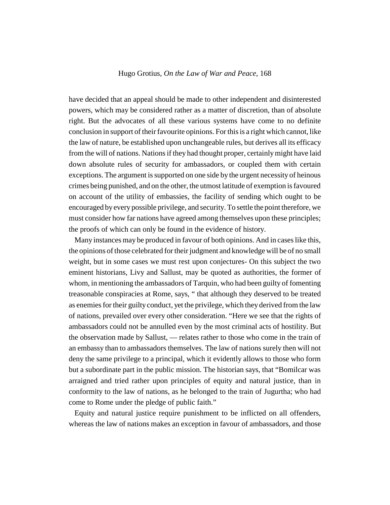have decided that an appeal should be made to other independent and disinterested powers, which may be considered rather as a matter of discretion, than of absolute right. But the advocates of all these various systems have come to no definite conclusion in support of their favourite opinions. For this is a right which cannot, like the law of nature, be established upon unchangeable rules, but derives all its efficacy from the will of nations. Nations if they had thought proper, certainly might have laid down absolute rules of security for ambassadors, or coupled them with certain exceptions. The argument is supported on one side by the urgent necessity of heinous crimes being punished, and on the other, the utmost latitude of exemption is favoured on account of the utility of embassies, the facility of sending which ought to be encouraged by every possible privilege, and security. To settle the point therefore, we must consider how far nations have agreed among themselves upon these principles; the proofs of which can only be found in the evidence of history.

Many instances may be produced in favour of both opinions. And in cases like this, the opinions of those celebrated for their judgment and knowledge will be of no small weight, but in some cases we must rest upon conjectures- On this subject the two eminent historians, Livy and Sallust, may be quoted as authorities, the former of whom, in mentioning the ambassadors of Tarquin, who had been guilty of fomenting treasonable conspiracies at Rome, says, " that although they deserved to be treated as enemies for their guilty conduct, yet the privilege, which they derived from the law of nations, prevailed over every other consideration. "Here we see that the rights of ambassadors could not be annulled even by the most criminal acts of hostility. But the observation made by Sallust, — relates rather to those who come in the train of an embassy than to ambassadors themselves. The law of nations surely then will not deny the same privilege to a principal, which it evidently allows to those who form but a subordinate part in the public mission. The historian says, that "Bomilcar was arraigned and tried rather upon principles of equity and natural justice, than in conformity to the law of nations, as he belonged to the train of Jugurtha; who had come to Rome under the pledge of public faith."

Equity and natural justice require punishment to be inflicted on all offenders, whereas the law of nations makes an exception in favour of ambassadors, and those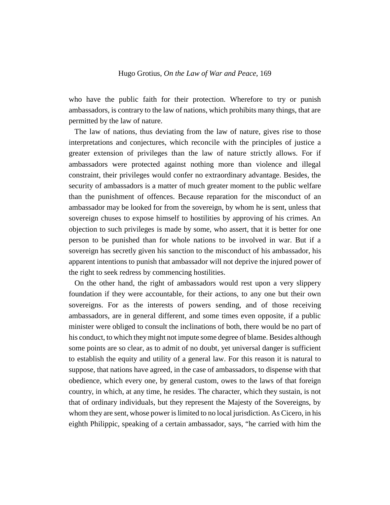who have the public faith for their protection. Wherefore to try or punish ambassadors, is contrary to the law of nations, which prohibits many things, that are permitted by the law of nature.

The law of nations, thus deviating from the law of nature, gives rise to those interpretations and conjectures, which reconcile with the principles of justice a greater extension of privileges than the law of nature strictly allows. For if ambassadors were protected against nothing more than violence and illegal constraint, their privileges would confer no extraordinary advantage. Besides, the security of ambassadors is a matter of much greater moment to the public welfare than the punishment of offences. Because reparation for the misconduct of an ambassador may be looked for from the sovereign, by whom he is sent, unless that sovereign chuses to expose himself to hostilities by approving of his crimes. An objection to such privileges is made by some, who assert, that it is better for one person to be punished than for whole nations to be involved in war. But if a sovereign has secretly given his sanction to the misconduct of his ambassador, his apparent intentions to punish that ambassador will not deprive the injured power of the right to seek redress by commencing hostilities.

On the other hand, the right of ambassadors would rest upon a very slippery foundation if they were accountable, for their actions, to any one but their own sovereigns. For as the interests of powers sending, and of those receiving ambassadors, are in general different, and some times even opposite, if a public minister were obliged to consult the inclinations of both, there would be no part of his conduct, to which they might not impute some degree of blame. Besides although some points are so clear, as to admit of no doubt, yet universal danger is sufficient to establish the equity and utility of a general law. For this reason it is natural to suppose, that nations have agreed, in the case of ambassadors, to dispense with that obedience, which every one, by general custom, owes to the laws of that foreign country, in which, at any time, he resides. The character, which they sustain, is not that of ordinary individuals, but they represent the Majesty of the Sovereigns, by whom they are sent, whose power is limited to no local jurisdiction. As Cicero, in his eighth Philippic, speaking of a certain ambassador, says, "he carried with him the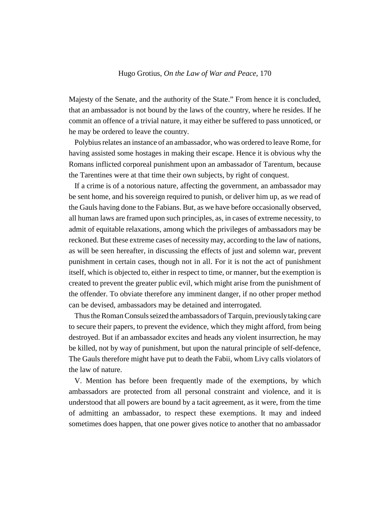Majesty of the Senate, and the authority of the State." From hence it is concluded, that an ambassador is not bound by the laws of the country, where he resides. If he commit an offence of a trivial nature, it may either be suffered to pass unnoticed, or he may be ordered to leave the country.

Polybius relates an instance of an ambassador, who was ordered to leave Rome, for having assisted some hostages in making their escape. Hence it is obvious why the Romans inflicted corporeal punishment upon an ambassador of Tarentum, because the Tarentines were at that time their own subjects, by right of conquest.

If a crime is of a notorious nature, affecting the government, an ambassador may be sent home, and his sovereign required to punish, or deliver him up, as we read of the Gauls having done to the Fabians. But, as we have before occasionally observed, all human laws are framed upon such principles, as, in cases of extreme necessity, to admit of equitable relaxations, among which the privileges of ambassadors may be reckoned. But these extreme cases of necessity may, according to the law of nations, as will be seen hereafter, in discussing the effects of just and solemn war, prevent punishment in certain cases, though not in all. For it is not the act of punishment itself, which is objected to, either in respect to time, or manner, but the exemption is created to prevent the greater public evil, which might arise from the punishment of the offender. To obviate therefore any imminent danger, if no other proper method can be devised, ambassadors may be detained and interrogated.

Thus the Roman Consuls seized the ambassadors of Tarquin, previously taking care to secure their papers, to prevent the evidence, which they might afford, from being destroyed. But if an ambassador excites and heads any violent insurrection, he may be killed, not by way of punishment, but upon the natural principle of self-defence, The Gauls therefore might have put to death the Fabii, whom Livy calls violators of the law of nature.

V. Mention has before been frequently made of the exemptions, by which ambassadors are protected from all personal constraint and violence, and it is understood that all powers are bound by a tacit agreement, as it were, from the time of admitting an ambassador, to respect these exemptions. It may and indeed sometimes does happen, that one power gives notice to another that no ambassador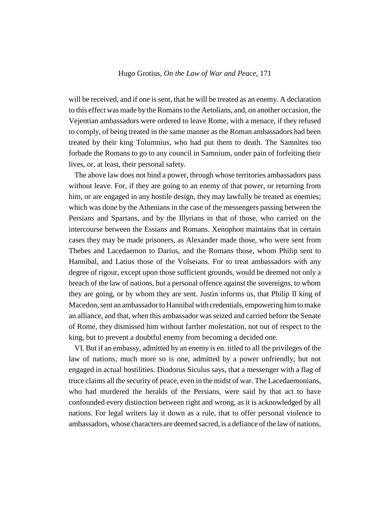will be received, and if one is sent, that he will be treated as an enemy. A declaration to this effect was made by the Romans to the Aetolians, and, on another occasion, the Vejentian ambassadors were ordered to leave Rome, with a menace, if they refused to comply, of being treated in the same manner as the Roman ambassadors had been treated by their king Tolumnius, who had put them to death. The Samnites too forbade the Romans to go to any council in Samnium, under pain of forfeiting their lives, or, at least, their personal safety.

The above law does not bind a power, through whose territories ambassadors pass without leave. For, if they are going to an enemy of that power, or returning from him, or are engaged in any hostile design, they may lawfully be treated as enemies; which was done by the Athenians in the case of the messengers passing between the Persians and Spartans, and by the Illyrians in that of those, who carried on the intercourse between the Essians and Romans. Xenophon maintains that in certain cases they may be made prisoners, as Alexander made those, who were sent from Thebes and Lacedaemon to Darius, and the Romans those, whom Philip sent to Hannibal, and Latius those of the Volseians. For to treat ambassadors with any degree of rigour, except upon those sufficient grounds, would be deemed not only a breach of the law of nations, but a personal offence against the sovereigns, to whom they are going, or by whom they are sent. Justin informs us, that Philip II king of Macedon, sent an ambassador to Hannibal with credentials, empowering him to make an alliance, and that, when this ambassador was seized and carried before the Senate of Rome, they dismissed him without farther molestation, not out of respect to the king, but to prevent a doubtful enemy from becoming a decided one.

VI. But if an embassy, admitted by an enemy is en. titled to all the privileges of the law of nations, much more so is one, admitted by a power unfriendly, but not engaged in actual hostilities. Diodorus Siculus says, that a messenger with a flag of truce claims all the security of peace, even in the midst of war. The Lacedaemonians, who had murdered the heralds of the Persians, were said by that act to have confounded every distinction between right and wrong, as it is acknowledged by all nations. For legal writers lay it down as a rule, that to offer personal violence to ambassadors, whose characters are deemed sacred, is a defiance of the law of nations,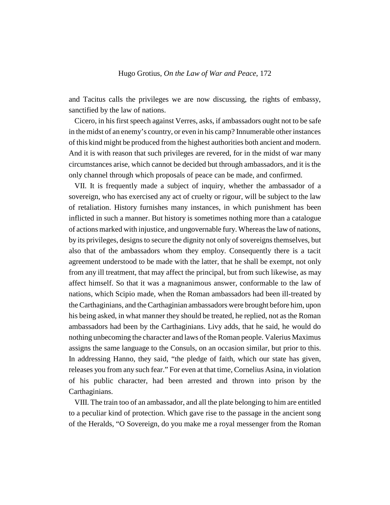and Tacitus calls the privileges we are now discussing, the rights of embassy, sanctified by the law of nations.

Cicero, in his first speech against Verres, asks, if ambassadors ought not to be safe in the midst of an enemy's country, or even in his camp? Innumerable other instances of this kind might be produced from the highest authorities both ancient and modern. And it is with reason that such privileges are revered, for in the midst of war many circumstances arise, which cannot be decided but through ambassadors, and it is the only channel through which proposals of peace can be made, and confirmed.

VII. It is frequently made a subject of inquiry, whether the ambassador of a sovereign, who has exercised any act of cruelty or rigour, will be subject to the law of retaliation. History furnishes many instances, in which punishment has been inflicted in such a manner. But history is sometimes nothing more than a catalogue of actions marked with injustice, and ungovernable fury. Whereas the law of nations, by its privileges, designs to secure the dignity not only of sovereigns themselves, but also that of the ambassadors whom they employ. Consequently there is a tacit agreement understood to be made with the latter, that he shall be exempt, not only from any ill treatment, that may affect the principal, but from such likewise, as may affect himself. So that it was a magnanimous answer, conformable to the law of nations, which Scipio made, when the Roman ambassadors had been ill-treated by the Carthaginians, and the Carthaginian ambassadors were brought before him, upon his being asked, in what manner they should be treated, he replied, not as the Roman ambassadors had been by the Carthaginians. Livy adds, that he said, he would do nothing unbecoming the character and laws of the Roman people. Valerius Maximus assigns the same language to the Consuls, on an occasion similar, but prior to this. In addressing Hanno, they said, "the pledge of faith, which our state has given, releases you from any such fear." For even at that time, Cornelius Asina, in violation of his public character, had been arrested and thrown into prison by the Carthaginians.

VIII. The train too of an ambassador, and all the plate belonging to him are entitled to a peculiar kind of protection. Which gave rise to the passage in the ancient song of the Heralds, "O Sovereign, do you make me a royal messenger from the Roman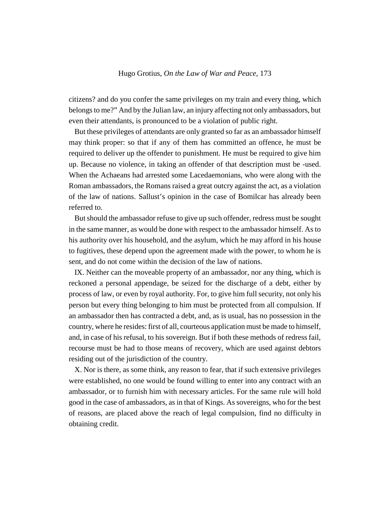citizens? and do you confer the same privileges on my train and every thing, which belongs to me?" And by the Julian law, an injury affecting not only ambassadors, but even their attendants, is pronounced to be a violation of public right.

But these privileges of attendants are only granted so far as an ambassador himself may think proper: so that if any of them has committed an offence, he must be required to deliver up the offender to punishment. He must be required to give him up. Because no violence, in taking an offender of that description must be -used. When the Achaeans had arrested some Lacedaemonians, who were along with the Roman ambassadors, the Romans raised a great outcry against the act, as a violation of the law of nations. Sallust's opinion in the case of Bomilcar has already been referred to.

But should the ambassador refuse to give up such offender, redress must be sought in the same manner, as would be done with respect to the ambassador himself. As to his authority over his household, and the asylum, which he may afford in his house to fugitives, these depend upon the agreement made with the power, to whom he is sent, and do not come within the decision of the law of nations.

IX. Neither can the moveable property of an ambassador, nor any thing, which is reckoned a personal appendage, be seized for the discharge of a debt, either by process of law, or even by royal authority. For, to give him full security, not only his person but every thing belonging to him must be protected from all compulsion. If an ambassador then has contracted a debt, and, as is usual, has no possession in the country, where he resides: first of all, courteous application must be made to himself, and, in case of his refusal, to his sovereign. But if both these methods of redress fail, recourse must be had to those means of recovery, which are used against debtors residing out of the jurisdiction of the country.

X. Nor is there, as some think, any reason to fear, that if such extensive privileges were established, no one would be found willing to enter into any contract with an ambassador, or to furnish him with necessary articles. For the same rule will hold good in the case of ambassadors, as in that of Kings. As sovereigns, who for the best of reasons, are placed above the reach of legal compulsion, find no difficulty in obtaining credit.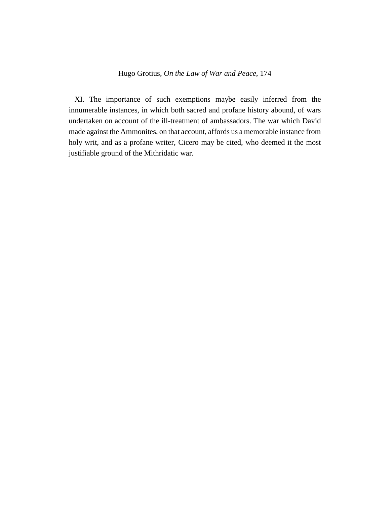XI. The importance of such exemptions maybe easily inferred from the innumerable instances, in which both sacred and profane history abound, of wars undertaken on account of the ill-treatment of ambassadors. The war which David made against the Ammonites, on that account, affords us a memorable instance from holy writ, and as a profane writer, Cicero may be cited, who deemed it the most justifiable ground of the Mithridatic war.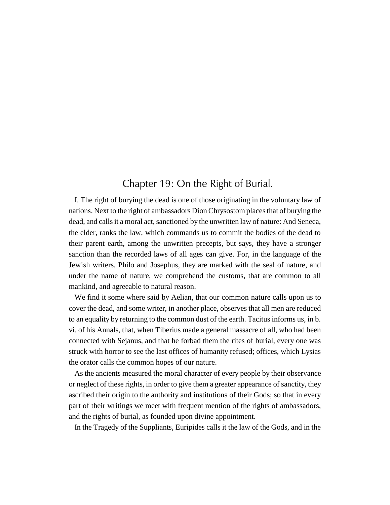## Chapter 19: On the Right of Burial.

I. The right of burying the dead is one of those originating in the voluntary law of nations. Next to the right of ambassadors Dion Chrysostom places that of burying the dead, and calls it a moral act, sanctioned by the unwritten law of nature: And Seneca, the elder, ranks the law, which commands us to commit the bodies of the dead to their parent earth, among the unwritten precepts, but says, they have a stronger sanction than the recorded laws of all ages can give. For, in the language of the Jewish writers, Philo and Josephus, they are marked with the seal of nature, and under the name of nature, we comprehend the customs, that are common to all mankind, and agreeable to natural reason.

We find it some where said by Aelian, that our common nature calls upon us to cover the dead, and some writer, in another place, observes that all men are reduced to an equality by returning to the common dust of the earth. Tacitus informs us, in b. vi. of his Annals, that, when Tiberius made a general massacre of all, who had been connected with Sejanus, and that he forbad them the rites of burial, every one was struck with horror to see the last offices of humanity refused; offices, which Lysias the orator calls the common hopes of our nature.

As the ancients measured the moral character of every people by their observance or neglect of these rights, in order to give them a greater appearance of sanctity, they ascribed their origin to the authority and institutions of their Gods; so that in every part of their writings we meet with frequent mention of the rights of ambassadors, and the rights of burial, as founded upon divine appointment.

In the Tragedy of the Suppliants, Euripides calls it the law of the Gods, and in the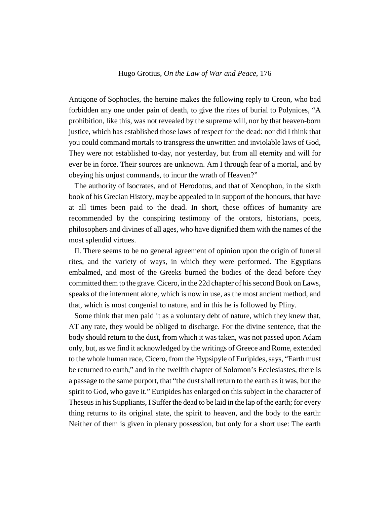Antigone of Sophocles, the heroine makes the following reply to Creon, who bad forbidden any one under pain of death, to give the rites of burial to Polynices, "A prohibition, like this, was not revealed by the supreme will, nor by that heaven-born justice, which has established those laws of respect for the dead: nor did I think that you could command mortals to transgress the unwritten and inviolable laws of God, They were not established to-day, nor yesterday, but from all eternity and will for ever be in force. Their sources are unknown. Am I through fear of a mortal, and by obeying his unjust commands, to incur the wrath of Heaven?"

The authority of Isocrates, and of Herodotus, and that of Xenophon, in the sixth book of his Grecian History, may be appealed to in support of the honours, that have at all times been paid to the dead. In short, these offices of humanity are recommended by the conspiring testimony of the orators, historians, poets, philosophers and divines of all ages, who have dignified them with the names of the most splendid virtues.

II. There seems to be no general agreement of opinion upon the origin of funeral rites, and the variety of ways, in which they were performed. The Egyptians embalmed, and most of the Greeks burned the bodies of the dead before they committed them to the grave. Cicero, in the 22d chapter of his second Book on Laws, speaks of the interment alone, which is now in use, as the most ancient method, and that, which is most congenial to nature, and in this he is followed by Pliny.

Some think that men paid it as a voluntary debt of nature, which they knew that, AT any rate, they would be obliged to discharge. For the divine sentence, that the body should return to the dust, from which it was taken, was not passed upon Adam only, but, as we find it acknowledged by the writings of Greece and Rome, extended to the whole human race, Cicero, from the Hypsipyle of Euripides, says, "Earth must be returned to earth," and in the twelfth chapter of Solomon's Ecclesiastes, there is a passage to the same purport, that "the dust shall return to the earth as it was, but the spirit to God, who gave it." Euripides has enlarged on this subject in the character of Theseus in his Suppliants, I Suffer the dead to be laid in the lap of the earth; for every thing returns to its original state, the spirit to heaven, and the body to the earth: Neither of them is given in plenary possession, but only for a short use: The earth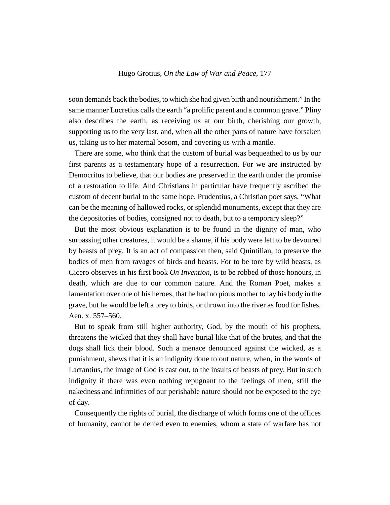soon demands back the bodies, to which she had given birth and nourishment." In the same manner Lucretius calls the earth "a prolific parent and a common grave." Pliny also describes the earth, as receiving us at our birth, cherishing our growth, supporting us to the very last, and, when all the other parts of nature have forsaken us, taking us to her maternal bosom, and covering us with a mantle.

There are some, who think that the custom of burial was bequeathed to us by our first parents as a testamentary hope of a resurrection. For we are instructed by Democritus to believe, that our bodies are preserved in the earth under the promise of a restoration to life. And Christians in particular have frequently ascribed the custom of decent burial to the same hope. Prudentius, a Christian poet says, "What can be the meaning of hallowed rocks, or splendid monuments, except that they are the depositories of bodies, consigned not to death, but to a temporary sleep?"

But the most obvious explanation is to be found in the dignity of man, who surpassing other creatures, it would be a shame, if his body were left to be devoured by beasts of prey. It is an act of compassion then, said Quintilian, to preserve the bodies of men from ravages of birds and beasts. For to be tore by wild beasts, as Cicero observes in his first book *On Invention*, is to be robbed of those honours, in death, which are due to our common nature. And the Roman Poet, makes a lamentation over one of his heroes, that he had no pious mother to lay his body in the grave, but he would be left a prey to birds, or thrown into the river as food for fishes. Aen. x. 557–560.

But to speak from still higher authority, God, by the mouth of his prophets, threatens the wicked that they shall have burial like that of the brutes, and that the dogs shall lick their blood. Such a menace denounced against the wicked, as a punishment, shews that it is an indignity done to out nature, when, in the words of Lactantius, the image of God is cast out, to the insults of beasts of prey. But in such indignity if there was even nothing repugnant to the feelings of men, still the nakedness and infirmities of our perishable nature should not be exposed to the eye of day.

Consequently the rights of burial, the discharge of which forms one of the offices of humanity, cannot be denied even to enemies, whom a state of warfare has not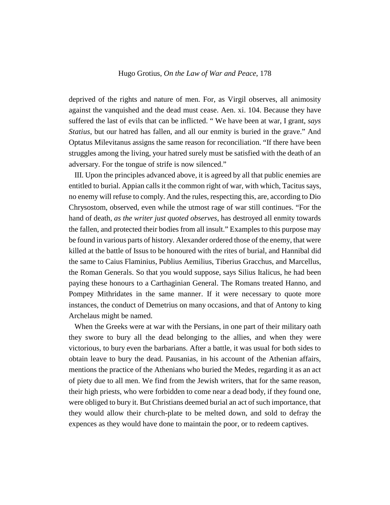deprived of the rights and nature of men. For, as Virgil observes, all animosity against the vanquished and the dead must cease. Aen. xi. 104. Because they have suffered the last of evils that can be inflicted. " We have been at war, I grant, *says Statius*, but our hatred has fallen, and all our enmity is buried in the grave." And Optatus Milevitanus assigns the same reason for reconciliation. "If there have been struggles among the living, your hatred surely must be satisfied with the death of an adversary. For the tongue of strife is now silenced."

III. Upon the principles advanced above, it is agreed by all that public enemies are entitled to burial. Appian calls it the common right of war, with which, Tacitus says, no enemy will refuse to comply. And the rules, respecting this, are, according to Dio Chrysostom, observed, even while the utmost rage of war still continues. "For the hand of death, *as the writer just quoted observes*, has destroyed all enmity towards the fallen, and protected their bodies from all insult." Examples to this purpose may be found in various parts of history. Alexander ordered those of the enemy, that were killed at the battle of Issus to be honoured with the rites of burial, and Hannibal did the same to Caius Flaminius, Publius Aemilius, Tiberius Gracchus, and Marcellus, the Roman Generals. So that you would suppose, says Silius Italicus, he had been paying these honours to a Carthaginian General. The Romans treated Hanno, and Pompey Mithridates in the same manner. If it were necessary to quote more instances, the conduct of Demetrius on many occasions, and that of Antony to king Archelaus might be named.

When the Greeks were at war with the Persians, in one part of their military oath they swore to bury all the dead belonging to the allies, and when they were victorious, to bury even the barbarians. After a battle, it was usual for both sides to obtain leave to bury the dead. Pausanias, in his account of the Athenian affairs, mentions the practice of the Athenians who buried the Medes, regarding it as an act of piety due to all men. We find from the Jewish writers, that for the same reason, their high priests, who were forbidden to come near a dead body, if they found one, were obliged to bury it. But Christians deemed burial an act of such importance, that they would allow their church-plate to be melted down, and sold to defray the expences as they would have done to maintain the poor, or to redeem captives.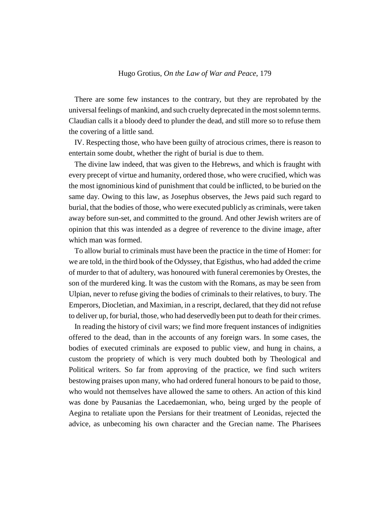There are some few instances to the contrary, but they are reprobated by the universal feelings of mankind, and such cruelty deprecated in the most solemn terms. Claudian calls it a bloody deed to plunder the dead, and still more so to refuse them the covering of a little sand.

IV. Respecting those, who have been guilty of atrocious crimes, there is reason to entertain some doubt, whether the right of burial is due to them.

The divine law indeed, that was given to the Hebrews, and which is fraught with every precept of virtue and humanity, ordered those, who were crucified, which was the most ignominious kind of punishment that could be inflicted, to be buried on the same day. Owing to this law, as Josephus observes, the Jews paid such regard to burial, that the bodies of those, who were executed publicly as criminals, were taken away before sun-set, and committed to the ground. And other Jewish writers are of opinion that this was intended as a degree of reverence to the divine image, after which man was formed.

To allow burial to criminals must have been the practice in the time of Homer: for we are told, in the third book of the Odyssey, that Egisthus, who had added the crime of murder to that of adultery, was honoured with funeral ceremonies by Orestes, the son of the murdered king. It was the custom with the Romans, as may be seen from Ulpian, never to refuse giving the bodies of criminals to their relatives, to bury. The Emperors, Diocletian, and Maximian, in a rescript, declared, that they did not refuse to deliver up, for burial, those, who had deservedly been put to death for their crimes.

In reading the history of civil wars; we find more frequent instances of indignities offered to the dead, than in the accounts of any foreign wars. In some cases, the bodies of executed criminals are exposed to public view, and hung in chains, a custom the propriety of which is very much doubted both by Theological and Political writers. So far from approving of the practice, we find such writers bestowing praises upon many, who had ordered funeral honours to be paid to those, who would not themselves have allowed the same to others. An action of this kind was done by Pausanias the Lacedaemonian, who, being urged by the people of Aegina to retaliate upon the Persians for their treatment of Leonidas, rejected the advice, as unbecoming his own character and the Grecian name. The Pharisees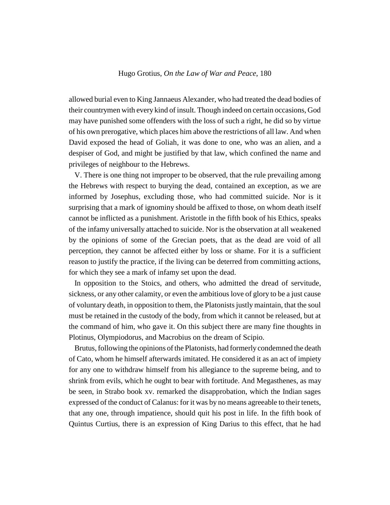allowed burial even to King Jannaeus Alexander, who had treated the dead bodies of their countrymen with every kind of insult. Though indeed on certain occasions, God may have punished some offenders with the loss of such a right, he did so by virtue of his own prerogative, which places him above the restrictions of all law. And when David exposed the head of Goliah, it was done to one, who was an alien, and a despiser of God, and might be justified by that law, which confined the name and privileges of neighbour to the Hebrews.

V. There is one thing not improper to be observed, that the rule prevailing among the Hebrews with respect to burying the dead, contained an exception, as we are informed by Josephus, excluding those, who had committed suicide. Nor is it surprising that a mark of ignominy should be affixed to those, on whom death itself cannot be inflicted as a punishment. Aristotle in the fifth book of his Ethics, speaks of the infamy universally attached to suicide. Nor is the observation at all weakened by the opinions of some of the Grecian poets, that as the dead are void of all perception, they cannot be affected either by loss or shame. For it is a sufficient reason to justify the practice, if the living can be deterred from committing actions, for which they see a mark of infamy set upon the dead.

In opposition to the Stoics, and others, who admitted the dread of servitude, sickness, or any other calamity, or even the ambitious love of glory to be a just cause of voluntary death, in opposition to them, the Platonists justly maintain, that the soul must be retained in the custody of the body, from which it cannot be released, but at the command of him, who gave it. On this subject there are many fine thoughts in Plotinus, Olympiodorus, and Macrobius on the dream of Scipio.

Brutus, following the opinions of the Platonists, had formerly condemned the death of Cato, whom he himself afterwards imitated. He considered it as an act of impiety for any one to withdraw himself from his allegiance to the supreme being, and to shrink from evils, which he ought to bear with fortitude. And Megasthenes, as may be seen, in Strabo book xv. remarked the disapprobation, which the Indian sages expressed of the conduct of Calanus: for it was by no means agreeable to their tenets, that any one, through impatience, should quit his post in life. In the fifth book of Quintus Curtius, there is an expression of King Darius to this effect, that he had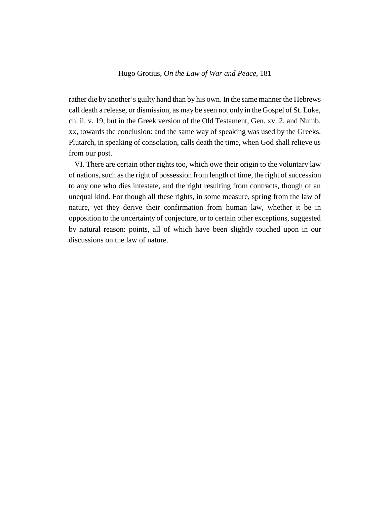rather die by another's guilty hand than by his own. In the same manner the Hebrews call death a release, or dismission, as may be seen not only in the Gospel of St. Luke, ch. ii. v. 19, but in the Greek version of the Old Testament, Gen. xv. 2, and Numb. xx, towards the conclusion: and the same way of speaking was used by the Greeks. Plutarch, in speaking of consolation, calls death the time, when God shall relieve us from our post.

VI. There are certain other rights too, which owe their origin to the voluntary law of nations, such as the right of possession from length of time, the right of succession to any one who dies intestate, and the right resulting from contracts, though of an unequal kind. For though all these rights, in some measure, spring from the law of nature, yet they derive their confirmation from human law, whether it be in opposition to the uncertainty of conjecture, or to certain other exceptions, suggested by natural reason: points, all of which have been slightly touched upon in our discussions on the law of nature.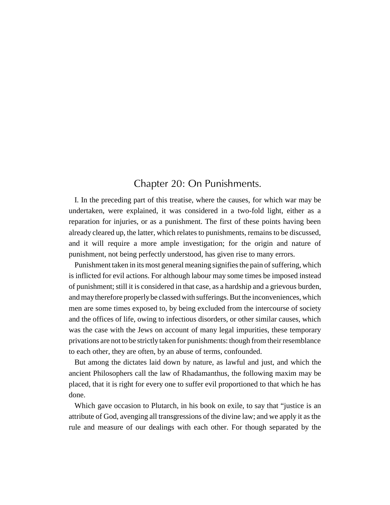# Chapter 20: On Punishments.

I. In the preceding part of this treatise, where the causes, for which war may be undertaken, were explained, it was considered in a two-fold light, either as a reparation for injuries, or as a punishment. The first of these points having been already cleared up, the latter, which relates to punishments, remains to be discussed, and it will require a more ample investigation; for the origin and nature of punishment, not being perfectly understood, has given rise to many errors.

Punishment taken in its most general meaning signifies the pain of suffering, which is inflicted for evil actions. For although labour may some times be imposed instead of punishment; still it is considered in that case, as a hardship and a grievous burden, and may therefore properly be classed with sufferings. But the inconveniences, which men are some times exposed to, by being excluded from the intercourse of society and the offices of life, owing to infectious disorders, or other similar causes, which was the case with the Jews on account of many legal impurities, these temporary privations are not to be strictly taken for punishments: though from their resemblance to each other, they are often, by an abuse of terms, confounded.

But among the dictates laid down by nature, as lawful and just, and which the ancient Philosophers call the law of Rhadamanthus, the following maxim may be placed, that it is right for every one to suffer evil proportioned to that which he has done.

Which gave occasion to Plutarch, in his book on exile, to say that "justice is an attribute of God, avenging all transgressions of the divine law; and we apply it as the rule and measure of our dealings with each other. For though separated by the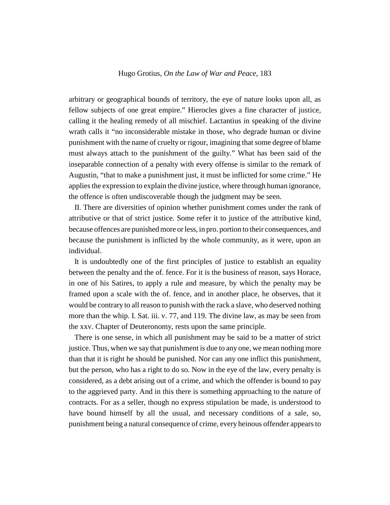arbitrary or geographical bounds of territory, the eye of nature looks upon all, as fellow subjects of one great empire." Hierocles gives a fine character of justice, calling it the healing remedy of all mischief. Lactantius in speaking of the divine wrath calls it "no inconsiderable mistake in those, who degrade human or divine punishment with the name of cruelty or rigour, imagining that some degree of blame must always attach to the punishment of the guilty." What has been said of the inseparable connection of a penalty with every offense is similar to the remark of Augustin, "that to make a punishment just, it must be inflicted for some crime." He applies the expression to explain the divine justice, where through human ignorance, the offence is often undiscoverable though the judgment may be seen.

II. There are diversities of opinion whether punishment comes under the rank of attributive or that of strict justice. Some refer it to justice of the attributive kind, because offences are punished more or less, in pro. portion to their consequences, and because the punishment is inflicted by the whole community, as it were, upon an individual.

It is undoubtedly one of the first principles of justice to establish an equality between the penalty and the of. fence. For it is the business of reason, says Horace, in one of his Satires, to apply a rule and measure, by which the penalty may be framed upon a scale with the of. fence, and in another place, he observes, that it would be contrary to all reason to punish with the rack a slave, who deserved nothing more than the whip. I. Sat. iii. v. 77, and 119. The divine law, as may be seen from the xxv. Chapter of Deuteronomy, rests upon the same principle.

There is one sense, in which all punishment may be said to be a matter of strict justice. Thus, when we say that punishment is due to any one, we mean nothing more than that it is right he should be punished. Nor can any one inflict this punishment, but the person, who has a right to do so. Now in the eye of the law, every penalty is considered, as a debt arising out of a crime, and which the offender is bound to pay to the aggrieved party. And in this there is something approaching to the nature of contracts. For as a seller, though no express stipulation be made, is understood to have bound himself by all the usual, and necessary conditions of a sale, so, punishment being a natural consequence of crime, every heinous offender appears to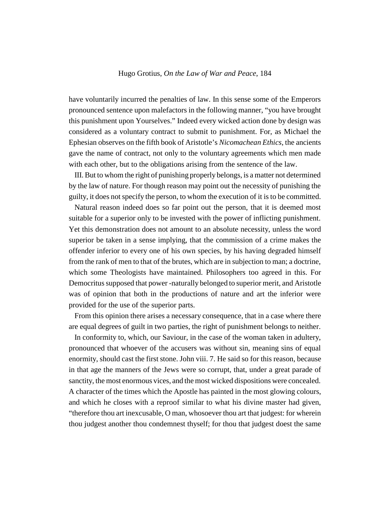have voluntarily incurred the penalties of law. In this sense some of the Emperors pronounced sentence upon malefactors in the following manner, "you have brought this punishment upon Yourselves." Indeed every wicked action done by design was considered as a voluntary contract to submit to punishment. For, as Michael the Ephesian observes on the fifth book of Aristotle's *Nicomachean Ethics*, the ancients gave the name of contract, not only to the voluntary agreements which men made with each other, but to the obligations arising from the sentence of the law.

III. But to whom the right of punishing properly belongs, is a matter not determined by the law of nature. For though reason may point out the necessity of punishing the guilty, it does not specify the person, to whom the execution of it is to be committed.

Natural reason indeed does so far point out the person, that it is deemed most suitable for a superior only to be invested with the power of inflicting punishment. Yet this demonstration does not amount to an absolute necessity, unless the word superior be taken in a sense implying, that the commission of a crime makes the offender inferior to every one of his own species, by his having degraded himself from the rank of men to that of the brutes, which are in subjection to man; a doctrine, which some Theologists have maintained. Philosophers too agreed in this. For Democritus supposed that power -naturally belonged to superior merit, and Aristotle was of opinion that both in the productions of nature and art the inferior were provided for the use of the superior parts.

From this opinion there arises a necessary consequence, that in a case where there are equal degrees of guilt in two parties, the right of punishment belongs to neither.

In conformity to, which, our Saviour, in the case of the woman taken in adultery, pronounced that whoever of the accusers was without sin, meaning sins of equal enormity, should cast the first stone. John viii. 7. He said so for this reason, because in that age the manners of the Jews were so corrupt, that, under a great parade of sanctity, the most enormous vices, and the most wicked dispositions were concealed. A character of the times which the Apostle has painted in the most glowing colours, and which he closes with a reproof similar to what his divine master had given, "therefore thou art inexcusable, O man, whosoever thou art that judgest: for wherein thou judgest another thou condemnest thyself; for thou that judgest doest the same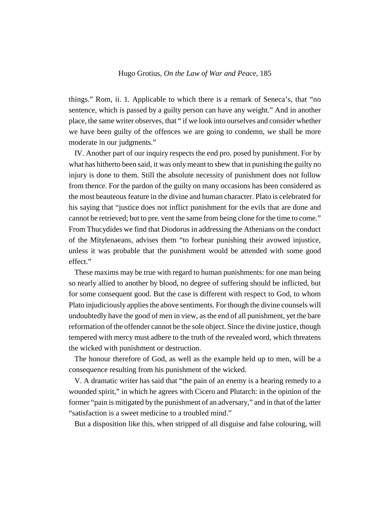things." Rom, ii. 1. Applicable to which there is a remark of Seneca's, that "no sentence, which is passed by a guilty person can have any weight." And in another place, the same writer observes, that " if we look into ourselves and consider whether we have been guilty of the offences we are going to condemn, we shall be more moderate in our judgments."

IV. Another part of our inquiry respects the end pro. posed by punishment. For by what has hitherto been said, it was only meant to shew that in punishing the guilty no injury is done to them. Still the absolute necessity of punishment does not follow from thence. For the pardon of the guilty on many occasions has been considered as the most beauteous feature in the divine and human character. Plato is celebrated for his saying that "justice does not inflict punishment for the evils that are done and cannot be retrieved; but to pre. vent the same from being clone for the time to come." From Thucydides we find that Diodorus in addressing the Athenians on the conduct of the Mitylenaeans, advises them "to forbear punishing their avowed injustice, unless it was probable that the punishment would be attended with some good effect."

These maxims may be true with regard to human punishments: for one man being so nearly allied to another by blood, no degree of suffering should be inflicted, but for some consequent good. But the case is different with respect to God, to whom Plato injudiciously applies the above sentiments. For though the divine counsels will undoubtedly have the good of men in view, as the end of all punishment, yet the bare reformation of the offender cannot be the sole object. Since the divine justice, though tempered with mercy must adhere to the truth of the revealed word, which threatens the wicked with punishment or destruction.

The honour therefore of God, as well as the example held up to men, will be a consequence resulting from his punishment of the wicked.

V. A dramatic writer has said that "the pain of an enemy is a hearing remedy to a wounded spirit," in which he agrees with Cicero and Plutarch: in the opinion of the former "pain is mitigated by the punishment of an adversary," and in that of the latter "satisfaction is a sweet medicine to a troubled mind."

But a disposition like this, when stripped of all disguise and false colouring, will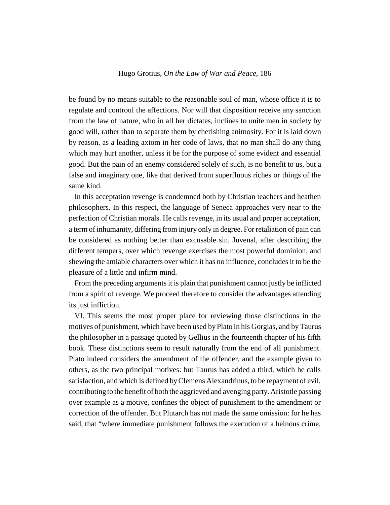be found by no means suitable to the reasonable soul of man, whose office it is to regulate and controul the affections. Nor will that disposition receive any sanction from the law of nature, who in all her dictates, inclines to unite men in society by good will, rather than to separate them by cherishing animosity. For it is laid down by reason, as a leading axiom in her code of laws, that no man shall do any thing which may hurt another, unless it be for the purpose of some evident and essential good. But the pain of an enemy considered solely of such, is no benefit to us, but a false and imaginary one, like that derived from superfluous riches or things of the same kind.

In this acceptation revenge is condemned both by Christian teachers and heathen philosophers. In this respect, the language of Seneca approaches very near to the perfection of Christian morals. He calls revenge, in its usual and proper acceptation, a term of inhumanity, differing from injury only in degree. For retaliation of pain can be considered as nothing better than excusable sin. Juvenal, after describing the different tempers, over which revenge exercises the most powerful dominion, and shewing the amiable characters over which it has no influence, concludes it to be the pleasure of a little and infirm mind.

From the preceding arguments it is plain that punishment cannot justly be inflicted from a spirit of revenge. We proceed therefore to consider the advantages attending its just infliction.

VI. This seems the most proper place for reviewing those distinctions in the motives of punishment, which have been used by Plato in his Gorgias, and by Taurus the philosopher in a passage quoted by Gellius in the fourteenth chapter of his fifth book. These distinctions seem to result naturally from the end of all punishment. Plato indeed considers the amendment of the offender, and the example given to others, as the two principal motives: but Taurus has added a third, which he calls satisfaction, and which is defined by Clemens Alexandrinus, to be repayment of evil, contributing to the benefit of both the aggrieved and avenging party. Aristotle passing over example as a motive, confines the object of punishment to the amendment or correction of the offender. But Plutarch has not made the same omission: for he has said, that "where immediate punishment follows the execution of a heinous crime,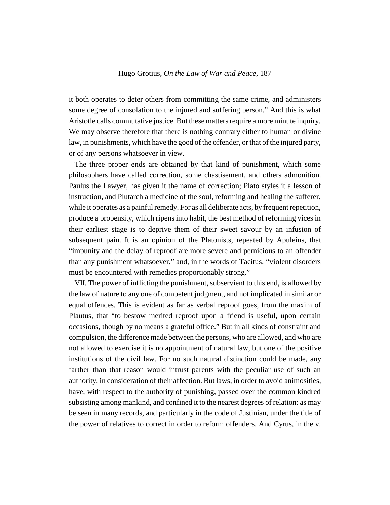it both operates to deter others from committing the same crime, and administers some degree of consolation to the injured and suffering person." And this is what Aristotle calls commutative justice. But these matters require a more minute inquiry. We may observe therefore that there is nothing contrary either to human or divine law, in punishments, which have the good of the offender, or that of the injured party, or of any persons whatsoever in view.

The three proper ends are obtained by that kind of punishment, which some philosophers have called correction, some chastisement, and others admonition. Paulus the Lawyer, has given it the name of correction; Plato styles it a lesson of instruction, and Plutarch a medicine of the soul, reforming and healing the sufferer, while it operates as a painful remedy. For as all deliberate acts, by frequent repetition, produce a propensity, which ripens into habit, the best method of reforming vices in their earliest stage is to deprive them of their sweet savour by an infusion of subsequent pain. It is an opinion of the Platonists, repeated by Apuleius, that "impunity and the delay of reproof are more severe and pernicious to an offender than any punishment whatsoever," and, in the words of Tacitus, "violent disorders must be encountered with remedies proportionably strong."

VII. The power of inflicting the punishment, subservient to this end, is allowed by the law of nature to any one of competent judgment, and not implicated in similar or equal offences. This is evident as far as verbal reproof goes, from the maxim of Plautus, that "to bestow merited reproof upon a friend is useful, upon certain occasions, though by no means a grateful office." But in all kinds of constraint and compulsion, the difference made between the persons, who are allowed, and who are not allowed to exercise it is no appointment of natural law, but one of the positive institutions of the civil law. For no such natural distinction could be made, any farther than that reason would intrust parents with the peculiar use of such an authority, in consideration of their affection. But laws, in order to avoid animosities, have, with respect to the authority of punishing, passed over the common kindred subsisting among mankind, and confined it to the nearest degrees of relation: as may be seen in many records, and particularly in the code of Justinian, under the title of the power of relatives to correct in order to reform offenders. And Cyrus, in the v.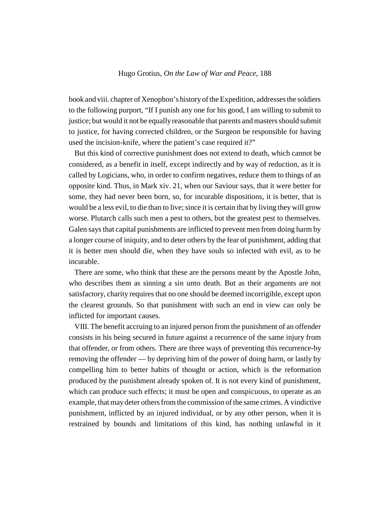book and viii. chapter of Xenophon's history of the Expedition, addresses the soldiers to the following purport, "If I punish any one for his good, I am willing to submit to justice; but would it not be equally reasonable that parents and masters should submit to justice, for having corrected children, or the Surgeon be responsible for having used the incision-knife, where the patient's case required it?"

But this kind of corrective punishment does not extend to death, which cannot be considered, as a benefit in itself, except indirectly and by way of reduction, as it is called by Logicians, who, in order to confirm negatives, reduce them to things of an opposite kind. Thus, in Mark xiv. 21, when our Saviour says, that it were better for some, they had never been born, so, for incurable dispositions, it is better, that is would be a less evil, to die than to live; since it is certain that by living they will grow worse. Plutarch calls such men a pest to others, but the greatest pest to themselves. Galen says that capital punishments are inflicted to prevent men from doing harm by a longer course of iniquity, and to deter others by the fear of punishment, adding that it is better men should die, when they have souls so infected with evil, as to be incurable.

There are some, who think that these are the persons meant by the Apostle John, who describes them as sinning a sin unto death. But as their arguments are not satisfactory, charity requires that no one should be deemed incorrigible, except upon the clearest grounds. So that punishment with such an end in view can only be inflicted for important causes.

VIII. The benefit accruing to an injured person from the punishment of an offender consists in his being secured in future against a recurrence of the same injury from that offender, or from others. There are three ways of preventing this recurrence-by removing the offender — by depriving him of the power of doing harm, or lastly by compelling him to better habits of thought or action, which is the reformation produced by the punishment already spoken of. It is not every kind of punishment, which can produce such effects; it must be open and conspicuous, to operate as an example, that may deter others from the commission of the same crimes. A vindictive punishment, inflicted by an injured individual, or by any other person, when it is restrained by bounds and limitations of this kind, has nothing unlawful in it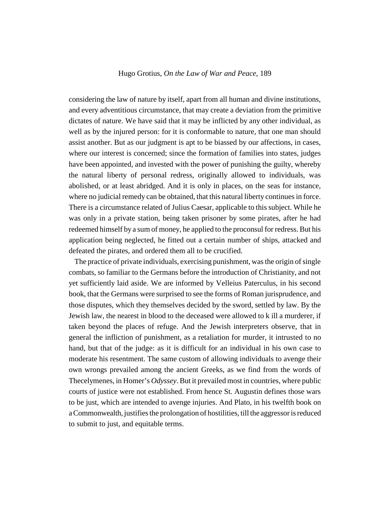considering the law of nature by itself, apart from all human and divine institutions, and every adventitious circumstance, that may create a deviation from the primitive dictates of nature. We have said that it may be inflicted by any other individual, as well as by the injured person: for it is conformable to nature, that one man should assist another. But as our judgment is apt to be biassed by our affections, in cases, where our interest is concerned; since the formation of families into states, judges have been appointed, and invested with the power of punishing the guilty, whereby the natural liberty of personal redress, originally allowed to individuals, was abolished, or at least abridged. And it is only in places, on the seas for instance, where no judicial remedy can be obtained, that this natural liberty continues in force. There is a circumstance related of Julius Caesar, applicable to this subject. While he was only in a private station, being taken prisoner by some pirates, after he had redeemed himself by a sum of money, he applied to the proconsul for redress. But his application being neglected, he fitted out a certain number of ships, attacked and defeated the pirates, and ordered them all to be crucified.

The practice of private individuals, exercising punishment, was the origin of single combats, so familiar to the Germans before the introduction of Christianity, and not yet sufficiently laid aside. We are informed by Velleius Paterculus, in his second book, that the Germans were surprised to see the forms of Roman jurisprudence, and those disputes, which they themselves decided by the sword, settled by law. By the Jewish law, the nearest in blood to the deceased were allowed to k ill a murderer, if taken beyond the places of refuge. And the Jewish interpreters observe, that in general the infliction of punishment, as a retaliation for murder, it intrusted to no hand, but that of the judge: as it is difficult for an individual in his own case to moderate his resentment. The same custom of allowing individuals to avenge their own wrongs prevailed among the ancient Greeks, as we find from the words of Thecelymenes, in Homer's *Odyssey*. But it prevailed most in countries, where public courts of justice were not established. From hence St. Augustin defines those wars to be just, which are intended to avenge injuries. And Plato, in his twelfth book on a Commonwealth, justifies the prolongation of hostilities, till the aggressor is reduced to submit to just, and equitable terms.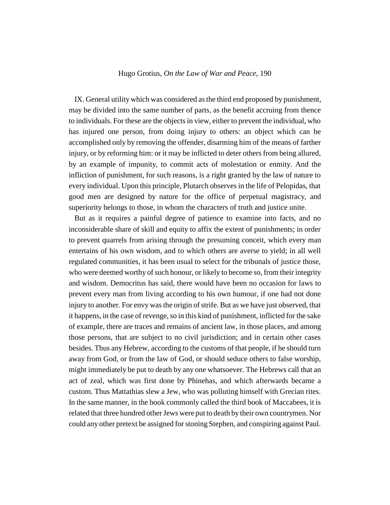IX. General utility which was considered as the third end proposed by punishment, may be divided into the same number of parts, as the benefit accruing from thence to individuals. For these are the objects in view, either to prevent the individual, who has injured one person, from doing injury to others: an object which can be accomplished only by removing the offender, disarming him of the means of farther injury, or by reforming him: or it may be inflicted to deter others from being allured, by an example of impunity, to commit acts of molestation or enmity. And the infliction of punishment, for such reasons, is a right granted by the law of nature to every individual. Upon this principle, Plutarch observes in the life of Pelopidas, that good men are designed by nature for the office of perpetual magistracy, and superiority belongs to those, in whom the characters of truth and justice unite.

But as it requires a painful degree of patience to examine into facts, and no inconsiderable share of skill and equity to affix the extent of punishments; in order to prevent quarrels from arising through the presuming conceit, which every man entertains of his own wisdom, and to which others are averse to yield; in all well regulated communities, it has been usual to select for the tribunals of justice those, who were deemed worthy of such honour, or likely to become so, from their integrity and wisdom. Democritus has said, there would have been no occasion for laws to prevent every man from living according to his own humour, if one had not done injury to another. For envy was the origin of strife. But as we have just observed, that it happens, in the case of revenge, so in this kind of punishment, inflicted for the sake of example, there are traces and remains of ancient law, in those places, and among those persons, that are subject to no civil jurisdiction; and in certain other cases besides. Thus any Hebrew, according to the customs of that people, if he should turn away from God, or from the law of God, or should seduce others to false worship, might immediately be put to death by any one whatsoever. The Hebrews call that an act of zeal, which was first done by Phinehas, and which afterwards became a custom. Thus Mattathias slew a Jew, who was polluting himself with Grecian rites. In the same manner, in the book commonly called the third book of Maccabees, it is related that three hundred other Jews were put to death by their own countrymen. Nor could any other pretext be assigned for stoning Stephen, and conspiring against Paul.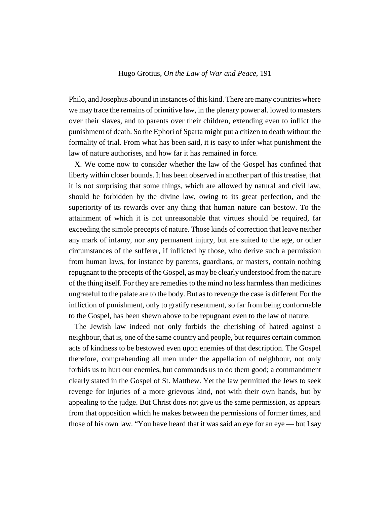Philo, and Josephus abound in instances of this kind. There are many countries where we may trace the remains of primitive law, in the plenary power al. lowed to masters over their slaves, and to parents over their children, extending even to inflict the punishment of death. So the Ephori of Sparta might put a citizen to death without the formality of trial. From what has been said, it is easy to infer what punishment the law of nature authorises, and how far it has remained in force.

X. We come now to consider whether the law of the Gospel has confined that liberty within closer bounds. It has been observed in another part of this treatise, that it is not surprising that some things, which are allowed by natural and civil law, should be forbidden by the divine law, owing to its great perfection, and the superiority of its rewards over any thing that human nature can bestow. To the attainment of which it is not unreasonable that virtues should be required, far exceeding the simple precepts of nature. Those kinds of correction that leave neither any mark of infamy, nor any permanent injury, but are suited to the age, or other circumstances of the sufferer, if inflicted by those, who derive such a permission from human laws, for instance by parents, guardians, or masters, contain nothing repugnant to the precepts of the Gospel, as may be clearly understood from the nature of the thing itself. For they are remedies to the mind no less harmless than medicines ungrateful to the palate are to the body. But as to revenge the case is different For the infliction of punishment, only to gratify resentment, so far from being conformable to the Gospel, has been shewn above to be repugnant even to the law of nature.

The Jewish law indeed not only forbids the cherishing of hatred against a neighbour, that is, one of the same country and people, but requires certain common acts of kindness to be bestowed even upon enemies of that description. The Gospel therefore, comprehending all men under the appellation of neighbour, not only forbids us to hurt our enemies, but commands us to do them good; a commandment clearly stated in the Gospel of St. Matthew. Yet the law permitted the Jews to seek revenge for injuries of a more grievous kind, not with their own hands, but by appealing to the judge. But Christ does not give us the same permission, as appears from that opposition which he makes between the permissions of former times, and those of his own law. "You have heard that it was said an eye for an eye — but I say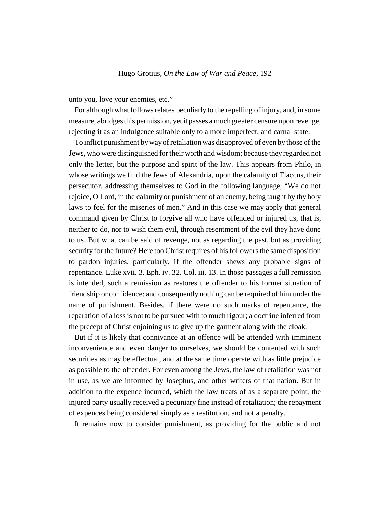unto you, love your enemies, etc."

For although what follows relates peculiarly to the repelling of injury, and, in some measure, abridges this permission, yet it passes a much greater censure upon revenge, rejecting it as an indulgence suitable only to a more imperfect, and carnal state.

To inflict punishment by way of retaliation was disapproved of even by those of the Jews, who were distinguished for their worth and wisdom; because they regarded not only the letter, but the purpose and spirit of the law. This appears from Philo, in whose writings we find the Jews of Alexandria, upon the calamity of Flaccus, their persecutor, addressing themselves to God in the following language, "We do not rejoice, O Lord, in the calamity or punishment of an enemy, being taught by thy holy laws to feel for the miseries of men." And in this case we may apply that general command given by Christ to forgive all who have offended or injured us, that is, neither to do, nor to wish them evil, through resentment of the evil they have done to us. But what can be said of revenge, not as regarding the past, but as providing security for the future? Here too Christ requires of his followers the same disposition to pardon injuries, particularly, if the offender shews any probable signs of repentance. Luke xvii. 3. Eph. iv. 32. Col. iii. 13. In those passages a full remission is intended, such a remission as restores the offender to his former situation of friendship or confidence: and consequently nothing can be required of him under the name of punishment. Besides, if there were no such marks of repentance, the reparation of a loss is not to be pursued with to much rigour; a doctrine inferred from the precept of Christ enjoining us to give up the garment along with the cloak.

But if it is likely that connivance at an offence will be attended with imminent inconvenience and even danger to ourselves, we should be contented with such securities as may be effectual, and at the same time operate with as little prejudice as possible to the offender. For even among the Jews, the law of retaliation was not in use, as we are informed by Josephus, and other writers of that nation. But in addition to the expence incurred, which the law treats of as a separate point, the injured party usually received a pecuniary fine instead of retaliation; the repayment of expences being considered simply as a restitution, and not a penalty.

It remains now to consider punishment, as providing for the public and not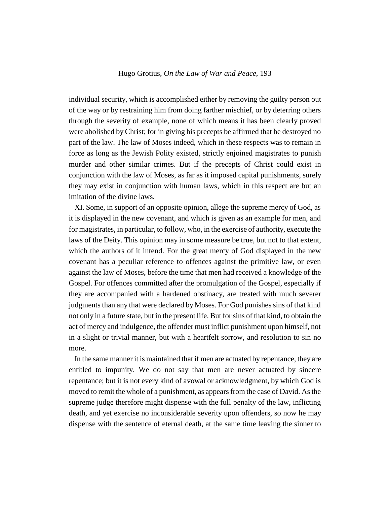individual security, which is accomplished either by removing the guilty person out of the way or by restraining him from doing farther mischief, or by deterring others through the severity of example, none of which means it has been clearly proved were abolished by Christ; for in giving his precepts be affirmed that he destroyed no part of the law. The law of Moses indeed, which in these respects was to remain in force as long as the Jewish Polity existed, strictly enjoined magistrates to punish murder and other similar crimes. But if the precepts of Christ could exist in conjunction with the law of Moses, as far as it imposed capital punishments, surely they may exist in conjunction with human laws, which in this respect are but an imitation of the divine laws.

XI. Some, in support of an opposite opinion, allege the supreme mercy of God, as it is displayed in the new covenant, and which is given as an example for men, and for magistrates, in particular, to follow, who, in the exercise of authority, execute the laws of the Deity. This opinion may in some measure be true, but not to that extent, which the authors of it intend. For the great mercy of God displayed in the new covenant has a peculiar reference to offences against the primitive law, or even against the law of Moses, before the time that men had received a knowledge of the Gospel. For offences committed after the promulgation of the Gospel, especially if they are accompanied with a hardened obstinacy, are treated with much severer judgments than any that were declared by Moses. For God punishes sins of that kind not only in a future state, but in the present life. But for sins of that kind, to obtain the act of mercy and indulgence, the offender must inflict punishment upon himself, not in a slight or trivial manner, but with a heartfelt sorrow, and resolution to sin no more.

In the same manner it is maintained that if men are actuated by repentance, they are entitled to impunity. We do not say that men are never actuated by sincere repentance; but it is not every kind of avowal or acknowledgment, by which God is moved to remit the whole of a punishment, as appears from the case of David. As the supreme judge therefore might dispense with the full penalty of the law, inflicting death, and yet exercise no inconsiderable severity upon offenders, so now he may dispense with the sentence of eternal death, at the same time leaving the sinner to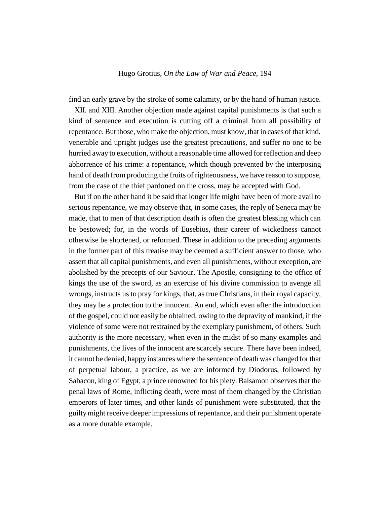find an early grave by the stroke of some calamity, or by the hand of human justice.

XII. and XIII. Another objection made against capital punishments is that such a kind of sentence and execution is cutting off a criminal from all possibility of repentance. But those, who make the objection, must know, that in cases of that kind, venerable and upright judges use the greatest precautions, and suffer no one to be hurried away to execution, without a reasonable time allowed for reflection and deep abhorrence of his crime: a repentance, which though prevented by the interposing hand of death from producing the fruits of righteousness, we have reason to suppose, from the case of the thief pardoned on the cross, may be accepted with God.

But if on the other hand it be said that longer life might have been of more avail to serious repentance, we may observe that, in some cases, the reply of Seneca may be made, that to men of that description death is often the greatest blessing which can be bestowed; for, in the words of Eusebius, their career of wickedness cannot otherwise be shortened, or reformed. These in addition to the preceding arguments in the former part of this treatise may be deemed a sufficient answer to those, who assert that all capital punishments, and even all punishments, without exception, are abolished by the precepts of our Saviour. The Apostle, consigning to the office of kings the use of the sword, as an exercise of his divine commission to avenge all wrongs, instructs us to pray for kings, that, as true Christians, in their royal capacity, they may be a protection to the innocent. An end, which even after the introduction of the gospel, could not easily be obtained, owing to the depravity of mankind, if the violence of some were not restrained by the exemplary punishment, of others. Such authority is the more necessary, when even in the midst of so many examples and punishments, the lives of the innocent are scarcely secure. There have been indeed, it cannot be denied, happy instances where the sentence of death was changed for that of perpetual labour, a practice, as we are informed by Diodorus, followed by Sabacon, king of Egypt, a prince renowned for his piety. Balsamon observes that the penal laws of Rome, inflicting death, were most of them changed by the Christian emperors of later times, and other kinds of punishment were substituted, that the guilty might receive deeper impressions of repentance, and their punishment operate as a more durable example.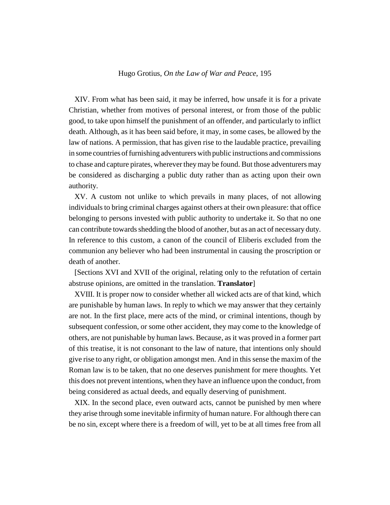XIV. From what has been said, it may be inferred, how unsafe it is for a private Christian, whether from motives of personal interest, or from those of the public good, to take upon himself the punishment of an offender, and particularly to inflict death. Although, as it has been said before, it may, in some cases, be allowed by the law of nations. A permission, that has given rise to the laudable practice, prevailing in some countries of furnishing adventurers with public instructions and commissions to chase and capture pirates, wherever they may be found. But those adventurers may be considered as discharging a public duty rather than as acting upon their own authority.

XV. A custom not unlike to which prevails in many places, of not allowing individuals to bring criminal charges against others at their own pleasure: that office belonging to persons invested with public authority to undertake it. So that no one can contribute towards shedding the blood of another, but as an act of necessary duty. In reference to this custom, a canon of the council of Eliberis excluded from the communion any believer who had been instrumental in causing the proscription or death of another.

[Sections XVI and XVII of the original, relating only to the refutation of certain abstruse opinions, are omitted in the translation. **Translator**]

XVIII. It is proper now to consider whether all wicked acts are of that kind, which are punishable by human laws. In reply to which we may answer that they certainly are not. In the first place, mere acts of the mind, or criminal intentions, though by subsequent confession, or some other accident, they may come to the knowledge of others, are not punishable by human laws. Because, as it was proved in a former part of this treatise, it is not consonant to the law of nature, that intentions only should give rise to any right, or obligation amongst men. And in this sense the maxim of the Roman law is to be taken, that no one deserves punishment for mere thoughts. Yet this does not prevent intentions, when they have an influence upon the conduct, from being considered as actual deeds, and equally deserving of punishment.

XIX. In the second place, even outward acts, cannot be punished by men where they arise through some inevitable infirmity of human nature. For although there can be no sin, except where there is a freedom of will, yet to be at all times free from all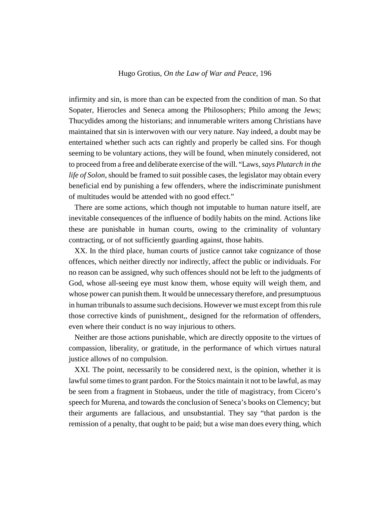infirmity and sin, is more than can be expected from the condition of man. So that Sopater, Hierocles and Seneca among the Philosophers; Philo among the Jews; Thucydides among the historians; and innumerable writers among Christians have maintained that sin is interwoven with our very nature. Nay indeed, a doubt may be entertained whether such acts can rightly and properly be called sins. For though seeming to be voluntary actions, they will be found, when minutely considered, not to proceed from a free and deliberate exercise of the will. "Laws*, says Plutarch in the life of Solon*, should be framed to suit possible cases, the legislator may obtain every beneficial end by punishing a few offenders, where the indiscriminate punishment of multitudes would be attended with no good effect."

There are some actions, which though not imputable to human nature itself, are inevitable consequences of the influence of bodily habits on the mind. Actions like these are punishable in human courts, owing to the criminality of voluntary contracting, or of not sufficiently guarding against, those habits.

XX. In the third place, human courts of justice cannot take cognizance of those offences, which neither directly nor indirectly, affect the public or individuals. For no reason can be assigned, why such offences should not be left to the judgments of God, whose all-seeing eye must know them, whose equity will weigh them, and whose power can punish them. It would be unnecessary therefore, and presumptuous in human tribunals to assume such decisions. However we must except from this rule those corrective kinds of punishment,, designed for the reformation of offenders, even where their conduct is no way injurious to others.

Neither are those actions punishable, which are directly opposite to the virtues of compassion, liberality, or gratitude, in the performance of which virtues natural justice allows of no compulsion.

XXI. The point, necessarily to be considered next, is the opinion, whether it is lawful some times to grant pardon. For the Stoics maintain it not to be lawful, as may be seen from a fragment in Stobaeus, under the title of magistracy, from Cicero's speech for Murena, and towards the conclusion of Seneca's books on Clemency; but their arguments are fallacious, and unsubstantial. They say "that pardon is the remission of a penalty, that ought to be paid; but a wise man does every thing, which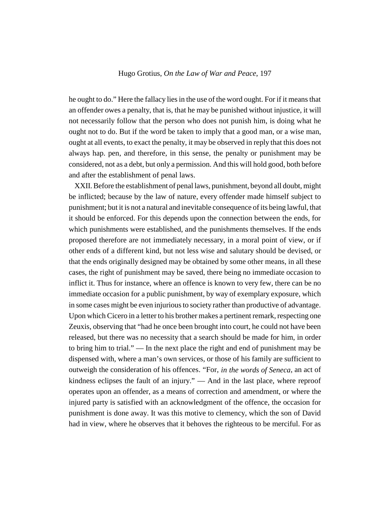he ought to do." Here the fallacy lies in the use of the word ought. For if it means that an offender owes a penalty, that is, that he may be punished without injustice, it will not necessarily follow that the person who does not punish him, is doing what he ought not to do. But if the word be taken to imply that a good man, or a wise man, ought at all events, to exact the penalty, it may be observed in reply that this does not always hap. pen, and therefore, in this sense, the penalty or punishment may be considered, not as a debt, but only a permission. And this will hold good, both before and after the establishment of penal laws.

XXII. Before the establishment of penal laws, punishment, beyond all doubt, might be inflicted; because by the law of nature, every offender made himself subject to punishment; but it is not a natural and inevitable consequence of its being lawful, that it should be enforced. For this depends upon the connection between the ends, for which punishments were established, and the punishments themselves. If the ends proposed therefore are not immediately necessary, in a moral point of view, or if other ends of a different kind, but not less wise and salutary should be devised, or that the ends originally designed may be obtained by some other means, in all these cases, the right of punishment may be saved, there being no immediate occasion to inflict it. Thus for instance, where an offence is known to very few, there can be no immediate occasion for a public punishment, by way of exemplary exposure, which in some cases might be even injurious to society rather than productive of advantage. Upon which Cicero in a letter to his brother makes a pertinent remark, respecting one Zeuxis, observing that "had he once been brought into court, he could not have been released, but there was no necessity that a search should be made for him, in order to bring him to trial." — In the next place the right and end of punishment may be dispensed with, where a man's own services, or those of his family are sufficient to outweigh the consideration of his offences. "For, *in the words of Seneca*, an act of kindness eclipses the fault of an injury." — And in the last place, where reproof operates upon an offender, as a means of correction and amendment, or where the injured party is satisfied with an acknowledgment of the offence, the occasion for punishment is done away. It was this motive to clemency, which the son of David had in view, where he observes that it behoves the righteous to be merciful. For as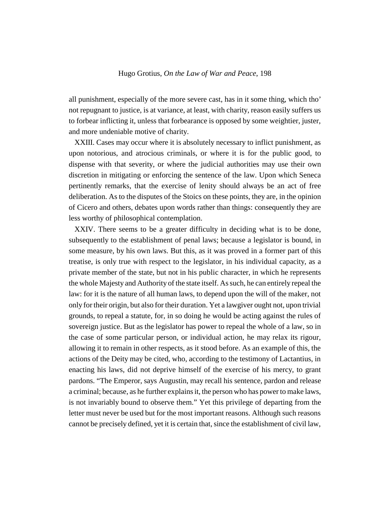all punishment, especially of the more severe cast, has in it some thing, which tho' not repugnant to justice, is at variance, at least, with charity, reason easily suffers us to forbear inflicting it, unless that forbearance is opposed by some weightier, juster, and more undeniable motive of charity.

XXIII. Cases may occur where it is absolutely necessary to inflict punishment, as upon notorious, and atrocious criminals, or where it is for the public good, to dispense with that severity, or where the judicial authorities may use their own discretion in mitigating or enforcing the sentence of the law. Upon which Seneca pertinently remarks, that the exercise of lenity should always be an act of free deliberation. As to the disputes of the Stoics on these points, they are, in the opinion of Cicero and others, debates upon words rather than things: consequently they are less worthy of philosophical contemplation.

XXIV. There seems to be a greater difficulty in deciding what is to be done, subsequently to the establishment of penal laws; because a legislator is bound, in some measure, by his own laws. But this, as it was proved in a former part of this treatise, is only true with respect to the legislator, in his individual capacity, as a private member of the state, but not in his public character, in which he represents the whole Majesty and Authority of the state itself. As such, he can entirely repeal the law: for it is the nature of all human laws, to depend upon the will of the maker, not only for their origin, but also for their duration. Yet a lawgiver ought not, upon trivial grounds, to repeal a statute, for, in so doing he would be acting against the rules of sovereign justice. But as the legislator has power to repeal the whole of a law, so in the case of some particular person, or individual action, he may relax its rigour, allowing it to remain in other respects, as it stood before. As an example of this, the actions of the Deity may be cited, who, according to the testimony of Lactantius, in enacting his laws, did not deprive himself of the exercise of his mercy, to grant pardons. "The Emperor, says Augustin, may recall his sentence, pardon and release a criminal; because, as he further explains it, the person who has power to make laws, is not invariably bound to observe them." Yet this privilege of departing from the letter must never be used but for the most important reasons. Although such reasons cannot be precisely defined, yet it is certain that, since the establishment of civil law,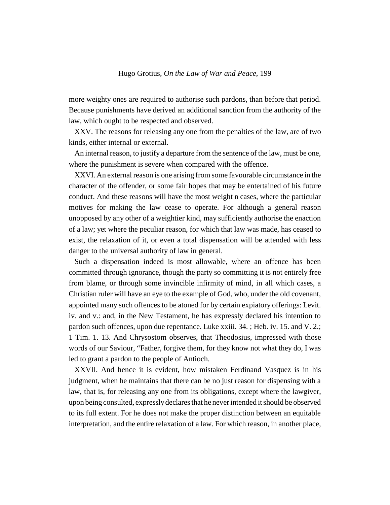more weighty ones are required to authorise such pardons, than before that period. Because punishments have derived an additional sanction from the authority of the law, which ought to be respected and observed.

XXV. The reasons for releasing any one from the penalties of the law, are of two kinds, either internal or external.

An internal reason, to justify a departure from the sentence of the law, must be one, where the punishment is severe when compared with the offence.

XXVI. An external reason is one arising from some favourable circumstance in the character of the offender, or some fair hopes that may be entertained of his future conduct. And these reasons will have the most weight n cases, where the particular motives for making the law cease to operate. For although a general reason unopposed by any other of a weightier kind, may sufficiently authorise the enaction of a law; yet where the peculiar reason, for which that law was made, has ceased to exist, the relaxation of it, or even a total dispensation will be attended with less danger to the universal authority of law in general.

Such a dispensation indeed is most allowable, where an offence has been committed through ignorance, though the party so committing it is not entirely free from blame, or through some invincible infirmity of mind, in all which cases, a Christian ruler will have an eye to the example of God, who, under the old covenant, appointed many such offences to be atoned for by certain expiatory offerings: Levit. iv. and v.: and, in the New Testament, he has expressly declared his intention to pardon such offences, upon due repentance. Luke xxiii. 34. ; Heb. iv. 15. and V. 2.; 1 Tim. 1. 13. And Chrysostom observes, that Theodosius, impressed with those words of our Saviour, "Father, forgive them, for they know not what they do, I was led to grant a pardon to the people of Antioch.

XXVII. And hence it is evident, how mistaken Ferdinand Vasquez is in his judgment, when he maintains that there can be no just reason for dispensing with a law, that is, for releasing any one from its obligations, except where the lawgiver, upon being consulted, expressly declares that he never intended it should be observed to its full extent. For he does not make the proper distinction between an equitable interpretation, and the entire relaxation of a law. For which reason, in another place,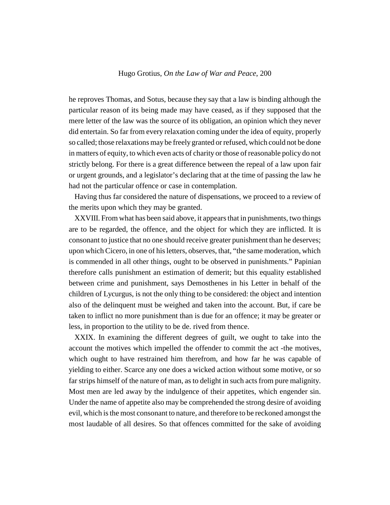he reproves Thomas, and Sotus, because they say that a law is binding although the particular reason of its being made may have ceased, as if they supposed that the mere letter of the law was the source of its obligation, an opinion which they never did entertain. So far from every relaxation coming under the idea of equity, properly so called; those relaxations may be freely granted or refused, which could not be done in matters of equity, to which even acts of charity or those of reasonable policy do not strictly belong. For there is a great difference between the repeal of a law upon fair or urgent grounds, and a legislator's declaring that at the time of passing the law he had not the particular offence or case in contemplation.

Having thus far considered the nature of dispensations, we proceed to a review of the merits upon which they may be granted.

XXVIII. From what has been said above, it appears that in punishments, two things are to be regarded, the offence, and the object for which they are inflicted. It is consonant to justice that no one should receive greater punishment than he deserves; upon which Cicero, in one of his letters, observes, that, "the same moderation, which is commended in all other things, ought to be observed in punishments." Papinian therefore calls punishment an estimation of demerit; but this equality established between crime and punishment, says Demosthenes in his Letter in behalf of the children of Lycurgus, is not the only thing to be considered: the object and intention also of the delinquent must be weighed and taken into the account. But, if care be taken to inflict no more punishment than is due for an offence; it may be greater or less, in proportion to the utility to be de. rived from thence.

XXIX. In examining the different degrees of guilt, we ought to take into the account the motives which impelled the offender to commit the act -the motives, which ought to have restrained him therefrom, and how far he was capable of yielding to either. Scarce any one does a wicked action without some motive, or so far strips himself of the nature of man, as to delight in such acts from pure malignity. Most men are led away by the indulgence of their appetites, which engender sin. Under the name of appetite also may be comprehended the strong desire of avoiding evil, which is the most consonant to nature, and therefore to be reckoned amongst the most laudable of all desires. So that offences committed for the sake of avoiding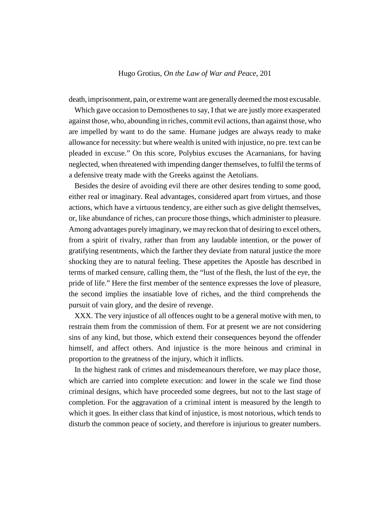death, imprisonment, pain, or extreme want are generally deemed the most excusable.

Which gave occasion to Demosthenes to say, I that we are justly more exasperated against those, who, abounding in riches, commit evil actions, than against those, who are impelled by want to do the same. Humane judges are always ready to make allowance for necessity: but where wealth is united with injustice, no pre. text can be pleaded in excuse." On this score, Polybius excuses the Acarnanians, for having neglected, when threatened with impending danger themselves, to fulfil the terms of a defensive treaty made with the Greeks against the Aetolians.

Besides the desire of avoiding evil there are other desires tending to some good, either real or imaginary. Real advantages, considered apart from virtues, and those actions, which have a virtuous tendency, are either such as give delight themselves, or, like abundance of riches, can procure those things, which administer to pleasure. Among advantages purely imaginary, we may reckon that of desiring to excel others, from a spirit of rivalry, rather than from any laudable intention, or the power of gratifying resentments, which the farther they deviate from natural justice the more shocking they are to natural feeling. These appetites the Apostle has described in terms of marked censure, calling them, the "lust of the flesh, the lust of the eye, the pride of life." Here the first member of the sentence expresses the love of pleasure, the second implies the insatiable love of riches, and the third comprehends the pursuit of vain glory, and the desire of revenge.

XXX. The very injustice of all offences ought to be a general motive with men, to restrain them from the commission of them. For at present we are not considering sins of any kind, but those, which extend their consequences beyond the offender himself, and affect others. And injustice is the more heinous and criminal in proportion to the greatness of the injury, which it inflicts.

In the highest rank of crimes and misdemeanours therefore, we may place those, which are carried into complete execution: and lower in the scale we find those criminal designs, which have proceeded some degrees, but not to the last stage of completion. For the aggravation of a criminal intent is measured by the length to which it goes. In either class that kind of injustice, is most notorious, which tends to disturb the common peace of society, and therefore is injurious to greater numbers.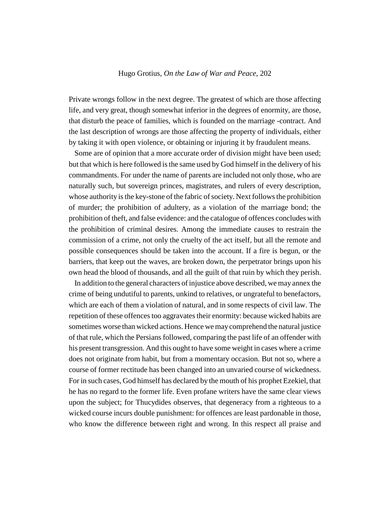Private wrongs follow in the next degree. The greatest of which are those affecting life, and very great, though somewhat inferior in the degrees of enormity, are those, that disturb the peace of families, which is founded on the marriage -contract. And the last description of wrongs are those affecting the property of individuals, either by taking it with open violence, or obtaining or injuring it by fraudulent means.

Some are of opinion that a more accurate order of division might have been used; but that which is here followed is the same used by God himself in the delivery of his commandments. For under the name of parents are included not only those, who are naturally such, but sovereign princes, magistrates, and rulers of every description, whose authority is the key-stone of the fabric of society. Next follows the prohibition of murder; the prohibition of adultery, as a violation of the marriage bond; the prohibition of theft, and false evidence: and the catalogue of offences concludes with the prohibition of criminal desires. Among the immediate causes to restrain the commission of a crime, not only the cruelty of the act itself, but all the remote and possible consequences should be taken into the account. If a fire is begun, or the barriers, that keep out the waves, are broken down, the perpetrator brings upon his own head the blood of thousands, and all the guilt of that ruin by which they perish.

In addition to the general characters of injustice above described, we may annex the crime of being undutiful to parents, unkind to relatives, or ungrateful to benefactors, which are each of them a violation of natural, and in some respects of civil law. The repetition of these offences too aggravates their enormity: because wicked habits are sometimes worse than wicked actions. Hence we may comprehend the natural justice of that rule, which the Persians followed, comparing the past life of an offender with his present transgression. And this ought to have some weight in cases where a crime does not originate from habit, but from a momentary occasion. But not so, where a course of former rectitude has been changed into an unvaried course of wickedness. For in such cases, God himself has declared by the mouth of his prophet Ezekiel, that he has no regard to the former life. Even profane writers have the same clear views upon the subject; for Thucydides observes, that degeneracy from a righteous to a wicked course incurs double punishment: for offences are least pardonable in those, who know the difference between right and wrong. In this respect all praise and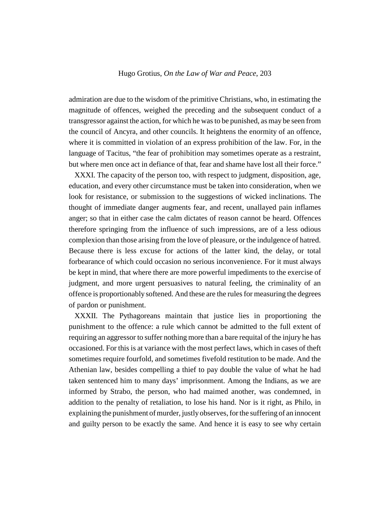admiration are due to the wisdom of the primitive Christians, who, in estimating the magnitude of offences, weighed the preceding and the subsequent conduct of a transgressor against the action, for which he was to be punished, as may be seen from the council of Ancyra, and other councils. It heightens the enormity of an offence, where it is committed in violation of an express prohibition of the law. For, in the language of Tacitus, "the fear of prohibition may sometimes operate as a restraint, but where men once act in defiance of that, fear and shame have lost all their force."

XXXI. The capacity of the person too, with respect to judgment, disposition, age, education, and every other circumstance must be taken into consideration, when we look for resistance, or submission to the suggestions of wicked inclinations. The thought of immediate danger augments fear, and recent, unallayed pain inflames anger; so that in either case the calm dictates of reason cannot be heard. Offences therefore springing from the influence of such impressions, are of a less odious complexion than those arising from the love of pleasure, or the indulgence of hatred. Because there is less excuse for actions of the latter kind, the delay, or total forbearance of which could occasion no serious inconvenience. For it must always be kept in mind, that where there are more powerful impediments to the exercise of judgment, and more urgent persuasives to natural feeling, the criminality of an offence is proportionably softened. And these are the rules for measuring the degrees of pardon or punishment.

XXXII. The Pythagoreans maintain that justice lies in proportioning the punishment to the offence: a rule which cannot be admitted to the full extent of requiring an aggressor to suffer nothing more than a bare requital of the injury he has occasioned. For this is at variance with the most perfect laws, which in cases of theft sometimes require fourfold, and sometimes fivefold restitution to be made. And the Athenian law, besides compelling a thief to pay double the value of what he had taken sentenced him to many days' imprisonment. Among the Indians, as we are informed by Strabo, the person, who had maimed another, was condemned, in addition to the penalty of retaliation, to lose his hand. Nor is it right, as Philo, in explaining the punishment of murder, justly observes, for the suffering of an innocent and guilty person to be exactly the same. And hence it is easy to see why certain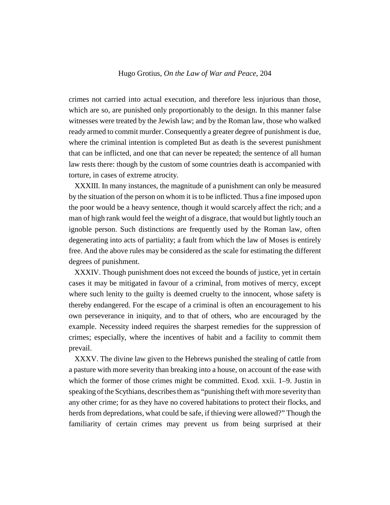crimes not carried into actual execution, and therefore less injurious than those, which are so, are punished only proportionably to the design. In this manner false witnesses were treated by the Jewish law; and by the Roman law, those who walked ready armed to commit murder. Consequently a greater degree of punishment is due, where the criminal intention is completed But as death is the severest punishment that can be inflicted, and one that can never be repeated; the sentence of all human law rests there: though by the custom of some countries death is accompanied with torture, in cases of extreme atrocity.

XXXIII. In many instances, the magnitude of a punishment can only be measured by the situation of the person on whom it is to be inflicted. Thus a fine imposed upon the poor would be a heavy sentence, though it would scarcely affect the rich; and a man of high rank would feel the weight of a disgrace, that would but lightly touch an ignoble person. Such distinctions are frequently used by the Roman law, often degenerating into acts of partiality; a fault from which the law of Moses is entirely free. And the above rules may be considered as the scale for estimating the different degrees of punishment.

XXXIV. Though punishment does not exceed the bounds of justice, yet in certain cases it may be mitigated in favour of a criminal, from motives of mercy, except where such lenity to the guilty is deemed cruelty to the innocent, whose safety is thereby endangered. For the escape of a criminal is often an encouragement to his own perseverance in iniquity, and to that of others, who are encouraged by the example. Necessity indeed requires the sharpest remedies for the suppression of crimes; especially, where the incentives of habit and a facility to commit them prevail.

XXXV. The divine law given to the Hebrews punished the stealing of cattle from a pasture with more severity than breaking into a house, on account of the ease with which the former of those crimes might be committed. Exod. xxii. 1–9. Justin in speaking of the Scythians, describes them as "punishing theft with more severity than any other crime; for as they have no covered habitations to protect their flocks, and herds from depredations, what could be safe, if thieving were allowed?" Though the familiarity of certain crimes may prevent us from being surprised at their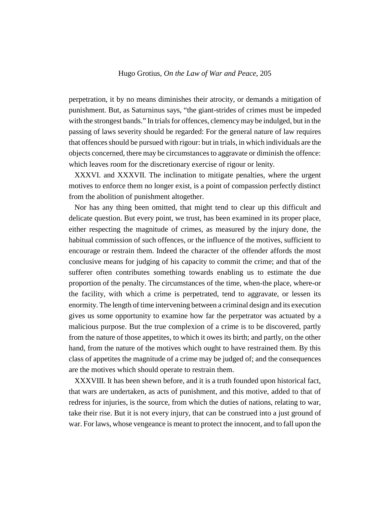perpetration, it by no means diminishes their atrocity, or demands a mitigation of punishment. But, as Saturninus says, "the giant-strides of crimes must be impeded with the strongest bands." In trials for offences, clemency may be indulged, but in the passing of laws severity should be regarded: For the general nature of law requires that offences should be pursued with rigour: but in trials, in which individuals are the objects concerned, there may be circumstances to aggravate or diminish the offence: which leaves room for the discretionary exercise of rigour or lenity.

XXXVI. and XXXVII. The inclination to mitigate penalties, where the urgent motives to enforce them no longer exist, is a point of compassion perfectly distinct from the abolition of punishment altogether.

Nor has any thing been omitted, that might tend to clear up this difficult and delicate question. But every point, we trust, has been examined in its proper place, either respecting the magnitude of crimes, as measured by the injury done, the habitual commission of such offences, or the influence of the motives, sufficient to encourage or restrain them. Indeed the character of the offender affords the most conclusive means for judging of his capacity to commit the crime; and that of the sufferer often contributes something towards enabling us to estimate the due proportion of the penalty. The circumstances of the time, when-the place, where-or the facility, with which a crime is perpetrated, tend to aggravate, or lessen its enormity. The length of time intervening between a criminal design and its execution gives us some opportunity to examine how far the perpetrator was actuated by a malicious purpose. But the true complexion of a crime is to be discovered, partly from the nature of those appetites, to which it owes its birth; and partly, on the other hand, from the nature of the motives which ought to have restrained them. By this class of appetites the magnitude of a crime may be judged of; and the consequences are the motives which should operate to restrain them.

XXXVIII. It has been shewn before, and it is a truth founded upon historical fact, that wars are undertaken, as acts of punishment, and this motive, added to that of redress for injuries, is the source, from which the duties of nations, relating to war, take their rise. But it is not every injury, that can be construed into a just ground of war. For laws, whose vengeance is meant to protect the innocent, and to fall upon the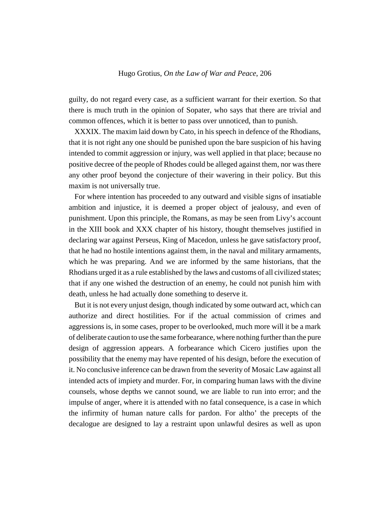guilty, do not regard every case, as a sufficient warrant for their exertion. So that there is much truth in the opinion of Sopater, who says that there are trivial and common offences, which it is better to pass over unnoticed, than to punish.

XXXIX. The maxim laid down by Cato, in his speech in defence of the Rhodians, that it is not right any one should be punished upon the bare suspicion of his having intended to commit aggression or injury, was well applied in that place; because no positive decree of the people of Rhodes could be alleged against them, nor was there any other proof beyond the conjecture of their wavering in their policy. But this maxim is not universally true.

For where intention has proceeded to any outward and visible signs of insatiable ambition and injustice, it is deemed a proper object of jealousy, and even of punishment. Upon this principle, the Romans, as may be seen from Livy's account in the XIII book and XXX chapter of his history, thought themselves justified in declaring war against Perseus, King of Macedon, unless he gave satisfactory proof, that he had no hostile intentions against them, in the naval and military armaments, which he was preparing. And we are informed by the same historians, that the Rhodians urged it as a rule established by the laws and customs of all civilized states; that if any one wished the destruction of an enemy, he could not punish him with death, unless he had actually done something to deserve it.

But it is not every unjust design, though indicated by some outward act, which can authorize and direct hostilities. For if the actual commission of crimes and aggressions is, in some cases, proper to be overlooked, much more will it be a mark of deliberate caution to use the same forbearance, where nothing further than the pure design of aggression appears. A forbearance which Cicero justifies upon the possibility that the enemy may have repented of his design, before the execution of it. No conclusive inference can be drawn from the severity of Mosaic Law against all intended acts of impiety and murder. For, in comparing human laws with the divine counsels, whose depths we cannot sound, we are liable to run into error; and the impulse of anger, where it is attended with no fatal consequence, is a case in which the infirmity of human nature calls for pardon. For altho' the precepts of the decalogue are designed to lay a restraint upon unlawful desires as well as upon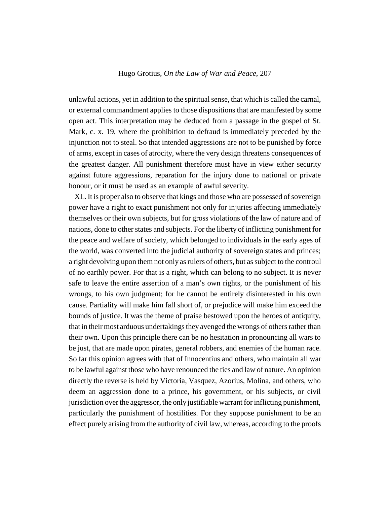unlawful actions, yet in addition to the spiritual sense, that which is called the carnal, or external commandment applies to those dispositions that are manifested by some open act. This interpretation may be deduced from a passage in the gospel of St. Mark, c. x. 19, where the prohibition to defraud is immediately preceded by the injunction not to steal. So that intended aggressions are not to be punished by force of arms, except in cases of atrocity, where the very design threatens consequences of the greatest danger. All punishment therefore must have in view either security against future aggressions, reparation for the injury done to national or private honour, or it must be used as an example of awful severity.

XL. It is proper also to observe that kings and those who are possessed of sovereign power have a right to exact punishment not only for injuries affecting immediately themselves or their own subjects, but for gross violations of the law of nature and of nations, done to other states and subjects. For the liberty of inflicting punishment for the peace and welfare of society, which belonged to individuals in the early ages of the world, was converted into the judicial authority of sovereign states and princes; a right devolving upon them not only as rulers of others, but as subject to the controul of no earthly power. For that is a right, which can belong to no subject. It is never safe to leave the entire assertion of a man's own rights, or the punishment of his wrongs, to his own judgment; for he cannot be entirely disinterested in his own cause. Partiality will make him fall short of, or prejudice will make him exceed the bounds of justice. It was the theme of praise bestowed upon the heroes of antiquity, that in their most arduous undertakings they avenged the wrongs of others rather than their own. Upon this principle there can be no hesitation in pronouncing all wars to be just, that are made upon pirates, general robbers, and enemies of the human race. So far this opinion agrees with that of Innocentius and others, who maintain all war to be lawful against those who have renounced the ties and law of nature. An opinion directly the reverse is held by Victoria, Vasquez, Azorius, Molina, and others, who deem an aggression done to a prince, his government, or his subjects, or civil jurisdiction over the aggressor, the only justifiable warrant for inflicting punishment, particularly the punishment of hostilities. For they suppose punishment to be an effect purely arising from the authority of civil law, whereas, according to the proofs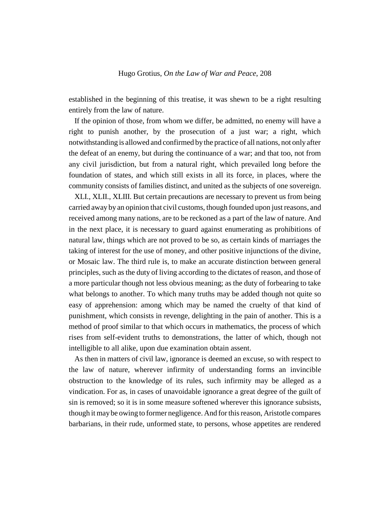established in the beginning of this treatise, it was shewn to be a right resulting entirely from the law of nature.

If the opinion of those, from whom we differ, be admitted, no enemy will have a right to punish another, by the prosecution of a just war; a right, which notwithstanding is allowed and confirmed by the practice of all nations, not only after the defeat of an enemy, but during the continuance of a war; and that too, not from any civil jurisdiction, but from a natural right, which prevailed long before the foundation of states, and which still exists in all its force, in places, where the community consists of families distinct, and united as the subjects of one sovereign.

XLI., XLII., XLIII. But certain precautions are necessary to prevent us from being carried away by an opinion that civil customs, though founded upon just reasons, and received among many nations, are to be reckoned as a part of the law of nature. And in the next place, it is necessary to guard against enumerating as prohibitions of natural law, things which are not proved to be so, as certain kinds of marriages the taking of interest for the use of money, and other positive injunctions of the divine, or Mosaic law. The third rule is, to make an accurate distinction between general principles, such as the duty of living according to the dictates of reason, and those of a more particular though not less obvious meaning; as the duty of forbearing to take what belongs to another. To which many truths may be added though not quite so easy of apprehension: among which may be named the cruelty of that kind of punishment, which consists in revenge, delighting in the pain of another. This is a method of proof similar to that which occurs in mathematics, the process of which rises from self-evident truths to demonstrations, the latter of which, though not intelligible to all alike, upon due examination obtain assent.

As then in matters of civil law, ignorance is deemed an excuse, so with respect to the law of nature, wherever infirmity of understanding forms an invincible obstruction to the knowledge of its rules, such infirmity may be alleged as a vindication. For as, in cases of unavoidable ignorance a great degree of the guilt of sin is removed; so it is in some measure softened wherever this ignorance subsists, though it may be owing to former negligence. And for this reason, Aristotle compares barbarians, in their rude, unformed state, to persons, whose appetites are rendered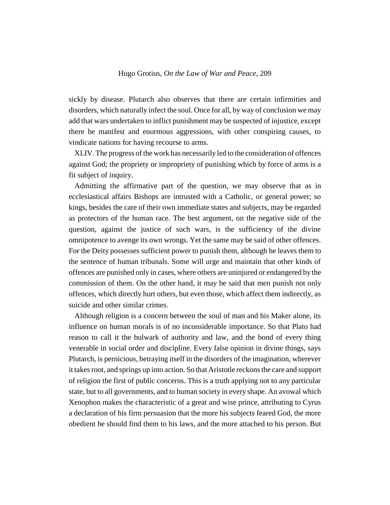sickly by disease. Plutarch also observes that there are certain infirmities and disorders, which naturally infect the soul. Once for all, by way of conclusion we may add that wars undertaken to inflict punishment may be suspected of injustice, except there be manifest and enormous aggressions, with other conspiring causes, to vindicate nations for having recourse to arms.

XLIV. The progress of the work has necessarily led to the consideration of offences against God; the propriety or impropriety of punishing which by force of arms is a fit subject of inquiry.

Admitting the affirmative part of the question, we may observe that as in ecclesiastical affairs Bishops are intrusted with a Catholic, or general power; so kings, besides the care of their own immediate states and subjects, may be regarded as protectors of the human race. The best argument, on the negative side of the question, against the justice of such wars, is the sufficiency of the divine omnipotence to avenge its own wrongs. Yet the same may be said of other offences. For the Deity possesses sufficient power to punish them, although he leaves them to the sentence of human tribunals. Some will urge and maintain that other kinds of offences are punished only in cases, where others are uninjured or endangered by the commission of them. On the other hand, it may be said that men punish not only offences, which directly hurt others, but even those, which affect them indirectly, as suicide and other similar crimes.

Although religion is a concern between the soul of man and his Maker alone, its influence on human morals is of no inconsiderable importance. So that Plato had reason to call it the bulwark of authority and law, and the bond of every thing venerable in social order and discipline. Every false opinion in divine things, says Plutarch, is pernicious, betraying itself in the disorders of the imagination, wherever it takes root, and springs up into action. So that Aristotle reckons the care and support of religion the first of public concerns. This is a truth applying not to any particular state, but to all governments, and to human society in every shape. An avowal which Xenophon makes the characteristic of a great and wise prince, attributing to Cyrus a declaration of his firm persuasion that the more his subjects feared God, the more obedient he should find them to his laws, and the more attached to his person. But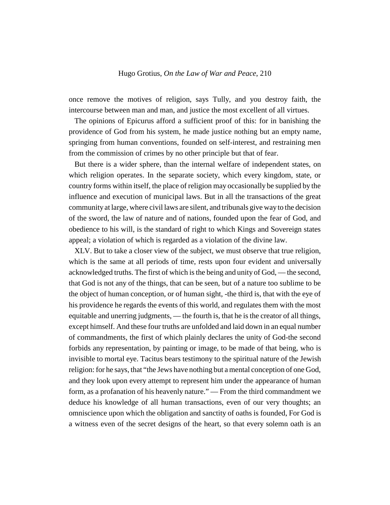once remove the motives of religion, says Tully, and you destroy faith, the intercourse between man and man, and justice the most excellent of all virtues.

The opinions of Epicurus afford a sufficient proof of this: for in banishing the providence of God from his system, he made justice nothing but an empty name, springing from human conventions, founded on self-interest, and restraining men from the commission of crimes by no other principle but that of fear.

But there is a wider sphere, than the internal welfare of independent states, on which religion operates. In the separate society, which every kingdom, state, or country forms within itself, the place of religion may occasionally be supplied by the influence and execution of municipal laws. But in all the transactions of the great community at large, where civil laws are silent, and tribunals give way to the decision of the sword, the law of nature and of nations, founded upon the fear of God, and obedience to his will, is the standard of right to which Kings and Sovereign states appeal; a violation of which is regarded as a violation of the divine law.

XLV. But to take a closer view of the subject, we must observe that true religion, which is the same at all periods of time, rests upon four evident and universally acknowledged truths. The first of which is the being and unity of God, — the second, that God is not any of the things, that can be seen, but of a nature too sublime to be the object of human conception, or of human sight, -the third is, that with the eye of his providence he regards the events of this world, and regulates them with the most equitable and unerring judgments, — the fourth is, that he is the creator of all things, except himself. And these four truths are unfolded and laid down in an equal number of commandments, the first of which plainly declares the unity of God-the second forbids any representation, by painting or image, to be made of that being, who is invisible to mortal eye. Tacitus bears testimony to the spiritual nature of the Jewish religion: for he says, that "the Jews have nothing but a mental conception of one God, and they look upon every attempt to represent him under the appearance of human form, as a profanation of his heavenly nature." — From the third commandment we deduce his knowledge of all human transactions, even of our very thoughts; an omniscience upon which the obligation and sanctity of oaths is founded, For God is a witness even of the secret designs of the heart, so that every solemn oath is an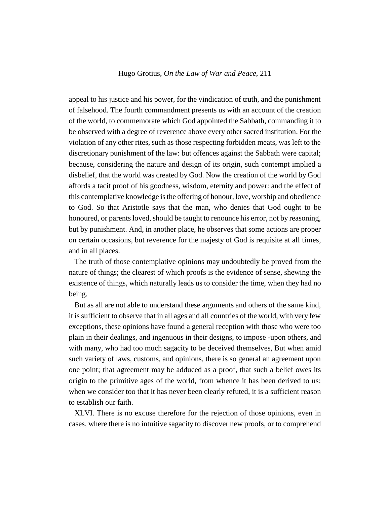appeal to his justice and his power, for the vindication of truth, and the punishment of falsehood. The fourth commandment presents us with an account of the creation of the world, to commemorate which God appointed the Sabbath, commanding it to be observed with a degree of reverence above every other sacred institution. For the violation of any other rites, such as those respecting forbidden meats, was left to the discretionary punishment of the law: but offences against the Sabbath were capital; because, considering the nature and design of its origin, such contempt implied a disbelief, that the world was created by God. Now the creation of the world by God affords a tacit proof of his goodness, wisdom, eternity and power: and the effect of this contemplative knowledge is the offering of honour, love, worship and obedience to God. So that Aristotle says that the man, who denies that God ought to be honoured, or parents loved, should be taught to renounce his error, not by reasoning, but by punishment. And, in another place, he observes that some actions are proper on certain occasions, but reverence for the majesty of God is requisite at all times, and in all places.

The truth of those contemplative opinions may undoubtedly be proved from the nature of things; the clearest of which proofs is the evidence of sense, shewing the existence of things, which naturally leads us to consider the time, when they had no being.

But as all are not able to understand these arguments and others of the same kind, it is sufficient to observe that in all ages and all countries of the world, with very few exceptions, these opinions have found a general reception with those who were too plain in their dealings, and ingenuous in their designs, to impose -upon others, and with many, who had too much sagacity to be deceived themselves, But when amid such variety of laws, customs, and opinions, there is so general an agreement upon one point; that agreement may be adduced as a proof, that such a belief owes its origin to the primitive ages of the world, from whence it has been derived to us: when we consider too that it has never been clearly refuted, it is a sufficient reason to establish our faith.

XLVI. There is no excuse therefore for the rejection of those opinions, even in cases, where there is no intuitive sagacity to discover new proofs, or to comprehend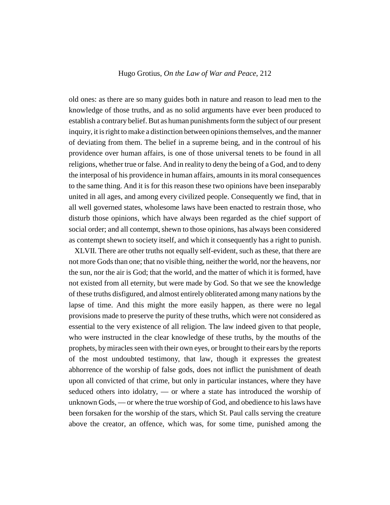old ones: as there are so many guides both in nature and reason to lead men to the knowledge of those truths, and as no solid arguments have ever been produced to establish a contrary belief. But as human punishments form the subject of our present inquiry, it is right to make a distinction between opinions themselves, and the manner of deviating from them. The belief in a supreme being, and in the controul of his providence over human affairs, is one of those universal tenets to be found in all religions, whether true or false. And in reality to deny the being of a God, and to deny the interposal of his providence in human affairs, amounts in its moral consequences to the same thing. And it is for this reason these two opinions have been inseparably united in all ages, and among every civilized people. Consequently we find, that in all well governed states, wholesome laws have been enacted to restrain those, who disturb those opinions, which have always been regarded as the chief support of social order; and all contempt, shewn to those opinions, has always been considered as contempt shewn to society itself, and which it consequently has a right to punish.

XLVII. There are other truths not equally self-evident, such as these, that there are not more Gods than one; that no visible thing, neither the world, nor the heavens, nor the sun, nor the air is God; that the world, and the matter of which it is formed, have not existed from all eternity, but were made by God. So that we see the knowledge of these truths disfigured, and almost entirely obliterated among many nations by the lapse of time. And this might the more easily happen, as there were no legal provisions made to preserve the purity of these truths, which were not considered as essential to the very existence of all religion. The law indeed given to that people, who were instructed in the clear knowledge of these truths, by the mouths of the prophets, by miracles seen with their own eyes, or brought to their ears by the reports of the most undoubted testimony, that law, though it expresses the greatest abhorrence of the worship of false gods, does not inflict the punishment of death upon all convicted of that crime, but only in particular instances, where they have seduced others into idolatry, — or where a state has introduced the worship of unknown Gods, — or where the true worship of God, and obedience to his laws have been forsaken for the worship of the stars, which St. Paul calls serving the creature above the creator, an offence, which was, for some time, punished among the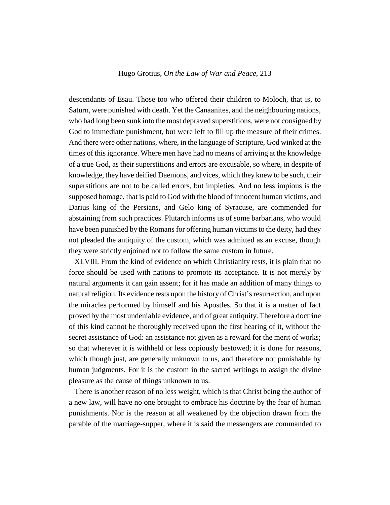descendants of Esau. Those too who offered their children to Moloch, that is, to Saturn, were punished with death. Yet the Canaanites, and the neighbouring nations, who had long been sunk into the most depraved superstitions, were not consigned by God to immediate punishment, but were left to fill up the measure of their crimes. And there were other nations, where, in the language of Scripture, God winked at the times of this ignorance. Where men have had no means of arriving at the knowledge of a true God, as their superstitions and errors are excusable, so where, in despite of knowledge, they have deified Daemons, and vices, which they knew to be such, their superstitions are not to be called errors, but impieties. And no less impious is the supposed homage, that is paid to God with the blood of innocent human victims, and Darius king of the Persians, and Gelo king of Syracuse, are commended for abstaining from such practices. Plutarch informs us of some barbarians, who would have been punished by the Romans for offering human victims to the deity, had they not pleaded the antiquity of the custom, which was admitted as an excuse, though they were strictly enjoined not to follow the same custom in future.

XLVIII. From the kind of evidence on which Christianity rests, it is plain that no force should be used with nations to promote its acceptance. It is not merely by natural arguments it can gain assent; for it has made an addition of many things to natural religion. Its evidence rests upon the history of Christ's resurrection, and upon the miracles performed by himself and his Apostles. So that it is a matter of fact proved by the most undeniable evidence, and of great antiquity. Therefore a doctrine of this kind cannot be thoroughly received upon the first hearing of it, without the secret assistance of God: an assistance not given as a reward for the merit of works; so that wherever it is withheld or less copiously bestowed; it is done for reasons, which though just, are generally unknown to us, and therefore not punishable by human judgments. For it is the custom in the sacred writings to assign the divine pleasure as the cause of things unknown to us.

There is another reason of no less weight, which is that Christ being the author of a new law, will have no one brought to embrace his doctrine by the fear of human punishments. Nor is the reason at all weakened by the objection drawn from the parable of the marriage-supper, where it is said the messengers are commanded to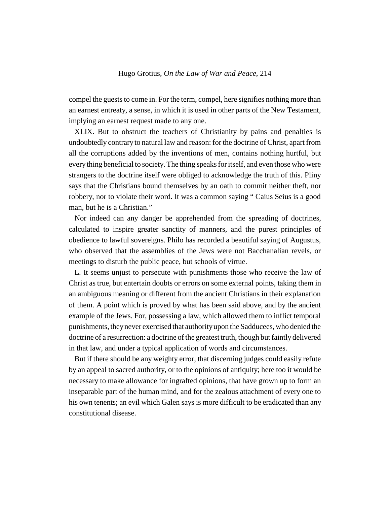compel the guests to come in. For the term, compel, here signifies nothing more than an earnest entreaty, a sense, in which it is used in other parts of the New Testament, implying an earnest request made to any one.

XLIX. But to obstruct the teachers of Christianity by pains and penalties is undoubtedly contrary to natural law and reason: for the doctrine of Christ, apart from all the corruptions added by the inventions of men, contains nothing hurtful, but every thing beneficial to society. The thing speaks for itself, and even those who were strangers to the doctrine itself were obliged to acknowledge the truth of this. Pliny says that the Christians bound themselves by an oath to commit neither theft, nor robbery, nor to violate their word. It was a common saying " Caius Seius is a good man, but he is a Christian."

Nor indeed can any danger be apprehended from the spreading of doctrines, calculated to inspire greater sanctity of manners, and the purest principles of obedience to lawful sovereigns. Philo has recorded a beautiful saying of Augustus, who observed that the assemblies of the Jews were not Bacchanalian revels, or meetings to disturb the public peace, but schools of virtue.

L. It seems unjust to persecute with punishments those who receive the law of Christ as true, but entertain doubts or errors on some external points, taking them in an ambiguous meaning or different from the ancient Christians in their explanation of them. A point which is proved by what has been said above, and by the ancient example of the Jews. For, possessing a law, which allowed them to inflict temporal punishments, they never exercised that authority upon the Sadducees, who denied the doctrine of a resurrection: a doctrine of the greatest truth, though but faintly delivered in that law, and under a typical application of words and circumstances.

But if there should be any weighty error, that discerning judges could easily refute by an appeal to sacred authority, or to the opinions of antiquity; here too it would be necessary to make allowance for ingrafted opinions, that have grown up to form an inseparable part of the human mind, and for the zealous attachment of every one to his own tenents; an evil which Galen says is more difficult to be eradicated than any constitutional disease.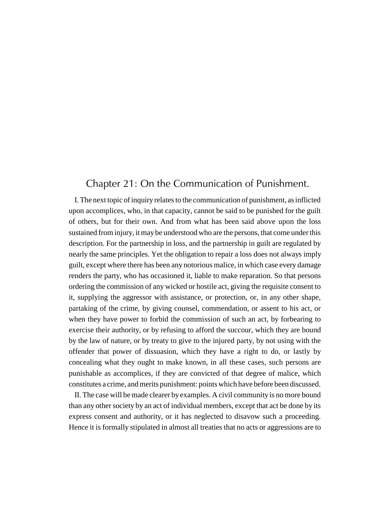# Chapter 21: On the Communication of Punishment.

I. The next topic of inquiry relates to the communication of punishment, as inflicted upon accomplices, who, in that capacity, cannot be said to be punished for the guilt of others, but for their own. And from what has been said above upon the loss sustained from injury, it may be understood who are the persons, that come under this description. For the partnership in loss, and the partnership in guilt are regulated by nearly the same principles. Yet the obligation to repair a loss does not always imply guilt, except where there has been any notorious malice, in which case every damage renders the party, who has occasioned it, liable to make reparation. So that persons ordering the commission of any wicked or hostile act, giving the requisite consent to it, supplying the aggressor with assistance, or protection, or, in any other shape, partaking of the crime, by giving counsel, commendation, or assent to his act, or when they have power to forbid the commission of such an act, by forbearing to exercise their authority, or by refusing to afford the succour, which they are bound by the law of nature, or by treaty to give to the injured party, by not using with the offender that power of dissuasion, which they have a right to do, or lastly by concealing what they ought to make known, in all these cases, such persons are punishable as accomplices, if they are convicted of that degree of malice, which constitutes a crime, and merits punishment: points which have before been discussed.

II. The case will be made clearer by examples. A civil community is no more bound than any other society by an act of individual members, except that act be done by its express consent and authority, or it has neglected to disavow such a proceeding. Hence it is formally stipulated in almost all treaties that no acts or aggressions are to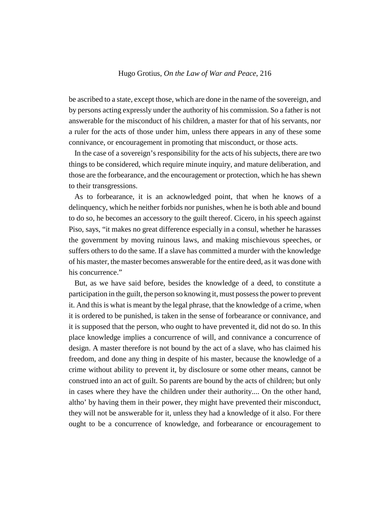be ascribed to a state, except those, which are done in the name of the sovereign, and by persons acting expressly under the authority of his commission. So a father is not answerable for the misconduct of his children, a master for that of his servants, nor a ruler for the acts of those under him, unless there appears in any of these some connivance, or encouragement in promoting that misconduct, or those acts.

In the case of a sovereign's responsibility for the acts of his subjects, there are two things to be considered, which require minute inquiry, and mature deliberation, and those are the forbearance, and the encouragement or protection, which he has shewn to their transgressions.

As to forbearance, it is an acknowledged point, that when he knows of a delinquency, which he neither forbids nor punishes, when he is both able and bound to do so, he becomes an accessory to the guilt thereof. Cicero, in his speech against Piso, says, "it makes no great difference especially in a consul, whether he harasses the government by moving ruinous laws, and making mischievous speeches, or suffers others to do the same. If a slave has committed a murder with the knowledge of his master, the master becomes answerable for the entire deed, as it was done with his concurrence."

But, as we have said before, besides the knowledge of a deed, to constitute a participation in the guilt, the person so knowing it, must possess the power to prevent it. And this is what is meant by the legal phrase, that the knowledge of a crime, when it is ordered to be punished, is taken in the sense of forbearance or connivance, and it is supposed that the person, who ought to have prevented it, did not do so. In this place knowledge implies a concurrence of will, and connivance a concurrence of design. A master therefore is not bound by the act of a slave, who has claimed his freedom, and done any thing in despite of his master, because the knowledge of a crime without ability to prevent it, by disclosure or some other means, cannot be construed into an act of guilt. So parents are bound by the acts of children; but only in cases where they have the children under their authority.... On the other hand, altho' by having them in their power, they might have prevented their misconduct, they will not be answerable for it, unless they had a knowledge of it also. For there ought to be a concurrence of knowledge, and forbearance or encouragement to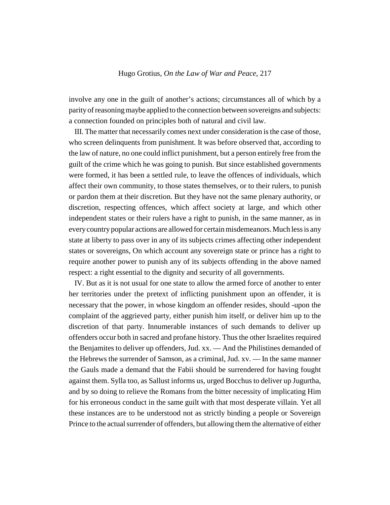involve any one in the guilt of another's actions; circumstances all of which by a parity of reasoning maybe applied to the connection between sovereigns and subjects: a connection founded on principles both of natural and civil law.

III. The matter that necessarily comes next under consideration is the case of those, who screen delinquents from punishment. It was before observed that, according to the law of nature, no one could inflict punishment, but a person entirely free from the guilt of the crime which he was going to punish. But since established governments were formed, it has been a settled rule, to leave the offences of individuals, which affect their own community, to those states themselves, or to their rulers, to punish or pardon them at their discretion. But they have not the same plenary authority, or discretion, respecting offences, which affect society at large, and which other independent states or their rulers have a right to punish, in the same manner, as in every country popular actions are allowed for certain misdemeanors. Much less is any state at liberty to pass over in any of its subjects crimes affecting other independent states or sovereigns, On which account any sovereign state or prince has a right to require another power to punish any of its subjects offending in the above named respect: a right essential to the dignity and security of all governments.

IV. But as it is not usual for one state to allow the armed force of another to enter her territories under the pretext of inflicting punishment upon an offender, it is necessary that the power, in whose kingdom an offender resides, should -upon the complaint of the aggrieved party, either punish him itself, or deliver him up to the discretion of that party. Innumerable instances of such demands to deliver up offenders occur both in sacred and profane history. Thus the other Israelites required the Benjamites to deliver up offenders, Jud. xx. — And the Philistines demanded of the Hebrews the surrender of Samson, as a criminal, Jud. xv. — In the same manner the Gauls made a demand that the Fabii should be surrendered for having fought against them. Sylla too, as Sallust informs us, urged Bocchus to deliver up Jugurtha, and by so doing to relieve the Romans from the bitter necessity of implicating Him for his erroneous conduct in the same guilt with that most desperate villain. Yet all these instances are to be understood not as strictly binding a people or Sovereign Prince to the actual surrender of offenders, but allowing them the alternative of either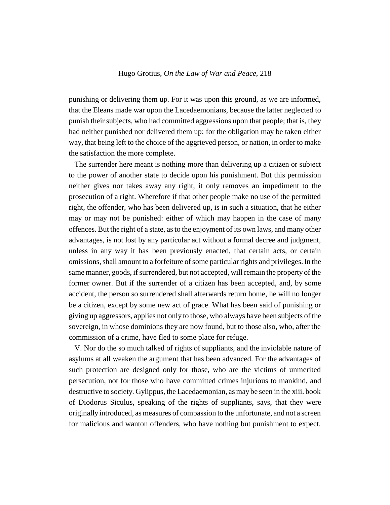punishing or delivering them up. For it was upon this ground, as we are informed, that the Eleans made war upon the Lacedaemonians, because the latter neglected to punish their subjects, who had committed aggressions upon that people; that is, they had neither punished nor delivered them up: for the obligation may be taken either way, that being left to the choice of the aggrieved person, or nation, in order to make the satisfaction the more complete.

The surrender here meant is nothing more than delivering up a citizen or subject to the power of another state to decide upon his punishment. But this permission neither gives nor takes away any right, it only removes an impediment to the prosecution of a right. Wherefore if that other people make no use of the permitted right, the offender, who has been delivered up, is in such a situation, that he either may or may not be punished: either of which may happen in the case of many offences. But the right of a state, as to the enjoyment of its own laws, and many other advantages, is not lost by any particular act without a formal decree and judgment, unless in any way it has been previously enacted, that certain acts, or certain omissions, shall amount to a forfeiture of some particular rights and privileges. In the same manner, goods, if surrendered, but not accepted, will remain the property of the former owner. But if the surrender of a citizen has been accepted, and, by some accident, the person so surrendered shall afterwards return home, he will no longer be a citizen, except by some new act of grace. What has been said of punishing or giving up aggressors, applies not only to those, who always have been subjects of the sovereign, in whose dominions they are now found, but to those also, who, after the commission of a crime, have fled to some place for refuge.

V. Nor do the so much talked of rights of suppliants, and the inviolable nature of asylums at all weaken the argument that has been advanced. For the advantages of such protection are designed only for those, who are the victims of unmerited persecution, not for those who have committed crimes injurious to mankind, and destructive to society. Gylippus, the Lacedaemonian, as may be seen in the xiii. book of Diodorus Siculus, speaking of the rights of suppliants, says, that they were originally introduced, as measures of compassion to the unfortunate, and not a screen for malicious and wanton offenders, who have nothing but punishment to expect.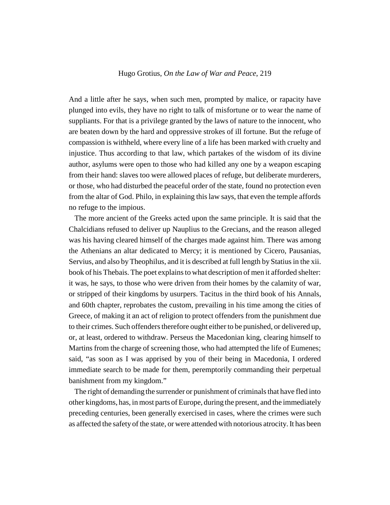And a little after he says, when such men, prompted by malice, or rapacity have plunged into evils, they have no right to talk of misfortune or to wear the name of suppliants. For that is a privilege granted by the laws of nature to the innocent, who are beaten down by the hard and oppressive strokes of ill fortune. But the refuge of compassion is withheld, where every line of a life has been marked with cruelty and injustice. Thus according to that law, which partakes of the wisdom of its divine author, asylums were open to those who had killed any one by a weapon escaping from their hand: slaves too were allowed places of refuge, but deliberate murderers, or those, who had disturbed the peaceful order of the state, found no protection even from the altar of God. Philo, in explaining this law says, that even the temple affords no refuge to the impious.

The more ancient of the Greeks acted upon the same principle. It is said that the Chalcidians refused to deliver up Nauplius to the Grecians, and the reason alleged was his having cleared himself of the charges made against him. There was among the Athenians an altar dedicated to Mercy; it is mentioned by Cicero, Pausanias, Servius, and also by Theophilus, and it is described at full length by Statius in the xii. book of his Thebais. The poet explains to what description of men it afforded shelter: it was, he says, to those who were driven from their homes by the calamity of war, or stripped of their kingdoms by usurpers. Tacitus in the third book of his Annals, and 60th chapter, reprobates the custom, prevailing in his time among the cities of Greece, of making it an act of religion to protect offenders from the punishment due to their crimes. Such offenders therefore ought either to be punished, or delivered up, or, at least, ordered to withdraw. Perseus the Macedonian king, clearing himself to Martins from the charge of screening those, who had attempted the life of Eumenes; said, "as soon as I was apprised by you of their being in Macedonia, I ordered immediate search to be made for them, peremptorily commanding their perpetual banishment from my kingdom."

The right of demanding the surrender or punishment of criminals that have fled into other kingdoms, has, in most parts of Europe, during the present, and the immediately preceding centuries, been generally exercised in cases, where the crimes were such as affected the safety of the state, or were attended with notorious atrocity. It has been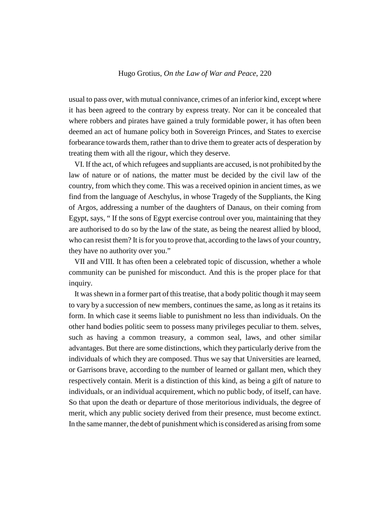usual to pass over, with mutual connivance, crimes of an inferior kind, except where it has been agreed to the contrary by express treaty. Nor can it be concealed that where robbers and pirates have gained a truly formidable power, it has often been deemed an act of humane policy both in Sovereign Princes, and States to exercise forbearance towards them, rather than to drive them to greater acts of desperation by treating them with all the rigour, which they deserve.

VI. If the act, of which refugees and suppliants are accused, is not prohibited by the law of nature or of nations, the matter must be decided by the civil law of the country, from which they come. This was a received opinion in ancient times, as we find from the language of Aeschylus, in whose Tragedy of the Suppliants, the King of Argos, addressing a number of the daughters of Danaus, on their coming from Egypt, says, " If the sons of Egypt exercise controul over you, maintaining that they are authorised to do so by the law of the state, as being the nearest allied by blood, who can resist them? It is for you to prove that, according to the laws of your country, they have no authority over you."

VII and VIII. It has often been a celebrated topic of discussion, whether a whole community can be punished for misconduct. And this is the proper place for that inquiry.

It was shewn in a former part of this treatise, that a body politic though it may seem to vary by a succession of new members, continues the same, as long as it retains its form. In which case it seems liable to punishment no less than individuals. On the other hand bodies politic seem to possess many privileges peculiar to them. selves, such as having a common treasury, a common seal, laws, and other similar advantages. But there are some distinctions, which they particularly derive from the individuals of which they are composed. Thus we say that Universities are learned, or Garrisons brave, according to the number of learned or gallant men, which they respectively contain. Merit is a distinction of this kind, as being a gift of nature to individuals, or an individual acquirement, which no public body, of itself, can have. So that upon the death or departure of those meritorious individuals, the degree of merit, which any public society derived from their presence, must become extinct. In the same manner, the debt of punishment which is considered as arising from some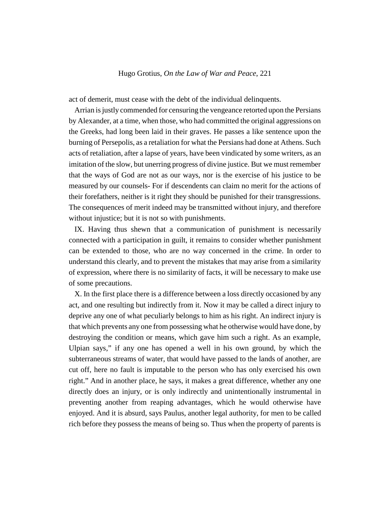act of demerit, must cease with the debt of the individual delinquents.

Arrian is justly commended for censuring the vengeance retorted upon the Persians by Alexander, at a time, when those, who had committed the original aggressions on the Greeks, had long been laid in their graves. He passes a like sentence upon the burning of Persepolis, as a retaliation for what the Persians had done at Athens. Such acts of retaliation, after a lapse of years, have been vindicated by some writers, as an imitation of the slow, but unerring progress of divine justice. But we must remember that the ways of God are not as our ways, nor is the exercise of his justice to be measured by our counsels- For if descendents can claim no merit for the actions of their forefathers, neither is it right they should be punished for their transgressions. The consequences of merit indeed may be transmitted without injury, and therefore without injustice; but it is not so with punishments.

IX. Having thus shewn that a communication of punishment is necessarily connected with a participation in guilt, it remains to consider whether punishment can be extended to those, who are no way concerned in the crime. In order to understand this clearly, and to prevent the mistakes that may arise from a similarity of expression, where there is no similarity of facts, it will be necessary to make use of some precautions.

X. In the first place there is a difference between a loss directly occasioned by any act, and one resulting but indirectly from it. Now it may be called a direct injury to deprive any one of what peculiarly belongs to him as his right. An indirect injury is that which prevents any one from possessing what he otherwise would have done, by destroying the condition or means, which gave him such a right. As an example, Ulpian says," if any one has opened a well in his own ground, by which the subterraneous streams of water, that would have passed to the lands of another, are cut off, here no fault is imputable to the person who has only exercised his own right." And in another place, he says, it makes a great difference, whether any one directly does an injury, or is only indirectly and unintentionally instrumental in preventing another from reaping advantages, which he would otherwise have enjoyed. And it is absurd, says Paulus, another legal authority, for men to be called rich before they possess the means of being so. Thus when the property of parents is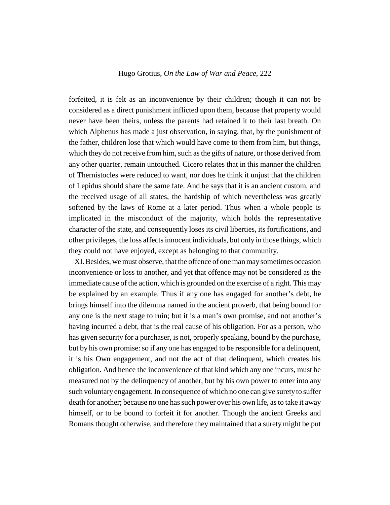forfeited, it is felt as an inconvenience by their children; though it can not be considered as a direct punishment inflicted upon them, because that property would never have been theirs, unless the parents had retained it to their last breath. On which Alphenus has made a just observation, in saying, that, by the punishment of the father, children lose that which would have come to them from him, but things, which they do not receive from him, such as the gifts of nature, or those derived from any other quarter, remain untouched. Cicero relates that in this manner the children of Thernistocles were reduced to want, nor does he think it unjust that the children of Lepidus should share the same fate. And he says that it is an ancient custom, and the received usage of all states, the hardship of which nevertheless was greatly softened by the laws of Rome at a later period. Thus when a whole people is implicated in the misconduct of the majority, which holds the representative character of the state, and consequently loses its civil liberties, its fortifications, and other privileges, the loss affects innocent individuals, but only in those things, which they could not have enjoyed, except as belonging to that community.

XI. Besides, we must observe, that the offence of one man may sometimes occasion inconvenience or loss to another, and yet that offence may not be considered as the immediate cause of the action, which is grounded on the exercise of a right. This may be explained by an example. Thus if any one has engaged for another's debt, he brings himself into the dilemma named in the ancient proverb, that being bound for any one is the next stage to ruin; but it is a man's own promise, and not another's having incurred a debt, that is the real cause of his obligation. For as a person, who has given security for a purchaser, is not, properly speaking, bound by the purchase, but by his own promise: so if any one has engaged to be responsible for a delinquent, it is his Own engagement, and not the act of that delinquent, which creates his obligation. And hence the inconvenience of that kind which any one incurs, must be measured not by the delinquency of another, but by his own power to enter into any such voluntary engagement. In consequence of which no one can give surety to suffer death for another; because no one has such power over his own life, as to take it away himself, or to be bound to forfeit it for another. Though the ancient Greeks and Romans thought otherwise, and therefore they maintained that a surety might be put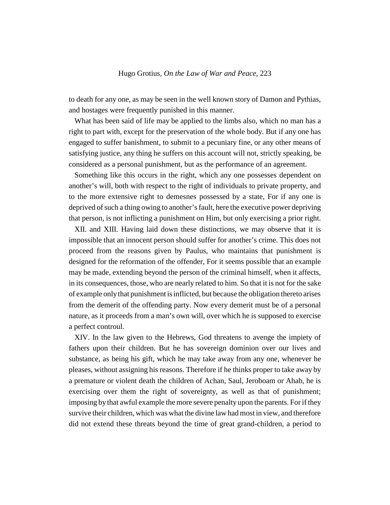to death for any one, as may be seen in the well known story of Damon and Pythias, and hostages were frequently punished in this manner.

What has been said of life may be applied to the limbs also, which no man has a right to part with, except for the preservation of the whole body. But if any one has engaged to suffer banishment, to submit to a pecuniary fine, or any other means of satisfying justice, any thing he suffers on this account will not, strictly speaking, be considered as a personal punishment, but as the performance of an agreement.

Something like this occurs in the right, which any one possesses dependent on another's will, both with respect to the right of individuals to private property, and to the more extensive right to demesnes possessed by a state, For if any one is deprived of such a thing owing to another's fault, here the executive power depriving that person, is not inflicting a punishment on Him, but only exercising a prior right.

XII. and XIII. Having laid down these distinctions, we may observe that it is impossible that an innocent person should suffer for another's crime. This does not proceed from the reasons given by Paulus, who maintains that punishment is designed for the reformation of the offender, For it seems possible that an example may be made, extending beyond the person of the criminal himself, when it affects, in its consequences, those, who are nearly related to him. So that it is not for the sake of example only that punishment is inflicted, but because the obligation thereto arises from the demerit of the offending party. Now every demerit must be of a personal nature, as it proceeds from a man's own will, over which he is supposed to exercise a perfect controul.

XIV. In the law given to the Hebrews, God threatens to avenge the impiety of fathers upon their children. But he has sovereign dominion over our lives and substance, as being his gift, which he may take away from any one, whenever he pleases, without assigning his reasons. Therefore if he thinks proper to take away by a premature or violent death the children of Achan, Saul, Jeroboam or Ahab, he is exercising over them the right of sovereignty, as well as that of punishment; imposing by that awful example the more severe penalty upon the parents. For if they survive their children, which was what the divine law had most in view, and therefore did not extend these threats beyond the time of great grand-children, a period to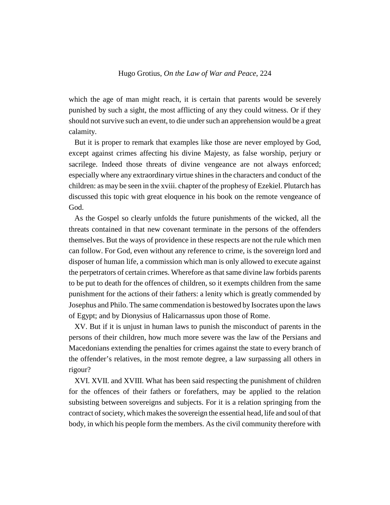which the age of man might reach, it is certain that parents would be severely punished by such a sight, the most afflicting of any they could witness. Or if they should not survive such an event, to die under such an apprehension would be a great calamity.

But it is proper to remark that examples like those are never employed by God, except against crimes affecting his divine Majesty, as false worship, perjury or sacrilege. Indeed those threats of divine vengeance are not always enforced; especially where any extraordinary virtue shines in the characters and conduct of the children: as may be seen in the xviii. chapter of the prophesy of Ezekiel. Plutarch has discussed this topic with great eloquence in his book on the remote vengeance of God.

As the Gospel so clearly unfolds the future punishments of the wicked, all the threats contained in that new covenant terminate in the persons of the offenders themselves. But the ways of providence in these respects are not the rule which men can follow. For God, even without any reference to crime, is the sovereign lord and disposer of human life, a commission which man is only allowed to execute against the perpetrators of certain crimes. Wherefore as that same divine law forbids parents to be put to death for the offences of children, so it exempts children from the same punishment for the actions of their fathers: a lenity which is greatly commended by Josephus and Philo. The same commendation is bestowed by Isocrates upon the laws of Egypt; and by Dionysius of Halicarnassus upon those of Rome.

XV. But if it is unjust in human laws to punish the misconduct of parents in the persons of their children, how much more severe was the law of the Persians and Macedonians extending the penalties for crimes against the state to every branch of the offender's relatives, in the most remote degree, a law surpassing all others in rigour?

XVI. XVII. and XVIII. What has been said respecting the punishment of children for the offences of their fathers or forefathers, may be applied to the relation subsisting between sovereigns and subjects. For it is a relation springing from the contract of society, which makes the sovereign the essential head, life and soul of that body, in which his people form the members. As the civil community therefore with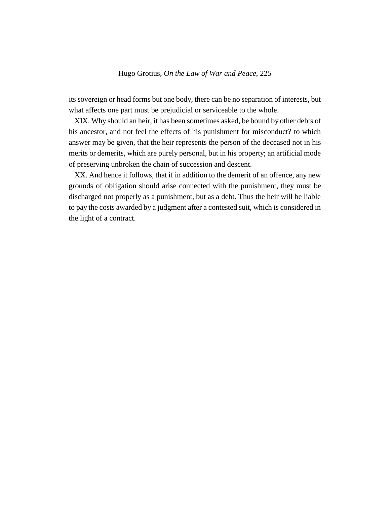its sovereign or head forms but one body, there can be no separation of interests, but what affects one part must be prejudicial or serviceable to the whole.

XIX. Why should an heir, it has been sometimes asked, be bound by other debts of his ancestor, and not feel the effects of his punishment for misconduct? to which answer may be given, that the heir represents the person of the deceased not in his merits or demerits, which are purely personal, but in his property; an artificial mode of preserving unbroken the chain of succession and descent.

XX. And hence it follows, that if in addition to the demerit of an offence, any new grounds of obligation should arise connected with the punishment, they must be discharged not properly as a punishment, but as a debt. Thus the heir will be liable to pay the costs awarded by a judgment after a contested suit, which is considered in the light of a contract.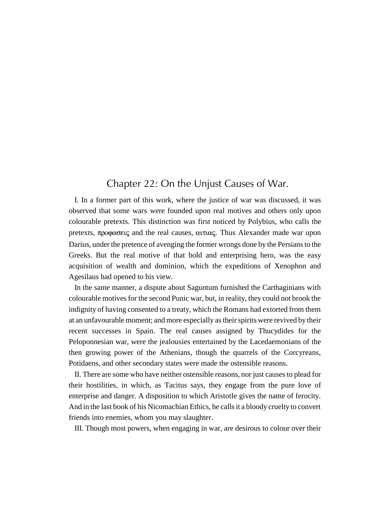# Chapter 22: On the Unjust Causes of War.

I. In a former part of this work, where the justice of war was discussed, it was observed that some wars were founded upon real motives and others only upon colourable pretexts. This distinction was first noticed by Polybius, who calls the pretexts, προφασεις and the real causes, αιτιας. Thus Alexander made war upon Darius, under the pretence of avenging the former wrongs done by the Persians to the Greeks. But the real motive of that bold and enterprising hero, was the easy acquisition of wealth and dominion, which the expeditions of Xenophon and Agesilaus had opened to his view.

In the same manner, a dispute about Saguntum furnished the Carthaginians with colourable motives for the second Punic war, but, in reality, they could not brook the indignity of having consented to a treaty, which the Romans had extorted from them at an unfavourable moment; and more especially as their spirits were revived by their recent successes in Spain. The real causes assigned by Thucydides for the Peloponnesian war, were the jealousies entertained by the Lacedaemonians of the then growing power of the Athenians, though the quarrels of the Corcyreans, Potidaens, and other secondary states were made the ostensible reasons.

II. There are some who have neither ostensible reasons, nor just causes to plead for their hostilities, in which, as Tacitus says, they engage from the pure love of enterprise and danger. A disposition to which Aristotle gives the name of ferocity. And in the last book of his Nicomachian Ethics, he calls it a bloody cruelty to convert friends into enemies, whom you may slaughter.

III. Though most powers, when engaging in war, are desirous to colour over their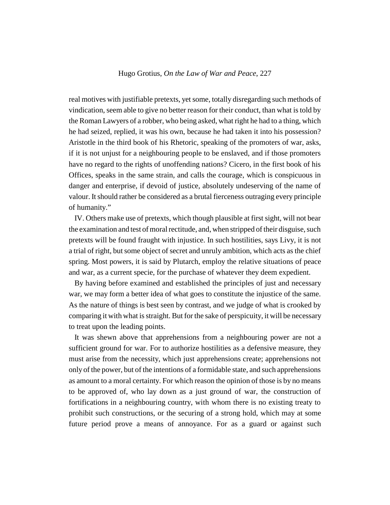real motives with justifiable pretexts, yet some, totally disregarding such methods of vindication, seem able to give no better reason for their conduct, than what is told by the Roman Lawyers of a robber, who being asked, what right he had to a thing, which he had seized, replied, it was his own, because he had taken it into his possession? Aristotle in the third book of his Rhetoric, speaking of the promoters of war, asks, if it is not unjust for a neighbouring people to be enslaved, and if those promoters have no regard to the rights of unoffending nations? Cicero, in the first book of his Offices, speaks in the same strain, and calls the courage, which is conspicuous in danger and enterprise, if devoid of justice, absolutely undeserving of the name of valour. It should rather be considered as a brutal fierceness outraging every principle of humanity."

IV. Others make use of pretexts, which though plausible at first sight, will not bear the examination and test of moral rectitude, and, when stripped of their disguise, such pretexts will be found fraught with injustice. In such hostilities, says Livy, it is not a trial of right, but some object of secret and unruly ambition, which acts as the chief spring. Most powers, it is said by Plutarch, employ the relative situations of peace and war, as a current specie, for the purchase of whatever they deem expedient.

By having before examined and established the principles of just and necessary war, we may form a better idea of what goes to constitute the injustice of the same. As the nature of things is best seen by contrast, and we judge of what is crooked by comparing it with what is straight. But for the sake of perspicuity, it will be necessary to treat upon the leading points.

It was shewn above that apprehensions from a neighbouring power are not a sufficient ground for war. For to authorize hostilities as a defensive measure, they must arise from the necessity, which just apprehensions create; apprehensions not only of the power, but of the intentions of a formidable state, and such apprehensions as amount to a moral certainty. For which reason the opinion of those is by no means to be approved of, who lay down as a just ground of war, the construction of fortifications in a neighbouring country, with whom there is no existing treaty to prohibit such constructions, or the securing of a strong hold, which may at some future period prove a means of annoyance. For as a guard or against such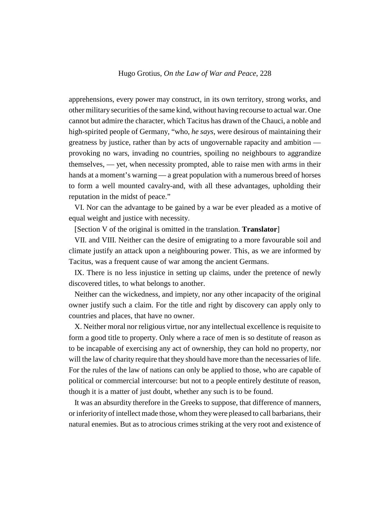apprehensions, every power may construct, in its own territory, strong works, and other military securities of the same kind, without having recourse to actual war. One cannot but admire the character, which Tacitus has drawn of the Chauci, a noble and high-spirited people of Germany, "who, *he says*, were desirous of maintaining their greatness by justice, rather than by acts of ungovernable rapacity and ambition provoking no wars, invading no countries, spoiling no neighbours to aggrandize themselves, — yet, when necessity prompted, able to raise men with arms in their hands at a moment's warning — a great population with a numerous breed of horses to form a well mounted cavalry-and, with all these advantages, upholding their reputation in the midst of peace."

VI. Nor can the advantage to be gained by a war be ever pleaded as a motive of equal weight and justice with necessity.

[Section V of the original is omitted in the translation. **Translator**]

VII. and VIII. Neither can the desire of emigrating to a more favourable soil and climate justify an attack upon a neighbouring power. This, as we are informed by Tacitus, was a frequent cause of war among the ancient Germans.

IX. There is no less injustice in setting up claims, under the pretence of newly discovered titles, to what belongs to another.

Neither can the wickedness, and impiety, nor any other incapacity of the original owner justify such a claim. For the title and right by discovery can apply only to countries and places, that have no owner.

X. Neither moral nor religious virtue, nor any intellectual excellence is requisite to form a good title to property. Only where a race of men is so destitute of reason as to be incapable of exercising any act of ownership, they can hold no property, nor will the law of charity require that they should have more than the necessaries of life. For the rules of the law of nations can only be applied to those, who are capable of political or commercial intercourse: but not to a people entirely destitute of reason, though it is a matter of just doubt, whether any such is to be found.

It was an absurdity therefore in the Greeks to suppose, that difference of manners, or inferiority of intellect made those, whom they were pleased to call barbarians, their natural enemies. But as to atrocious crimes striking at the very root and existence of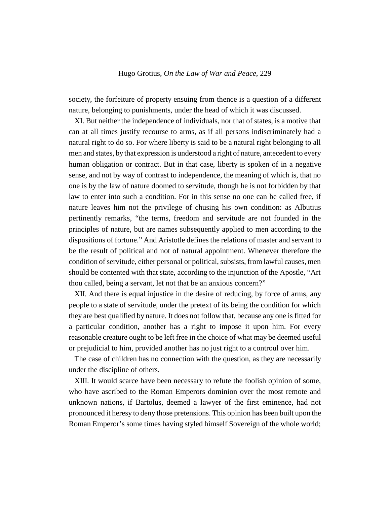society, the forfeiture of property ensuing from thence is a question of a different nature, belonging to punishments, under the head of which it was discussed.

XI. But neither the independence of individuals, nor that of states, is a motive that can at all times justify recourse to arms, as if all persons indiscriminately had a natural right to do so. For where liberty is said to be a natural right belonging to all men and states, by that expression is understood a right of nature, antecedent to every human obligation or contract. But in that case, liberty is spoken of in a negative sense, and not by way of contrast to independence, the meaning of which is, that no one is by the law of nature doomed to servitude, though he is not forbidden by that law to enter into such a condition. For in this sense no one can be called free, if nature leaves him not the privilege of chusing his own condition: as Albutius pertinently remarks, "the terms, freedom and servitude are not founded in the principles of nature, but are names subsequently applied to men according to the dispositions of fortune." And Aristotle defines the relations of master and servant to be the result of political and not of natural appointment. Whenever therefore the condition of servitude, either personal or political, subsists, from lawful causes, men should be contented with that state, according to the injunction of the Apostle, "Art thou called, being a servant, let not that be an anxious concern?"

XII. And there is equal injustice in the desire of reducing, by force of arms, any people to a state of servitude, under the pretext of its being the condition for which they are best qualified by nature. It does not follow that, because any one is fitted for a particular condition, another has a right to impose it upon him. For every reasonable creature ought to be left free in the choice of what may be deemed useful or prejudicial to him, provided another has no just right to a controul over him.

The case of children has no connection with the question, as they are necessarily under the discipline of others.

XIII. It would scarce have been necessary to refute the foolish opinion of some, who have ascribed to the Roman Emperors dominion over the most remote and unknown nations, if Bartolus, deemed a lawyer of the first eminence, had not pronounced it heresy to deny those pretensions. This opinion has been built upon the Roman Emperor's some times having styled himself Sovereign of the whole world;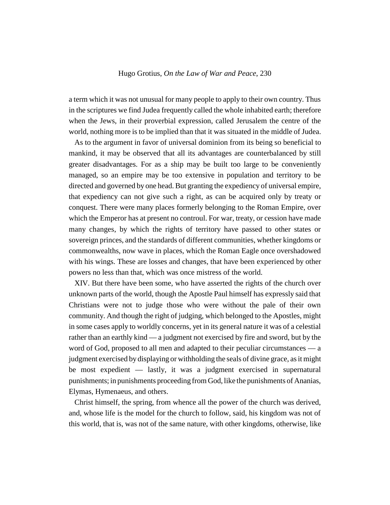a term which it was not unusual for many people to apply to their own country. Thus in the scriptures we find Judea frequently called the whole inhabited earth; therefore when the Jews, in their proverbial expression, called Jerusalem the centre of the world, nothing more is to be implied than that it was situated in the middle of Judea.

As to the argument in favor of universal dominion from its being so beneficial to mankind, it may be observed that all its advantages are counterbalanced by still greater disadvantages. For as a ship may be built too large to be conveniently managed, so an empire may be too extensive in population and territory to be directed and governed by one head. But granting the expediency of universal empire, that expediency can not give such a right, as can be acquired only by treaty or conquest. There were many places formerly belonging to the Roman Empire, over which the Emperor has at present no controul. For war, treaty, or cession have made many changes, by which the rights of territory have passed to other states or sovereign princes, and the standards of different communities, whether kingdoms or commonwealths, now wave in places, which the Roman Eagle once overshadowed with his wings. These are losses and changes, that have been experienced by other powers no less than that, which was once mistress of the world.

XIV. But there have been some, who have asserted the rights of the church over unknown parts of the world, though the Apostle Paul himself has expressly said that Christians were not to judge those who were without the pale of their own community. And though the right of judging, which belonged to the Apostles, might in some cases apply to worldly concerns, yet in its general nature it was of a celestial rather than an earthly kind — a judgment not exercised by fire and sword, but by the word of God, proposed to all men and adapted to their peculiar circumstances — a judgment exercised by displaying or withholding the seals of divine grace, as it might be most expedient — lastly, it was a judgment exercised in supernatural punishments; in punishments proceeding from God, like the punishments of Ananias, Elymas, Hymenaeus, and others.

Christ himself, the spring, from whence all the power of the church was derived, and, whose life is the model for the church to follow, said, his kingdom was not of this world, that is, was not of the same nature, with other kingdoms, otherwise, like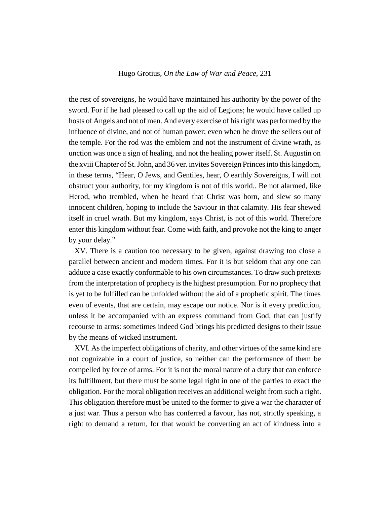the rest of sovereigns, he would have maintained his authority by the power of the sword. For if he had pleased to call up the aid of Legions; he would have called up hosts of Angels and not of men. And every exercise of his right was performed by the influence of divine, and not of human power; even when he drove the sellers out of the temple. For the rod was the emblem and not the instrument of divine wrath, as unction was once a sign of healing, and not the healing power itself. St. Augustin on the xviii Chapter of St. John, and 36 ver. invites Sovereign Princes into this kingdom, in these terms, "Hear, O Jews, and Gentiles, hear, O earthly Sovereigns, I will not obstruct your authority, for my kingdom is not of this world.. Be not alarmed, like Herod, who trembled, when he heard that Christ was born, and slew so many innocent children, hoping to include the Saviour in that calamity. His fear shewed itself in cruel wrath. But my kingdom, says Christ, is not of this world. Therefore enter this kingdom without fear. Come with faith, and provoke not the king to anger by your delay."

XV. There is a caution too necessary to be given, against drawing too close a parallel between ancient and modern times. For it is but seldom that any one can adduce a case exactly conformable to his own circumstances. To draw such pretexts from the interpretation of prophecy is the highest presumption. For no prophecy that is yet to be fulfilled can be unfolded without the aid of a prophetic spirit. The times even of events, that are certain, may escape our notice. Nor is it every prediction, unless it be accompanied with an express command from God, that can justify recourse to arms: sometimes indeed God brings his predicted designs to their issue by the means of wicked instrument.

XVI. As the imperfect obligations of charity, and other virtues of the same kind are not cognizable in a court of justice, so neither can the performance of them be compelled by force of arms. For it is not the moral nature of a duty that can enforce its fulfillment, but there must be some legal right in one of the parties to exact the obligation. For the moral obligation receives an additional weight from such a right. This obligation therefore must be united to the former to give a war the character of a just war. Thus a person who has conferred a favour, has not, strictly speaking, a right to demand a return, for that would be converting an act of kindness into a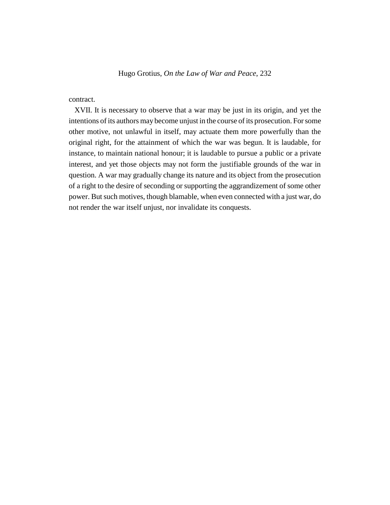# contract.

XVII. It is necessary to observe that a war may be just in its origin, and yet the intentions of its authors may become unjust in the course of its prosecution. For some other motive, not unlawful in itself, may actuate them more powerfully than the original right, for the attainment of which the war was begun. It is laudable, for instance, to maintain national honour; it is laudable to pursue a public or a private interest, and yet those objects may not form the justifiable grounds of the war in question. A war may gradually change its nature and its object from the prosecution of a right to the desire of seconding or supporting the aggrandizement of some other power. But such motives, though blamable, when even connected with a just war, do not render the war itself unjust, nor invalidate its conquests.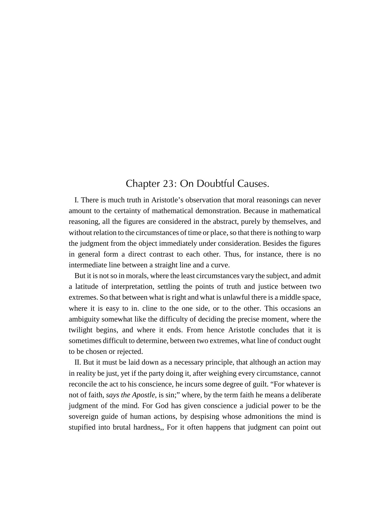# Chapter 23: On Doubtful Causes.

I. There is much truth in Aristotle's observation that moral reasonings can never amount to the certainty of mathematical demonstration. Because in mathematical reasoning, all the figures are considered in the abstract, purely by themselves, and without relation to the circumstances of time or place, so that there is nothing to warp the judgment from the object immediately under consideration. Besides the figures in general form a direct contrast to each other. Thus, for instance, there is no intermediate line between a straight line and a curve.

But it is not so in morals, where the least circumstances vary the subject, and admit a latitude of interpretation, settling the points of truth and justice between two extremes. So that between what is right and what is unlawful there is a middle space, where it is easy to in. cline to the one side, or to the other. This occasions an ambiguity somewhat like the difficulty of deciding the precise moment, where the twilight begins, and where it ends. From hence Aristotle concludes that it is sometimes difficult to determine, between two extremes, what line of conduct ought to be chosen or rejected.

II. But it must be laid down as a necessary principle, that although an action may in reality be just, yet if the party doing it, after weighing every circumstance, cannot reconcile the act to his conscience, he incurs some degree of guilt. "For whatever is not of faith, *says the Apostle*, is sin;" where, by the term faith he means a deliberate judgment of the mind. For God has given conscience a judicial power to be the sovereign guide of human actions, by despising whose admonitions the mind is stupified into brutal hardness,, For it often happens that judgment can point out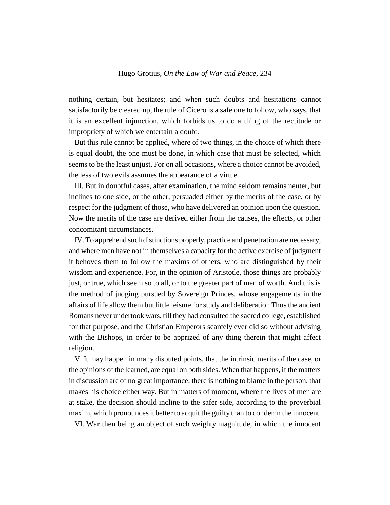nothing certain, but hesitates; and when such doubts and hesitations cannot satisfactorily be cleared up, the rule of Cicero is a safe one to follow, who says, that it is an excellent injunction, which forbids us to do a thing of the rectitude or impropriety of which we entertain a doubt.

But this rule cannot be applied, where of two things, in the choice of which there is equal doubt, the one must be done, in which case that must be selected, which seems to be the least unjust. For on all occasions, where a choice cannot be avoided, the less of two evils assumes the appearance of a virtue.

III. But in doubtful cases, after examination, the mind seldom remains neuter, but inclines to one side, or the other, persuaded either by the merits of the case, or by respect for the judgment of those, who have delivered an opinion upon the question. Now the merits of the case are derived either from the causes, the effects, or other concomitant circumstances.

IV. To apprehend such distinctions properly, practice and penetration are necessary, and where men have not in themselves a capacity for the active exercise of judgment it behoves them to follow the maxims of others, who are distinguished by their wisdom and experience. For, in the opinion of Aristotle, those things are probably just, or true, which seem so to all, or to the greater part of men of worth. And this is the method of judging pursued by Sovereign Princes, whose engagements in the affairs of life allow them but little leisure for study and deliberation Thus the ancient Romans never undertook wars, till they had consulted the sacred college, established for that purpose, and the Christian Emperors scarcely ever did so without advising with the Bishops, in order to be apprized of any thing therein that might affect religion.

V. It may happen in many disputed points, that the intrinsic merits of the case, or the opinions of the learned, are equal on both sides. When that happens, if the matters in discussion are of no great importance, there is nothing to blame in the person, that makes his choice either way. But in matters of moment, where the lives of men are at stake, the decision should incline to the safer side, according to the proverbial maxim, which pronounces it better to acquit the guilty than to condemn the innocent.

VI. War then being an object of such weighty magnitude, in which the innocent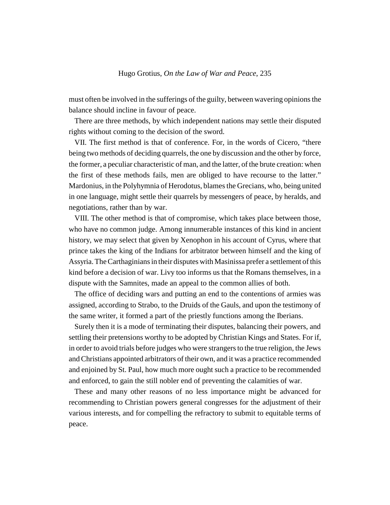must often be involved in the sufferings of the guilty, between wavering opinions the balance should incline in favour of peace.

There are three methods, by which independent nations may settle their disputed rights without coming to the decision of the sword.

VII. The first method is that of conference. For, in the words of Cicero, "there being two methods of deciding quarrels, the one by discussion and the other by force, the former, a peculiar characteristic of man, and the latter, of the brute creation: when the first of these methods fails, men are obliged to have recourse to the latter." Mardonius, in the Polyhymnia of Herodotus, blames the Grecians, who, being united in one language, might settle their quarrels by messengers of peace, by heralds, and negotiations, rather than by war.

VIII. The other method is that of compromise, which takes place between those, who have no common judge. Among innumerable instances of this kind in ancient history, we may select that given by Xenophon in his account of Cyrus, where that prince takes the king of the Indians for arbitrator between himself and the king of Assyria. The Carthaginians in their disputes with Masinissa prefer a settlement of this kind before a decision of war. Livy too informs us that the Romans themselves, in a dispute with the Samnites, made an appeal to the common allies of both.

The office of deciding wars and putting an end to the contentions of armies was assigned, according to Strabo, to the Druids of the Gauls, and upon the testimony of the same writer, it formed a part of the priestly functions among the Iberians.

Surely then it is a mode of terminating their disputes, balancing their powers, and settling their pretensions worthy to be adopted by Christian Kings and States. For if, in order to avoid trials before judges who were strangers to the true religion, the Jews and Christians appointed arbitrators of their own, and it was a practice recommended and enjoined by St. Paul, how much more ought such a practice to be recommended and enforced, to gain the still nobler end of preventing the calamities of war.

These and many other reasons of no less importance might be advanced for recommending to Christian powers general congresses for the adjustment of their various interests, and for compelling the refractory to submit to equitable terms of peace.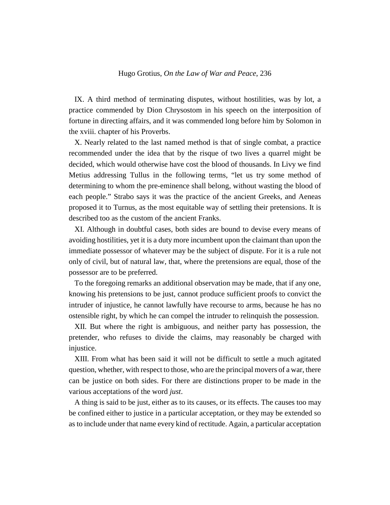IX. A third method of terminating disputes, without hostilities, was by lot, a practice commended by Dion Chrysostom in his speech on the interposition of fortune in directing affairs, and it was commended long before him by Solomon in the xviii. chapter of his Proverbs.

X. Nearly related to the last named method is that of single combat, a practice recommended under the idea that by the risque of two lives a quarrel might be decided, which would otherwise have cost the blood of thousands. In Livy we find Metius addressing Tullus in the following terms, "let us try some method of determining to whom the pre-eminence shall belong, without wasting the blood of each people." Strabo says it was the practice of the ancient Greeks, and Aeneas proposed it to Turnus, as the most equitable way of settling their pretensions. It is described too as the custom of the ancient Franks.

XI. Although in doubtful cases, both sides are bound to devise every means of avoiding hostilities, yet it is a duty more incumbent upon the claimant than upon the immediate possessor of whatever may be the subject of dispute. For it is a rule not only of civil, but of natural law, that, where the pretensions are equal, those of the possessor are to be preferred.

To the foregoing remarks an additional observation may be made, that if any one, knowing his pretensions to be just, cannot produce sufficient proofs to convict the intruder of injustice, he cannot lawfully have recourse to arms, because he has no ostensible right, by which he can compel the intruder to relinquish the possession.

XII. But where the right is ambiguous, and neither party has possession, the pretender, who refuses to divide the claims, may reasonably be charged with injustice.

XIII. From what has been said it will not be difficult to settle a much agitated question, whether, with respect to those, who are the principal movers of a war, there can be justice on both sides. For there are distinctions proper to be made in the various acceptations of the word *just*.

A thing is said to be just, either as to its causes, or its effects. The causes too may be confined either to justice in a particular acceptation, or they may be extended so as to include under that name every kind of rectitude. Again, a particular acceptation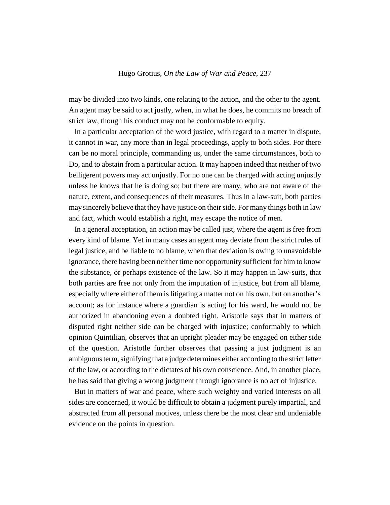may be divided into two kinds, one relating to the action, and the other to the agent. An agent may be said to act justly, when, in what he does, he commits no breach of strict law, though his conduct may not be conformable to equity.

In a particular acceptation of the word justice, with regard to a matter in dispute, it cannot in war, any more than in legal proceedings, apply to both sides. For there can be no moral principle, commanding us, under the same circumstances, both to Do, and to abstain from a particular action. It may happen indeed that neither of two belligerent powers may act unjustly. For no one can be charged with acting unjustly unless he knows that he is doing so; but there are many, who are not aware of the nature, extent, and consequences of their measures. Thus in a law-suit, both parties may sincerely believe that they have justice on their side. For many things both in law and fact, which would establish a right, may escape the notice of men.

In a general acceptation, an action may be called just, where the agent is free from every kind of blame. Yet in many cases an agent may deviate from the strict rules of legal justice, and be liable to no blame, when that deviation is owing to unavoidable ignorance, there having been neither time nor opportunity sufficient for him to know the substance, or perhaps existence of the law. So it may happen in law-suits, that both parties are free not only from the imputation of injustice, but from all blame, especially where either of them is litigating a matter not on his own, but on another's account; as for instance where a guardian is acting for his ward, he would not be authorized in abandoning even a doubted right. Aristotle says that in matters of disputed right neither side can be charged with injustice; conformably to which opinion Quintilian, observes that an upright pleader may be engaged on either side of the question. Aristotle further observes that passing a just judgment is an ambiguous term, signifying that a judge determines either according to the strict letter of the law, or according to the dictates of his own conscience. And, in another place, he has said that giving a wrong judgment through ignorance is no act of injustice.

But in matters of war and peace, where such weighty and varied interests on all sides are concerned, it would be difficult to obtain a judgment purely impartial, and abstracted from all personal motives, unless there be the most clear and undeniable evidence on the points in question.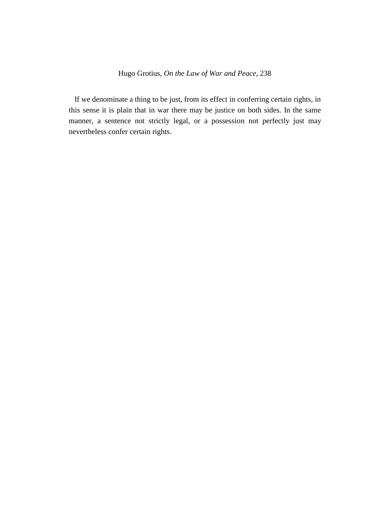If we denominate a thing to be just, from its effect in conferring certain rights, in this sense it is plain that in war there may be justice on both sides. In the same manner, a sentence not strictly legal, or a possession not perfectly just may nevertheless confer certain rights.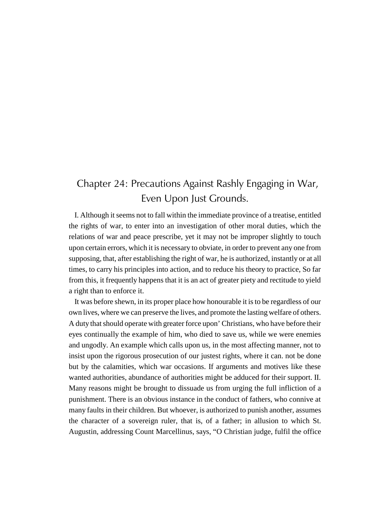# Chapter 24: Precautions Against Rashly Engaging in War, Even Upon Just Grounds.

I. Although it seems not to fall within the immediate province of a treatise, entitled the rights of war, to enter into an investigation of other moral duties, which the relations of war and peace prescribe, yet it may not be improper slightly to touch upon certain errors, which it is necessary to obviate, in order to prevent any one from supposing, that, after establishing the right of war, he is authorized, instantly or at all times, to carry his principles into action, and to reduce his theory to practice, So far from this, it frequently happens that it is an act of greater piety and rectitude to yield a right than to enforce it.

It was before shewn, in its proper place how honourable it is to be regardless of our own lives, where we can preserve the lives, and promote the lasting welfare of others. A duty that should operate with greater force upon' Christians, who have before their eyes continually the example of him, who died to save us, while we were enemies and ungodly. An example which calls upon us, in the most affecting manner, not to insist upon the rigorous prosecution of our justest rights, where it can. not be done but by the calamities, which war occasions. If arguments and motives like these wanted authorities, abundance of authorities might be adduced for their support. II. Many reasons might be brought to dissuade us from urging the full infliction of a punishment. There is an obvious instance in the conduct of fathers, who connive at many faults in their children. But whoever, is authorized to punish another, assumes the character of a sovereign ruler, that is, of a father; in allusion to which St. Augustin, addressing Count Marcellinus, says, "O Christian judge, fulfil the office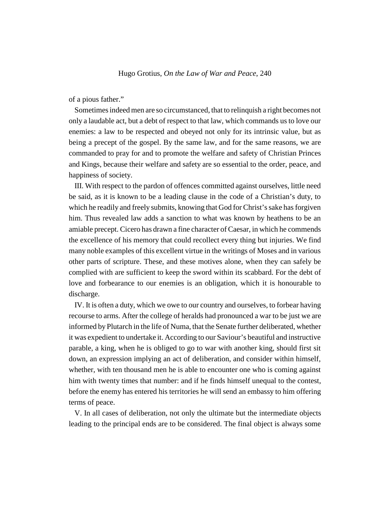of a pious father."

Sometimes indeed men are so circumstanced, that to relinquish a right becomes not only a laudable act, but a debt of respect to that law, which commands us to love our enemies: a law to be respected and obeyed not only for its intrinsic value, but as being a precept of the gospel. By the same law, and for the same reasons, we are commanded to pray for and to promote the welfare and safety of Christian Princes and Kings, because their welfare and safety are so essential to the order, peace, and happiness of society.

III. With respect to the pardon of offences committed against ourselves, little need be said, as it is known to be a leading clause in the code of a Christian's duty, to which he readily and freely submits, knowing that God for Christ's sake has forgiven him. Thus revealed law adds a sanction to what was known by heathens to be an amiable precept. Cicero has drawn a fine character of Caesar, in which he commends the excellence of his memory that could recollect every thing but injuries. We find many noble examples of this excellent virtue in the writings of Moses and in various other parts of scripture. These, and these motives alone, when they can safely be complied with are sufficient to keep the sword within its scabbard. For the debt of love and forbearance to our enemies is an obligation, which it is honourable to discharge.

IV. It is often a duty, which we owe to our country and ourselves, to forbear having recourse to arms. After the college of heralds had pronounced a war to be just we are informed by Plutarch in the life of Numa, that the Senate further deliberated, whether it was expedient to undertake it. According to our Saviour's beautiful and instructive parable, a king, when he is obliged to go to war with another king, should first sit down, an expression implying an act of deliberation, and consider within himself, whether, with ten thousand men he is able to encounter one who is coming against him with twenty times that number: and if he finds himself unequal to the contest, before the enemy has entered his territories he will send an embassy to him offering terms of peace.

V. In all cases of deliberation, not only the ultimate but the intermediate objects leading to the principal ends are to be considered. The final object is always some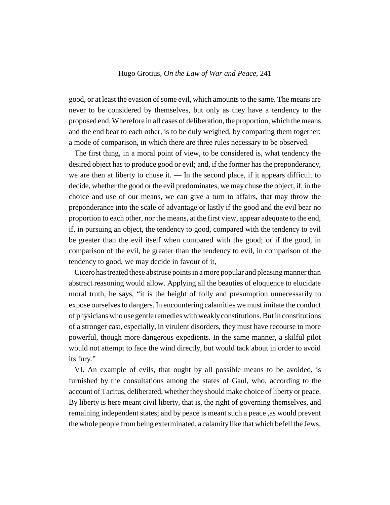good, or at least the evasion of some evil, which amounts to the same. The means are never to be considered by themselves, but only as they have a tendency to the proposed end. Wherefore in all cases of deliberation, the proportion, which the means and the end bear to each other, is to be duly weighed, by comparing them together: a mode of comparison, in which there are three rules necessary to be observed.

The first thing, in a moral point of view, to be considered is, what tendency the desired object has to produce good or evil; and, if the former has the preponderancy, we are then at liberty to chuse it. — In the second place, if it appears difficult to decide, whether the good or the evil predominates, we may chuse the object, if, in the choice and use of our means, we can give a turn to affairs, that may throw the preponderance into the scale of advantage or lastly if the good and the evil bear no proportion to each other, nor the means, at the first view, appear adequate to the end, if, in pursuing an object, the tendency to good, compared with the tendency to evil be greater than the evil itself when compared with the good; or if the good, in comparison of the evil, be greater than the tendency to evil, in comparison of the tendency to good, we may decide in favour of it,

Cicero has treated these abstruse points in a more popular and pleasing manner than abstract reasoning would allow. Applying all the beauties of eloquence to elucidate moral truth, he says, "it is the height of folly and presumption unnecessarily to expose ourselves to dangers. In encountering calamities we must imitate the conduct of physicians who use gentle remedies with weakly constitutions. But in constitutions of a stronger cast, especially, in virulent disorders, they must have recourse to more powerful, though more dangerous expedients. In the same manner, a skilful pilot would not attempt to face the wind directly, but would tack about in order to avoid its fury."

VI. An example of evils, that ought by all possible means to be avoided, is furnished by the consultations among the states of Gaul, who, according to the account of Tacitus, deliberated, whether they should make choice of liberty or peace. By liberty is here meant civil liberty, that is, the right of governing themselves, and remaining independent states; and by peace is meant such a peace ,as would prevent the whole people from being exterminated, a calamity like that which befell the Jews,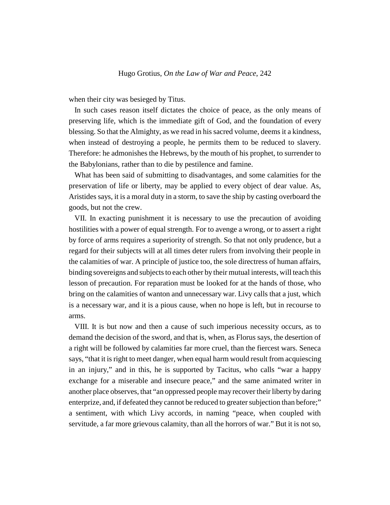when their city was besieged by Titus.

In such cases reason itself dictates the choice of peace, as the only means of preserving life, which is the immediate gift of God, and the foundation of every blessing. So that the Almighty, as we read in his sacred volume, deems it a kindness, when instead of destroying a people, he permits them to be reduced to slavery. Therefore: he admonishes the Hebrews, by the mouth of his prophet, to surrender to the Babylonians, rather than to die by pestilence and famine.

What has been said of submitting to disadvantages, and some calamities for the preservation of life or liberty, may be applied to every object of dear value. As, Aristides says, it is a moral duty in a storm, to save the ship by casting overboard the goods, but not the crew.

VII. In exacting punishment it is necessary to use the precaution of avoiding hostilities with a power of equal strength. For to avenge a wrong, or to assert a right by force of arms requires a superiority of strength. So that not only prudence, but a regard for their subjects will at all times deter rulers from involving their people in the calamities of war. A principle of justice too, the sole directress of human affairs, binding sovereigns and subjects to each other by their mutual interests, will teach this lesson of precaution. For reparation must be looked for at the hands of those, who bring on the calamities of wanton and unnecessary war. Livy calls that a just, which is a necessary war, and it is a pious cause, when no hope is left, but in recourse to arms.

VIII. It is but now and then a cause of such imperious necessity occurs, as to demand the decision of the sword, and that is, when, as Florus says, the desertion of a right will be followed by calamities far more cruel, than the fiercest wars. Seneca says, "that it is right to meet danger, when equal harm would result from acquiescing in an injury," and in this, he is supported by Tacitus, who calls "war a happy exchange for a miserable and insecure peace," and the same animated writer in another place observes, that "an oppressed people may recover their liberty by daring enterprize, and, if defeated they cannot be reduced to greater subjection than before;" a sentiment, with which Livy accords, in naming "peace, when coupled with servitude, a far more grievous calamity, than all the horrors of war." But it is not so,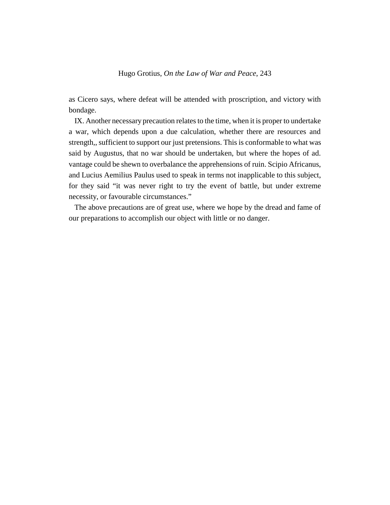as Cicero says, where defeat will be attended with proscription, and victory with bondage.

IX. Another necessary precaution relates to the time, when it is proper to undertake a war, which depends upon a due calculation, whether there are resources and strength,, sufficient to support our just pretensions. This is conformable to what was said by Augustus, that no war should be undertaken, but where the hopes of ad. vantage could be shewn to overbalance the apprehensions of ruin. Scipio Africanus, and Lucius Aemilius Paulus used to speak in terms not inapplicable to this subject, for they said "it was never right to try the event of battle, but under extreme necessity, or favourable circumstances."

The above precautions are of great use, where we hope by the dread and fame of our preparations to accomplish our object with little or no danger.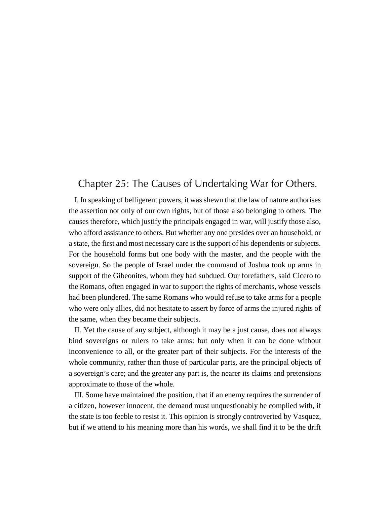# Chapter 25: The Causes of Undertaking War for Others.

I. In speaking of belligerent powers, it was shewn that the law of nature authorises the assertion not only of our own rights, but of those also belonging to others. The causes therefore, which justify the principals engaged in war, will justify those also, who afford assistance to others. But whether any one presides over an household, or a state, the first and most necessary care is the support of his dependents or subjects. For the household forms but one body with the master, and the people with the sovereign. So the people of Israel under the command of Joshua took up arms in support of the Gibeonites, whom they had subdued. Our forefathers, said Cicero to the Romans, often engaged in war to support the rights of merchants, whose vessels had been plundered. The same Romans who would refuse to take arms for a people who were only allies, did not hesitate to assert by force of arms the injured rights of the same, when they became their subjects.

II. Yet the cause of any subject, although it may be a just cause, does not always bind sovereigns or rulers to take arms: but only when it can be done without inconvenience to all, or the greater part of their subjects. For the interests of the whole community, rather than those of particular parts, are the principal objects of a sovereign's care; and the greater any part is, the nearer its claims and pretensions approximate to those of the whole.

III. Some have maintained the position, that if an enemy requires the surrender of a citizen, however innocent, the demand must unquestionably be complied with, if the state is too feeble to resist it. This opinion is strongly controverted by Vasquez, but if we attend to his meaning more than his words, we shall find it to be the drift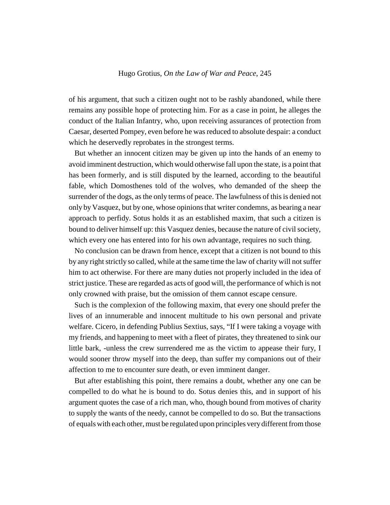of his argument, that such a citizen ought not to be rashly abandoned, while there remains any possible hope of protecting him. For as a case in point, he alleges the conduct of the Italian Infantry, who, upon receiving assurances of protection from Caesar, deserted Pompey, even before he was reduced to absolute despair: a conduct which he deservedly reprobates in the strongest terms.

But whether an innocent citizen may be given up into the hands of an enemy to avoid imminent destruction, which would otherwise fall upon the state, is a point that has been formerly, and is still disputed by the learned, according to the beautiful fable, which Domosthenes told of the wolves, who demanded of the sheep the surrender of the dogs, as the only terms of peace. The lawfulness of this is denied not only by Vasquez, but by one, whose opinions that writer condemns, as bearing a near approach to perfidy. Sotus holds it as an established maxim, that such a citizen is bound to deliver himself up: this Vasquez denies, because the nature of civil society, which every one has entered into for his own advantage, requires no such thing.

No conclusion can be drawn from hence, except that a citizen is not bound to this by any right strictly so called, while at the same time the law of charity will not suffer him to act otherwise. For there are many duties not properly included in the idea of strict justice. These are regarded as acts of good will, the performance of which is not only crowned with praise, but the omission of them cannot escape censure.

Such is the complexion of the following maxim, that every one should prefer the lives of an innumerable and innocent multitude to his own personal and private welfare. Cicero, in defending Publius Sextius, says, "If I were taking a voyage with my friends, and happening to meet with a fleet of pirates, they threatened to sink our little bark, -unless the crew surrendered me as the victim to appease their fury, I would sooner throw myself into the deep, than suffer my companions out of their affection to me to encounter sure death, or even imminent danger.

But after establishing this point, there remains a doubt, whether any one can be compelled to do what he is bound to do. Sotus denies this, and in support of his argument quotes the case of a rich man, who, though bound from motives of charity to supply the wants of the needy, cannot be compelled to do so. But the transactions of equals with each other, must be regulated upon principles very different from those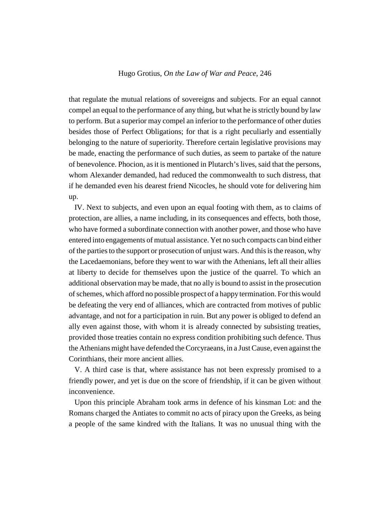that regulate the mutual relations of sovereigns and subjects. For an equal cannot compel an equal to the performance of any thing, but what he is strictly bound by law to perform. But a superior may compel an inferior to the performance of other duties besides those of Perfect Obligations; for that is a right peculiarly and essentially belonging to the nature of superiority. Therefore certain legislative provisions may be made, enacting the performance of such duties, as seem to partake of the nature of benevolence. Phocion, as it is mentioned in Plutarch's lives, said that the persons, whom Alexander demanded, had reduced the commonwealth to such distress, that if he demanded even his dearest friend Nicocles, he should vote for delivering him up.

IV. Next to subjects, and even upon an equal footing with them, as to claims of protection, are allies, a name including, in its consequences and effects, both those, who have formed a subordinate connection with another power, and those who have entered into engagements of mutual assistance. Yet no such compacts can bind either of the parties to the support or prosecution of unjust wars. And this is the reason, why the Lacedaemonians, before they went to war with the Athenians, left all their allies at liberty to decide for themselves upon the justice of the quarrel. To which an additional observation may be made, that no ally is bound to assist in the prosecution of schemes, which afford no possible prospect of a happy termination. For this would be defeating the very end of alliances, which are contracted from motives of public advantage, and not for a participation in ruin. But any power is obliged to defend an ally even against those, with whom it is already connected by subsisting treaties, provided those treaties contain no express condition prohibiting such defence. Thus the Athenians might have defended the Corcyraeans, in a Just Cause, even against the Corinthians, their more ancient allies.

V. A third case is that, where assistance has not been expressly promised to a friendly power, and yet is due on the score of friendship, if it can be given without inconvenience.

Upon this principle Abraham took arms in defence of his kinsman Lot: and the Romans charged the Antiates to commit no acts of piracy upon the Greeks, as being a people of the same kindred with the Italians. It was no unusual thing with the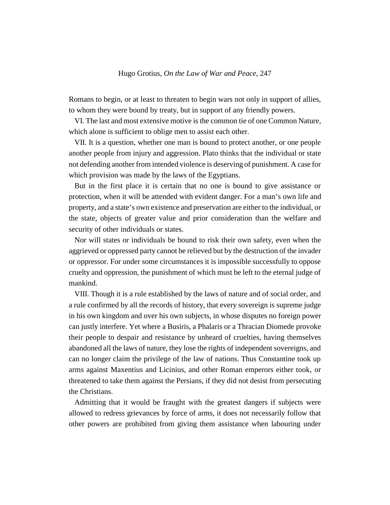Romans to begin, or at least to threaten to begin wars not only in support of allies, to whom they were bound by treaty, but in support of any friendly powers.

VI. The last and most extensive motive is the common tie of one Common Nature, which alone is sufficient to oblige men to assist each other.

VII. It is a question, whether one man is bound to protect another, or one people another people from injury and aggression. Plato thinks that the individual or state not defending another from intended violence is deserving of punishment. A case for which provision was made by the laws of the Egyptians.

But in the first place it is certain that no one is bound to give assistance or protection, when it will be attended with evident danger. For a man's own life and property, and a state's own existence and preservation are either to the individual, or the state, objects of greater value and prior consideration than the welfare and security of other individuals or states.

Nor will states or individuals be bound to risk their own safety, even when the aggrieved or oppressed party cannot be relieved but by the destruction of the invader or oppressor. For under some circumstances it is impossible successfully to oppose cruelty and oppression, the punishment of which must be left to the eternal judge of mankind.

VIII. Though it is a rule established by the laws of nature and of social order, and a rule confirmed by all the records of history, that every sovereign is supreme judge in his own kingdom and over his own subjects, in whose disputes no foreign power can justly interfere. Yet where a Busiris, a Phalaris or a Thracian Diomede provoke their people to despair and resistance by unheard of cruelties, having themselves abandoned all the laws of nature, they lose the rights of independent sovereigns, and can no longer claim the privilege of the law of nations. Thus Constantine took up arms against Maxentius and Licinius, and other Roman emperors either took, or threatened to take them against the Persians, if they did not desist from persecuting the Christians.

Admitting that it would be fraught with the greatest dangers if subjects were allowed to redress grievances by force of arms, it does not necessarily follow that other powers are prohibited from giving them assistance when labouring under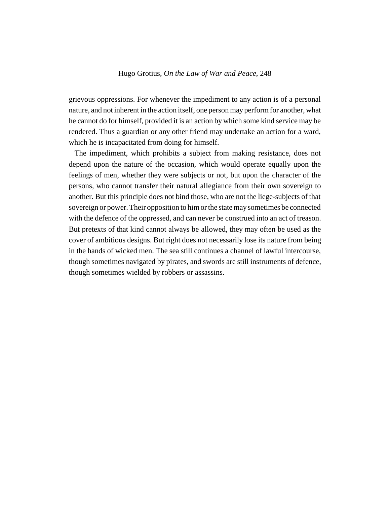grievous oppressions. For whenever the impediment to any action is of a personal nature, and not inherent in the action itself, one person may perform for another, what he cannot do for himself, provided it is an action by which some kind service may be rendered. Thus a guardian or any other friend may undertake an action for a ward, which he is incapacitated from doing for himself.

The impediment, which prohibits a subject from making resistance, does not depend upon the nature of the occasion, which would operate equally upon the feelings of men, whether they were subjects or not, but upon the character of the persons, who cannot transfer their natural allegiance from their own sovereign to another. But this principle does not bind those, who are not the liege-subjects of that sovereign or power. Their opposition to him or the state may sometimes be connected with the defence of the oppressed, and can never be construed into an act of treason. But pretexts of that kind cannot always be allowed, they may often be used as the cover of ambitious designs. But right does not necessarily lose its nature from being in the hands of wicked men. The sea still continues a channel of lawful intercourse, though sometimes navigated by pirates, and swords are still instruments of defence, though sometimes wielded by robbers or assassins.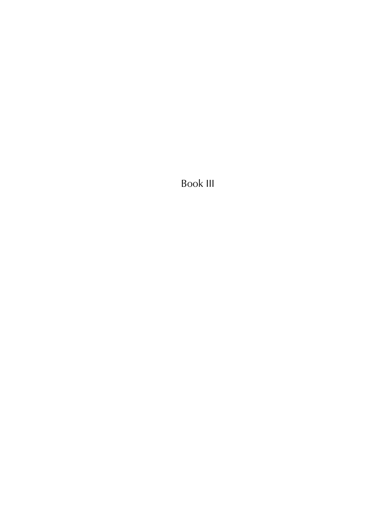Book III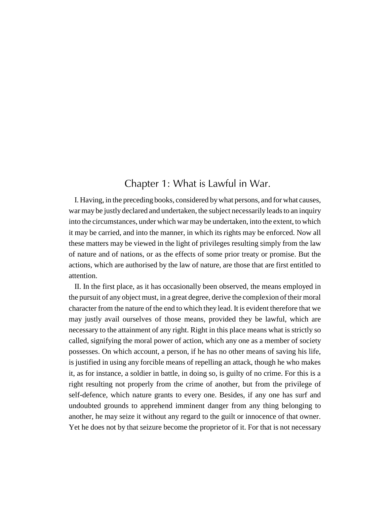# Chapter 1: What is Lawful in War.

I. Having, in the preceding books, considered by what persons, and for what causes, war may be justly declared and undertaken, the subject necessarily leads to an inquiry into the circumstances, under which war may be undertaken, into the extent, to which it may be carried, and into the manner, in which its rights may be enforced. Now all these matters may be viewed in the light of privileges resulting simply from the law of nature and of nations, or as the effects of some prior treaty or promise. But the actions, which are authorised by the law of nature, are those that are first entitled to attention.

II. In the first place, as it has occasionally been observed, the means employed in the pursuit of any object must, in a great degree, derive the complexion of their moral character from the nature of the end to which they lead. It is evident therefore that we may justly avail ourselves of those means, provided they be lawful, which are necessary to the attainment of any right. Right in this place means what is strictly so called, signifying the moral power of action, which any one as a member of society possesses. On which account, a person, if he has no other means of saving his life, is justified in using any forcible means of repelling an attack, though he who makes it, as for instance, a soldier in battle, in doing so, is guilty of no crime. For this is a right resulting not properly from the crime of another, but from the privilege of self-defence, which nature grants to every one. Besides, if any one has surf and undoubted grounds to apprehend imminent danger from any thing belonging to another, he may seize it without any regard to the guilt or innocence of that owner. Yet he does not by that seizure become the proprietor of it. For that is not necessary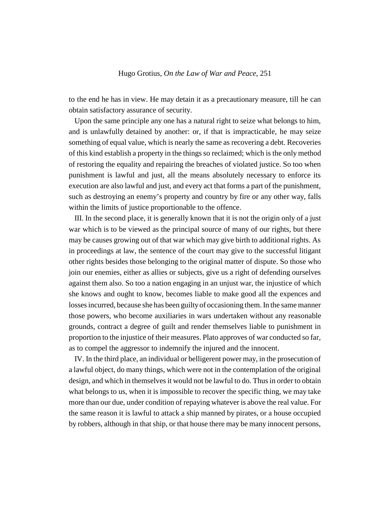to the end he has in view. He may detain it as a precautionary measure, till he can obtain satisfactory assurance of security.

Upon the same principle any one has a natural right to seize what belongs to him, and is unlawfully detained by another: or, if that is impracticable, he may seize something of equal value, which is nearly the same as recovering a debt. Recoveries of this kind establish a property in the things so reclaimed; which is the only method of restoring the equality and repairing the breaches of violated justice. So too when punishment is lawful and just, all the means absolutely necessary to enforce its execution are also lawful and just, and every act that forms a part of the punishment, such as destroying an enemy's property and country by fire or any other way, falls within the limits of justice proportionable to the offence.

III. In the second place, it is generally known that it is not the origin only of a just war which is to be viewed as the principal source of many of our rights, but there may be causes growing out of that war which may give birth to additional rights. As in proceedings at law, the sentence of the court may give to the successful litigant other rights besides those belonging to the original matter of dispute. So those who join our enemies, either as allies or subjects, give us a right of defending ourselves against them also. So too a nation engaging in an unjust war, the injustice of which she knows and ought to know, becomes liable to make good all the expences and losses incurred, because she has been guilty of occasioning them. In the same manner those powers, who become auxiliaries in wars undertaken without any reasonable grounds, contract a degree of guilt and render themselves liable to punishment in proportion to the injustice of their measures. Plato approves of war conducted so far, as to compel the aggressor to indemnify the injured and the innocent.

IV. In the third place, an individual or belligerent power may, in the prosecution of a lawful object, do many things, which were not in the contemplation of the original design, and which in themselves it would not be lawful to do. Thus in order to obtain what belongs to us, when it is impossible to recover the specific thing, we may take more than our due, under condition of repaying whatever is above the real value. For the same reason it is lawful to attack a ship manned by pirates, or a house occupied by robbers, although in that ship, or that house there may be many innocent persons,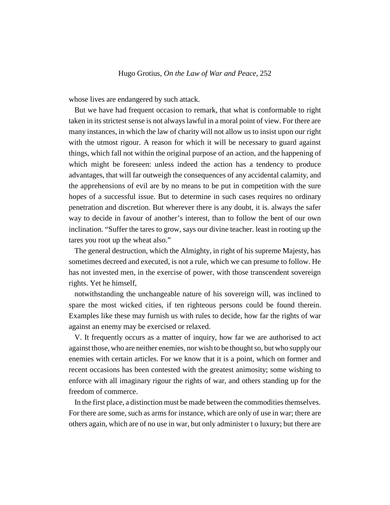whose lives are endangered by such attack.

But we have had frequent occasion to remark, that what is conformable to right taken in its strictest sense is not always lawful in a moral point of view. For there are many instances, in which the law of charity will not allow us to insist upon our right with the utmost rigour. A reason for which it will be necessary to guard against things, which fall not within the original purpose of an action, and the happening of which might be foreseen: unless indeed the action has a tendency to produce advantages, that will far outweigh the consequences of any accidental calamity, and the apprehensions of evil are by no means to be put in competition with the sure hopes of a successful issue. But to determine in such cases requires no ordinary penetration and discretion. But wherever there is any doubt, it is. always the safer way to decide in favour of another's interest, than to follow the bent of our own inclination. "Suffer the tares to grow, says our divine teacher. least in rooting up the tares you root up the wheat also."

The general destruction, which the Almighty, in right of his supreme Majesty, has sometimes decreed and executed, is not a rule, which we can presume to follow. He has not invested men, in the exercise of power, with those transcendent sovereign rights. Yet he himself,

notwithstanding the unchangeable nature of his sovereign will, was inclined to spare the most wicked cities, if ten righteous persons could be found therein. Examples like these may furnish us with rules to decide, how far the rights of war against an enemy may be exercised or relaxed.

V. It frequently occurs as a matter of inquiry, how far we are authorised to act against those, who are neither enemies, nor wish to be thought so, but who supply our enemies with certain articles. For we know that it is a point, which on former and recent occasions has been contested with the greatest animosity; some wishing to enforce with all imaginary rigour the rights of war, and others standing up for the freedom of commerce.

In the first place, a distinction must be made between the commodities themselves. For there are some, such as arms for instance, which are only of use in war; there are others again, which are of no use in war, but only administer t o luxury; but there are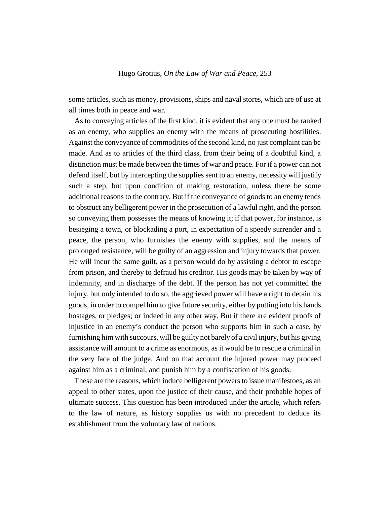some articles, such as money, provisions, ships and naval stores, which are of use at all times both in peace and war.

As to conveying articles of the first kind, it is evident that any one must be ranked as an enemy, who supplies an enemy with the means of prosecuting hostilities. Against the conveyance of commodities of the second kind, no just complaint can be made. And as to articles of the third class, from their being of a doubtful kind, a distinction must be made between the times of war and peace. For if a power can not defend itself, but by intercepting the supplies sent to an enemy, necessity will justify such a step, but upon condition of making restoration, unless there be some additional reasons to the contrary. But if the conveyance of goods to an enemy tends to obstruct any belligerent power in the prosecution of a lawful right, and the person so conveying them possesses the means of knowing it; if that power, for instance, is besieging a town, or blockading a port, in expectation of a speedy surrender and a peace, the person, who furnishes the enemy with supplies, and the means of prolonged resistance, will be guilty of an aggression and injury towards that power. He will incur the same guilt, as a person would do by assisting a debtor to escape from prison, and thereby to defraud his creditor. His goods may be taken by way of indemnity, and in discharge of the debt. If the person has not yet committed the injury, but only intended to do so, the aggrieved power will have a right to detain his goods, in order to compel him to give future security, either by putting into his hands hostages, or pledges; or indeed in any other way. But if there are evident proofs of injustice in an enemy's conduct the person who supports him in such a case, by furnishing him with succours, will be guilty not barely of a civil injury, but his giving assistance will amount to a crime as enormous, as it would be to rescue a criminal in the very face of the judge. And on that account the injured power may proceed against him as a criminal, and punish him by a confiscation of his goods.

These are the reasons, which induce belligerent powers to issue manifestoes, as an appeal to other states, upon the justice of their cause, and their probable hopes of ultimate success. This question has been introduced under the article, which refers to the law of nature, as history supplies us with no precedent to deduce its establishment from the voluntary law of nations.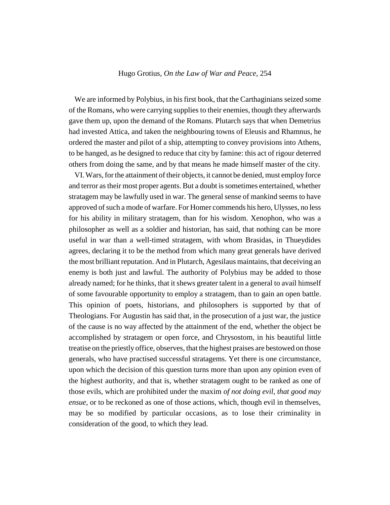We are informed by Polybius, in his first book, that the Carthaginians seized some of the Romans, who were carrying supplies to their enemies, though they afterwards gave them up, upon the demand of the Romans. Plutarch says that when Demetrius had invested Attica, and taken the neighbouring towns of Eleusis and Rhamnus, he ordered the master and pilot of a ship, attempting to convey provisions into Athens, to be hanged, as he designed to reduce that city by famine: this act of rigour deterred others from doing the same, and by that means he made himself master of the city.

VI. Wars, for the attainment of their objects, it cannot be denied, must employ force and terror as their most proper agents. But a doubt is sometimes entertained, whether stratagem may be lawfully used in war. The general sense of mankind seems to have approved of such a mode of warfare. For Homer commends his hero, Ulysses, no less for his ability in military stratagem, than for his wisdom. Xenophon, who was a philosopher as well as a soldier and historian, has said, that nothing can be more useful in war than a well-timed stratagem, with whom Brasidas, in Thueydides agrees, declaring it to be the method from which many great generals have derived the most brilliant reputation. And in Plutarch, Agesilaus maintains, that deceiving an enemy is both just and lawful. The authority of Polybius may be added to those already named; for he thinks, that it shews greater talent in a general to avail himself of some favourable opportunity to employ a stratagem, than to gain an open battle. This opinion of poets, historians, and philosophers is supported by that of Theologians. For Augustin has said that, in the prosecution of a just war, the justice of the cause is no way affected by the attainment of the end, whether the object be accomplished by stratagem or open force, and Chrysostom, in his beautiful little treatise on the priestly office, observes, that the highest praises are bestowed on those generals, who have practised successful stratagems. Yet there is one circumstance, upon which the decision of this question turns more than upon any opinion even of the highest authority, and that is, whether stratagem ought to be ranked as one of those evils, which are prohibited under the maxim *of not doing evil, that good may ensue*, or to be reckoned as one of those actions, which, though evil in themselves, may be so modified by particular occasions, as to lose their criminality in consideration of the good, to which they lead.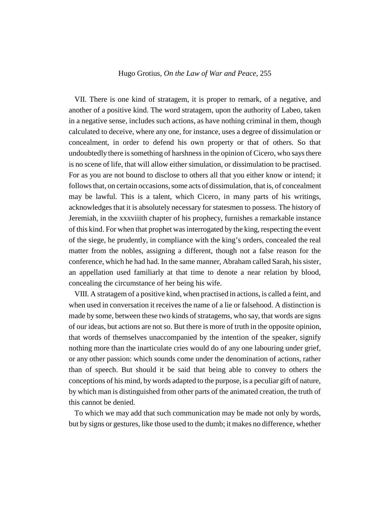VII. There is one kind of stratagem, it is proper to remark, of a negative, and another of a positive kind. The word stratagem, upon the authority of Labeo, taken in a negative sense, includes such actions, as have nothing criminal in them, though calculated to deceive, where any one, for instance, uses a degree of dissimulation or concealment, in order to defend his own property or that of others. So that undoubtedly there is something of harshness in the opinion of Cicero, who says there is no scene of life, that will allow either simulation, or dissimulation to be practised. For as you are not bound to disclose to others all that you either know or intend; it follows that, on certain occasions, some acts of dissimulation, that is, of concealment may be lawful. This is a talent, which Cicero, in many parts of his writings, acknowledges that it is absolutely necessary for statesmen to possess. The history of Jeremiah, in the xxxviiith chapter of his prophecy, furnishes a remarkable instance of this kind. For when that prophet was interrogated by the king, respecting the event of the siege, he prudently, in compliance with the king's orders, concealed the real matter from the nobles, assigning a different, though not a false reason for the conference, which he had had. In the same manner, Abraham called Sarah, his sister, an appellation used familiarly at that time to denote a near relation by blood, concealing the circumstance of her being his wife.

VIII. A stratagem of a positive kind, when practised in actions, is called a feint, and when used in conversation it receives the name of a lie or falsehood. A distinction is made by some, between these two kinds of stratagems, who say, that words are signs of our ideas, but actions are not so. But there is more of truth in the opposite opinion, that words of themselves unaccompanied by the intention of the speaker, signify nothing more than the inarticulate cries would do of any one labouring under grief, or any other passion: which sounds come under the denomination of actions, rather than of speech. But should it be said that being able to convey to others the conceptions of his mind, by words adapted to the purpose, is a peculiar gift of nature, by which man is distinguished from other parts of the animated creation, the truth of this cannot be denied.

To which we may add that such communication may be made not only by words, but by signs or gestures, like those used to the dumb; it makes no difference, whether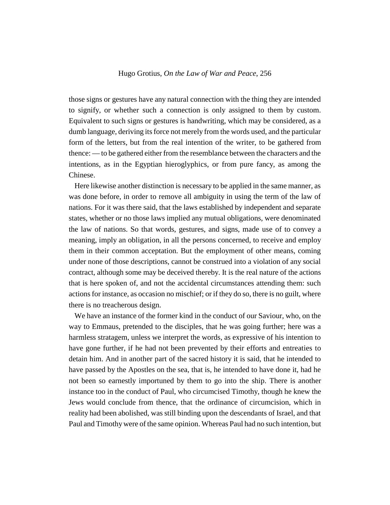those signs or gestures have any natural connection with the thing they are intended to signify, or whether such a connection is only assigned to them by custom. Equivalent to such signs or gestures is handwriting, which may be considered, as a dumb language, deriving its force not merely from the words used, and the particular form of the letters, but from the real intention of the writer, to be gathered from thence: — to be gathered either from the resemblance between the characters and the intentions, as in the Egyptian hieroglyphics, or from pure fancy, as among the Chinese.

Here likewise another distinction is necessary to be applied in the same manner, as was done before, in order to remove all ambiguity in using the term of the law of nations. For it was there said, that the laws established by independent and separate states, whether or no those laws implied any mutual obligations, were denominated the law of nations. So that words, gestures, and signs, made use of to convey a meaning, imply an obligation, in all the persons concerned, to receive and employ them in their common acceptation. But the employment of other means, coming under none of those descriptions, cannot be construed into a violation of any social contract, although some may be deceived thereby. It is the real nature of the actions that is here spoken of, and not the accidental circumstances attending them: such actions for instance, as occasion no mischief; or if they do so, there is no guilt, where there is no treacherous design.

We have an instance of the former kind in the conduct of our Saviour, who, on the way to Emmaus, pretended to the disciples, that he was going further; here was a harmless stratagem, unless we interpret the words, as expressive of his intention to have gone further, if he had not been prevented by their efforts and entreaties to detain him. And in another part of the sacred history it is said, that he intended to have passed by the Apostles on the sea, that is, he intended to have done it, had he not been so earnestly importuned by them to go into the ship. There is another instance too in the conduct of Paul, who circumcised Timothy, though he knew the Jews would conclude from thence, that the ordinance of circumcision, which in reality had been abolished, was still binding upon the descendants of Israel, and that Paul and Timothy were of the same opinion. Whereas Paul had no such intention, but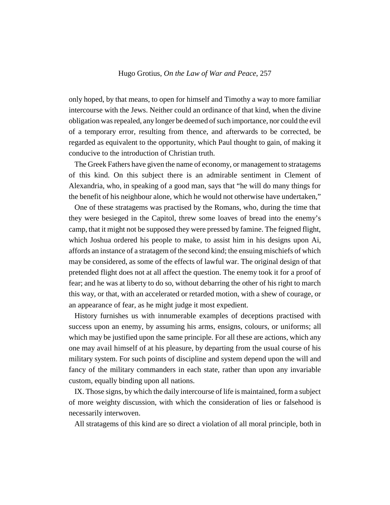only hoped, by that means, to open for himself and Timothy a way to more familiar intercourse with the Jews. Neither could an ordinance of that kind, when the divine obligation was repealed, any longer be deemed of such importance, nor could the evil of a temporary error, resulting from thence, and afterwards to be corrected, be regarded as equivalent to the opportunity, which Paul thought to gain, of making it conducive to the introduction of Christian truth.

The Greek Fathers have given the name of economy, or management to stratagems of this kind. On this subject there is an admirable sentiment in Clement of Alexandria, who, in speaking of a good man, says that "he will do many things for the benefit of his neighbour alone, which he would not otherwise have undertaken,"

One of these stratagems was practised by the Romans, who, during the time that they were besieged in the Capitol, threw some loaves of bread into the enemy's camp, that it might not be supposed they were pressed by famine. The feigned flight, which Joshua ordered his people to make, to assist him in his designs upon Ai, affords an instance of a stratagem of the second kind; the ensuing mischiefs of which may be considered, as some of the effects of lawful war. The original design of that pretended flight does not at all affect the question. The enemy took it for a proof of fear; and he was at liberty to do so, without debarring the other of his right to march this way, or that, with an accelerated or retarded motion, with a shew of courage, or an appearance of fear, as he might judge it most expedient.

History furnishes us with innumerable examples of deceptions practised with success upon an enemy, by assuming his arms, ensigns, colours, or uniforms; all which may be justified upon the same principle. For all these are actions, which any one may avail himself of at his pleasure, by departing from the usual course of his military system. For such points of discipline and system depend upon the will and fancy of the military commanders in each state, rather than upon any invariable custom, equally binding upon all nations.

IX. Those signs, by which the daily intercourse of life is maintained, form a subject of more weighty discussion, with which the consideration of lies or falsehood is necessarily interwoven.

All stratagems of this kind are so direct a violation of all moral principle, both in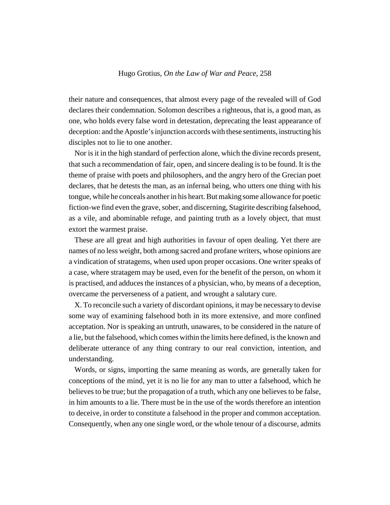their nature and consequences, that almost every page of the revealed will of God declares their condemnation. Solomon describes a righteous, that is, a good man, as one, who holds every false word in detestation, deprecating the least appearance of deception: and the Apostle's injunction accords with these sentiments, instructing his disciples not to lie to one another.

Nor is it in the high standard of perfection alone, which the divine records present, that such a recommendation of fair, open, and sincere dealing is to be found. It is the theme of praise with poets and philosophers, and the angry hero of the Grecian poet declares, that he detests the man, as an infernal being, who utters one thing with his tongue, while he conceals another in his heart. But making some allowance for poetic fiction-we find even the grave, sober, and discerning, Stagirite describing falsehood, as a vile, and abominable refuge, and painting truth as a lovely object, that must extort the warmest praise.

These are all great and high authorities in favour of open dealing. Yet there are names of no less weight, both among sacred and profane writers, whose opinions are a vindication of stratagems, when used upon proper occasions. One writer speaks of a case, where stratagem may be used, even for the benefit of the person, on whom it is practised, and adduces the instances of a physician, who, by means of a deception, overcame the perverseness of a patient, and wrought a salutary cure.

X. To reconcile such a variety of discordant opinions, it may be necessary to devise some way of examining falsehood both in its more extensive, and more confined acceptation. Nor is speaking an untruth, unawares, to be considered in the nature of a lie, but the falsehood, which comes within the limits here defined, is the known and deliberate utterance of any thing contrary to our real conviction, intention, and understanding.

Words, or signs, importing the same meaning as words, are generally taken for conceptions of the mind, yet it is no lie for any man to utter a falsehood, which he believes to be true; but the propagation of a truth, which any one believes to be false, in him amounts to a lie. There must be in the use of the words therefore an intention to deceive, in order to constitute a falsehood in the proper and common acceptation. Consequently, when any one single word, or the whole tenour of a discourse, admits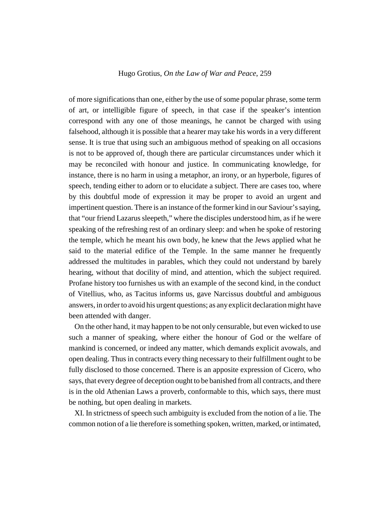of more significations than one, either by the use of some popular phrase, some term of art, or intelligible figure of speech, in that case if the speaker's intention correspond with any one of those meanings, he cannot be charged with using falsehood, although it is possible that a hearer may take his words in a very different sense. It is true that using such an ambiguous method of speaking on all occasions is not to be approved of, though there are particular circumstances under which it may be reconciled with honour and justice. In communicating knowledge, for instance, there is no harm in using a metaphor, an irony, or an hyperbole, figures of speech, tending either to adorn or to elucidate a subject. There are cases too, where by this doubtful mode of expression it may be proper to avoid an urgent and impertinent question. There is an instance of the former kind in our Saviour's saying, that "our friend Lazarus sleepeth," where the disciples understood him, as if he were speaking of the refreshing rest of an ordinary sleep: and when he spoke of restoring the temple, which he meant his own body, he knew that the Jews applied what he said to the material edifice of the Temple. In the same manner he frequently addressed the multitudes in parables, which they could not understand by barely hearing, without that docility of mind, and attention, which the subject required. Profane history too furnishes us with an example of the second kind, in the conduct of Vitellius, who, as Tacitus informs us, gave Narcissus doubtful and ambiguous answers, in order to avoid his urgent questions; as any explicit declaration might have been attended with danger.

On the other hand, it may happen to be not only censurable, but even wicked to use such a manner of speaking, where either the honour of God or the welfare of mankind is concerned, or indeed any matter, which demands explicit avowals, and open dealing. Thus in contracts every thing necessary to their fulfillment ought to be fully disclosed to those concerned. There is an apposite expression of Cicero, who says, that every degree of deception ought to be banished from all contracts, and there is in the old Athenian Laws a proverb, conformable to this, which says, there must be nothing, but open dealing in markets.

XI. In strictness of speech such ambiguity is excluded from the notion of a lie. The common notion of a lie therefore is something spoken, written, marked, or intimated,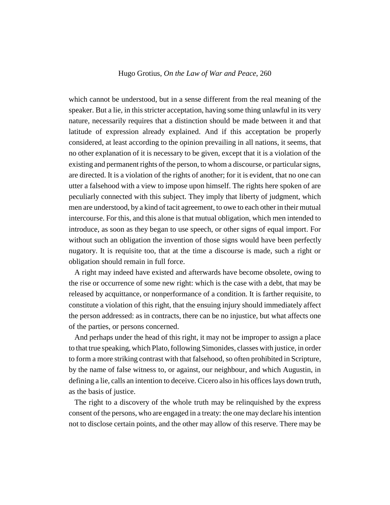which cannot be understood, but in a sense different from the real meaning of the speaker. But a lie, in this stricter acceptation, having some thing unlawful in its very nature, necessarily requires that a distinction should be made between it and that latitude of expression already explained. And if this acceptation be properly considered, at least according to the opinion prevailing in all nations, it seems, that no other explanation of it is necessary to be given, except that it is a violation of the existing and permanent rights of the person, to whom a discourse, or particular signs, are directed. It is a violation of the rights of another; for it is evident, that no one can utter a falsehood with a view to impose upon himself. The rights here spoken of are peculiarly connected with this subject. They imply that liberty of judgment, which men are understood, by a kind of tacit agreement, to owe to each other in their mutual intercourse. For this, and this alone is that mutual obligation, which men intended to introduce, as soon as they began to use speech, or other signs of equal import. For without such an obligation the invention of those signs would have been perfectly nugatory. It is requisite too, that at the time a discourse is made, such a right or obligation should remain in full force.

A right may indeed have existed and afterwards have become obsolete, owing to the rise or occurrence of some new right: which is the case with a debt, that may be released by acquittance, or nonperformance of a condition. It is farther requisite, to constitute a violation of this right, that the ensuing injury should immediately affect the person addressed: as in contracts, there can be no injustice, but what affects one of the parties, or persons concerned.

And perhaps under the head of this right, it may not be improper to assign a place to that true speaking, which Plato, following Simonides, classes with justice, in order to form a more striking contrast with that falsehood, so often prohibited in Scripture, by the name of false witness to, or against, our neighbour, and which Augustin, in defining a lie, calls an intention to deceive. Cicero also in his offices lays down truth, as the basis of justice.

The right to a discovery of the whole truth may be relinquished by the express consent of the persons, who are engaged in a treaty: the one may declare his intention not to disclose certain points, and the other may allow of this reserve. There may be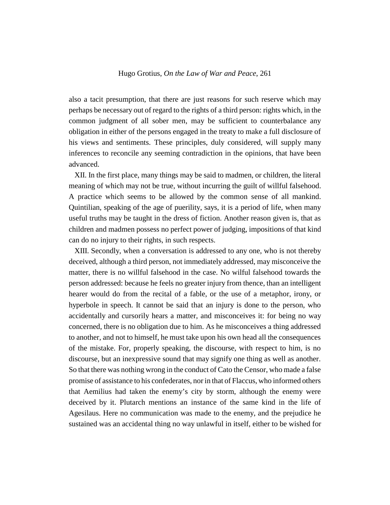also a tacit presumption, that there are just reasons for such reserve which may perhaps be necessary out of regard to the rights of a third person: rights which, in the common judgment of all sober men, may be sufficient to counterbalance any obligation in either of the persons engaged in the treaty to make a full disclosure of his views and sentiments. These principles, duly considered, will supply many inferences to reconcile any seeming contradiction in the opinions, that have been advanced.

XII. In the first place, many things may be said to madmen, or children, the literal meaning of which may not be true, without incurring the guilt of willful falsehood. A practice which seems to be allowed by the common sense of all mankind. Quintilian, speaking of the age of puerility, says, it is a period of life, when many useful truths may be taught in the dress of fiction. Another reason given is, that as children and madmen possess no perfect power of judging, impositions of that kind can do no injury to their rights, in such respects.

XIII. Secondly, when a conversation is addressed to any one, who is not thereby deceived, although a third person, not immediately addressed, may misconceive the matter, there is no willful falsehood in the case. No wilful falsehood towards the person addressed: because he feels no greater injury from thence, than an intelligent hearer would do from the recital of a fable, or the use of a metaphor, irony, or hyperbole in speech. It cannot be said that an injury is done to the person, who accidentally and cursorily hears a matter, and misconceives it: for being no way concerned, there is no obligation due to him. As he misconceives a thing addressed to another, and not to himself, he must take upon his own head all the consequences of the mistake. For, properly speaking, the discourse, with respect to him, is no discourse, but an inexpressive sound that may signify one thing as well as another. So that there was nothing wrong in the conduct of Cato the Censor, who made a false promise of assistance to his confederates, nor in that of Flaccus, who informed others that Aemilius had taken the enemy's city by storm, although the enemy were deceived by it. Plutarch mentions an instance of the same kind in the life of Agesilaus. Here no communication was made to the enemy, and the prejudice he sustained was an accidental thing no way unlawful in itself, either to be wished for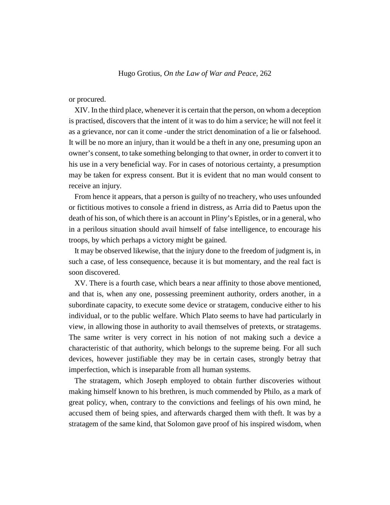or procured.

XIV. In the third place, whenever it is certain that the person, on whom a deception is practised, discovers that the intent of it was to do him a service; he will not feel it as a grievance, nor can it come -under the strict denomination of a lie or falsehood. It will be no more an injury, than it would be a theft in any one, presuming upon an owner's consent, to take something belonging to that owner, in order to convert it to his use in a very beneficial way. For in cases of notorious certainty, a presumption may be taken for express consent. But it is evident that no man would consent to receive an injury.

From hence it appears, that a person is guilty of no treachery, who uses unfounded or fictitious motives to console a friend in distress, as Arria did to Paetus upon the death of his son, of which there is an account in Pliny's Epistles, or in a general, who in a perilous situation should avail himself of false intelligence, to encourage his troops, by which perhaps a victory might be gained.

It may be observed likewise, that the injury done to the freedom of judgment is, in such a case, of less consequence, because it is but momentary, and the real fact is soon discovered.

XV. There is a fourth case, which bears a near affinity to those above mentioned, and that is, when any one, possessing preeminent authority, orders another, in a subordinate capacity, to execute some device or stratagem, conducive either to his individual, or to the public welfare. Which Plato seems to have had particularly in view, in allowing those in authority to avail themselves of pretexts, or stratagems. The same writer is very correct in his notion of not making such a device a characteristic of that authority, which belongs to the supreme being. For all such devices, however justifiable they may be in certain cases, strongly betray that imperfection, which is inseparable from all human systems.

The stratagem, which Joseph employed to obtain further discoveries without making himself known to his brethren, is much commended by Philo, as a mark of great policy, when, contrary to the convictions and feelings of his own mind, he accused them of being spies, and afterwards charged them with theft. It was by a stratagem of the same kind, that Solomon gave proof of his inspired wisdom, when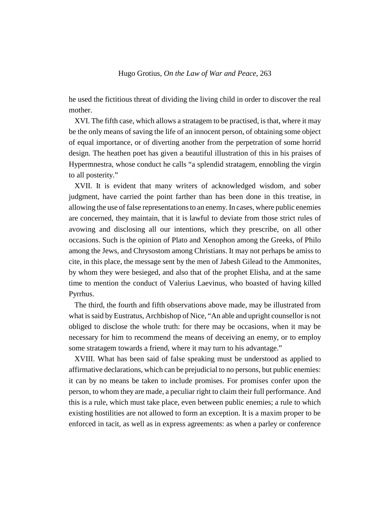he used the fictitious threat of dividing the living child in order to discover the real mother.

XVI. The fifth case, which allows a stratagem to be practised, is that, where it may be the only means of saving the life of an innocent person, of obtaining some object of equal importance, or of diverting another from the perpetration of some horrid design. The heathen poet has given a beautiful illustration of this in his praises of Hypermnestra, whose conduct he calls "a splendid stratagem, ennobling the virgin to all posterity."

XVII. It is evident that many writers of acknowledged wisdom, and sober judgment, have carried the point farther than has been done in this treatise, in allowing the use of false representations to an enemy. In cases, where public enemies are concerned, they maintain, that it is lawful to deviate from those strict rules of avowing and disclosing all our intentions, which they prescribe, on all other occasions. Such is the opinion of Plato and Xenophon among the Greeks, of Philo among the Jews, and Chrysostom among Christians. It may not perhaps be amiss to cite, in this place, the message sent by the men of Jabesh Gilead to the Ammonites, by whom they were besieged, and also that of the prophet Elisha, and at the same time to mention the conduct of Valerius Laevinus, who boasted of having killed Pyrrhus.

The third, the fourth and fifth observations above made, may be illustrated from what is said by Eustratus, Archbishop of Nice, "An able and upright counsellor is not obliged to disclose the whole truth: for there may be occasions, when it may be necessary for him to recommend the means of deceiving an enemy, or to employ some stratagem towards a friend, where it may turn to his advantage."

XVIII. What has been said of false speaking must be understood as applied to affirmative declarations, which can be prejudicial to no persons, but public enemies: it can by no means be taken to include promises. For promises confer upon the person, to whom they are made, a peculiar right to claim their full performance. And this is a rule, which must take place, even between public enemies; a rule to which existing hostilities are not allowed to form an exception. It is a maxim proper to be enforced in tacit, as well as in express agreements: as when a parley or conference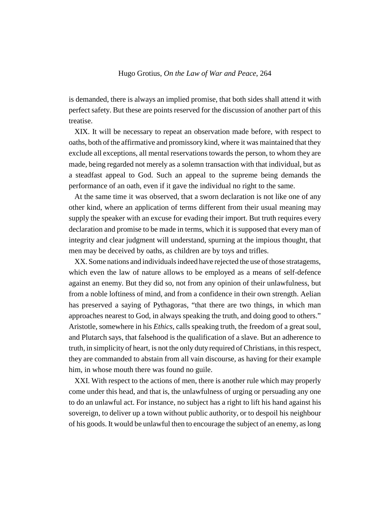is demanded, there is always an implied promise, that both sides shall attend it with perfect safety. But these are points reserved for the discussion of another part of this treatise.

XIX. It will be necessary to repeat an observation made before, with respect to oaths, both of the affirmative and promissory kind, where it was maintained that they exclude all exceptions, all mental reservations towards the person, to whom they are made, being regarded not merely as a solemn transaction with that individual, but as a steadfast appeal to God. Such an appeal to the supreme being demands the performance of an oath, even if it gave the individual no right to the same.

At the same time it was observed, that a sworn declaration is not like one of any other kind, where an application of terms different from their usual meaning may supply the speaker with an excuse for evading their import. But truth requires every declaration and promise to be made in terms, which it is supposed that every man of integrity and clear judgment will understand, spurning at the impious thought, that men may be deceived by oaths, as children are by toys and trifles.

XX. Some nations and individuals indeed have rejected the use of those stratagems, which even the law of nature allows to be employed as a means of self-defence against an enemy. But they did so, not from any opinion of their unlawfulness, but from a noble loftiness of mind, and from a confidence in their own strength. Aelian has preserved a saying of Pythagoras, "that there are two things, in which man approaches nearest to God, in always speaking the truth, and doing good to others." Aristotle, somewhere in his *Ethics*, calls speaking truth, the freedom of a great soul, and Plutarch says, that falsehood is the qualification of a slave. But an adherence to truth, in simplicity of heart, is not the only duty required of Christians, in this respect, they are commanded to abstain from all vain discourse, as having for their example him, in whose mouth there was found no guile.

XXI. With respect to the actions of men, there is another rule which may properly come under this head, and that is, the unlawfulness of urging or persuading any one to do an unlawful act. For instance, no subject has a right to lift his hand against his sovereign, to deliver up a town without public authority, or to despoil his neighbour of his goods. It would be unlawful then to encourage the subject of an enemy, as long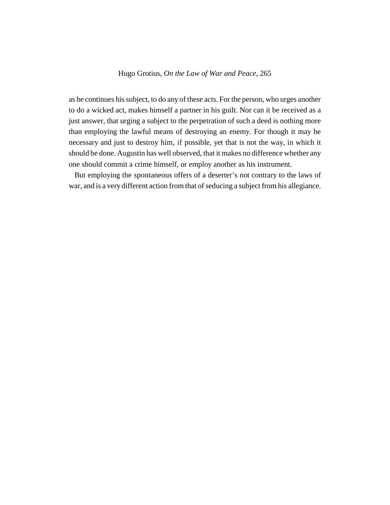as he continues his subject, to do any of these acts. For the person, who urges another to do a wicked act, makes himself a partner in his guilt. Nor can it be received as a just answer, that urging a subject to the perpetration of such a deed is nothing more than employing the lawful means of destroying an enemy. For though it may be necessary and just to destroy him, if possible, yet that is not the way, in which it should be done. Augustin has well observed, that it makes no difference whether any one should commit a crime himself, or employ another as his instrument.

But employing the spontaneous offers of a deserter's not contrary to the laws of war, and is a very different action from that of seducing a subject from his allegiance.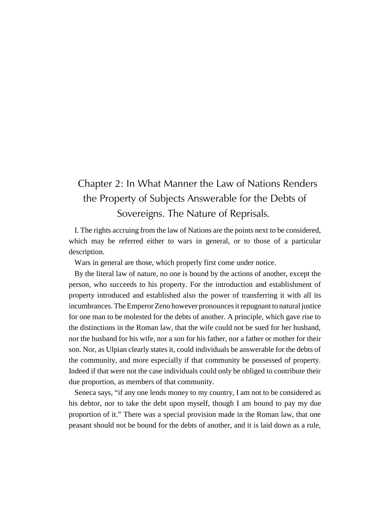# Chapter 2: In What Manner the Law of Nations Renders the Property of Subjects Answerable for the Debts of Sovereigns. The Nature of Reprisals.

I. The rights accruing from the law of Nations are the points next to be considered, which may be referred either to wars in general, or to those of a particular description.

Wars in general are those, which properly first come under notice.

By the literal law of nature, no one is bound by the actions of another, except the person, who succeeds to his property. For the introduction and establishment of property introduced and established also the power of transferring it with all its incumbrances. The Emperor Zeno however pronounces it repugnant to natural justice for one man to be molested for the debts of another. A principle, which gave rise to the distinctions in the Roman law, that the wife could not be sued for her husband, nor the husband for his wife, nor a son for his father, nor a father or mother for their son. Nor, as Ulpian clearly states it, could individuals be answerable for the debts of the community, and more especially if that community be possessed of property. Indeed if that were not the case individuals could only be obliged to contribute their due proportion, as members of that community.

Seneca says, "if any one lends money to my country, I am not to be considered as his debtor, nor to take the debt upon myself, though I am bound to pay my due proportion of it." There was a special provision made in the Roman law, that one peasant should not be bound for the debts of another, and it is laid down as a rule,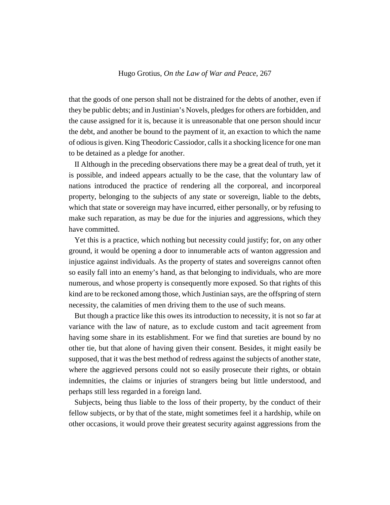that the goods of one person shall not be distrained for the debts of another, even if they be public debts; and in Justinian's Novels, pledges for others are forbidden, and the cause assigned for it is, because it is unreasonable that one person should incur the debt, and another be bound to the payment of it, an exaction to which the name of odious is given. King Theodoric Cassiodor, calls it a shocking licence for one man to be detained as a pledge for another.

II Although in the preceding observations there may be a great deal of truth, yet it is possible, and indeed appears actually to be the case, that the voluntary law of nations introduced the practice of rendering all the corporeal, and incorporeal property, belonging to the subjects of any state or sovereign, liable to the debts, which that state or sovereign may have incurred, either personally, or by refusing to make such reparation, as may be due for the injuries and aggressions, which they have committed.

Yet this is a practice, which nothing but necessity could justify; for, on any other ground, it would be opening a door to innumerable acts of wanton aggression and injustice against individuals. As the property of states and sovereigns cannot often so easily fall into an enemy's hand, as that belonging to individuals, who are more numerous, and whose property is consequently more exposed. So that rights of this kind are to be reckoned among those, which Justinian says, are the offspring of stern necessity, the calamities of men driving them to the use of such means.

But though a practice like this owes its introduction to necessity, it is not so far at variance with the law of nature, as to exclude custom and tacit agreement from having some share in its establishment. For we find that sureties are bound by no other tie, but that alone of having given their consent. Besides, it might easily be supposed, that it was the best method of redress against the subjects of another state, where the aggrieved persons could not so easily prosecute their rights, or obtain indemnities, the claims or injuries of strangers being but little understood, and perhaps still less regarded in a foreign land.

Subjects, being thus liable to the loss of their property, by the conduct of their fellow subjects, or by that of the state, might sometimes feel it a hardship, while on other occasions, it would prove their greatest security against aggressions from the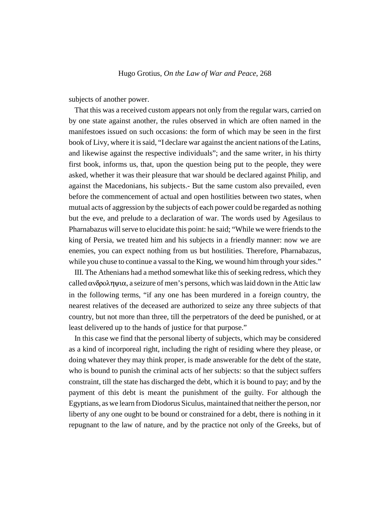subjects of another power.

That this was a received custom appears not only from the regular wars, carried on by one state against another, the rules observed in which are often named in the manifestoes issued on such occasions: the form of which may be seen in the first book of Livy, where it is said, "I declare war against the ancient nations of the Latins, and likewise against the respective individuals"; and the same writer, in his thirty first book, informs us, that, upon the question being put to the people, they were asked, whether it was their pleasure that war should be declared against Philip, and against the Macedonians, his subjects.- But the same custom also prevailed, even before the commencement of actual and open hostilities between two states, when mutual acts of aggression by the subjects of each power could be regarded as nothing but the eve, and prelude to a declaration of war. The words used by Agesilaus to Pharnabazus will serve to elucidate this point: he said; "While we were friends to the king of Persia, we treated him and his subjects in a friendly manner: now we are enemies, you can expect nothing from us but hostilities. Therefore, Pharnabazus, while you chuse to continue a vassal to the King, we wound him through your sides."

III. The Athenians had a method somewhat like this of seeking redress, which they called  $\alpha$ νδροληψι $\alpha$ , a seizure of men's persons, which was laid down in the Attic law in the following terms, "if any one has been murdered in a foreign country, the nearest relatives of the deceased are authorized to seize any three subjects of that country, but not more than three, till the perpetrators of the deed be punished, or at least delivered up to the hands of justice for that purpose."

In this case we find that the personal liberty of subjects, which may be considered as a kind of incorporeal right, including the right of residing where they please, or doing whatever they may think proper, is made answerable for the debt of the state, who is bound to punish the criminal acts of her subjects: so that the subject suffers constraint, till the state has discharged the debt, which it is bound to pay; and by the payment of this debt is meant the punishment of the guilty. For although the Egyptians, as we learn from Diodorus Siculus, maintained that neither the person, nor liberty of any one ought to be bound or constrained for a debt, there is nothing in it repugnant to the law of nature, and by the practice not only of the Greeks, but of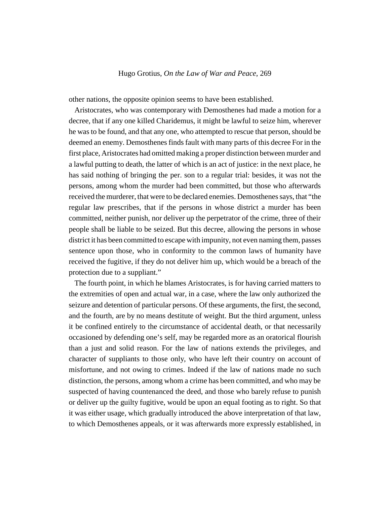other nations, the opposite opinion seems to have been established.

Aristocrates, who was contemporary with Demosthenes had made a motion for a decree, that if any one killed Charidemus, it might be lawful to seize him, wherever he was to be found, and that any one, who attempted to rescue that person, should be deemed an enemy. Demosthenes finds fault with many parts of this decree For in the first place, Aristocrates had omitted making a proper distinction between murder and a lawful putting to death, the latter of which is an act of justice: in the next place, he has said nothing of bringing the per. son to a regular trial: besides, it was not the persons, among whom the murder had been committed, but those who afterwards received the murderer, that were to be declared enemies. Demosthenes says, that "the regular law prescribes, that if the persons in whose district a murder has been committed, neither punish, nor deliver up the perpetrator of the crime, three of their people shall be liable to be seized. But this decree, allowing the persons in whose district it has been committed to escape with impunity, not even naming them, passes sentence upon those, who in conformity to the common laws of humanity have received the fugitive, if they do not deliver him up, which would be a breach of the protection due to a suppliant."

The fourth point, in which he blames Aristocrates, is for having carried matters to the extremities of open and actual war, in a case, where the law only authorized the seizure and detention of particular persons. Of these arguments, the first, the second, and the fourth, are by no means destitute of weight. But the third argument, unless it be confined entirely to the circumstance of accidental death, or that necessarily occasioned by defending one's self, may be regarded more as an oratorical flourish than a just and solid reason. For the law of nations extends the privileges, and character of suppliants to those only, who have left their country on account of misfortune, and not owing to crimes. Indeed if the law of nations made no such distinction, the persons, among whom a crime has been committed, and who may be suspected of having countenanced the deed, and those who barely refuse to punish or deliver up the guilty fugitive, would be upon an equal footing as to right. So that it was either usage, which gradually introduced the above interpretation of that law, to which Demosthenes appeals, or it was afterwards more expressly established, in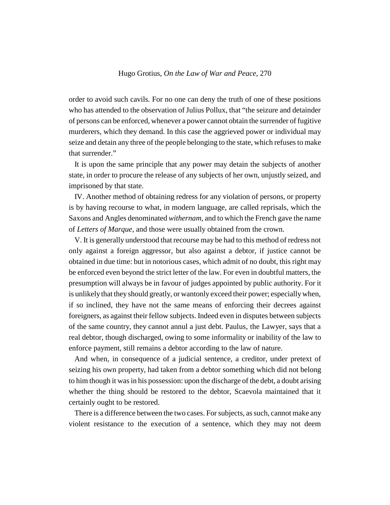order to avoid such cavils. For no one can deny the truth of one of these positions who has attended to the observation of Julius Pollux, that "the seizure and detainder of persons can be enforced, whenever a power cannot obtain the surrender of fugitive murderers, which they demand. In this case the aggrieved power or individual may seize and detain any three of the people belonging to the state, which refuses to make that surrender."

It is upon the same principle that any power may detain the subjects of another state, in order to procure the release of any subjects of her own, unjustly seized, and imprisoned by that state.

IV. Another method of obtaining redress for any violation of persons, or property is by having recourse to what, in modern language, are called reprisals, which the Saxons and Angles denominated *withernam*, and to which the French gave the name of *Letters of Marque*, and those were usually obtained from the crown.

V. It is generally understood that recourse may be had to this method of redress not only against a foreign aggressor, but also against a debtor, if justice cannot be obtained in due time: but in notorious cases, which admit of no doubt, this right may be enforced even beyond the strict letter of the law. For even in doubtful matters, the presumption will always be in favour of judges appointed by public authority. For it is unlikely that they should greatly, or wantonly exceed their power; especially when, if so inclined, they have not the same means of enforcing their decrees against foreigners, as against their fellow subjects. Indeed even in disputes between subjects of the same country, they cannot annul a just debt. Paulus, the Lawyer, says that a real debtor, though discharged, owing to some informality or inability of the law to enforce payment, still remains a debtor according to the law of nature.

And when, in consequence of a judicial sentence, a creditor, under pretext of seizing his own property, had taken from a debtor something which did not belong to him though it was in his possession: upon the discharge of the debt, a doubt arising whether the thing should be restored to the debtor, Scaevola maintained that it certainly ought to be restored.

There is a difference between the two cases. For subjects, as such, cannot make any violent resistance to the execution of a sentence, which they may not deem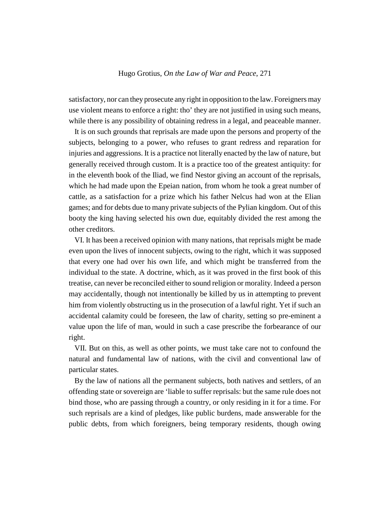satisfactory, nor can they prosecute any right in opposition to the law. Foreigners may use violent means to enforce a right: tho' they are not justified in using such means, while there is any possibility of obtaining redress in a legal, and peaceable manner.

It is on such grounds that reprisals are made upon the persons and property of the subjects, belonging to a power, who refuses to grant redress and reparation for injuries and aggressions. It is a practice not literally enacted by the law of nature, but generally received through custom. It is a practice too of the greatest antiquity: for in the eleventh book of the Iliad, we find Nestor giving an account of the reprisals, which he had made upon the Epeian nation, from whom he took a great number of cattle, as a satisfaction for a prize which his father Nelcus had won at the Elian games; and for debts due to many private subjects of the Pylian kingdom. Out of this booty the king having selected his own due, equitably divided the rest among the other creditors.

VI. It has been a received opinion with many nations, that reprisals might be made even upon the lives of innocent subjects, owing to the right, which it was supposed that every one had over his own life, and which might be transferred from the individual to the state. A doctrine, which, as it was proved in the first book of this treatise, can never be reconciled either to sound religion or morality. Indeed a person may accidentally, though not intentionally be killed by us in attempting to prevent him from violently obstructing us in the prosecution of a lawful right. Yet if such an accidental calamity could be foreseen, the law of charity, setting so pre-eminent a value upon the life of man, would in such a case prescribe the forbearance of our right.

VII. But on this, as well as other points, we must take care not to confound the natural and fundamental law of nations, with the civil and conventional law of particular states.

By the law of nations all the permanent subjects, both natives and settlers, of an offending state or sovereign are 'liable to suffer reprisals: but the same rule does not bind those, who are passing through a country, or only residing in it for a time. For such reprisals are a kind of pledges, like public burdens, made answerable for the public debts, from which foreigners, being temporary residents, though owing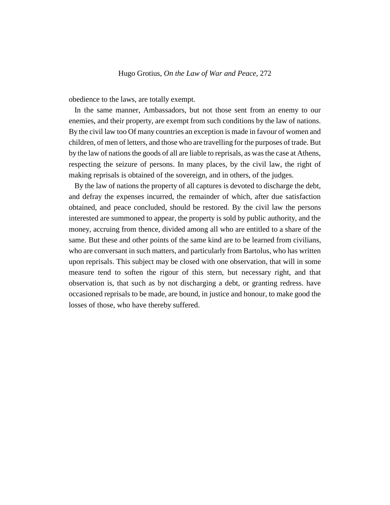obedience to the laws, are totally exempt.

In the same manner, Ambassadors, but not those sent from an enemy to our enemies, and their property, are exempt from such conditions by the law of nations. By the civil law too Of many countries an exception is made in favour of women and children, of men of letters, and those who are travelling for the purposes of trade. But by the law of nations the goods of all are liable to reprisals, as was the case at Athens, respecting the seizure of persons. In many places, by the civil law, the right of making reprisals is obtained of the sovereign, and in others, of the judges.

By the law of nations the property of all captures is devoted to discharge the debt, and defray the expenses incurred, the remainder of which, after due satisfaction obtained, and peace concluded, should be restored. By the civil law the persons interested are summoned to appear, the property is sold by public authority, and the money, accruing from thence, divided among all who are entitled to a share of the same. But these and other points of the same kind are to be learned from civilians, who are conversant in such matters, and particularly from Bartolus, who has written upon reprisals. This subject may be closed with one observation, that will in some measure tend to soften the rigour of this stern, but necessary right, and that observation is, that such as by not discharging a debt, or granting redress. have occasioned reprisals to be made, are bound, in justice and honour, to make good the losses of those, who have thereby suffered.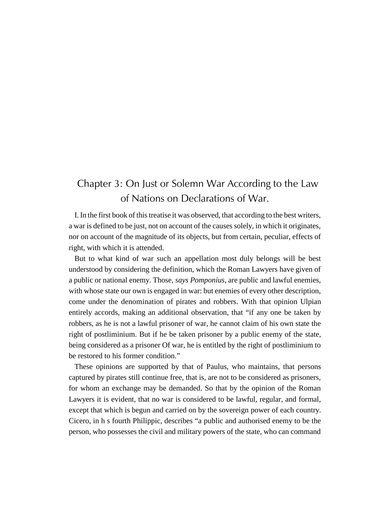# Chapter 3: On Just or Solemn War According to the Law of Nations on Declarations of War.

I. In the first book of this treatise it was observed, that according to the best writers, a war is defined to be just, not on account of the causes solely, in which it originates, nor on account of the magnitude of its objects, but from certain, peculiar, effects of right, with which it is attended.

But to what kind of war such an appellation most duly belongs will be best understood by considering the definition, which the Roman Lawyers have given of a public or national enemy. Those, *says Pomponius*, are public and lawful enemies, with whose state our own is engaged in war: but enemies of every other description, come under the denomination of pirates and robbers. With that opinion Ulpian entirely accords, making an additional observation, that "if any one be taken by robbers, as he is not a lawful prisoner of war, he cannot claim of his own state the right of postliminium. But if he be taken prisoner by a public enemy of the state, being considered as a prisoner Of war, he is entitled by the right of postliminium to be restored to his former condition."

These opinions are supported by that of Paulus, who maintains, that persons captured by pirates still continue free, that is, are not to be considered as prisoners, for whom an exchange may be demanded. So that by the opinion of the Roman Lawyers it is evident, that no war is considered to be lawful, regular, and formal, except that which is begun and carried on by the sovereign power of each country. Cicero, in h s fourth Philippic, describes "a public and authorised enemy to be the person, who possesses the civil and military powers of the state, who can command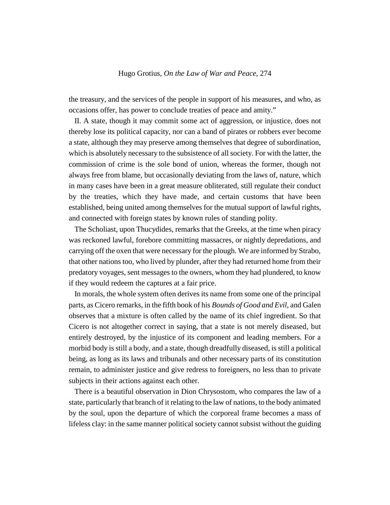the treasury, and the services of the people in support of his measures, and who, as occasions offer, has power to conclude treaties of peace and amity."

II. A state, though it may commit some act of aggression, or injustice, does not thereby lose its political capacity, nor can a band of pirates or robbers ever become a state, although they may preserve among themselves that degree of subordination, which is absolutely necessary to the subsistence of all society. For with the latter, the commission of crime is the sole bond of union, whereas the former, though not always free from blame, but occasionally deviating from the laws of, nature, which in many cases have been in a great measure obliterated, still regulate their conduct by the treaties, which they have made, and certain customs that have been established, being united among themselves for the mutual support of lawful rights, and connected with foreign states by known rules of standing polity.

The Scholiast, upon Thucydides, remarks that the Greeks, at the time when piracy was reckoned lawful, forebore committing massacres, or nightly depredations, and carrying off the oxen that were necessary for the plough. We are informed by Strabo, that other nations too, who lived by plunder, after they had returned home from their predatory voyages, sent messages to the owners, whom they had plundered, to know if they would redeem the captures at a fair price.

In morals, the whole system often derives its name from some one of the principal parts, as Cicero remarks, in the fifth book of his *Bounds of Good and Evil*, and Galen observes that a mixture is often called by the name of its chief ingredient. So that Cicero is not altogether correct in saying, that a state is not merely diseased, but entirely destroyed, by the injustice of its component and leading members. For a morbid body is still a body, and a state, though dreadfully diseased, is still a political being, as long as its laws and tribunals and other necessary parts of its constitution remain, to administer justice and give redress to foreigners, no less than to private subjects in their actions against each other.

There is a beautiful observation in Dion Chrysostom, who compares the law of a state, particularly that branch of it relating to the law of nations, to the body animated by the soul, upon the departure of which the corporeal frame becomes a mass of lifeless clay: in the same manner political society cannot subsist without the guiding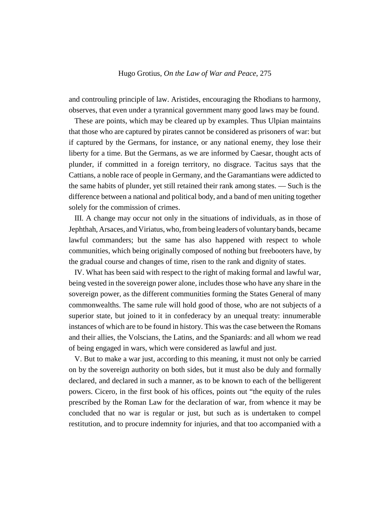and controuling principle of law. Aristides, encouraging the Rhodians to harmony, observes, that even under a tyrannical government many good laws may be found.

These are points, which may be cleared up by examples. Thus Ulpian maintains that those who are captured by pirates cannot be considered as prisoners of war: but if captured by the Germans, for instance, or any national enemy, they lose their liberty for a time. But the Germans, as we are informed by Caesar, thought acts of plunder, if committed in a foreign territory, no disgrace. Tacitus says that the Cattians, a noble race of people in Germany, and the Garamantians were addicted to the same habits of plunder, yet still retained their rank among states. — Such is the difference between a national and political body, and a band of men uniting together solely for the commission of crimes.

III. A change may occur not only in the situations of individuals, as in those of Jephthah, Arsaces, and Viriatus, who, from being leaders of voluntary bands, became lawful commanders; but the same has also happened with respect to whole communities, which being originally composed of nothing but freebooters have, by the gradual course and changes of time, risen to the rank and dignity of states.

IV. What has been said with respect to the right of making formal and lawful war, being vested in the sovereign power alone, includes those who have any share in the sovereign power, as the different communities forming the States General of many commonwealths. The same rule will hold good of those, who are not subjects of a superior state, but joined to it in confederacy by an unequal treaty: innumerable instances of which are to be found in history. This was the case between the Romans and their allies, the Volscians, the Latins, and the Spaniards: and all whom we read of being engaged in wars, which were considered as lawful and just.

V. But to make a war just, according to this meaning, it must not only be carried on by the sovereign authority on both sides, but it must also be duly and formally declared, and declared in such a manner, as to be known to each of the belligerent powers. Cicero, in the first book of his offices, points out "the equity of the rules prescribed by the Roman Law for the declaration of war, from whence it may be concluded that no war is regular or just, but such as is undertaken to compel restitution, and to procure indemnity for injuries, and that too accompanied with a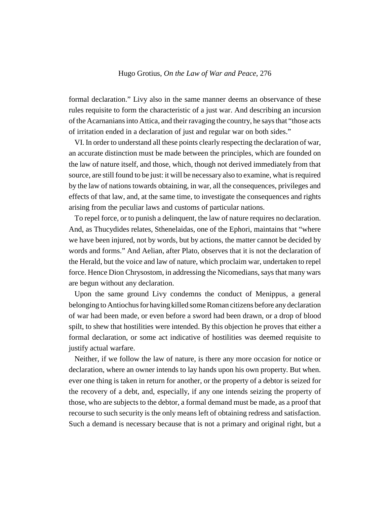formal declaration." Livy also in the same manner deems an observance of these rules requisite to form the characteristic of a just war. And describing an incursion of the Acarnanians into Attica, and their ravaging the country, he says that "those acts of irritation ended in a declaration of just and regular war on both sides."

VI. In order to understand all these points clearly respecting the declaration of war, an accurate distinction must be made between the principles, which are founded on the law of nature itself, and those, which, though not derived immediately from that source, are still found to be just: it will be necessary also to examine, what is required by the law of nations towards obtaining, in war, all the consequences, privileges and effects of that law, and, at the same time, to investigate the consequences and rights arising from the peculiar laws and customs of particular nations.

To repel force, or to punish a delinquent, the law of nature requires no declaration. And, as Thucydides relates, Sthenelaidas, one of the Ephori, maintains that "where we have been injured, not by words, but by actions, the matter cannot be decided by words and forms." And Aelian, after Plato, observes that it is not the declaration of the Herald, but the voice and law of nature, which proclaim war, undertaken to repel force. Hence Dion Chrysostom, in addressing the Nicomedians, says that many wars are begun without any declaration.

Upon the same ground Livy condemns the conduct of Menippus, a general belonging to Antiochus for having killed some Roman citizens before any declaration of war had been made, or even before a sword had been drawn, or a drop of blood spilt, to shew that hostilities were intended. By this objection he proves that either a formal declaration, or some act indicative of hostilities was deemed requisite to justify actual warfare.

Neither, if we follow the law of nature, is there any more occasion for notice or declaration, where an owner intends to lay hands upon his own property. But when. ever one thing is taken in return for another, or the property of a debtor is seized for the recovery of a debt, and, especially, if any one intends seizing the property of those, who are subjects to the debtor, a formal demand must be made, as a proof that recourse to such security is the only means left of obtaining redress and satisfaction. Such a demand is necessary because that is not a primary and original right, but a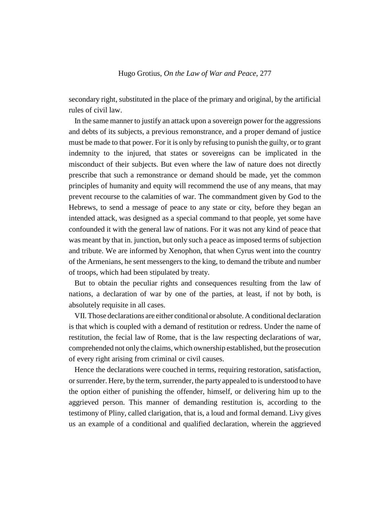secondary right, substituted in the place of the primary and original, by the artificial rules of civil law.

In the same manner to justify an attack upon a sovereign power for the aggressions and debts of its subjects, a previous remonstrance, and a proper demand of justice must be made to that power. For it is only by refusing to punish the guilty, or to grant indemnity to the injured, that states or sovereigns can be implicated in the misconduct of their subjects. But even where the law of nature does not directly prescribe that such a remonstrance or demand should be made, yet the common principles of humanity and equity will recommend the use of any means, that may prevent recourse to the calamities of war. The commandment given by God to the Hebrews, to send a message of peace to any state or city, before they began an intended attack, was designed as a special command to that people, yet some have confounded it with the general law of nations. For it was not any kind of peace that was meant by that in. junction, but only such a peace as imposed terms of subjection and tribute. We are informed by Xenophon, that when Cyrus went into the country of the Armenians, he sent messengers to the king, to demand the tribute and number of troops, which had been stipulated by treaty.

But to obtain the peculiar rights and consequences resulting from the law of nations, a declaration of war by one of the parties, at least, if not by both, is absolutely requisite in all cases.

VII. Those declarations are either conditional or absolute. A conditional declaration is that which is coupled with a demand of restitution or redress. Under the name of restitution, the fecial law of Rome, that is the law respecting declarations of war, comprehended not only the claims, which ownership established, but the prosecution of every right arising from criminal or civil causes.

Hence the declarations were couched in terms, requiring restoration, satisfaction, or surrender. Here, by the term, surrender, the party appealed to is understood to have the option either of punishing the offender, himself, or delivering him up to the aggrieved person. This manner of demanding restitution is, according to the testimony of Pliny, called clarigation, that is, a loud and formal demand. Livy gives us an example of a conditional and qualified declaration, wherein the aggrieved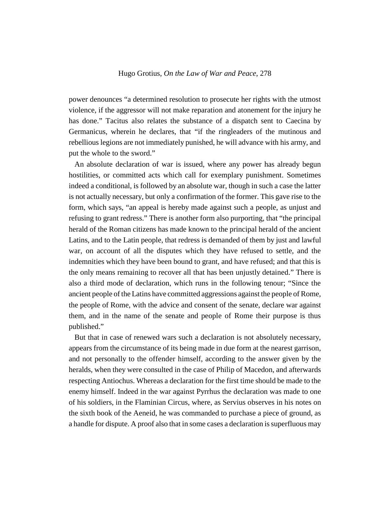power denounces "a determined resolution to prosecute her rights with the utmost violence, if the aggressor will not make reparation and atonement for the injury he has done." Tacitus also relates the substance of a dispatch sent to Caecina by Germanicus, wherein he declares, that "if the ringleaders of the mutinous and rebellious legions are not immediately punished, he will advance with his army, and put the whole to the sword."

An absolute declaration of war is issued, where any power has already begun hostilities, or committed acts which call for exemplary punishment. Sometimes indeed a conditional, is followed by an absolute war, though in such a case the latter is not actually necessary, but only a confirmation of the former. This gave rise to the form, which says, "an appeal is hereby made against such a people, as unjust and refusing to grant redress." There is another form also purporting, that "the principal herald of the Roman citizens has made known to the principal herald of the ancient Latins, and to the Latin people, that redress is demanded of them by just and lawful war, on account of all the disputes which they have refused to settle, and the indemnities which they have been bound to grant, and have refused; and that this is the only means remaining to recover all that has been unjustly detained." There is also a third mode of declaration, which runs in the following tenour; "Since the ancient people of the Latins have committed aggressions against the people of Rome, the people of Rome, with the advice and consent of the senate, declare war against them, and in the name of the senate and people of Rome their purpose is thus published."

But that in case of renewed wars such a declaration is not absolutely necessary, appears from the circumstance of its being made in due form at the nearest garrison, and not personally to the offender himself, according to the answer given by the heralds, when they were consulted in the case of Philip of Macedon, and afterwards respecting Antiochus. Whereas a declaration for the first time should be made to the enemy himself. Indeed in the war against Pyrrhus the declaration was made to one of his soldiers, in the Flaminian Circus, where, as Servius observes in his notes on the sixth book of the Aeneid, he was commanded to purchase a piece of ground, as a handle for dispute. A proof also that in some cases a declaration is superfluous may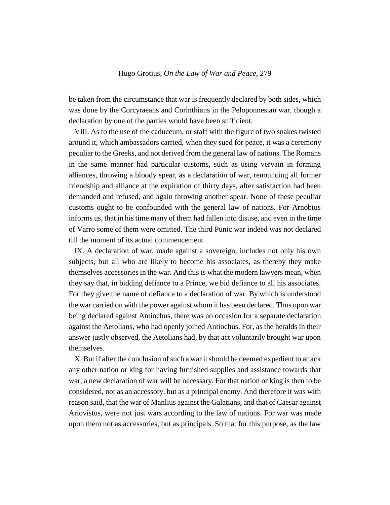be taken from the circumstance that war is frequently declared by both sides, which was done by the Corcyraeans and Corinthians in the Peloponnesian war, though a declaration by one of the parties would have been sufficient.

VIII. As to the use of the caduceum, or staff with the figure of two snakes twisted around it, which ambassadors carried, when they sued for peace, it was a ceremony peculiar to the Greeks, and not derived from the general law of nations. The Romans in the same manner had particular customs, such as using vervain in forming alliances, throwing a bloody spear, as a declaration of war, renouncing all former friendship and alliance at the expiration of thirty days, after satisfaction had been demanded and refused, and again throwing another spear. None of these peculiar customs ought to be confounded with the general law of nations. For Arnobius informs us, that in his time many of them had fallen into disuse, and even in the time of Varro some of them were omitted. The third Punic war indeed was not declared till the moment of its actual commencement

IX. A declaration of war, made against a sovereign, includes not only his own subjects, but all who are likely to become his associates, as thereby they make themselves accessories in the war. And this is what the modern lawyers mean, when they say that, in bidding defiance to a Prince, we bid defiance to all his associates. For they give the name of defiance to a declaration of war. By which is understood the war carried on with the power against whom it has been declared. Thus upon war being declared against Antiochus, there was no occasion for a separate declaration against the Aetolians, who had openly joined Antiochus. For, as the heralds in their answer justly observed, the Aetolians had, by that act voluntarily brought war upon themselves.

X. But if after the conclusion of such a war it should be deemed expedient to attack any other nation or king for having furnished supplies and assistance towards that war, a new declaration of war will be necessary. For that nation or king is then to be considered, not as an accessory, but as a principal enemy. And therefore it was with reason said, that the war of Manlius against the Galatians, and that of Caesar against Ariovistus, were not just wars according to the law of nations. For war was made upon them not as accessories, but as principals. So that for this purpose, as the law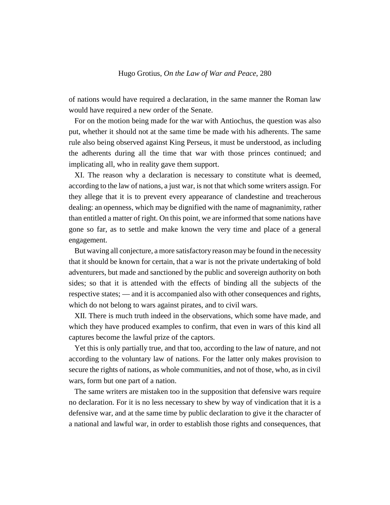of nations would have required a declaration, in the same manner the Roman law would have required a new order of the Senate.

For on the motion being made for the war with Antiochus, the question was also put, whether it should not at the same time be made with his adherents. The same rule also being observed against King Perseus, it must be understood, as including the adherents during all the time that war with those princes continued; and implicating all, who in reality gave them support.

XI. The reason why a declaration is necessary to constitute what is deemed, according to the law of nations, a just war, is not that which some writers assign. For they allege that it is to prevent every appearance of clandestine and treacherous dealing: an openness, which may be dignified with the name of magnanimity, rather than entitled a matter of right. On this point, we are informed that some nations have gone so far, as to settle and make known the very time and place of a general engagement.

But waving all conjecture, a more satisfactory reason may be found in the necessity that it should be known for certain, that a war is not the private undertaking of bold adventurers, but made and sanctioned by the public and sovereign authority on both sides; so that it is attended with the effects of binding all the subjects of the respective states; — and it is accompanied also with other consequences and rights, which do not belong to wars against pirates, and to civil wars.

XII. There is much truth indeed in the observations, which some have made, and which they have produced examples to confirm, that even in wars of this kind all captures become the lawful prize of the captors.

Yet this is only partially true, and that too, according to the law of nature, and not according to the voluntary law of nations. For the latter only makes provision to secure the rights of nations, as whole communities, and not of those, who, as in civil wars, form but one part of a nation.

The same writers are mistaken too in the supposition that defensive wars require no declaration. For it is no less necessary to shew by way of vindication that it is a defensive war, and at the same time by public declaration to give it the character of a national and lawful war, in order to establish those rights and consequences, that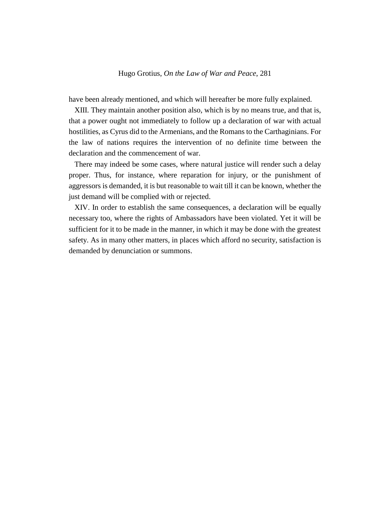have been already mentioned, and which will hereafter be more fully explained.

XIII. They maintain another position also, which is by no means true, and that is, that a power ought not immediately to follow up a declaration of war with actual hostilities, as Cyrus did to the Armenians, and the Romans to the Carthaginians. For the law of nations requires the intervention of no definite time between the declaration and the commencement of war.

There may indeed be some cases, where natural justice will render such a delay proper. Thus, for instance, where reparation for injury, or the punishment of aggressors is demanded, it is but reasonable to wait till it can be known, whether the just demand will be complied with or rejected.

XIV. In order to establish the same consequences, a declaration will be equally necessary too, where the rights of Ambassadors have been violated. Yet it will be sufficient for it to be made in the manner, in which it may be done with the greatest safety. As in many other matters, in places which afford no security, satisfaction is demanded by denunciation or summons.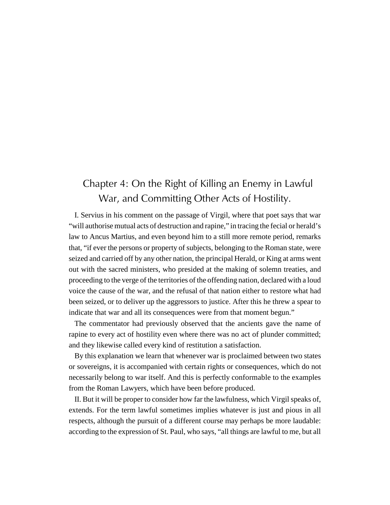# Chapter 4: On the Right of Killing an Enemy in Lawful War, and Committing Other Acts of Hostility.

I. Servius in his comment on the passage of Virgil, where that poet says that war "will authorise mutual acts of destruction and rapine," in tracing the fecial or herald's law to Ancus Martius, and even beyond him to a still more remote period, remarks that, "if ever the persons or property of subjects, belonging to the Roman state, were seized and carried off by any other nation, the principal Herald, or King at arms went out with the sacred ministers, who presided at the making of solemn treaties, and proceeding to the verge of the territories of the offending nation, declared with a loud voice the cause of the war, and the refusal of that nation either to restore what had been seized, or to deliver up the aggressors to justice. After this he threw a spear to indicate that war and all its consequences were from that moment begun."

The commentator had previously observed that the ancients gave the name of rapine to every act of hostility even where there was no act of plunder committed; and they likewise called every kind of restitution a satisfaction.

By this explanation we learn that whenever war is proclaimed between two states or sovereigns, it is accompanied with certain rights or consequences, which do not necessarily belong to war itself. And this is perfectly conformable to the examples from the Roman Lawyers, which have been before produced.

II. But it will be proper to consider how far the lawfulness, which Virgil speaks of, extends. For the term lawful sometimes implies whatever is just and pious in all respects, although the pursuit of a different course may perhaps be more laudable: according to the expression of St. Paul, who says, "all things are lawful to me, but all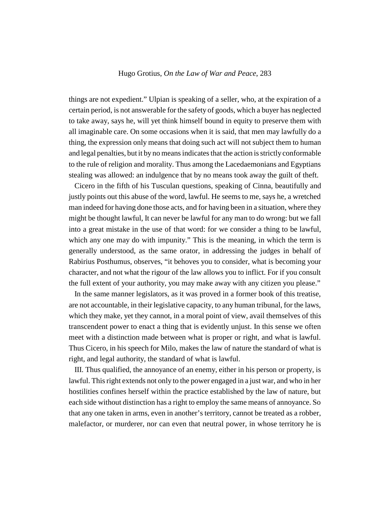things are not expedient." Ulpian is speaking of a seller, who, at the expiration of a certain period, is not answerable for the safety of goods, which a buyer has neglected to take away, says he, will yet think himself bound in equity to preserve them with all imaginable care. On some occasions when it is said, that men may lawfully do a thing, the expression only means that doing such act will not subject them to human and legal penalties, but it by no means indicates that the action is strictly conformable to the rule of religion and morality. Thus among the Lacedaemonians and Egyptians stealing was allowed: an indulgence that by no means took away the guilt of theft.

Cicero in the fifth of his Tusculan questions, speaking of Cinna, beautifully and justly points out this abuse of the word, lawful. He seems to me, says he, a wretched man indeed for having done those acts, and for having been in a situation, where they might be thought lawful, It can never be lawful for any man to do wrong: but we fall into a great mistake in the use of that word: for we consider a thing to be lawful, which any one may do with impunity." This is the meaning, in which the term is generally understood, as the same orator, in addressing the judges in behalf of Rabirius Posthumus, observes, "it behoves you to consider, what is becoming your character, and not what the rigour of the law allows you to inflict. For if you consult the full extent of your authority, you may make away with any citizen you please."

In the same manner legislators, as it was proved in a former book of this treatise, are not accountable, in their legislative capacity, to any human tribunal, for the laws, which they make, yet they cannot, in a moral point of view, avail themselves of this transcendent power to enact a thing that is evidently unjust. In this sense we often meet with a distinction made between what is proper or right, and what is lawful. Thus Cicero, in his speech for Milo, makes the law of nature the standard of what is right, and legal authority, the standard of what is lawful.

III. Thus qualified, the annoyance of an enemy, either in his person or property, is lawful. This right extends not only to the power engaged in a just war, and who in her hostilities confines herself within the practice established by the law of nature, but each side without distinction has a right to employ the same means of annoyance. So that any one taken in arms, even in another's territory, cannot be treated as a robber, malefactor, or murderer, nor can even that neutral power, in whose territory he is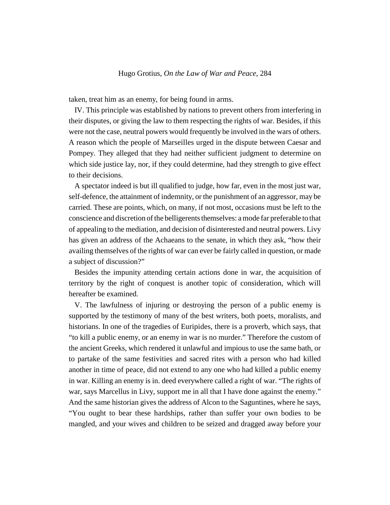taken, treat him as an enemy, for being found in arms.

IV. This principle was established by nations to prevent others from interfering in their disputes, or giving the law to them respecting the rights of war. Besides, if this were not the case, neutral powers would frequently be involved in the wars of others. A reason which the people of Marseilles urged in the dispute between Caesar and Pompey. They alleged that they had neither sufficient judgment to determine on which side justice lay, nor, if they could determine, had they strength to give effect to their decisions.

A spectator indeed is but ill qualified to judge, how far, even in the most just war, self-defence, the attainment of indemnity, or the punishment of an aggressor, may be carried. These are points, which, on many, if not most, occasions must be left to the conscience and discretion of the belligerents themselves: a mode far preferable to that of appealing to the mediation, and decision of disinterested and neutral powers. Livy has given an address of the Achaeans to the senate, in which they ask, "how their availing themselves of the rights of war can ever be fairly called in question, or made a subject of discussion?"

Besides the impunity attending certain actions done in war, the acquisition of territory by the right of conquest is another topic of consideration, which will hereafter be examined.

V. The lawfulness of injuring or destroying the person of a public enemy is supported by the testimony of many of the best writers, both poets, moralists, and historians. In one of the tragedies of Euripides, there is a proverb, which says, that "to kill a public enemy, or an enemy in war is no murder." Therefore the custom of the ancient Greeks, which rendered it unlawful and impious to use the same bath, or to partake of the same festivities and sacred rites with a person who had killed another in time of peace, did not extend to any one who had killed a public enemy in war. Killing an enemy is in. deed everywhere called a right of war. "The rights of war, says Marcellus in Livy, support me in all that I have done against the enemy." And the same historian gives the address of Alcon to the Saguntines, where he says, "You ought to bear these hardships, rather than suffer your own bodies to be mangled, and your wives and children to be seized and dragged away before your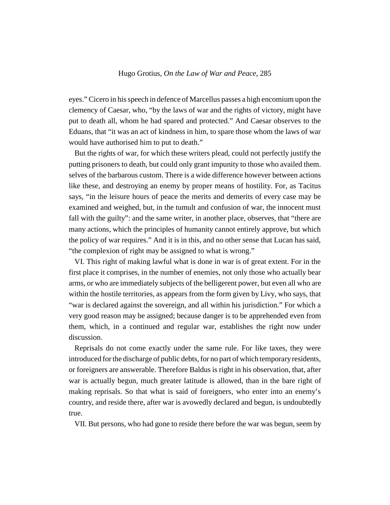eyes." Cicero in his speech in defence of Marcellus passes a high encomium upon the clemency of Caesar, who, "by the laws of war and the rights of victory, might have put to death all, whom he had spared and protected." And Caesar observes to the Eduans, that "it was an act of kindness in him, to spare those whom the laws of war would have authorised him to put to death."

But the rights of war, for which these writers plead, could not perfectly justify the putting prisoners to death, but could only grant impunity to those who availed them. selves of the barbarous custom. There is a wide difference however between actions like these, and destroying an enemy by proper means of hostility. For, as Tacitus says, "in the leisure hours of peace the merits and demerits of every case may be examined and weighed, but, in the tumult and confusion of war, the innocent must fall with the guilty": and the same writer, in another place, observes, that "there are many actions, which the principles of humanity cannot entirely approve, but which the policy of war requires." And it is in this, and no other sense that Lucan has said, "the complexion of right may be assigned to what is wrong."

VI. This right of making lawful what is done in war is of great extent. For in the first place it comprises, in the number of enemies, not only those who actually bear arms, or who are immediately subjects of the belligerent power, but even all who are within the hostile territories, as appears from the form given by Livy, who says, that "war is declared against the sovereign, and all within his jurisdiction." For which a very good reason may be assigned; because danger is to be apprehended even from them, which, in a continued and regular war, establishes the right now under discussion.

Reprisals do not come exactly under the same rule. For like taxes, they were introduced for the discharge of public debts, for no part of which temporary residents, or foreigners are answerable. Therefore Baldus is right in his observation, that, after war is actually begun, much greater latitude is allowed, than in the bare right of making reprisals. So that what is said of foreigners, who enter into an enemy's country, and reside there, after war is avowedly declared and begun, is undoubtedly true.

VII. But persons, who had gone to reside there before the war was begun, seem by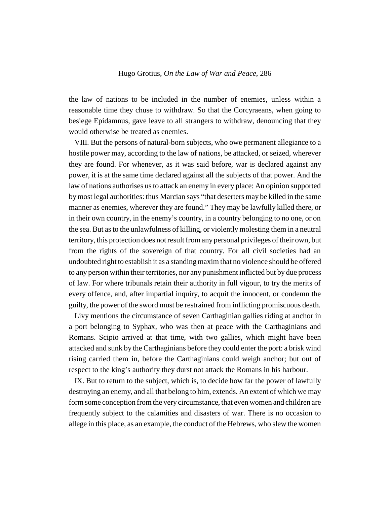the law of nations to be included in the number of enemies, unless within a reasonable time they chuse to withdraw. So that the Corcyraeans, when going to besiege Epidamnus, gave leave to all strangers to withdraw, denouncing that they would otherwise be treated as enemies.

VIII. But the persons of natural-born subjects, who owe permanent allegiance to a hostile power may, according to the law of nations, be attacked, or seized, wherever they are found. For whenever, as it was said before, war is declared against any power, it is at the same time declared against all the subjects of that power. And the law of nations authorises us to attack an enemy in every place: An opinion supported by most legal authorities: thus Marcian says "that deserters may be killed in the same manner as enemies, wherever they are found." They may be lawfully killed there, or in their own country, in the enemy's country, in a country belonging to no one, or on the sea. But as to the unlawfulness of killing, or violently molesting them in a neutral territory, this protection does not result from any personal privileges of their own, but from the rights of the sovereign of that country. For all civil societies had an undoubted right to establish it as a standing maxim that no violence should be offered to any person within their territories, nor any punishment inflicted but by due process of law. For where tribunals retain their authority in full vigour, to try the merits of every offence, and, after impartial inquiry, to acquit the innocent, or condemn the guilty, the power of the sword must be restrained from inflicting promiscuous death.

Livy mentions the circumstance of seven Carthaginian gallies riding at anchor in a port belonging to Syphax, who was then at peace with the Carthaginians and Romans. Scipio arrived at that time, with two gallies, which might have been attacked and sunk by the Carthaginians before they could enter the port: a brisk wind rising carried them in, before the Carthaginians could weigh anchor; but out of respect to the king's authority they durst not attack the Romans in his harbour.

IX. But to return to the subject, which is, to decide how far the power of lawfully destroying an enemy, and all that belong to him, extends. An extent of which we may form some conception from the very circumstance, that even women and children are frequently subject to the calamities and disasters of war. There is no occasion to allege in this place, as an example, the conduct of the Hebrews, who slew the women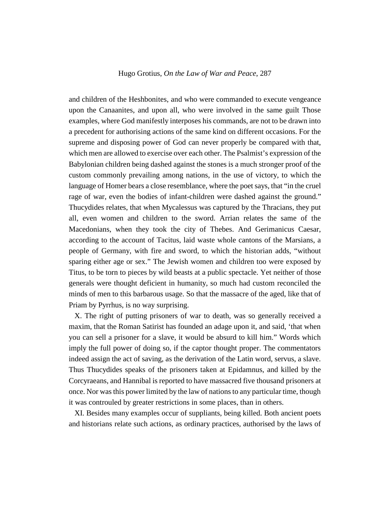and children of the Heshbonites, and who were commanded to execute vengeance upon the Canaanites, and upon all, who were involved in the same guilt Those examples, where God manifestly interposes his commands, are not to be drawn into a precedent for authorising actions of the same kind on different occasions. For the supreme and disposing power of God can never properly be compared with that, which men are allowed to exercise over each other. The Psalmist's expression of the Babylonian children being dashed against the stones is a much stronger proof of the custom commonly prevailing among nations, in the use of victory, to which the language of Homer bears a close resemblance, where the poet says, that "in the cruel rage of war, even the bodies of infant-children were dashed against the ground." Thucydides relates, that when Mycalessus was captured by the Thracians, they put all, even women and children to the sword. Arrian relates the same of the Macedonians, when they took the city of Thebes. And Gerimanicus Caesar, according to the account of Tacitus, laid waste whole cantons of the Marsians, a people of Germany, with fire and sword, to which the historian adds, "without sparing either age or sex." The Jewish women and children too were exposed by Titus, to be torn to pieces by wild beasts at a public spectacle. Yet neither of those generals were thought deficient in humanity, so much had custom reconciled the minds of men to this barbarous usage. So that the massacre of the aged, like that of Priam by Pyrrhus, is no way surprising.

X. The right of putting prisoners of war to death, was so generally received a maxim, that the Roman Satirist has founded an adage upon it, and said, 'that when you can sell a prisoner for a slave, it would be absurd to kill him." Words which imply the full power of doing so, if the captor thought proper. The commentators indeed assign the act of saving, as the derivation of the Latin word, servus, a slave. Thus Thucydides speaks of the prisoners taken at Epidamnus, and killed by the Corcyraeans, and Hannibal is reported to have massacred five thousand prisoners at once. Nor was this power limited by the law of nations to any particular time, though it was controuled by greater restrictions in some places, than in others.

XI. Besides many examples occur of suppliants, being killed. Both ancient poets and historians relate such actions, as ordinary practices, authorised by the laws of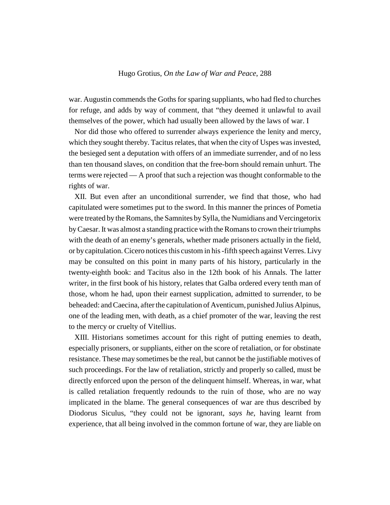war. Augustin commends the Goths for sparing suppliants, who had fled to churches for refuge, and adds by way of comment, that "they deemed it unlawful to avail themselves of the power, which had usually been allowed by the laws of war. I

Nor did those who offered to surrender always experience the lenity and mercy, which they sought thereby. Tacitus relates, that when the city of Uspes was invested, the besieged sent a deputation with offers of an immediate surrender, and of no less than ten thousand slaves, on condition that the free-born should remain unhurt. The terms were rejected — A proof that such a rejection was thought conformable to the rights of war.

XII. But even after an unconditional surrender, we find that those, who had capitulated were sometimes put to the sword. In this manner the princes of Pometia were treated by the Romans, the Samnites by Sylla, the Numidians and Vercingetorix by Caesar. It was almost a standing practice with the Romans to crown their triumphs with the death of an enemy's generals, whether made prisoners actually in the field, or by capitulation. Cicero notices this custom in his -fifth speech against Verres. Livy may be consulted on this point in many parts of his history, particularly in the twenty-eighth book: and Tacitus also in the 12th book of his Annals. The latter writer, in the first book of his history, relates that Galba ordered every tenth man of those, whom he had, upon their earnest supplication, admitted to surrender, to be beheaded: and Caecina, after the capitulation of Aventicum, punished Julius Alpinus, one of the leading men, with death, as a chief promoter of the war, leaving the rest to the mercy or cruelty of Vitellius.

XIII. Historians sometimes account for this right of putting enemies to death, especially prisoners, or suppliants, either on the score of retaliation, or for obstinate resistance. These may sometimes be the real, but cannot be the justifiable motives of such proceedings. For the law of retaliation, strictly and properly so called, must be directly enforced upon the person of the delinquent himself. Whereas, in war, what is called retaliation frequently redounds to the ruin of those, who are no way implicated in the blame. The general consequences of war are thus described by Diodorus Siculus, "they could not be ignorant, *says he*, having learnt from experience, that all being involved in the common fortune of war, they are liable on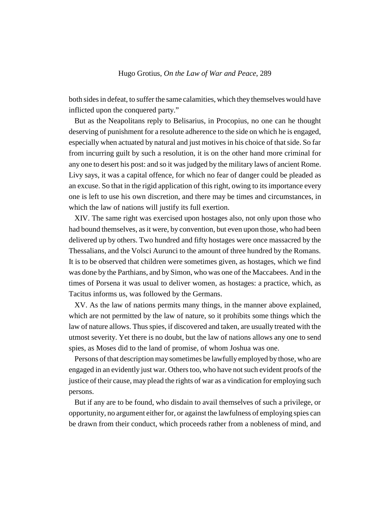both sides in defeat, to suffer the same calamities, which they themselves would have inflicted upon the conquered party."

But as the Neapolitans reply to Belisarius, in Procopius, no one can he thought deserving of punishment for a resolute adherence to the side on which he is engaged, especially when actuated by natural and just motives in his choice of that side. So far from incurring guilt by such a resolution, it is on the other hand more criminal for any one to desert his post: and so it was judged by the military laws of ancient Rome. Livy says, it was a capital offence, for which no fear of danger could be pleaded as an excuse. So that in the rigid application of this right, owing to its importance every one is left to use his own discretion, and there may be times and circumstances, in which the law of nations will justify its full exertion.

XIV. The same right was exercised upon hostages also, not only upon those who had bound themselves, as it were, by convention, but even upon those, who had been delivered up by others. Two hundred and fifty hostages were once massacred by the Thessalians, and the Volsci Aurunci to the amount of three hundred by the Romans. It is to be observed that children were sometimes given, as hostages, which we find was done by the Parthians, and by Simon, who was one of the Maccabees. And in the times of Porsena it was usual to deliver women, as hostages: a practice, which, as Tacitus informs us, was followed by the Germans.

XV. As the law of nations permits many things, in the manner above explained, which are not permitted by the law of nature, so it prohibits some things which the law of nature allows. Thus spies, if discovered and taken, are usually treated with the utmost severity. Yet there is no doubt, but the law of nations allows any one to send spies, as Moses did to the land of promise, of whom Joshua was one.

Persons of that description may sometimes be lawfully employed by those, who are engaged in an evidently just war. Others too, who have not such evident proofs of the justice of their cause, may plead the rights of war as a vindication for employing such persons.

But if any are to be found, who disdain to avail themselves of such a privilege, or opportunity, no argument either for, or against the lawfulness of employing spies can be drawn from their conduct, which proceeds rather from a nobleness of mind, and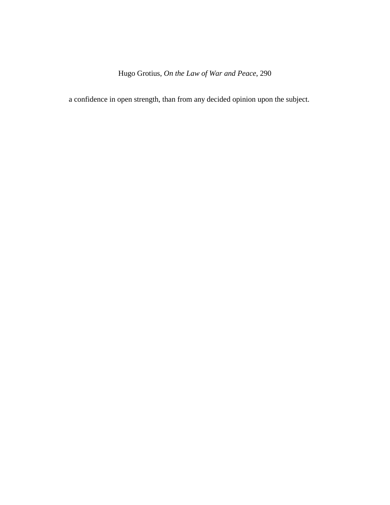a confidence in open strength, than from any decided opinion upon the subject.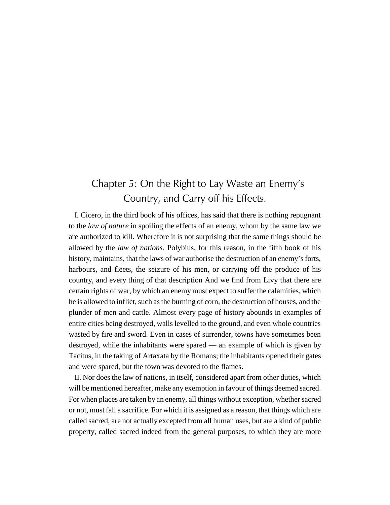# Chapter 5: On the Right to Lay Waste an Enemy's Country, and Carry off his Effects.

I. Cicero, in the third book of his offices, has said that there is nothing repugnant to the *law of nature* in spoiling the effects of an enemy, whom by the same law we are authorized to kill. Wherefore it is not surprising that the same things should be allowed by the *law of nations*. Polybius, for this reason, in the fifth book of his history, maintains, that the laws of war authorise the destruction of an enemy's forts, harbours, and fleets, the seizure of his men, or carrying off the produce of his country, and every thing of that description And we find from Livy that there are certain rights of war, by which an enemy must expect to suffer the calamities, which he is allowed to inflict, such as the burning of corn, the destruction of houses, and the plunder of men and cattle. Almost every page of history abounds in examples of entire cities being destroyed, walls levelled to the ground, and even whole countries wasted by fire and sword. Even in cases of surrender, towns have sometimes been destroyed, while the inhabitants were spared — an example of which is given by Tacitus, in the taking of Artaxata by the Romans; the inhabitants opened their gates and were spared, but the town was devoted to the flames.

II. Nor does the law of nations, in itself, considered apart from other duties, which will be mentioned hereafter, make any exemption in favour of things deemed sacred. For when places are taken by an enemy, all things without exception, whether sacred or not, must fall a sacrifice. For which it is assigned as a reason, that things which are called sacred, are not actually excepted from all human uses, but are a kind of public property, called sacred indeed from the general purposes, to which they are more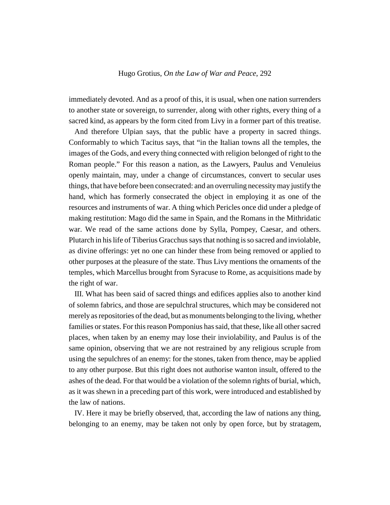immediately devoted. And as a proof of this, it is usual, when one nation surrenders to another state or sovereign, to surrender, along with other rights, every thing of a sacred kind, as appears by the form cited from Livy in a former part of this treatise.

And therefore Ulpian says, that the public have a property in sacred things. Conformably to which Tacitus says, that "in the Italian towns all the temples, the images of the Gods, and every thing connected with religion belonged of right to the Roman people." For this reason a nation, as the Lawyers, Paulus and Venuleius openly maintain, may, under a change of circumstances, convert to secular uses things, that have before been consecrated: and an overruling necessity may justify the hand, which has formerly consecrated the object in employing it as one of the resources and instruments of war. A thing which Pericles once did under a pledge of making restitution: Mago did the same in Spain, and the Romans in the Mithridatic war. We read of the same actions done by Sylla, Pompey, Caesar, and others. Plutarch in his life of Tiberius Gracchus says that nothing is so sacred and inviolable, as divine offerings: yet no one can hinder these from being removed or applied to other purposes at the pleasure of the state. Thus Livy mentions the ornaments of the temples, which Marcellus brought from Syracuse to Rome, as acquisitions made by the right of war.

III. What has been said of sacred things and edifices applies also to another kind of solemn fabrics, and those are sepulchral structures, which may be considered not merely as repositories of the dead, but as monuments belonging to the living, whether families or states. For this reason Pomponius has said, that these, like all other sacred places, when taken by an enemy may lose their inviolability, and Paulus is of the same opinion, observing that we are not restrained by any religious scruple from using the sepulchres of an enemy: for the stones, taken from thence, may be applied to any other purpose. But this right does not authorise wanton insult, offered to the ashes of the dead. For that would be a violation of the solemn rights of burial, which, as it was shewn in a preceding part of this work, were introduced and established by the law of nations.

IV. Here it may be briefly observed, that, according the law of nations any thing, belonging to an enemy, may be taken not only by open force, but by stratagem,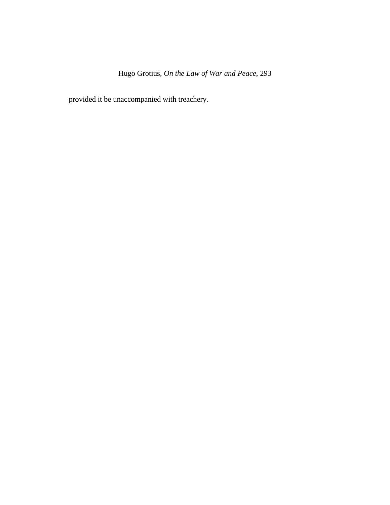provided it be unaccompanied with treachery.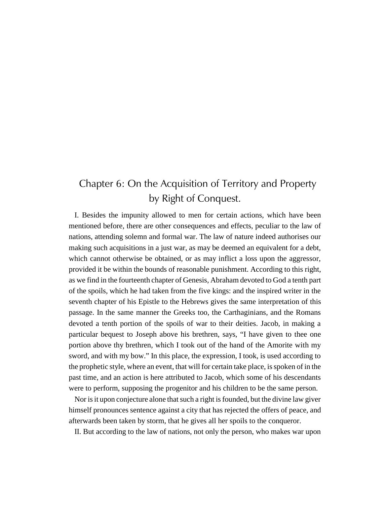# Chapter 6: On the Acquisition of Territory and Property by Right of Conquest.

I. Besides the impunity allowed to men for certain actions, which have been mentioned before, there are other consequences and effects, peculiar to the law of nations, attending solemn and formal war. The law of nature indeed authorises our making such acquisitions in a just war, as may be deemed an equivalent for a debt, which cannot otherwise be obtained, or as may inflict a loss upon the aggressor, provided it be within the bounds of reasonable punishment. According to this right, as we find in the fourteenth chapter of Genesis, Abraham devoted to God a tenth part of the spoils, which he had taken from the five kings: and the inspired writer in the seventh chapter of his Epistle to the Hebrews gives the same interpretation of this passage. In the same manner the Greeks too, the Carthaginians, and the Romans devoted a tenth portion of the spoils of war to their deities. Jacob, in making a particular bequest to Joseph above his brethren, says, "I have given to thee one portion above thy brethren, which I took out of the hand of the Amorite with my sword, and with my bow." In this place, the expression, I took, is used according to the prophetic style, where an event, that will for certain take place, is spoken of in the past time, and an action is here attributed to Jacob, which some of his descendants were to perform, supposing the progenitor and his children to be the same person.

Nor is it upon conjecture alone that such a right is founded, but the divine law giver himself pronounces sentence against a city that has rejected the offers of peace, and afterwards been taken by storm, that he gives all her spoils to the conqueror.

II. But according to the law of nations, not only the person, who makes war upon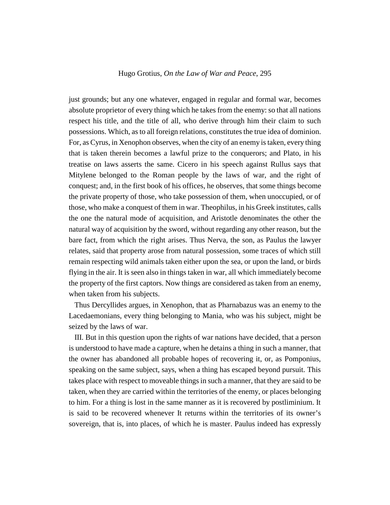just grounds; but any one whatever, engaged in regular and formal war, becomes absolute proprietor of every thing which he takes from the enemy: so that all nations respect his title, and the title of all, who derive through him their claim to such possessions. Which, as to all foreign relations, constitutes the true idea of dominion. For, as Cyrus, in Xenophon observes, when the city of an enemy is taken, every thing that is taken therein becomes a lawful prize to the conquerors; and Plato, in his treatise on laws asserts the same. Cicero in his speech against Rullus says that Mitylene belonged to the Roman people by the laws of war, and the right of conquest; and, in the first book of his offices, he observes, that some things become the private property of those, who take possession of them, when unoccupied, or of those, who make a conquest of them in war. Theophilus, in his Greek institutes, calls the one the natural mode of acquisition, and Aristotle denominates the other the natural way of acquisition by the sword, without regarding any other reason, but the bare fact, from which the right arises. Thus Nerva, the son, as Paulus the lawyer relates, said that property arose from natural possession, some traces of which still remain respecting wild animals taken either upon the sea, or upon the land, or birds flying in the air. It is seen also in things taken in war, all which immediately become the property of the first captors. Now things are considered as taken from an enemy, when taken from his subjects.

Thus Dercyllides argues, in Xenophon, that as Pharnabazus was an enemy to the Lacedaemonians, every thing belonging to Mania, who was his subject, might be seized by the laws of war.

III. But in this question upon the rights of war nations have decided, that a person is understood to have made a capture, when he detains a thing in such a manner, that the owner has abandoned all probable hopes of recovering it, or, as Pomponius, speaking on the same subject, says, when a thing has escaped beyond pursuit. This takes place with respect to moveable things in such a manner, that they are said to be taken, when they are carried within the territories of the enemy, or places belonging to him. For a thing is lost in the same manner as it is recovered by postliminium. It is said to be recovered whenever It returns within the territories of its owner's sovereign, that is, into places, of which he is master. Paulus indeed has expressly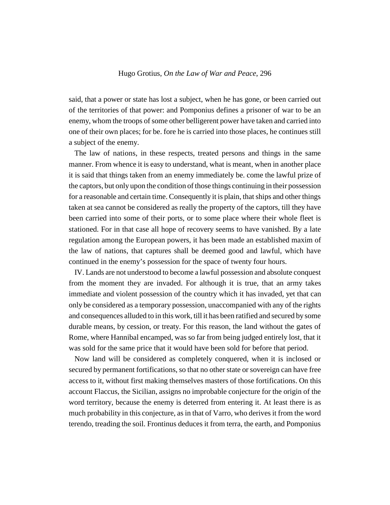said, that a power or state has lost a subject, when he has gone, or been carried out of the territories of that power: and Pomponius defines a prisoner of war to be an enemy, whom the troops of some other belligerent power have taken and carried into one of their own places; for be. fore he is carried into those places, he continues still a subject of the enemy.

The law of nations, in these respects, treated persons and things in the same manner. From whence it is easy to understand, what is meant, when in another place it is said that things taken from an enemy immediately be. come the lawful prize of the captors, but only upon the condition of those things continuing in their possession for a reasonable and certain time. Consequently it is plain, that ships and other things taken at sea cannot be considered as really the property of the captors, till they have been carried into some of their ports, or to some place where their whole fleet is stationed. For in that case all hope of recovery seems to have vanished. By a late regulation among the European powers, it has been made an established maxim of the law of nations, that captures shall be deemed good and lawful, which have continued in the enemy's possession for the space of twenty four hours.

IV. Lands are not understood to become a lawful possession and absolute conquest from the moment they are invaded. For although it is true, that an army takes immediate and violent possession of the country which it has invaded, yet that can only be considered as a temporary possession, unaccompanied with any of the rights and consequences alluded to in this work, till it has been ratified and secured by some durable means, by cession, or treaty. For this reason, the land without the gates of Rome, where Hannibal encamped, was so far from being judged entirely lost, that it was sold for the same price that it would have been sold for before that period.

Now land will be considered as completely conquered, when it is inclosed or secured by permanent fortifications, so that no other state or sovereign can have free access to it, without first making themselves masters of those fortifications. On this account Flaccus, the Sicilian, assigns no improbable conjecture for the origin of the word territory, because the enemy is deterred from entering it. At least there is as much probability in this conjecture, as in that of Varro, who derives it from the word terendo, treading the soil. Frontinus deduces it from terra, the earth, and Pomponius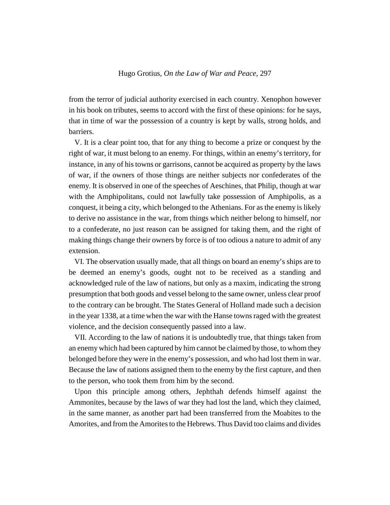from the terror of judicial authority exercised in each country. Xenophon however in his book on tributes, seems to accord with the first of these opinions: for he says, that in time of war the possession of a country is kept by walls, strong holds, and barriers.

V. It is a clear point too, that for any thing to become a prize or conquest by the right of war, it must belong to an enemy. For things, within an enemy's territory, for instance, in any of his towns or garrisons, cannot be acquired as property by the laws of war, if the owners of those things are neither subjects nor confederates of the enemy. It is observed in one of the speeches of Aeschines, that Philip, though at war with the Amphipolitans, could not lawfully take possession of Amphipolis, as a conquest, it being a city, which belonged to the Athenians. For as the enemy is likely to derive no assistance in the war, from things which neither belong to himself, nor to a confederate, no just reason can be assigned for taking them, and the right of making things change their owners by force is of too odious a nature to admit of any extension.

VI. The observation usually made, that all things on board an enemy's ships are to be deemed an enemy's goods, ought not to be received as a standing and acknowledged rule of the law of nations, but only as a maxim, indicating the strong presumption that both goods and vessel belong to the same owner, unless clear proof to the contrary can be brought. The States General of Holland made such a decision in the year 1338, at a time when the war with the Hanse towns raged with the greatest violence, and the decision consequently passed into a law.

VII. According to the law of nations it is undoubtedly true, that things taken from an enemy which had been captured by him cannot be claimed by those, to whom they belonged before they were in the enemy's possession, and who had lost them in war. Because the law of nations assigned them to the enemy by the first capture, and then to the person, who took them from him by the second.

Upon this principle among others, Jephthah defends himself against the Ammonites, because by the laws of war they had lost the land, which they claimed, in the same manner, as another part had been transferred from the Moabites to the Amorites, and from the Amorites to the Hebrews. Thus David too claims and divides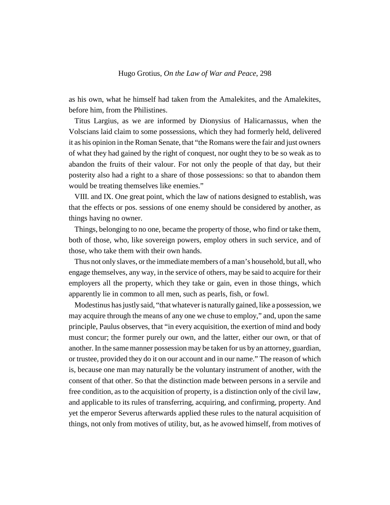as his own, what he himself had taken from the Amalekites, and the Amalekites, before him, from the Philistines.

Titus Largius, as we are informed by Dionysius of Halicarnassus, when the Volscians laid claim to some possessions, which they had formerly held, delivered it as his opinion in the Roman Senate, that "the Romans were the fair and just owners of what they had gained by the right of conquest, nor ought they to be so weak as to abandon the fruits of their valour. For not only the people of that day, but their posterity also had a right to a share of those possessions: so that to abandon them would be treating themselves like enemies."

VIII. and IX. One great point, which the law of nations designed to establish, was that the effects or pos. sessions of one enemy should be considered by another, as things having no owner.

Things, belonging to no one, became the property of those, who find or take them, both of those, who, like sovereign powers, employ others in such service, and of those, who take them with their own hands.

Thus not only slaves, or the immediate members of a man's household, but all, who engage themselves, any way, in the service of others, may be said to acquire for their employers all the property, which they take or gain, even in those things, which apparently lie in common to all men, such as pearls, fish, or fowl.

Modestinus has justly said, "that whatever is naturally gained, like a possession, we may acquire through the means of any one we chuse to employ," and, upon the same principle, Paulus observes, that "in every acquisition, the exertion of mind and body must concur; the former purely our own, and the latter, either our own, or that of another. In the same manner possession may be taken for us by an attorney, guardian, or trustee, provided they do it on our account and in our name." The reason of which is, because one man may naturally be the voluntary instrument of another, with the consent of that other. So that the distinction made between persons in a servile and free condition, as to the acquisition of property, is a distinction only of the civil law, and applicable to its rules of transferring, acquiring, and confirming, property. And yet the emperor Severus afterwards applied these rules to the natural acquisition of things, not only from motives of utility, but, as he avowed himself, from motives of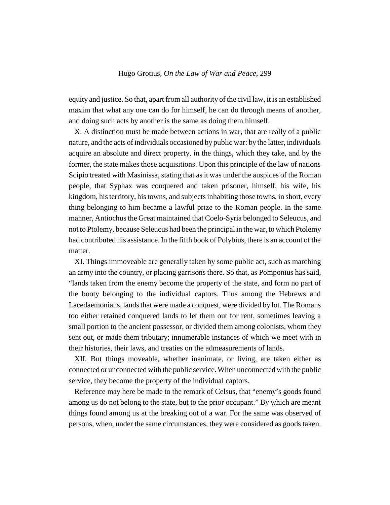equity and justice. So that, apart from all authority of the civil law, it is an established maxim that what any one can do for himself, he can do through means of another, and doing such acts by another is the same as doing them himself.

X. A distinction must be made between actions in war, that are really of a public nature, and the acts of individuals occasioned by public war: by the latter, individuals acquire an absolute and direct property, in the things, which they take, and by the former, the state makes those acquisitions. Upon this principle of the law of nations Scipio treated with Masinissa, stating that as it was under the auspices of the Roman people, that Syphax was conquered and taken prisoner, himself, his wife, his kingdom, his territory, his towns, and subjects inhabiting those towns, in short, every thing belonging to him became a lawful prize to the Roman people. In the same manner, Antiochus the Great maintained that Coelo-Syria belonged to Seleucus, and not to Ptolemy, because Seleucus had been the principal in the war, to which Ptolemy had contributed his assistance. In the fifth book of Polybius, there is an account of the matter.

XI. Things immoveable are generally taken by some public act, such as marching an army into the country, or placing garrisons there. So that, as Pomponius has said, "lands taken from the enemy become the property of the state, and form no part of the booty belonging to the individual captors. Thus among the Hebrews and Lacedaemonians, lands that were made a conquest, were divided by lot. The Romans too either retained conquered lands to let them out for rent, sometimes leaving a small portion to the ancient possessor, or divided them among colonists, whom they sent out, or made them tributary; innumerable instances of which we meet with in their histories, their laws, and treaties on the admeasurements of lands.

XII. But things moveable, whether inanimate, or living, are taken either as connected or unconnected with the public service. When unconnected with the public service, they become the property of the individual captors.

Reference may here be made to the remark of Celsus, that "enemy's goods found among us do not belong to the state, but to the prior occupant." By which are meant things found among us at the breaking out of a war. For the same was observed of persons, when, under the same circumstances, they were considered as goods taken.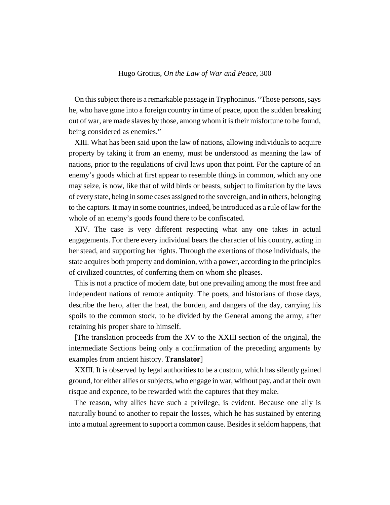On this subject there is a remarkable passage in Tryphoninus. "Those persons, says he, who have gone into a foreign country in time of peace, upon the sudden breaking out of war, are made slaves by those, among whom it is their misfortune to be found, being considered as enemies."

XIII. What has been said upon the law of nations, allowing individuals to acquire property by taking it from an enemy, must be understood as meaning the law of nations, prior to the regulations of civil laws upon that point. For the capture of an enemy's goods which at first appear to resemble things in common, which any one may seize, is now, like that of wild birds or beasts, subject to limitation by the laws of every state, being in some cases assigned to the sovereign, and in others, belonging to the captors. It may in some countries, indeed, be introduced as a rule of law for the whole of an enemy's goods found there to be confiscated.

XIV. The case is very different respecting what any one takes in actual engagements. For there every individual bears the character of his country, acting in her stead, and supporting her rights. Through the exertions of those individuals, the state acquires both property and dominion, with a power, according to the principles of civilized countries, of conferring them on whom she pleases.

This is not a practice of modern date, but one prevailing among the most free and independent nations of remote antiquity. The poets, and historians of those days, describe the hero, after the heat, the burden, and dangers of the day, carrying his spoils to the common stock, to be divided by the General among the army, after retaining his proper share to himself.

[The translation proceeds from the XV to the XXIII section of the original, the intermediate Sections being only a confirmation of the preceding arguments by examples from ancient history. **Translator**]

XXIII. It is observed by legal authorities to be a custom, which has silently gained ground, for either allies or subjects, who engage in war, without pay, and at their own risque and expence, to be rewarded with the captures that they make.

The reason, why allies have such a privilege, is evident. Because one ally is naturally bound to another to repair the losses, which he has sustained by entering into a mutual agreement to support a common cause. Besides it seldom happens, that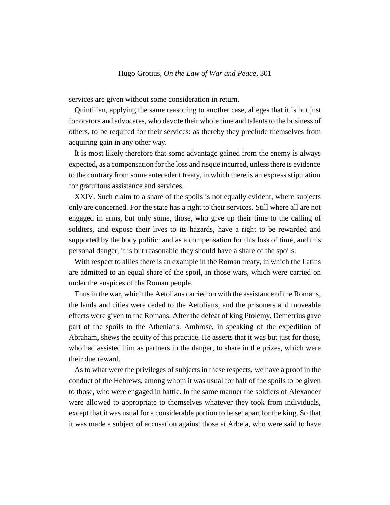services are given without some consideration in return.

Quintilian, applying the same reasoning to another case, alleges that it is but just for orators and advocates, who devote their whole time and talents to the business of others, to be requited for their services: as thereby they preclude themselves from acquiring gain in any other way.

It is most likely therefore that some advantage gained from the enemy is always expected, as a compensation for the loss and risque incurred, unless there is evidence to the contrary from some antecedent treaty, in which there is an express stipulation for gratuitous assistance and services.

XXIV. Such claim to a share of the spoils is not equally evident, where subjects only are concerned. For the state has a right to their services. Still where all are not engaged in arms, but only some, those, who give up their time to the calling of soldiers, and expose their lives to its hazards, have a right to be rewarded and supported by the body politic: and as a compensation for this loss of time, and this personal danger, it is but reasonable they should have a share of the spoils.

With respect to allies there is an example in the Roman treaty, in which the Latins are admitted to an equal share of the spoil, in those wars, which were carried on under the auspices of the Roman people.

Thus in the war, which the Aetolians carried on with the assistance of the Romans, the lands and cities were ceded to the Aetolians, and the prisoners and moveable effects were given to the Romans. After the defeat of king Ptolemy, Demetrius gave part of the spoils to the Athenians. Ambrose, in speaking of the expedition of Abraham, shews the equity of this practice. He asserts that it was but just for those, who had assisted him as partners in the danger, to share in the prizes, which were their due reward.

As to what were the privileges of subjects in these respects, we have a proof in the conduct of the Hebrews, among whom it was usual for half of the spoils to be given to those, who were engaged in battle. In the same manner the soldiers of Alexander were allowed to appropriate to themselves whatever they took from individuals, except that it was usual for a considerable portion to be set apart for the king. So that it was made a subject of accusation against those at Arbela, who were said to have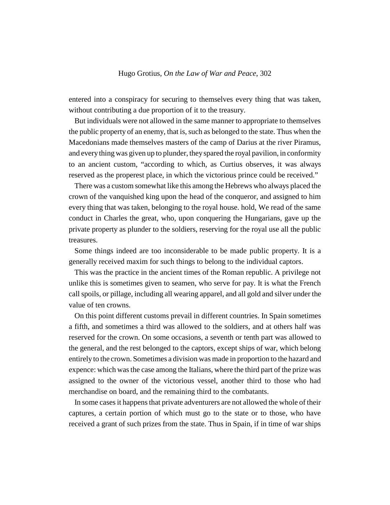entered into a conspiracy for securing to themselves every thing that was taken, without contributing a due proportion of it to the treasury.

But individuals were not allowed in the same manner to appropriate to themselves the public property of an enemy, that is, such as belonged to the state. Thus when the Macedonians made themselves masters of the camp of Darius at the river Piramus, and every thing was given up to plunder, they spared the royal pavilion, in conformity to an ancient custom, "according to which, as Curtius observes, it was always reserved as the properest place, in which the victorious prince could be received."

There was a custom somewhat like this among the Hebrews who always placed the crown of the vanquished king upon the head of the conqueror, and assigned to him every thing that was taken, belonging to the royal house. hold, We read of the same conduct in Charles the great, who, upon conquering the Hungarians, gave up the private property as plunder to the soldiers, reserving for the royal use all the public treasures.

Some things indeed are too inconsiderable to be made public property. It is a generally received maxim for such things to belong to the individual captors.

This was the practice in the ancient times of the Roman republic. A privilege not unlike this is sometimes given to seamen, who serve for pay. It is what the French call spoils, or pillage, including all wearing apparel, and all gold and silver under the value of ten crowns.

On this point different customs prevail in different countries. In Spain sometimes a fifth, and sometimes a third was allowed to the soldiers, and at others half was reserved for the crown. On some occasions, a seventh or tenth part was allowed to the general, and the rest belonged to the captors, except ships of war, which belong entirely to the crown. Sometimes a division was made in proportion to the hazard and expence: which was the case among the Italians, where the third part of the prize was assigned to the owner of the victorious vessel, another third to those who had merchandise on board, and the remaining third to the combatants.

In some cases it happens that private adventurers are not allowed the whole of their captures, a certain portion of which must go to the state or to those, who have received a grant of such prizes from the state. Thus in Spain, if in time of war ships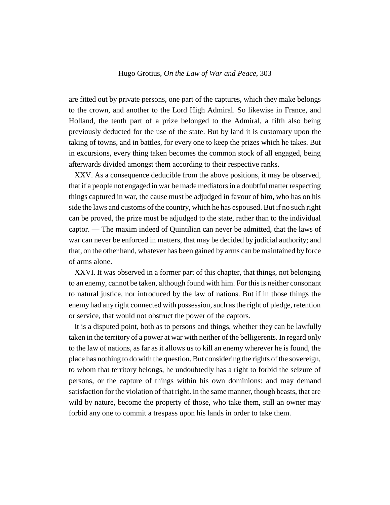are fitted out by private persons, one part of the captures, which they make belongs to the crown, and another to the Lord High Admiral. So likewise in France, and Holland, the tenth part of a prize belonged to the Admiral, a fifth also being previously deducted for the use of the state. But by land it is customary upon the taking of towns, and in battles, for every one to keep the prizes which he takes. But in excursions, every thing taken becomes the common stock of all engaged, being afterwards divided amongst them according to their respective ranks.

XXV. As a consequence deducible from the above positions, it may be observed, that if a people not engaged in war be made mediators in a doubtful matter respecting things captured in war, the cause must be adjudged in favour of him, who has on his side the laws and customs of the country, which he has espoused. But if no such right can be proved, the prize must be adjudged to the state, rather than to the individual captor. — The maxim indeed of Quintilian can never be admitted, that the laws of war can never be enforced in matters, that may be decided by judicial authority; and that, on the other hand, whatever has been gained by arms can be maintained by force of arms alone.

XXVI. It was observed in a former part of this chapter, that things, not belonging to an enemy, cannot be taken, although found with him. For this is neither consonant to natural justice, nor introduced by the law of nations. But if in those things the enemy had any right connected with possession, such as the right of pledge, retention or service, that would not obstruct the power of the captors.

It is a disputed point, both as to persons and things, whether they can be lawfully taken in the territory of a power at war with neither of the belligerents. In regard only to the law of nations, as far as it allows us to kill an enemy wherever he is found, the place has nothing to do with the question. But considering the rights of the sovereign, to whom that territory belongs, he undoubtedly has a right to forbid the seizure of persons, or the capture of things within his own dominions: and may demand satisfaction for the violation of that right. In the same manner, though beasts, that are wild by nature, become the property of those, who take them, still an owner may forbid any one to commit a trespass upon his lands in order to take them.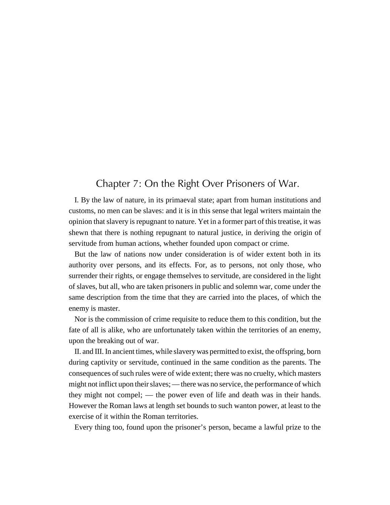## Chapter 7: On the Right Over Prisoners of War.

I. By the law of nature, in its primaeval state; apart from human institutions and customs, no men can be slaves: and it is in this sense that legal writers maintain the opinion that slavery is repugnant to nature. Yet in a former part of this treatise, it was shewn that there is nothing repugnant to natural justice, in deriving the origin of servitude from human actions, whether founded upon compact or crime.

But the law of nations now under consideration is of wider extent both in its authority over persons, and its effects. For, as to persons, not only those, who surrender their rights, or engage themselves to servitude, are considered in the light of slaves, but all, who are taken prisoners in public and solemn war, come under the same description from the time that they are carried into the places, of which the enemy is master.

Nor is the commission of crime requisite to reduce them to this condition, but the fate of all is alike, who are unfortunately taken within the territories of an enemy, upon the breaking out of war.

II. and III. In ancient times, while slavery was permitted to exist, the offspring, born during captivity or servitude, continued in the same condition as the parents. The consequences of such rules were of wide extent; there was no cruelty, which masters might not inflict upon their slaves; — there was no service, the performance of which they might not compel; — the power even of life and death was in their hands. However the Roman laws at length set bounds to such wanton power, at least to the exercise of it within the Roman territories.

Every thing too, found upon the prisoner's person, became a lawful prize to the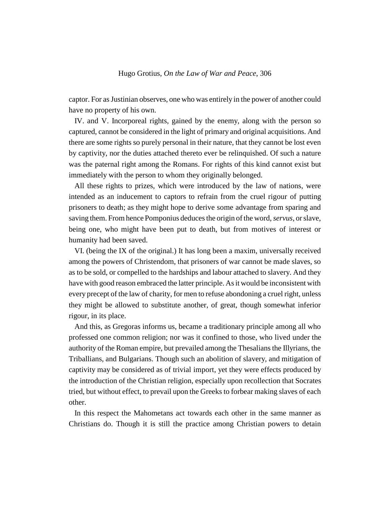captor. For as Justinian observes, one who was entirely in the power of another could have no property of his own.

IV. and V. Incorporeal rights, gained by the enemy, along with the person so captured, cannot be considered in the light of primary and original acquisitions. And there are some rights so purely personal in their nature, that they cannot be lost even by captivity, nor the duties attached thereto ever be relinquished. Of such a nature was the paternal right among the Romans. For rights of this kind cannot exist but immediately with the person to whom they originally belonged.

All these rights to prizes, which were introduced by the law of nations, were intended as an inducement to captors to refrain from the cruel rigour of putting prisoners to death; as they might hope to derive some advantage from sparing and saving them. From hence Pomponius deduces the origin of the word, *servus*, or slave, being one, who might have been put to death, but from motives of interest or humanity had been saved.

VI. (being the IX of the original.) It has long been a maxim, universally received among the powers of Christendom, that prisoners of war cannot be made slaves, so as to be sold, or compelled to the hardships and labour attached to slavery. And they have with good reason embraced the latter principle. As it would be inconsistent with every precept of the law of charity, for men to refuse abondoning a cruel right, unless they might be allowed to substitute another, of great, though somewhat inferior rigour, in its place.

And this, as Gregoras informs us, became a traditionary principle among all who professed one common religion; nor was it confined to those, who lived under the authority of the Roman empire, but prevailed among the Thesalians the Illyrians, the Triballians, and Bulgarians. Though such an abolition of slavery, and mitigation of captivity may be considered as of trivial import, yet they were effects produced by the introduction of the Christian religion, especially upon recollection that Socrates tried, but without effect, to prevail upon the Greeks to forbear making slaves of each other.

In this respect the Mahometans act towards each other in the same manner as Christians do. Though it is still the practice among Christian powers to detain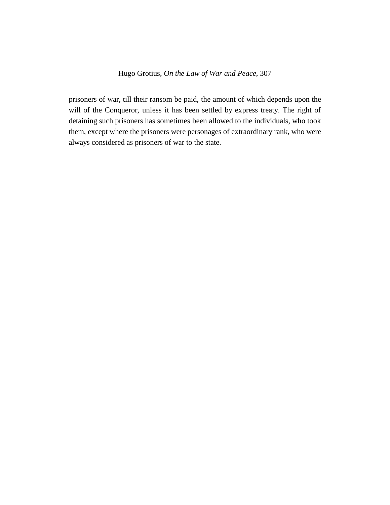prisoners of war, till their ransom be paid, the amount of which depends upon the will of the Conqueror, unless it has been settled by express treaty. The right of detaining such prisoners has sometimes been allowed to the individuals, who took them, except where the prisoners were personages of extraordinary rank, who were always considered as prisoners of war to the state.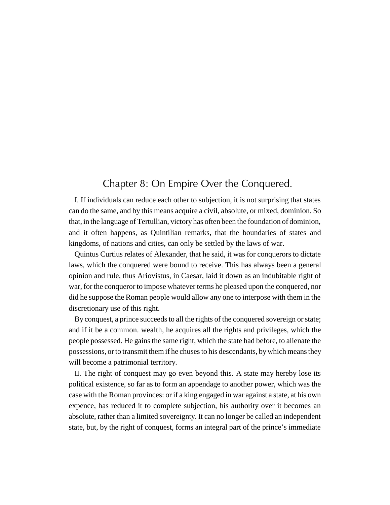## Chapter 8: On Empire Over the Conquered.

I. If individuals can reduce each other to subjection, it is not surprising that states can do the same, and by this means acquire a civil, absolute, or mixed, dominion. So that, in the language of Tertullian, victory has often been the foundation of dominion, and it often happens, as Quintilian remarks, that the boundaries of states and kingdoms, of nations and cities, can only be settled by the laws of war.

Quintus Curtius relates of Alexander, that he said, it was for conquerors to dictate laws, which the conquered were bound to receive. This has always been a general opinion and rule, thus Ariovistus, in Caesar, laid it down as an indubitable right of war, for the conqueror to impose whatever terms he pleased upon the conquered, nor did he suppose the Roman people would allow any one to interpose with them in the discretionary use of this right.

By conquest, a prince succeeds to all the rights of the conquered sovereign or state; and if it be a common. wealth, he acquires all the rights and privileges, which the people possessed. He gains the same right, which the state had before, to alienate the possessions, or to transmit them if he chuses to his descendants, by which means they will become a patrimonial territory.

II. The right of conquest may go even beyond this. A state may hereby lose its political existence, so far as to form an appendage to another power, which was the case with the Roman provinces: or if a king engaged in war against a state, at his own expence, has reduced it to complete subjection, his authority over it becomes an absolute, rather than a limited sovereignty. It can no longer be called an independent state, but, by the right of conquest, forms an integral part of the prince's immediate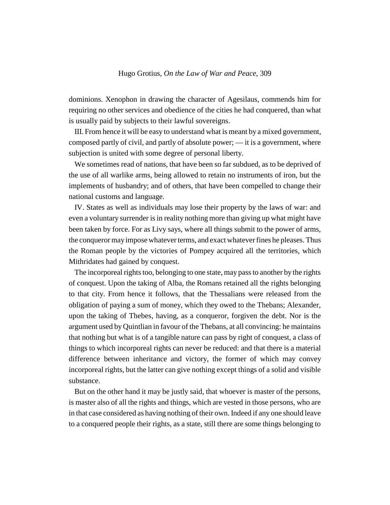dominions. Xenophon in drawing the character of Agesilaus, commends him for requiring no other services and obedience of the cities he had conquered, than what is usually paid by subjects to their lawful sovereigns.

III. From hence it will be easy to understand what is meant by a mixed government, composed partly of civil, and partly of absolute power; — it is a government, where subjection is united with some degree of personal liberty.

We sometimes read of nations, that have been so far subdued, as to be deprived of the use of all warlike arms, being allowed to retain no instruments of iron, but the implements of husbandry; and of others, that have been compelled to change their national customs and language.

IV. States as well as individuals may lose their property by the laws of war: and even a voluntary surrender is in reality nothing more than giving up what might have been taken by force. For as Livy says, where all things submit to the power of arms, the conqueror may impose whatever terms, and exact whatever fines he pleases. Thus the Roman people by the victories of Pompey acquired all the territories, which Mithridates had gained by conquest.

The incorporeal rights too, belonging to one state, may pass to another by the rights of conquest. Upon the taking of Alba, the Romans retained all the rights belonging to that city. From hence it follows, that the Thessalians were released from the obligation of paying a sum of money, which they owed to the Thebans; Alexander, upon the taking of Thebes, having, as a conqueror, forgiven the debt. Nor is the argument used by Quintlian in favour of the Thebans, at all convincing: he maintains that nothing but what is of a tangible nature can pass by right of conquest, a class of things to which incorporeal rights can never be reduced: and that there is a material difference between inheritance and victory, the former of which may convey incorporeal rights, but the latter can give nothing except things of a solid and visible substance.

But on the other hand it may be justly said, that whoever is master of the persons, is master also of all the rights and things, which are vested in those persons, who are in that case considered as having nothing of their own. Indeed if any one should leave to a conquered people their rights, as a state, still there are some things belonging to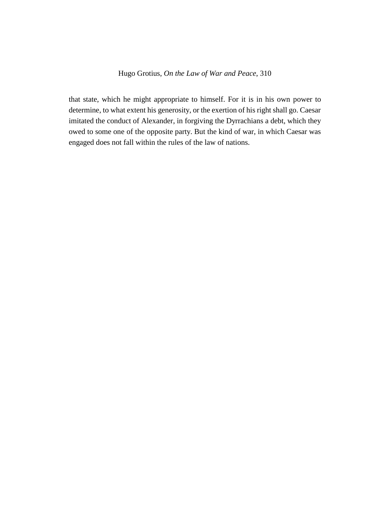that state, which he might appropriate to himself. For it is in his own power to determine, to what extent his generosity, or the exertion of his right shall go. Caesar imitated the conduct of Alexander, in forgiving the Dyrrachians a debt, which they owed to some one of the opposite party. But the kind of war, in which Caesar was engaged does not fall within the rules of the law of nations.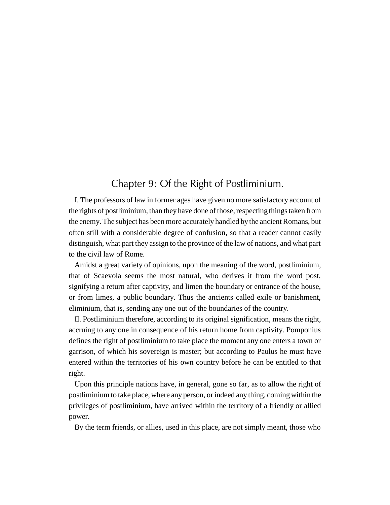## Chapter 9: Of the Right of Postliminium.

I. The professors of law in former ages have given no more satisfactory account of the rights of postliminium, than they have done of those, respecting things taken from the enemy. The subject has been more accurately handled by the ancient Romans, but often still with a considerable degree of confusion, so that a reader cannot easily distinguish, what part they assign to the province of the law of nations, and what part to the civil law of Rome.

Amidst a great variety of opinions, upon the meaning of the word, postliminium, that of Scaevola seems the most natural, who derives it from the word post, signifying a return after captivity, and limen the boundary or entrance of the house, or from limes, a public boundary. Thus the ancients called exile or banishment, eliminium, that is, sending any one out of the boundaries of the country.

II. Postliminium therefore, according to its original signification, means the right, accruing to any one in consequence of his return home from captivity. Pomponius defines the right of postliminium to take place the moment any one enters a town or garrison, of which his sovereign is master; but according to Paulus he must have entered within the territories of his own country before he can be entitled to that right.

Upon this principle nations have, in general, gone so far, as to allow the right of postliminium to take place, where any person, or indeed any thing, coming within the privileges of postliminium, have arrived within the territory of a friendly or allied power.

By the term friends, or allies, used in this place, are not simply meant, those who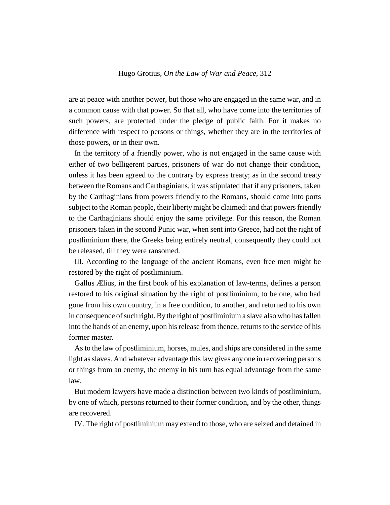are at peace with another power, but those who are engaged in the same war, and in a common cause with that power. So that all, who have come into the territories of such powers, are protected under the pledge of public faith. For it makes no difference with respect to persons or things, whether they are in the territories of those powers, or in their own.

In the territory of a friendly power, who is not engaged in the same cause with either of two belligerent parties, prisoners of war do not change their condition, unless it has been agreed to the contrary by express treaty; as in the second treaty between the Romans and Carthaginians, it was stipulated that if any prisoners, taken by the Carthaginians from powers friendly to the Romans, should come into ports subject to the Roman people, their liberty might be claimed: and that powers friendly to the Carthaginians should enjoy the same privilege. For this reason, the Roman prisoners taken in the second Punic war, when sent into Greece, had not the right of postliminium there, the Greeks being entirely neutral, consequently they could not be released, till they were ransomed.

III. According to the language of the ancient Romans, even free men might be restored by the right of postliminium.

Gallus Ælius, in the first book of his explanation of law-terms, defines a person restored to his original situation by the right of postliminium, to be one, who had gone from his own country, in a free condition, to another, and returned to his own in consequence of such right. By the right of postliminium a slave also who has fallen into the hands of an enemy, upon his release from thence, returns to the service of his former master.

As to the law of postliminium, horses, mules, and ships are considered in the same light as slaves. And whatever advantage this law gives any one in recovering persons or things from an enemy, the enemy in his turn has equal advantage from the same law.

But modern lawyers have made a distinction between two kinds of postliminium, by one of which, persons returned to their former condition, and by the other, things are recovered.

IV. The right of postliminium may extend to those, who are seized and detained in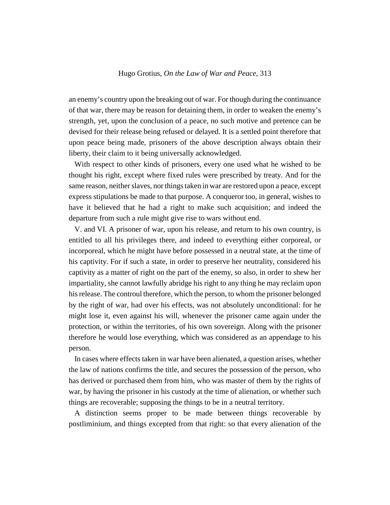an enemy's country upon the breaking out of war. For though during the continuance of that war, there may be reason for detaining them, in order to weaken the enemy's strength, yet, upon the conclusion of a peace, no such motive and pretence can be devised for their release being refused or delayed. It is a settled point therefore that upon peace being made, prisoners of the above description always obtain their liberty, their claim to it being universally acknowledged.

With respect to other kinds of prisoners, every one used what he wished to be thought his right, except where fixed rules were prescribed by treaty. And for the same reason, neither slaves, nor things taken in war are restored upon a peace, except express stipulations be made to that purpose. A conqueror too, in general, wishes to have it believed that he had a right to make such acquisition; and indeed the departure from such a rule might give rise to wars without end.

V. and VI. A prisoner of war, upon his release, and return to his own country, is entitled to all his privileges there, and indeed to everything either corporeal, or incorporeal, which he might have before possessed in a neutral state, at the time of his captivity. For if such a state, in order to preserve her neutrality, considered his captivity as a matter of right on the part of the enemy, so also, in order to shew her impartiality, she cannot lawfully abridge his right to any thing he may reclaim upon his release. The controul therefore, which the person, to whom the prisoner belonged by the right of war, had over his effects, was not absolutely unconditional: for he might lose it, even against his will, whenever the prisoner came again under the protection, or within the territories, of his own sovereign. Along with the prisoner therefore he would lose everything, which was considered as an appendage to his person.

In cases where effects taken in war have been alienated, a question arises, whether the law of nations confirms the title, and secures the possession of the person, who has derived or purchased them from him, who was master of them by the rights of war, by having the prisoner in his custody at the time of alienation, or whether such things are recoverable; supposing the things to be in a neutral territory.

A distinction seems proper to be made between things recoverable by postliminium, and things excepted from that right: so that every alienation of the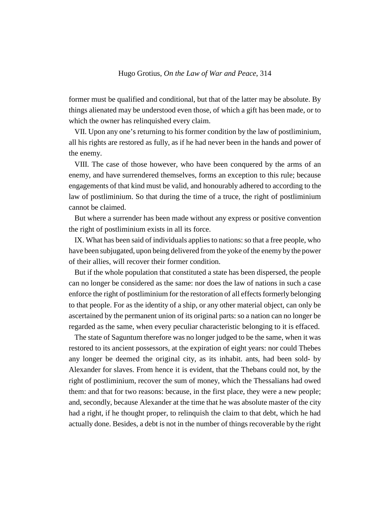former must be qualified and conditional, but that of the latter may be absolute. By things alienated may be understood even those, of which a gift has been made, or to which the owner has relinquished every claim.

VII. Upon any one's returning to his former condition by the law of postliminium, all his rights are restored as fully, as if he had never been in the hands and power of the enemy.

VIII. The case of those however, who have been conquered by the arms of an enemy, and have surrendered themselves, forms an exception to this rule; because engagements of that kind must be valid, and honourably adhered to according to the law of postliminium. So that during the time of a truce, the right of postliminium cannot be claimed.

But where a surrender has been made without any express or positive convention the right of postliminium exists in all its force.

IX. What has been said of individuals applies to nations: so that a free people, who have been subjugated, upon being delivered from the yoke of the enemy by the power of their allies, will recover their former condition.

But if the whole population that constituted a state has been dispersed, the people can no longer be considered as the same: nor does the law of nations in such a case enforce the right of postliminium for the restoration of all effects formerly belonging to that people. For as the identity of a ship, or any other material object, can only be ascertained by the permanent union of its original parts: so a nation can no longer be regarded as the same, when every peculiar characteristic belonging to it is effaced.

The state of Saguntum therefore was no longer judged to be the same, when it was restored to its ancient possessors, at the expiration of eight years: nor could Thebes any longer be deemed the original city, as its inhabit. ants, had been sold- by Alexander for slaves. From hence it is evident, that the Thebans could not, by the right of postliminium, recover the sum of money, which the Thessalians had owed them: and that for two reasons: because, in the first place, they were a new people; and, secondly, because Alexander at the time that he was absolute master of the city had a right, if he thought proper, to relinquish the claim to that debt, which he had actually done. Besides, a debt is not in the number of things recoverable by the right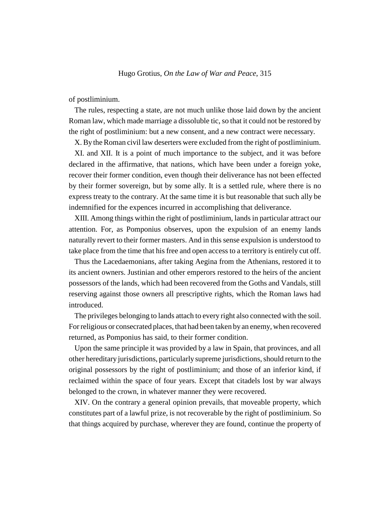of postliminium.

The rules, respecting a state, are not much unlike those laid down by the ancient Roman law, which made marriage a dissoluble tic, so that it could not be restored by the right of postliminium: but a new consent, and a new contract were necessary.

X. By the Roman civil law deserters were excluded from the right of postliminium.

XI. and XII. It is a point of much importance to the subject, and it was before declared in the affirmative, that nations, which have been under a foreign yoke, recover their former condition, even though their deliverance has not been effected by their former sovereign, but by some ally. It is a settled rule, where there is no express treaty to the contrary. At the same time it is but reasonable that such ally be indemnified for the expences incurred in accomplishing that deliverance.

XIII. Among things within the right of postliminium, lands in particular attract our attention. For, as Pomponius observes, upon the expulsion of an enemy lands naturally revert to their former masters. And in this sense expulsion is understood to take place from the time that his free and open access to a territory is entirely cut off.

Thus the Lacedaemonians, after taking Aegina from the Athenians, restored it to its ancient owners. Justinian and other emperors restored to the heirs of the ancient possessors of the lands, which had been recovered from the Goths and Vandals, still reserving against those owners all prescriptive rights, which the Roman laws had introduced.

The privileges belonging to lands attach to every right also connected with the soil. For religious or consecrated places, that had been taken by an enemy, when recovered returned, as Pomponius has said, to their former condition.

Upon the same principle it was provided by a law in Spain, that provinces, and all other hereditary jurisdictions, particularly supreme jurisdictions, should return to the original possessors by the right of postliminium; and those of an inferior kind, if reclaimed within the space of four years. Except that citadels lost by war always belonged to the crown, in whatever manner they were recovered.

XIV. On the contrary a general opinion prevails, that moveable property, which constitutes part of a lawful prize, is not recoverable by the right of postliminium. So that things acquired by purchase, wherever they are found, continue the property of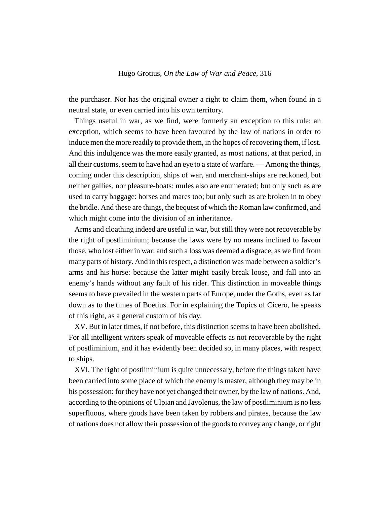the purchaser. Nor has the original owner a right to claim them, when found in a neutral state, or even carried into his own territory.

Things useful in war, as we find, were formerly an exception to this rule: an exception, which seems to have been favoured by the law of nations in order to induce men the more readily to provide them, in the hopes of recovering them, if lost. And this indulgence was the more easily granted, as most nations, at that period, in all their customs, seem to have had an eye to a state of warfare. — Among the things, coming under this description, ships of war, and merchant-ships are reckoned, but neither gallies, nor pleasure-boats: mules also are enumerated; but only such as are used to carry baggage: horses and mares too; but only such as are broken in to obey the bridle. And these are things, the bequest of which the Roman law confirmed, and which might come into the division of an inheritance.

Arms and cloathing indeed are useful in war, but still they were not recoverable by the right of postliminium; because the laws were by no means inclined to favour those, who lost either in war: and such a loss was deemed a disgrace, as we find from many parts of history. And in this respect, a distinction was made between a soldier's arms and his horse: because the latter might easily break loose, and fall into an enemy's hands without any fault of his rider. This distinction in moveable things seems to have prevailed in the western parts of Europe, under the Goths, even as far down as to the times of Boetius. For in explaining the Topics of Cicero, he speaks of this right, as a general custom of his day.

XV. But in later times, if not before, this distinction seems to have been abolished. For all intelligent writers speak of moveable effects as not recoverable by the right of postliminium, and it has evidently been decided so, in many places, with respect to ships.

XVI. The right of postliminium is quite unnecessary, before the things taken have been carried into some place of which the enemy is master, although they may be in his possession: for they have not yet changed their owner, by the law of nations. And, according to the opinions of Ulpian and Javolenus, the law of postliminium is no less superfluous, where goods have been taken by robbers and pirates, because the law of nations does not allow their possession of the goods to convey any change, or right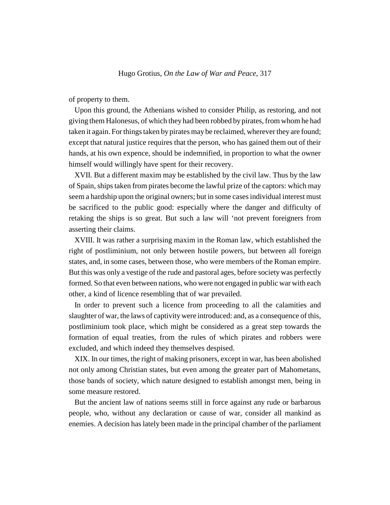of property to them.

Upon this ground, the Athenians wished to consider Philip, as restoring, and not giving them Halonesus, of which they had been robbed by pirates, from whom he had taken it again. For things taken by pirates may be reclaimed, wherever they are found; except that natural justice requires that the person, who has gained them out of their hands, at his own expence, should be indemnified, in proportion to what the owner himself would willingly have spent for their recovery.

XVII. But a different maxim may be established by the civil law. Thus by the law of Spain, ships taken from pirates become the lawful prize of the captors: which may seem a hardship upon the original owners; but in some cases individual interest must be sacrificed to the public good: especially where the danger and difficulty of retaking the ships is so great. But such a law will 'not prevent foreigners from asserting their claims.

XVIII. It was rather a surprising maxim in the Roman law, which established the right of postliminium, not only between hostile powers, but between all foreign states, and, in some cases, between those, who were members of the Roman empire. But this was only a vestige of the rude and pastoral ages, before society was perfectly formed. So that even between nations, who were not engaged in public war with each other, a kind of licence resembling that of war prevailed.

In order to prevent such a licence from proceeding to all the calamities and slaughter of war, the laws of captivity were introduced: and, as a consequence of this, postliminium took place, which might be considered as a great step towards the formation of equal treaties, from the rules of which pirates and robbers were excluded, and which indeed they themselves despised.

XIX. In our times, the right of making prisoners, except in war, has been abolished not only among Christian states, but even among the greater part of Mahometans, those bands of society, which nature designed to establish amongst men, being in some measure restored.

But the ancient law of nations seems still in force against any rude or barbarous people, who, without any declaration or cause of war, consider all mankind as enemies. A decision has lately been made in the principal chamber of the parliament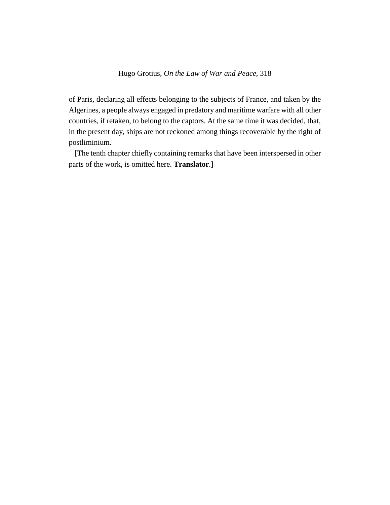of Paris, declaring all effects belonging to the subjects of France, and taken by the Algerines, a people always engaged in predatory and maritime warfare with all other countries, if retaken, to belong to the captors. At the same time it was decided, that, in the present day, ships are not reckoned among things recoverable by the right of postliminium.

[The tenth chapter chiefly containing remarks that have been interspersed in other parts of the work, is omitted here. **Translator**.]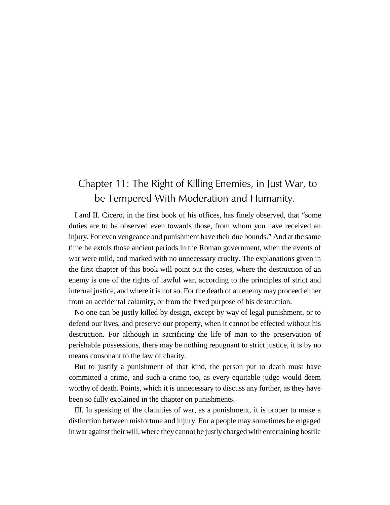# Chapter 11: The Right of Killing Enemies, in Just War, to be Tempered With Moderation and Humanity.

I and II. Cicero, in the first book of his offices, has finely observed, that "some duties are to be observed even towards those, from whom you have received an injury. For even vengeance and punishment have their due bounds." And at the same time he extols those ancient periods in the Roman government, when the events of war were mild, and marked with no unnecessary cruelty. The explanations given in the first chapter of this book will point out the cases, where the destruction of an enemy is one of the rights of lawful war, according to the principles of strict and internal justice, and where it is not so. For the death of an enemy may proceed either from an accidental calamity, or from the fixed purpose of his destruction.

No one can be justly killed by design, except by way of legal punishment, or to defend our lives, and preserve our property, when it cannot be effected without his destruction. For although in sacrificing the life of man to the preservation of perishable possessions, there may be nothing repugnant to strict justice, it is by no means consonant to the law of charity.

But to justify a punishment of that kind, the person put to death must have committed a crime, and such a crime too, as every equitable judge would deem worthy of death. Points, which it is unnecessary to discuss any further, as they have been so fully explained in the chapter on punishments.

III. In speaking of the clamities of war, as a punishment, it is proper to make a distinction between misfortune and injury. For a people may sometimes be engaged in war against their will, where they cannot be justly charged with entertaining hostile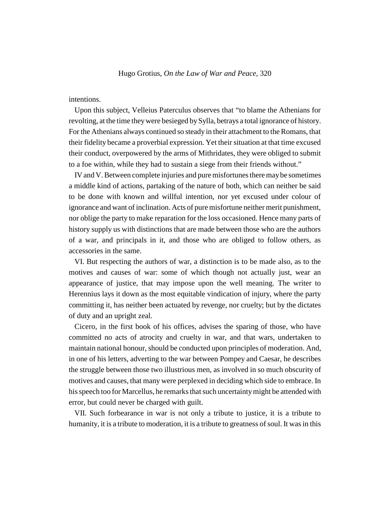### intentions.

Upon this subject, Velleius Paterculus observes that "to blame the Athenians for revolting, at the time they were besieged by Sylla, betrays a total ignorance of history. For the Athenians always continued so steady in their attachment to the Romans, that their fidelity became a proverbial expression. Yet their situation at that time excused their conduct, overpowered by the arms of Mithridates, they were obliged to submit to a foe within, while they had to sustain a siege from their friends without."

IV and V. Between complete injuries and pure misfortunes there may be sometimes a middle kind of actions, partaking of the nature of both, which can neither be said to be done with known and willful intention, nor yet excused under colour of ignorance and want of inclination. Acts of pure misfortune neither merit punishment, nor oblige the party to make reparation for the loss occasioned. Hence many parts of history supply us with distinctions that are made between those who are the authors of a war, and principals in it, and those who are obliged to follow others, as accessories in the same.

VI. But respecting the authors of war, a distinction is to be made also, as to the motives and causes of war: some of which though not actually just, wear an appearance of justice, that may impose upon the well meaning. The writer to Herennius lays it down as the most equitable vindication of injury, where the party committing it, has neither been actuated by revenge, nor cruelty; but by the dictates of duty and an upright zeal.

Cicero, in the first book of his offices, advises the sparing of those, who have committed no acts of atrocity and cruelty in war, and that wars, undertaken to maintain national honour, should be conducted upon principles of moderation. And, in one of his letters, adverting to the war between Pompey and Caesar, he describes the struggle between those two illustrious men, as involved in so much obscurity of motives and causes, that many were perplexed in deciding which side to embrace. In his speech too for Marcellus, he remarks that such uncertainty might be attended with error, but could never be charged with guilt.

VII. Such forbearance in war is not only a tribute to justice, it is a tribute to humanity, it is a tribute to moderation, it is a tribute to greatness of soul. It was in this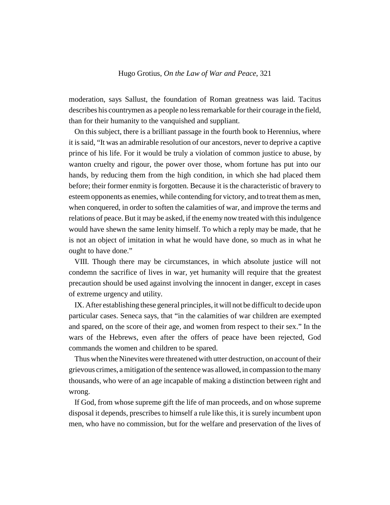moderation, says Sallust, the foundation of Roman greatness was laid. Tacitus describes his countrymen as a people no less remarkable for their courage in the field, than for their humanity to the vanquished and suppliant.

On this subject, there is a brilliant passage in the fourth book to Herennius, where it is said, "It was an admirable resolution of our ancestors, never to deprive a captive prince of his life. For it would be truly a violation of common justice to abuse, by wanton cruelty and rigour, the power over those, whom fortune has put into our hands, by reducing them from the high condition, in which she had placed them before; their former enmity is forgotten. Because it is the characteristic of bravery to esteem opponents as enemies, while contending for victory, and to treat them as men, when conquered, in order to soften the calamities of war, and improve the terms and relations of peace. But it may be asked, if the enemy now treated with this indulgence would have shewn the same lenity himself. To which a reply may be made, that he is not an object of imitation in what he would have done, so much as in what he ought to have done."

VIII. Though there may be circumstances, in which absolute justice will not condemn the sacrifice of lives in war, yet humanity will require that the greatest precaution should be used against involving the innocent in danger, except in cases of extreme urgency and utility.

IX. After establishing these general principles, it will not be difficult to decide upon particular cases. Seneca says, that "in the calamities of war children are exempted and spared, on the score of their age, and women from respect to their sex." In the wars of the Hebrews, even after the offers of peace have been rejected, God commands the women and children to be spared.

Thus when the Ninevites were threatened with utter destruction, on account of their grievous crimes, a mitigation of the sentence was allowed, in compassion to the many thousands, who were of an age incapable of making a distinction between right and wrong.

If God, from whose supreme gift the life of man proceeds, and on whose supreme disposal it depends, prescribes to himself a rule like this, it is surely incumbent upon men, who have no commission, but for the welfare and preservation of the lives of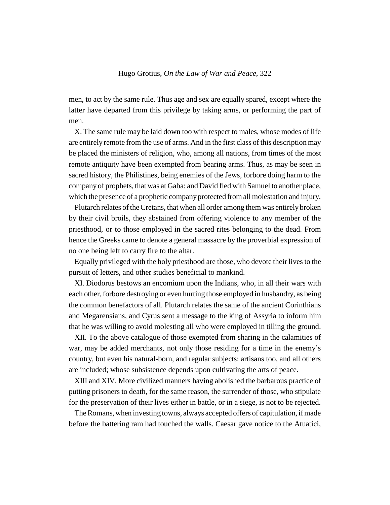men, to act by the same rule. Thus age and sex are equally spared, except where the latter have departed from this privilege by taking arms, or performing the part of men.

X. The same rule may be laid down too with respect to males, whose modes of life are entirely remote from the use of arms. And in the first class of this description may be placed the ministers of religion, who, among all nations, from times of the most remote antiquity have been exempted from bearing arms. Thus, as may be seen in sacred history, the Philistines, being enemies of the Jews, forbore doing harm to the company of prophets, that was at Gaba: and David fled with Samuel to another place, which the presence of a prophetic company protected from all molestation and injury.

Plutarch relates of the Cretans, that when all order among them was entirely broken by their civil broils, they abstained from offering violence to any member of the priesthood, or to those employed in the sacred rites belonging to the dead. From hence the Greeks came to denote a general massacre by the proverbial expression of no one being left to carry fire to the altar.

Equally privileged with the holy priesthood are those, who devote their lives to the pursuit of letters, and other studies beneficial to mankind.

XI. Diodorus bestows an encomium upon the Indians, who, in all their wars with each other, forbore destroying or even hurting those employed in husbandry, as being the common benefactors of all. Plutarch relates the same of the ancient Corinthians and Megarensians, and Cyrus sent a message to the king of Assyria to inform him that he was willing to avoid molesting all who were employed in tilling the ground.

XII. To the above catalogue of those exempted from sharing in the calamities of war, may be added merchants, not only those residing for a time in the enemy's country, but even his natural-born, and regular subjects: artisans too, and all others are included; whose subsistence depends upon cultivating the arts of peace.

XIII and XIV. More civilized manners having abolished the barbarous practice of putting prisoners to death, for the same reason, the surrender of those, who stipulate for the preservation of their lives either in battle, or in a siege, is not to be rejected.

The Romans, when investing towns, always accepted offers of capitulation, if made before the battering ram had touched the walls. Caesar gave notice to the Atuatici,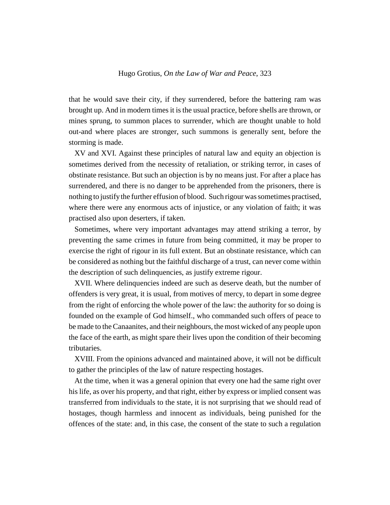that he would save their city, if they surrendered, before the battering ram was brought up. And in modern times it is the usual practice, before shells are thrown, or mines sprung, to summon places to surrender, which are thought unable to hold out-and where places are stronger, such summons is generally sent, before the storming is made.

XV and XVI. Against these principles of natural law and equity an objection is sometimes derived from the necessity of retaliation, or striking terror, in cases of obstinate resistance. But such an objection is by no means just. For after a place has surrendered, and there is no danger to be apprehended from the prisoners, there is nothing to justify the further effusion of blood. Such rigour was sometimes practised, where there were any enormous acts of injustice, or any violation of faith; it was practised also upon deserters, if taken.

Sometimes, where very important advantages may attend striking a terror, by preventing the same crimes in future from being committed, it may be proper to exercise the right of rigour in its full extent. But an obstinate resistance, which can be considered as nothing but the faithful discharge of a trust, can never come within the description of such delinquencies, as justify extreme rigour.

XVII. Where delinquencies indeed are such as deserve death, but the number of offenders is very great, it is usual, from motives of mercy, to depart in some degree from the right of enforcing the whole power of the law: the authority for so doing is founded on the example of God himself., who commanded such offers of peace to be made to the Canaanites, and their neighbours, the most wicked of any people upon the face of the earth, as might spare their lives upon the condition of their becoming tributaries.

XVIII. From the opinions advanced and maintained above, it will not be difficult to gather the principles of the law of nature respecting hostages.

At the time, when it was a general opinion that every one had the same right over his life, as over his property, and that right, either by express or implied consent was transferred from individuals to the state, it is not surprising that we should read of hostages, though harmless and innocent as individuals, being punished for the offences of the state: and, in this case, the consent of the state to such a regulation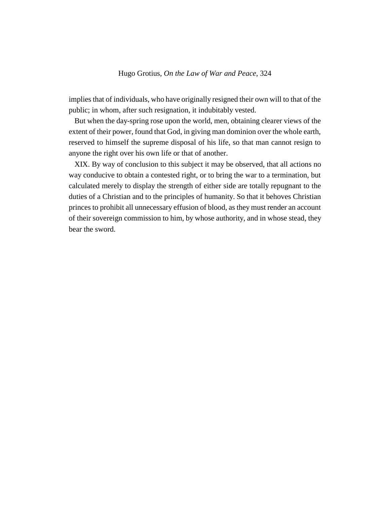implies that of individuals, who have originally resigned their own will to that of the public; in whom, after such resignation, it indubitably vested.

But when the day-spring rose upon the world, men, obtaining clearer views of the extent of their power, found that God, in giving man dominion over the whole earth, reserved to himself the supreme disposal of his life, so that man cannot resign to anyone the right over his own life or that of another.

XIX. By way of conclusion to this subject it may be observed, that all actions no way conducive to obtain a contested right, or to bring the war to a termination, but calculated merely to display the strength of either side are totally repugnant to the duties of a Christian and to the principles of humanity. So that it behoves Christian princes to prohibit all unnecessary effusion of blood, as they must render an account of their sovereign commission to him, by whose authority, and in whose stead, they bear the sword.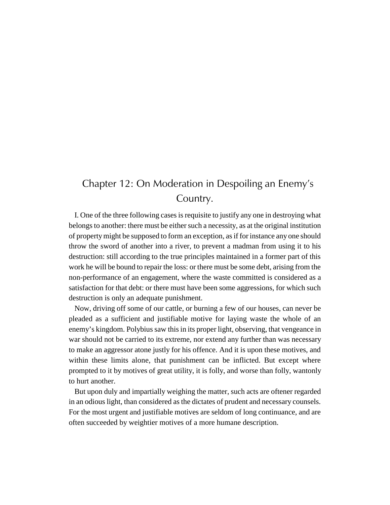## Chapter 12: On Moderation in Despoiling an Enemy's Country.

I. One of the three following cases is requisite to justify any one in destroying what belongs to another: there must be either such a necessity, as at the original institution of property might be supposed to form an exception, as if for instance any one should throw the sword of another into a river, to prevent a madman from using it to his destruction: still according to the true principles maintained in a former part of this work he will be bound to repair the loss: or there must be some debt, arising from the non-performance of an engagement, where the waste committed is considered as a satisfaction for that debt: or there must have been some aggressions, for which such destruction is only an adequate punishment.

Now, driving off some of our cattle, or burning a few of our houses, can never be pleaded as a sufficient and justifiable motive for laying waste the whole of an enemy's kingdom. Polybius saw this in its proper light, observing, that vengeance in war should not be carried to its extreme, nor extend any further than was necessary to make an aggressor atone justly for his offence. And it is upon these motives, and within these limits alone, that punishment can be inflicted. But except where prompted to it by motives of great utility, it is folly, and worse than folly, wantonly to hurt another.

But upon duly and impartially weighing the matter, such acts are oftener regarded in an odious light, than considered as the dictates of prudent and necessary counsels. For the most urgent and justifiable motives are seldom of long continuance, and are often succeeded by weightier motives of a more humane description.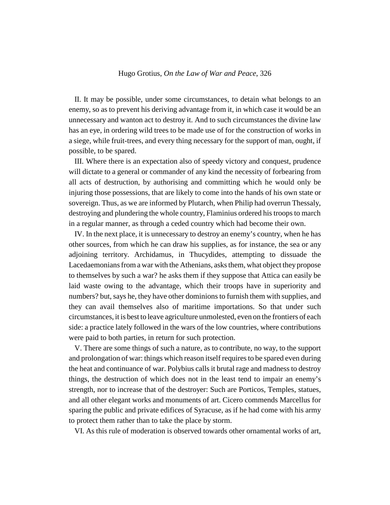II. It may be possible, under some circumstances, to detain what belongs to an enemy, so as to prevent his deriving advantage from it, in which case it would be an unnecessary and wanton act to destroy it. And to such circumstances the divine law has an eye, in ordering wild trees to be made use of for the construction of works in a siege, while fruit-trees, and every thing necessary for the support of man, ought, if possible, to be spared.

III. Where there is an expectation also of speedy victory and conquest, prudence will dictate to a general or commander of any kind the necessity of forbearing from all acts of destruction, by authorising and committing which he would only be injuring those possessions, that are likely to come into the hands of his own state or sovereign. Thus, as we are informed by Plutarch, when Philip had overrun Thessaly, destroying and plundering the whole country, Flaminius ordered his troops to march in a regular manner, as through a ceded country which had become their own.

IV. In the next place, it is unnecessary to destroy an enemy's country, when he has other sources, from which he can draw his supplies, as for instance, the sea or any adjoining territory. Archidamus, in Thucydides, attempting to dissuade the Lacedaemonians from a war with the Athenians, asks them, what object they propose to themselves by such a war? he asks them if they suppose that Attica can easily be laid waste owing to the advantage, which their troops have in superiority and numbers? but, says he, they have other dominions to furnish them with supplies, and they can avail themselves also of maritime importations. So that under such circumstances, it is best to leave agriculture unmolested, even on the frontiers of each side: a practice lately followed in the wars of the low countries, where contributions were paid to both parties, in return for such protection.

V. There are some things of such a nature, as to contribute, no way, to the support and prolongation of war: things which reason itself requires to be spared even during the heat and continuance of war. Polybius calls it brutal rage and madness to destroy things, the destruction of which does not in the least tend to impair an enemy's strength, nor to increase that of the destroyer: Such are Porticos, Temples, statues, and all other elegant works and monuments of art. Cicero commends Marcellus for sparing the public and private edifices of Syracuse, as if he had come with his army to protect them rather than to take the place by storm.

VI. As this rule of moderation is observed towards other ornamental works of art,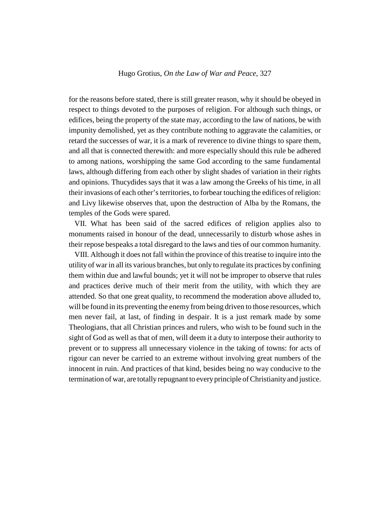for the reasons before stated, there is still greater reason, why it should be obeyed in respect to things devoted to the purposes of religion. For although such things, or edifices, being the property of the state may, according to the law of nations, be with impunity demolished, yet as they contribute nothing to aggravate the calamities, or retard the successes of war, it is a mark of reverence to divine things to spare them, and all that is connected therewith: and more especially should this rule be adhered to among nations, worshipping the same God according to the same fundamental laws, although differing from each other by slight shades of variation in their rights and opinions. Thucydides says that it was a law among the Greeks of his time, in all their invasions of each other's territories, to forbear touching the edifices of religion: and Livy likewise observes that, upon the destruction of Alba by the Romans, the temples of the Gods were spared.

VII. What has been said of the sacred edifices of religion applies also to monuments raised in honour of the dead, unnecessarily to disturb whose ashes in their repose bespeaks a total disregard to the laws and ties of our common humanity.

VIII. Although it does not fall within the province of this treatise to inquire into the utility of war in all its various branches, but only to regulate its practices by confining them within due and lawful bounds; yet it will not be improper to observe that rules and practices derive much of their merit from the utility, with which they are attended. So that one great quality, to recommend the moderation above alluded to, will be found in its preventing the enemy from being driven to those resources, which men never fail, at last, of finding in despair. It is a just remark made by some Theologians, that all Christian princes and rulers, who wish to be found such in the sight of God as well as that of men, will deem it a duty to interpose their authority to prevent or to suppress all unnecessary violence in the taking of towns: for acts of rigour can never be carried to an extreme without involving great numbers of the innocent in ruin. And practices of that kind, besides being no way conducive to the termination of war, are totally repugnant to every principle of Christianity and justice.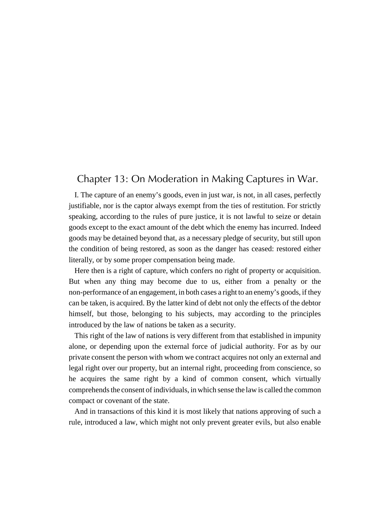### Chapter 13: On Moderation in Making Captures in War.

I. The capture of an enemy's goods, even in just war, is not, in all cases, perfectly justifiable, nor is the captor always exempt from the ties of restitution. For strictly speaking, according to the rules of pure justice, it is not lawful to seize or detain goods except to the exact amount of the debt which the enemy has incurred. Indeed goods may be detained beyond that, as a necessary pledge of security, but still upon the condition of being restored, as soon as the danger has ceased: restored either literally, or by some proper compensation being made.

Here then is a right of capture, which confers no right of property or acquisition. But when any thing may become due to us, either from a penalty or the non-performance of an engagement, in both cases a right to an enemy's goods, if they can be taken, is acquired. By the latter kind of debt not only the effects of the debtor himself, but those, belonging to his subjects, may according to the principles introduced by the law of nations be taken as a security.

This right of the law of nations is very different from that established in impunity alone, or depending upon the external force of judicial authority. For as by our private consent the person with whom we contract acquires not only an external and legal right over our property, but an internal right, proceeding from conscience, so he acquires the same right by a kind of common consent, which virtually comprehends the consent of individuals, in which sense the law is called the common compact or covenant of the state.

And in transactions of this kind it is most likely that nations approving of such a rule, introduced a law, which might not only prevent greater evils, but also enable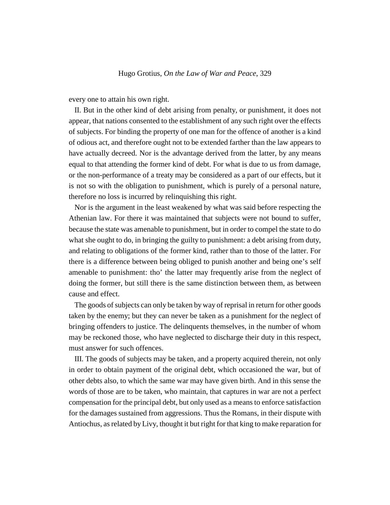every one to attain his own right.

II. But in the other kind of debt arising from penalty, or punishment, it does not appear, that nations consented to the establishment of any such right over the effects of subjects. For binding the property of one man for the offence of another is a kind of odious act, and therefore ought not to be extended farther than the law appears to have actually decreed. Nor is the advantage derived from the latter, by any means equal to that attending the former kind of debt. For what is due to us from damage, or the non-performance of a treaty may be considered as a part of our effects, but it is not so with the obligation to punishment, which is purely of a personal nature, therefore no loss is incurred by relinquishing this right.

Nor is the argument in the least weakened by what was said before respecting the Athenian law. For there it was maintained that subjects were not bound to suffer, because the state was amenable to punishment, but in order to compel the state to do what she ought to do, in bringing the guilty to punishment: a debt arising from duty, and relating to obligations of the former kind, rather than to those of the latter. For there is a difference between being obliged to punish another and being one's self amenable to punishment: tho' the latter may frequently arise from the neglect of doing the former, but still there is the same distinction between them, as between cause and effect.

The goods of subjects can only be taken by way of reprisal in return for other goods taken by the enemy; but they can never be taken as a punishment for the neglect of bringing offenders to justice. The delinquents themselves, in the number of whom may be reckoned those, who have neglected to discharge their duty in this respect, must answer for such offences.

III. The goods of subjects may be taken, and a property acquired therein, not only in order to obtain payment of the original debt, which occasioned the war, but of other debts also, to which the same war may have given birth. And in this sense the words of those are to be taken, who maintain, that captures in war are not a perfect compensation for the principal debt, but only used as a means to enforce satisfaction for the damages sustained from aggressions. Thus the Romans, in their dispute with Antiochus, as related by Livy, thought it but right for that king to make reparation for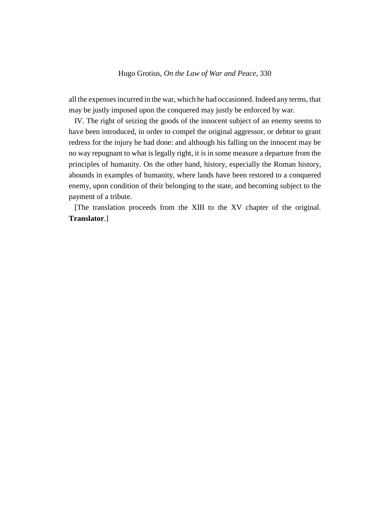all the expenses incurred in the war, which he had occasioned. Indeed any terms, that may be justly imposed upon the conquered may justly be enforced by war.

IV. The right of seizing the goods of the innocent subject of an enemy seems to have been introduced, in order to compel the original aggressor, or debtor to grant redress for the injury he had done: and although his falling on the innocent may be no way repugnant to what is legally right, it is in some measure a departure from the principles of humanity. On the other hand, history, especially the Roman history, abounds in examples of humanity, where lands have been restored to a conquered enemy, upon condition of their belonging to the state, and becoming subject to the payment of a tribute.

[The translation proceeds from the XIII to the XV chapter of the original. **Translator**.]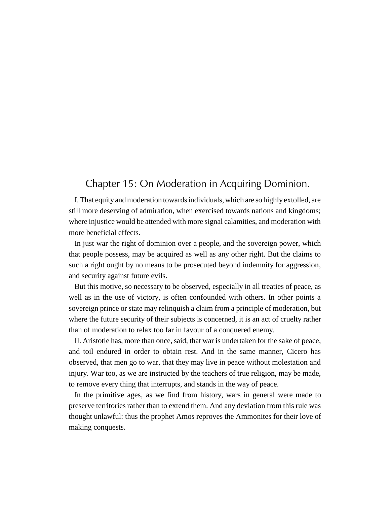### Chapter 15: On Moderation in Acquiring Dominion.

I. That equity and moderation towards individuals, which are so highly extolled, are still more deserving of admiration, when exercised towards nations and kingdoms; where injustice would be attended with more signal calamities, and moderation with more beneficial effects.

In just war the right of dominion over a people, and the sovereign power, which that people possess, may be acquired as well as any other right. But the claims to such a right ought by no means to be prosecuted beyond indemnity for aggression, and security against future evils.

But this motive, so necessary to be observed, especially in all treaties of peace, as well as in the use of victory, is often confounded with others. In other points a sovereign prince or state may relinquish a claim from a principle of moderation, but where the future security of their subjects is concerned, it is an act of cruelty rather than of moderation to relax too far in favour of a conquered enemy.

II. Aristotle has, more than once, said, that war is undertaken for the sake of peace, and toil endured in order to obtain rest. And in the same manner, Cicero has observed, that men go to war, that they may live in peace without molestation and injury. War too, as we are instructed by the teachers of true religion, may be made, to remove every thing that interrupts, and stands in the way of peace.

In the primitive ages, as we find from history, wars in general were made to preserve territories rather than to extend them. And any deviation from this rule was thought unlawful: thus the prophet Amos reproves the Ammonites for their love of making conquests.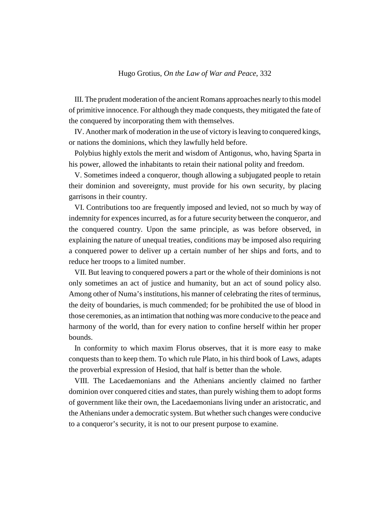III. The prudent moderation of the ancient Romans approaches nearly to this model of primitive innocence. For although they made conquests, they mitigated the fate of the conquered by incorporating them with themselves.

IV. Another mark of moderation in the use of victory is leaving to conquered kings, or nations the dominions, which they lawfully held before.

Polybius highly extols the merit and wisdom of Antigonus, who, having Sparta in his power, allowed the inhabitants to retain their national polity and freedom.

V. Sometimes indeed a conqueror, though allowing a subjugated people to retain their dominion and sovereignty, must provide for his own security, by placing garrisons in their country.

VI. Contributions too are frequently imposed and levied, not so much by way of indemnity for expences incurred, as for a future security between the conqueror, and the conquered country. Upon the same principle, as was before observed, in explaining the nature of unequal treaties, conditions may be imposed also requiring a conquered power to deliver up a certain number of her ships and forts, and to reduce her troops to a limited number.

VII. But leaving to conquered powers a part or the whole of their dominions is not only sometimes an act of justice and humanity, but an act of sound policy also. Among other of Numa's institutions, his manner of celebrating the rites of terminus, the deity of boundaries, is much commended; for be prohibited the use of blood in those ceremonies, as an intimation that nothing was more conducive to the peace and harmony of the world, than for every nation to confine herself within her proper bounds.

In conformity to which maxim Florus observes, that it is more easy to make conquests than to keep them. To which rule Plato, in his third book of Laws, adapts the proverbial expression of Hesiod, that half is better than the whole.

VIII. The Lacedaemonians and the Athenians anciently claimed no farther dominion over conquered cities and states, than purely wishing them to adopt forms of government like their own, the Lacedaemonians living under an aristocratic, and the Athenians under a democratic system. But whether such changes were conducive to a conqueror's security, it is not to our present purpose to examine.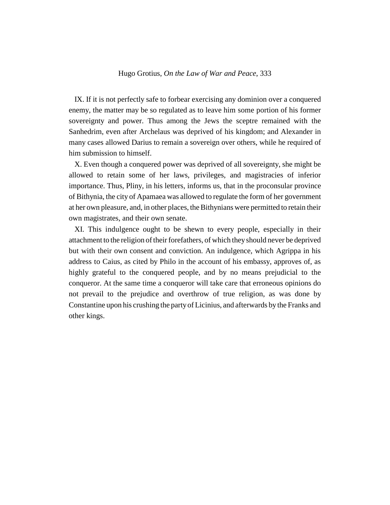IX. If it is not perfectly safe to forbear exercising any dominion over a conquered enemy, the matter may be so regulated as to leave him some portion of his former sovereignty and power. Thus among the Jews the sceptre remained with the Sanhedrim, even after Archelaus was deprived of his kingdom; and Alexander in many cases allowed Darius to remain a sovereign over others, while he required of him submission to himself.

X. Even though a conquered power was deprived of all sovereignty, she might be allowed to retain some of her laws, privileges, and magistracies of inferior importance. Thus, Pliny, in his letters, informs us, that in the proconsular province of Bithynia, the city of Apamaea was allowed to regulate the form of her government at her own pleasure, and, in other places, the Bithynians were permitted to retain their own magistrates, and their own senate.

XI. This indulgence ought to be shewn to every people, especially in their attachment to the religion of their forefathers, of which they should never be deprived but with their own consent and conviction. An indulgence, which Agrippa in his address to Caius, as cited by Philo in the account of his embassy, approves of, as highly grateful to the conquered people, and by no means prejudicial to the conqueror. At the same time a conqueror will take care that erroneous opinions do not prevail to the prejudice and overthrow of true religion, as was done by Constantine upon his crushing the party of Licinius, and afterwards by the Franks and other kings.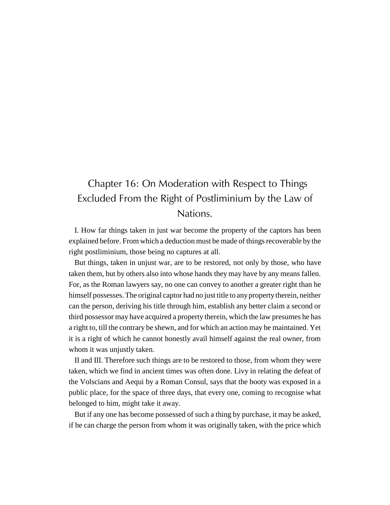# Chapter 16: On Moderation with Respect to Things Excluded From the Right of Postliminium by the Law of Nations.

I. How far things taken in just war become the property of the captors has been explained before. From which a deduction must be made of things recoverable by the right postliminium, those being no captures at all.

But things, taken in unjust war, are to be restored, not only by those, who have taken them, but by others also into whose hands they may have by any means fallen. For, as the Roman lawyers say, no one can convey to another a greater right than he himself possesses. The original captor had no just title to any property therein, neither can the person, deriving his title through him, establish any better claim a second or third possessor may have acquired a property therein, which the law presumes he has a right to, till the contrary be shewn, and for which an action may be maintained. Yet it is a right of which he cannot honestly avail himself against the real owner, from whom it was unjustly taken.

II and III. Therefore such things are to be restored to those, from whom they were taken, which we find in ancient times was often done. Livy in relating the defeat of the Volscians and Aequi by a Roman Consul, says that the booty was exposed in a public place, for the space of three days, that every one, coming to recognise what belonged to him, might take it away.

But if any one has become possessed of such a thing by purchase, it may be asked, if he can charge the person from whom it was originally taken, with the price which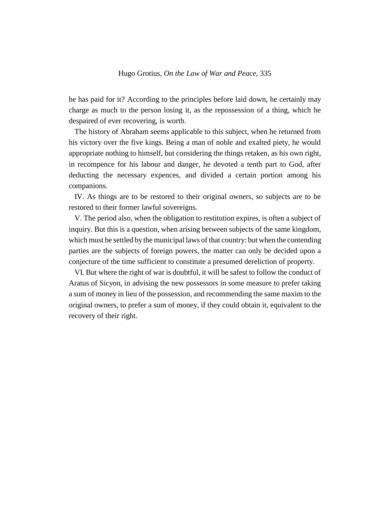he has paid for it? According to the principles before laid down, he certainly may charge as much to the person losing it, as the repossession of a thing, which he despaired of ever recovering, is worth.

The history of Abraham seems applicable to this subject, when he returned from his victory over the five kings. Being a man of noble and exalted piety, he would appropriate nothing to himself, but considering the things retaken, as his own right, in recompence for his labour and danger, he devoted a tenth part to God, after deducting the necessary expences, and divided a certain portion among his companions.

IV. As things are to be restored to their original owners, so subjects are to be restored to their former lawful sovereigns.

V. The period also, when the obligation to restitution expires, is often a subject of inquiry. But this is a question, when arising between subjects of the same kingdom, which must be settled by the municipal laws of that country: but when the contending parties are the subjects of foreign powers, the matter can only be decided upon a conjecture of the time sufficient to constitute a presumed dereliction of property.

VI. But where the right of war is doubtful, it will be safest to follow the conduct of Aratus of Sicyon, in advising the new possessors in some measure to prefer taking a sum of money in lieu of the possession, and recommending the same maxim to the original owners, to prefer a sum of money, if they could obtain it, equivalent to the recovery of their right.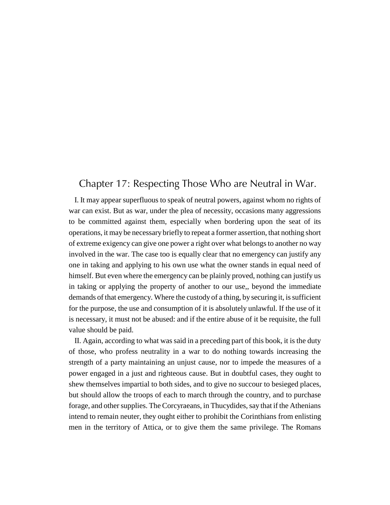### Chapter 17: Respecting Those Who are Neutral in War.

I. It may appear superfluous to speak of neutral powers, against whom no rights of war can exist. But as war, under the plea of necessity, occasions many aggressions to be committed against them, especially when bordering upon the seat of its operations, it may be necessary briefly to repeat a former assertion, that nothing short of extreme exigency can give one power a right over what belongs to another no way involved in the war. The case too is equally clear that no emergency can justify any one in taking and applying to his own use what the owner stands in equal need of himself. But even where the emergency can be plainly proved, nothing can justify us in taking or applying the property of another to our use,, beyond the immediate demands of that emergency. Where the custody of a thing, by securing it, is sufficient for the purpose, the use and consumption of it is absolutely unlawful. If the use of it is necessary, it must not be abused: and if the entire abuse of it be requisite, the full value should be paid.

II. Again, according to what was said in a preceding part of this book, it is the duty of those, who profess neutrality in a war to do nothing towards increasing the strength of a party maintaining an unjust cause, nor to impede the measures of a power engaged in a just and righteous cause. But in doubtful cases, they ought to shew themselves impartial to both sides, and to give no succour to besieged places, but should allow the troops of each to march through the country, and to purchase forage, and other supplies. The Corcyraeans, in Thucydides, say that if the Athenians intend to remain neuter, they ought either to prohibit the Corinthians from enlisting men in the territory of Attica, or to give them the same privilege. The Romans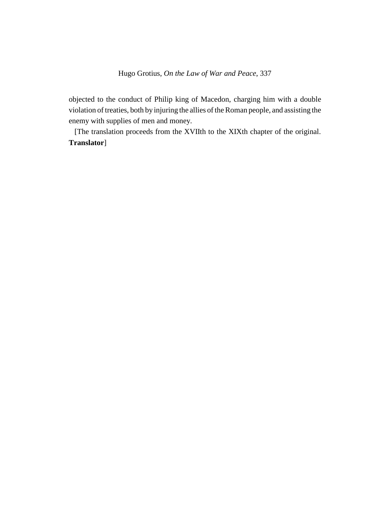objected to the conduct of Philip king of Macedon, charging him with a double violation of treaties, both by injuring the allies of the Roman people, and assisting the enemy with supplies of men and money.

[The translation proceeds from the XVIIth to the XIXth chapter of the original. **Translator**]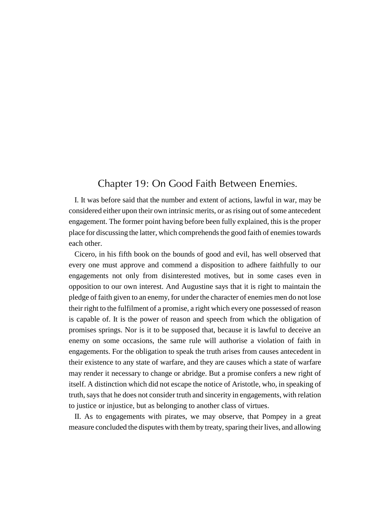### Chapter 19: On Good Faith Between Enemies.

I. It was before said that the number and extent of actions, lawful in war, may be considered either upon their own intrinsic merits, or as rising out of some antecedent engagement. The former point having before been fully explained, this is the proper place for discussing the latter, which comprehends the good faith of enemies towards each other.

Cicero, in his fifth book on the bounds of good and evil, has well observed that every one must approve and commend a disposition to adhere faithfully to our engagements not only from disinterested motives, but in some cases even in opposition to our own interest. And Augustine says that it is right to maintain the pledge of faith given to an enemy, for under the character of enemies men do not lose their right to the fulfilment of a promise, a right which every one possessed of reason is capable of. It is the power of reason and speech from which the obligation of promises springs. Nor is it to be supposed that, because it is lawful to deceive an enemy on some occasions, the same rule will authorise a violation of faith in engagements. For the obligation to speak the truth arises from causes antecedent in their existence to any state of warfare, and they are causes which a state of warfare may render it necessary to change or abridge. But a promise confers a new right of itself. A distinction which did not escape the notice of Aristotle, who, in speaking of truth, says that he does not consider truth and sincerity in engagements, with relation to justice or injustice, but as belonging to another class of virtues.

II. As to engagements with pirates, we may observe, that Pompey in a great measure concluded the disputes with them by treaty, sparing their lives, and allowing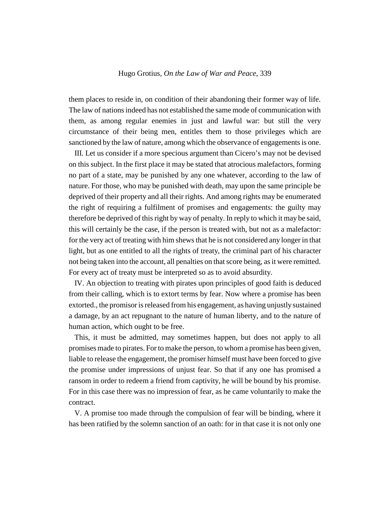them places to reside in, on condition of their abandoning their former way of life. The law of nations indeed has not established the same mode of communication with them, as among regular enemies in just and lawful war: but still the very circumstance of their being men, entitles them to those privileges which are sanctioned by the law of nature, among which the observance of engagements is one.

III. Let us consider if a more specious argument than Cicero's may not be devised on this subject. In the first place it may be stated that atrocious malefactors, forming no part of a state, may be punished by any one whatever, according to the law of nature. For those, who may be punished with death, may upon the same principle be deprived of their property and all their rights. And among rights may be enumerated the right of requiring a fulfilment of promises and engagements: the guilty may therefore be deprived of this right by way of penalty. In reply to which it may be said, this will certainly be the case, if the person is treated with, but not as a malefactor: for the very act of treating with him shews that he is not considered any longer in that light, but as one entitled to all the rights of treaty, the criminal part of his character not being taken into the account, all penalties on that score being, as it were remitted. For every act of treaty must be interpreted so as to avoid absurdity.

IV. An objection to treating with pirates upon principles of good faith is deduced from their calling, which is to extort terms by fear. Now where a promise has been extorted., the promisor is released from his engagement, as having unjustly sustained a damage, by an act repugnant to the nature of human liberty, and to the nature of human action, which ought to be free.

This, it must be admitted, may sometimes happen, but does not apply to all promises made to pirates. For to make the person, to whom a promise has been given, liable to release the engagement, the promiser himself must have been forced to give the promise under impressions of unjust fear. So that if any one has promised a ransom in order to redeem a friend from captivity, he will be bound by his promise. For in this case there was no impression of fear, as he came voluntarily to make the contract.

V. A promise too made through the compulsion of fear will be binding, where it has been ratified by the solemn sanction of an oath: for in that case it is not only one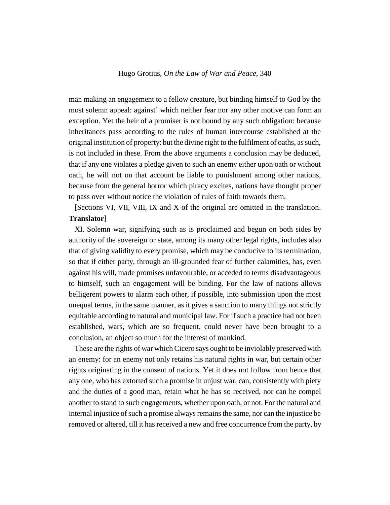man making an engagement to a fellow creature, but binding himself to God by the most solemn appeal: against' which neither fear nor any other motive can form an exception. Yet the heir of a promiser is not bound by any such obligation: because inheritances pass according to the rules of human intercourse established at the original institution of property: but the divine right to the fulfilment of oaths, as such, is not included in these. From the above arguments a conclusion may be deduced, that if any one violates a pledge given to such an enemy either upon oath or without oath, he will not on that account be liable to punishment among other nations, because from the general horror which piracy excites, nations have thought proper to pass over without notice the violation of rules of faith towards them.

[Sections VI, VII, VIII, IX and X of the original are omitted in the translation. **Translator**]

XI. Solemn war, signifying such as is proclaimed and begun on both sides by authority of the sovereign or state, among its many other legal rights, includes also that of giving validity to every promise, which may be conducive to its termination, so that if either party, through an ill-grounded fear of further calamities, has, even against his will, made promises unfavourable, or acceded to terms disadvantageous to himself, such an engagement will be binding. For the law of nations allows belligerent powers to alarm each other, if possible, into submission upon the most unequal terms, in the same manner, as it gives a sanction to many things not strictly equitable according to natural and municipal law. For if such a practice had not been established, wars, which are so frequent, could never have been brought to a conclusion, an object so much for the interest of mankind.

These are the rights of war which Cicero says ought to be inviolably preserved with an enemy: for an enemy not only retains his natural rights in war, but certain other rights originating in the consent of nations. Yet it does not follow from hence that any one, who has extorted such a promise in unjust war, can, consistently with piety and the duties of a good man, retain what he has so received, nor can he compel another to stand to such engagements, whether upon oath, or not. For the natural and internal injustice of such a promise always remains the same, nor can the injustice be removed or altered, till it has received a new and free concurrence from the party, by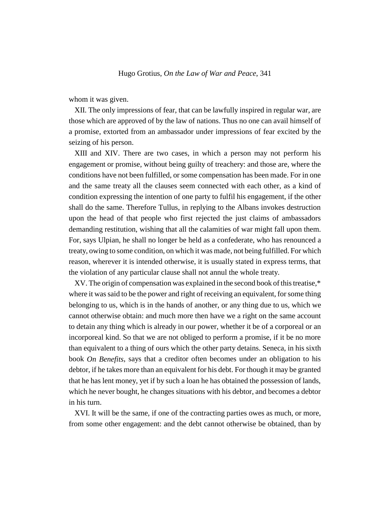whom it was given.

XII. The only impressions of fear, that can be lawfully inspired in regular war, are those which are approved of by the law of nations. Thus no one can avail himself of a promise, extorted from an ambassador under impressions of fear excited by the seizing of his person.

XIII and XIV. There are two cases, in which a person may not perform his engagement or promise, without being guilty of treachery: and those are, where the conditions have not been fulfilled, or some compensation has been made. For in one and the same treaty all the clauses seem connected with each other, as a kind of condition expressing the intention of one party to fulfil his engagement, if the other shall do the same. Therefore Tullus, in replying to the Albans invokes destruction upon the head of that people who first rejected the just claims of ambassadors demanding restitution, wishing that all the calamities of war might fall upon them. For, says Ulpian, he shall no longer be held as a confederate, who has renounced a treaty, owing to some condition, on which it was made, not being fulfilled. For which reason, wherever it is intended otherwise, it is usually stated in express terms, that the violation of any particular clause shall not annul the whole treaty.

XV. The origin of compensation was explained in the second book of this treatise,\* where it was said to be the power and right of receiving an equivalent, for some thing belonging to us, which is in the hands of another, or any thing due to us, which we cannot otherwise obtain: and much more then have we a right on the same account to detain any thing which is already in our power, whether it be of a corporeal or an incorporeal kind. So that we are not obliged to perform a promise, if it be no more than equivalent to a thing of ours which the other party detains. Seneca, in his sixth book *On Benefits*, says that a creditor often becomes under an obligation to his debtor, if he takes more than an equivalent for his debt. For though it may be granted that he has lent money, yet if by such a loan he has obtained the possession of lands, which he never bought, he changes situations with his debtor, and becomes a debtor in his turn.

XVI. It will be the same, if one of the contracting parties owes as much, or more, from some other engagement: and the debt cannot otherwise be obtained, than by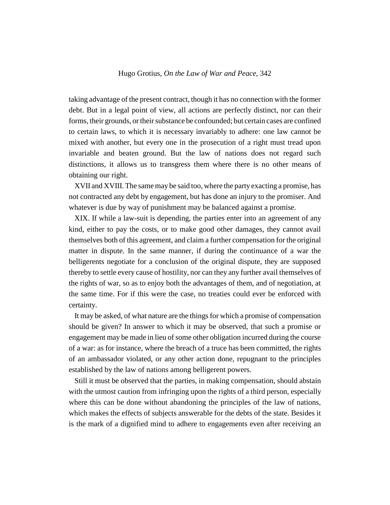taking advantage of the present contract, though it has no connection with the former debt. But in a legal point of view, all actions are perfectly distinct, nor can their forms, their grounds, or their substance be confounded; but certain cases are confined to certain laws, to which it is necessary invariably to adhere: one law cannot be mixed with another, but every one in the prosecution of a right must tread upon invariable and beaten ground. But the law of nations does not regard such distinctions, it allows us to transgress them where there is no other means of obtaining our right.

XVII and XVIII. The same may be said too, where the party exacting a promise, has not contracted any debt by engagement, but has done an injury to the promiser. And whatever is due by way of punishment may be balanced against a promise.

XIX. If while a law-suit is depending, the parties enter into an agreement of any kind, either to pay the costs, or to make good other damages, they cannot avail themselves both of this agreement, and claim a further compensation for the original matter in dispute. In the same manner, if during the continuance of a war the belligerents negotiate for a conclusion of the original dispute, they are supposed thereby to settle every cause of hostility, nor can they any further avail themselves of the rights of war, so as to enjoy both the advantages of them, and of negotiation, at the same time. For if this were the case, no treaties could ever be enforced with certainty.

It may be asked, of what nature are the things for which a promise of compensation should be given? In answer to which it may be observed, that such a promise or engagement may be made in lieu of some other obligation incurred during the course of a war: as for instance, where the breach of a truce has been committed, the rights of an ambassador violated, or any other action done, repugnant to the principles established by the law of nations among belligerent powers.

Still it must be observed that the parties, in making compensation, should abstain with the utmost caution from infringing upon the rights of a third person, especially where this can be done without abandoning the principles of the law of nations, which makes the effects of subjects answerable for the debts of the state. Besides it is the mark of a dignified mind to adhere to engagements even after receiving an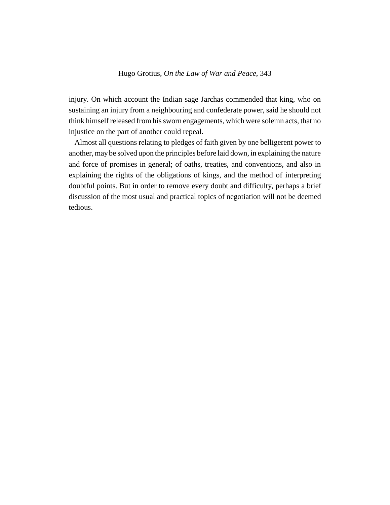injury. On which account the Indian sage Jarchas commended that king, who on sustaining an injury from a neighbouring and confederate power, said he should not think himself released from his sworn engagements, which were solemn acts, that no injustice on the part of another could repeal.

Almost all questions relating to pledges of faith given by one belligerent power to another, may be solved upon the principles before laid down, in explaining the nature and force of promises in general; of oaths, treaties, and conventions, and also in explaining the rights of the obligations of kings, and the method of interpreting doubtful points. But in order to remove every doubt and difficulty, perhaps a brief discussion of the most usual and practical topics of negotiation will not be deemed tedious.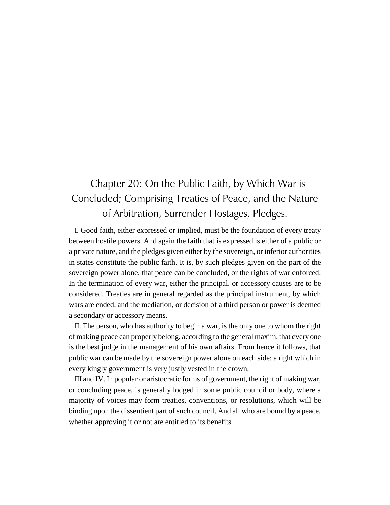# Chapter 20: On the Public Faith, by Which War is Concluded; Comprising Treaties of Peace, and the Nature of Arbitration, Surrender Hostages, Pledges.

I. Good faith, either expressed or implied, must be the foundation of every treaty between hostile powers. And again the faith that is expressed is either of a public or a private nature, and the pledges given either by the sovereign, or inferior authorities in states constitute the public faith. It is, by such pledges given on the part of the sovereign power alone, that peace can be concluded, or the rights of war enforced. In the termination of every war, either the principal, or accessory causes are to be considered. Treaties are in general regarded as the principal instrument, by which wars are ended, and the mediation, or decision of a third person or power is deemed a secondary or accessory means.

II. The person, who has authority to begin a war, is the only one to whom the right of making peace can properly belong, according to the general maxim, that every one is the best judge in the management of his own affairs. From hence it follows, that public war can be made by the sovereign power alone on each side: a right which in every kingly government is very justly vested in the crown.

III and IV. In popular or aristocratic forms of government, the right of making war, or concluding peace, is generally lodged in some public council or body, where a majority of voices may form treaties, conventions, or resolutions, which will be binding upon the dissentient part of such council. And all who are bound by a peace, whether approving it or not are entitled to its benefits.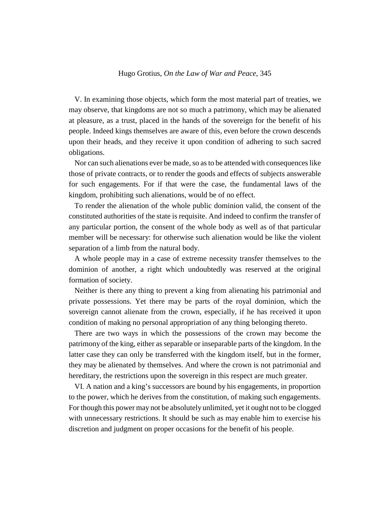V. In examining those objects, which form the most material part of treaties, we may observe, that kingdoms are not so much a patrimony, which may be alienated at pleasure, as a trust, placed in the hands of the sovereign for the benefit of his people. Indeed kings themselves are aware of this, even before the crown descends upon their heads, and they receive it upon condition of adhering to such sacred obligations.

Nor can such alienations ever be made, so as to be attended with consequences like those of private contracts, or to render the goods and effects of subjects answerable for such engagements. For if that were the case, the fundamental laws of the kingdom, prohibiting such alienations, would be of no effect.

To render the alienation of the whole public dominion valid, the consent of the constituted authorities of the state is requisite. And indeed to confirm the transfer of any particular portion, the consent of the whole body as well as of that particular member will be necessary: for otherwise such alienation would be like the violent separation of a limb from the natural body.

A whole people may in a case of extreme necessity transfer themselves to the dominion of another, a right which undoubtedly was reserved at the original formation of society.

Neither is there any thing to prevent a king from alienating his patrimonial and private possessions. Yet there may be parts of the royal dominion, which the sovereign cannot alienate from the crown, especially, if he has received it upon condition of making no personal appropriation of any thing belonging thereto.

There are two ways in which the possessions of the crown may become the patrimony of the king, either as separable or inseparable parts of the kingdom. In the latter case they can only be transferred with the kingdom itself, but in the former, they may be alienated by themselves. And where the crown is not patrimonial and hereditary, the restrictions upon the sovereign in this respect are much greater.

VI. A nation and a king's successors are bound by his engagements, in proportion to the power, which he derives from the constitution, of making such engagements. For though this power may not be absolutely unlimited, yet it ought not to be clogged with unnecessary restrictions. It should be such as may enable him to exercise his discretion and judgment on proper occasions for the benefit of his people.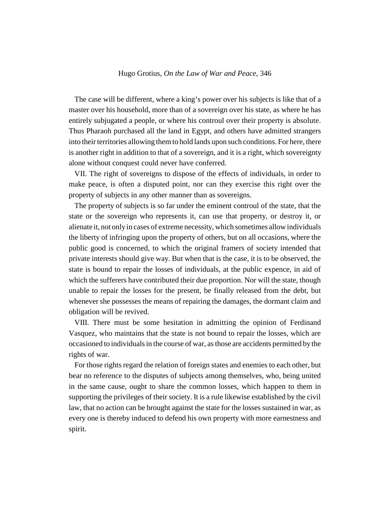The case will be different, where a king's power over his subjects is like that of a master over his household, more than of a sovereign over his state, as where he has entirely subjugated a people, or where his controul over their property is absolute. Thus Pharaoh purchased all the land in Egypt, and others have admitted strangers into their territories allowing them to hold lands upon such conditions. For here, there is another right in addition to that of a sovereign, and it is a right, which sovereignty alone without conquest could never have conferred.

VII. The right of sovereigns to dispose of the effects of individuals, in order to make peace, is often a disputed point, nor can they exercise this right over the property of subjects in any other manner than as sovereigns.

The property of subjects is so far under the eminent controul of the state, that the state or the sovereign who represents it, can use that property, or destroy it, or alienate it, not only in cases of extreme necessity, which sometimes allow individuals the liberty of infringing upon the property of others, but on all occasions, where the public good is concerned, to which the original framers of society intended that private interests should give way. But when that is the case, it is to be observed, the state is bound to repair the losses of individuals, at the public expence, in aid of which the sufferers have contributed their due proportion. Nor will the state, though unable to repair the losses for the present, be finally released from the debt, but whenever she possesses the means of repairing the damages, the dormant claim and obligation will be revived.

VIII. There must be some hesitation in admitting the opinion of Ferdinand Vasquez, who maintains that the state is not bound to repair the losses, which are occasioned to individuals in the course of war, as those are accidents permitted by the rights of war.

For those rights regard the relation of foreign states and enemies to each other, but bear no reference to the disputes of subjects among themselves, who, being united in the same cause, ought to share the common losses, which happen to them in supporting the privileges of their society. It is a rule likewise established by the civil law, that no action can be brought against the state for the losses sustained in war, as every one is thereby induced to defend his own property with more earnestness and spirit.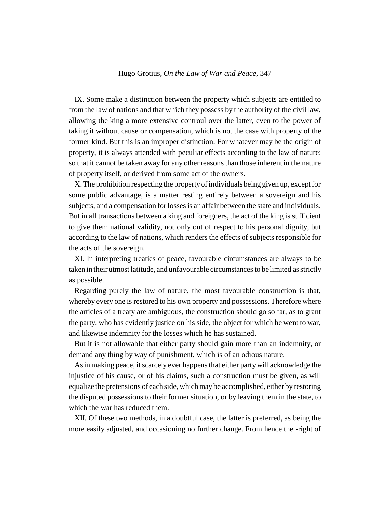IX. Some make a distinction between the property which subjects are entitled to from the law of nations and that which they possess by the authority of the civil law, allowing the king a more extensive controul over the latter, even to the power of taking it without cause or compensation, which is not the case with property of the former kind. But this is an improper distinction. For whatever may be the origin of property, it is always attended with peculiar effects according to the law of nature: so that it cannot be taken away for any other reasons than those inherent in the nature of property itself, or derived from some act of the owners.

X. The prohibition respecting the property of individuals being given up, except for some public advantage, is a matter resting entirely between a sovereign and his subjects, and a compensation for losses is an affair between the state and individuals. But in all transactions between a king and foreigners, the act of the king is sufficient to give them national validity, not only out of respect to his personal dignity, but according to the law of nations, which renders the effects of subjects responsible for the acts of the sovereign.

XI. In interpreting treaties of peace, favourable circumstances are always to be taken in their utmost latitude, and unfavourable circumstances to be limited as strictly as possible.

Regarding purely the law of nature, the most favourable construction is that, whereby every one is restored to his own property and possessions. Therefore where the articles of a treaty are ambiguous, the construction should go so far, as to grant the party, who has evidently justice on his side, the object for which he went to war, and likewise indemnity for the losses which he has sustained.

But it is not allowable that either party should gain more than an indemnity, or demand any thing by way of punishment, which is of an odious nature.

As in making peace, it scarcely ever happens that either party will acknowledge the injustice of his cause, or of his claims, such a construction must be given, as will equalize the pretensions of each side, which may be accomplished, either by restoring the disputed possessions to their former situation, or by leaving them in the state, to which the war has reduced them.

XII. Of these two methods, in a doubtful case, the latter is preferred, as being the more easily adjusted, and occasioning no further change. From hence the -right of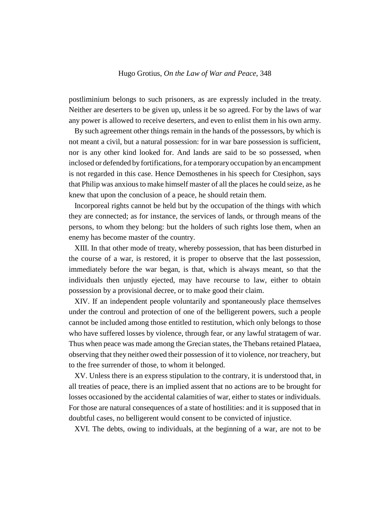postliminium belongs to such prisoners, as are expressly included in the treaty. Neither are deserters to be given up, unless it be so agreed. For by the laws of war any power is allowed to receive deserters, and even to enlist them in his own army.

By such agreement other things remain in the hands of the possessors, by which is not meant a civil, but a natural possession: for in war bare possession is sufficient, nor is any other kind looked for. And lands are said to be so possessed, when inclosed or defended by fortifications, for a temporary occupation by an encampment is not regarded in this case. Hence Demosthenes in his speech for Ctesiphon, says that Philip was anxious to make himself master of all the places he could seize, as he knew that upon the conclusion of a peace, he should retain them.

Incorporeal rights cannot be held but by the occupation of the things with which they are connected; as for instance, the services of lands, or through means of the persons, to whom they belong: but the holders of such rights lose them, when an enemy has become master of the country.

XIII. In that other mode of treaty, whereby possession, that has been disturbed in the course of a war, is restored, it is proper to observe that the last possession, immediately before the war began, is that, which is always meant, so that the individuals then unjustly ejected, may have recourse to law, either to obtain possession by a provisional decree, or to make good their claim.

XIV. If an independent people voluntarily and spontaneously place themselves under the controul and protection of one of the belligerent powers, such a people cannot be included among those entitled to restitution, which only belongs to those who have suffered losses by violence, through fear, or any lawful stratagem of war. Thus when peace was made among the Grecian states, the Thebans retained Plataea, observing that they neither owed their possession of it to violence, nor treachery, but to the free surrender of those, to whom it belonged.

XV. Unless there is an express stipulation to the contrary, it is understood that, in all treaties of peace, there is an implied assent that no actions are to be brought for losses occasioned by the accidental calamities of war, either to states or individuals. For those are natural consequences of a state of hostilities: and it is supposed that in doubtful cases, no belligerent would consent to be convicted of injustice.

XVI. The debts, owing to individuals, at the beginning of a war, are not to be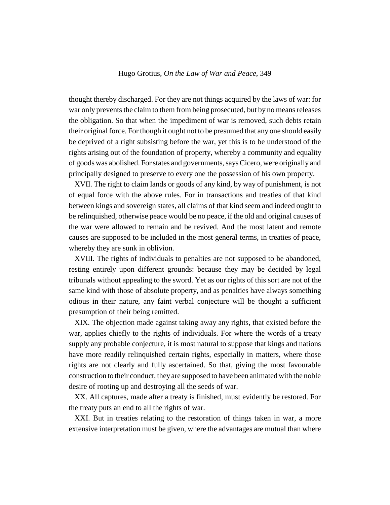thought thereby discharged. For they are not things acquired by the laws of war: for war only prevents the claim to them from being prosecuted, but by no means releases the obligation. So that when the impediment of war is removed, such debts retain their original force. For though it ought not to be presumed that any one should easily be deprived of a right subsisting before the war, yet this is to be understood of the rights arising out of the foundation of property, whereby a community and equality of goods was abolished. For states and governments, says Cicero, were originally and principally designed to preserve to every one the possession of his own property.

XVII. The right to claim lands or goods of any kind, by way of punishment, is not of equal force with the above rules. For in transactions and treaties of that kind between kings and sovereign states, all claims of that kind seem and indeed ought to be relinquished, otherwise peace would be no peace, if the old and original causes of the war were allowed to remain and be revived. And the most latent and remote causes are supposed to be included in the most general terms, in treaties of peace, whereby they are sunk in oblivion.

XVIII. The rights of individuals to penalties are not supposed to be abandoned, resting entirely upon different grounds: because they may be decided by legal tribunals without appealing to the sword. Yet as our rights of this sort are not of the same kind with those of absolute property, and as penalties have always something odious in their nature, any faint verbal conjecture will be thought a sufficient presumption of their being remitted.

XIX. The objection made against taking away any rights, that existed before the war, applies chiefly to the rights of individuals. For where the words of a treaty supply any probable conjecture, it is most natural to suppose that kings and nations have more readily relinquished certain rights, especially in matters, where those rights are not clearly and fully ascertained. So that, giving the most favourable construction to their conduct, they are supposed to have been animated with the noble desire of rooting up and destroying all the seeds of war.

XX. All captures, made after a treaty is finished, must evidently be restored. For the treaty puts an end to all the rights of war.

XXI. But in treaties relating to the restoration of things taken in war, a more extensive interpretation must be given, where the advantages are mutual than where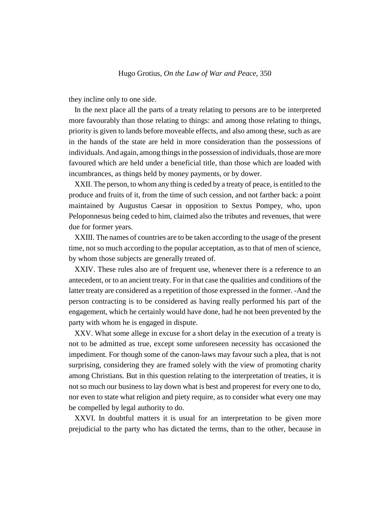they incline only to one side.

In the next place all the parts of a treaty relating to persons are to be interpreted more favourably than those relating to things: and among those relating to things, priority is given to lands before moveable effects, and also among these, such as are in the hands of the state are held in more consideration than the possessions of individuals. And again, among things in the possession of individuals, those are more favoured which are held under a beneficial title, than those which are loaded with incumbrances, as things held by money payments, or by dower.

XXII. The person, to whom any thing is ceded by a treaty of peace, is entitled to the produce and fruits of it, from the time of such cession, and not farther back: a point maintained by Augustus Caesar in opposition to Sextus Pompey, who, upon Peloponnesus being ceded to him, claimed also the tributes and revenues, that were due for former years.

XXIII. The names of countries are to be taken according to the usage of the present time, not so much according to the popular acceptation, as to that of men of science, by whom those subjects are generally treated of.

XXIV. These rules also are of frequent use, whenever there is a reference to an antecedent, or to an ancient treaty. For in that case the qualities and conditions of the latter treaty are considered as a repetition of those expressed in the former. -And the person contracting is to be considered as having really performed his part of the engagement, which he certainly would have done, had he not been prevented by the party with whom he is engaged in dispute.

XXV. What some allege in excuse for a short delay in the execution of a treaty is not to be admitted as true, except some unforeseen necessity has occasioned the impediment. For though some of the canon-laws may favour such a plea, that is not surprising, considering they are framed solely with the view of promoting charity among Christians. But in this question relating to the interpretation of treaties, it is not so much our business to lay down what is best and properest for every one to do, nor even to state what religion and piety require, as to consider what every one may be compelled by legal authority to do.

XXVI. In doubtful matters it is usual for an interpretation to be given more prejudicial to the party who has dictated the terms, than to the other, because in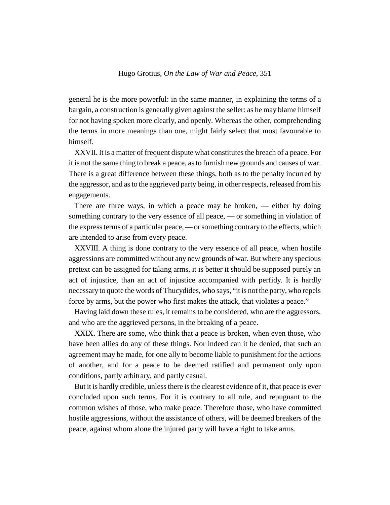general he is the more powerful: in the same manner, in explaining the terms of a bargain, a construction is generally given against the seller: as he may blame himself for not having spoken more clearly, and openly. Whereas the other, comprehending the terms in more meanings than one, might fairly select that most favourable to himself.

XXVII. It is a matter of frequent dispute what constitutes the breach of a peace. For it is not the same thing to break a peace, as to furnish new grounds and causes of war. There is a great difference between these things, both as to the penalty incurred by the aggressor, and as to the aggrieved party being, in other respects, released from his engagements.

There are three ways, in which a peace may be broken, — either by doing something contrary to the very essence of all peace, — or something in violation of the express terms of a particular peace, — or something contrary to the effects, which are intended to arise from every peace.

XXVIII. A thing is done contrary to the very essence of all peace, when hostile aggressions are committed without any new grounds of war. But where any specious pretext can be assigned for taking arms, it is better it should be supposed purely an act of injustice, than an act of injustice accompanied with perfidy. It is hardly necessary to quote the words of Thucydides, who says, "it is not the party, who repels force by arms, but the power who first makes the attack, that violates a peace."

Having laid down these rules, it remains to be considered, who are the aggressors, and who are the aggrieved persons, in the breaking of a peace.

XXIX. There are some, who think that a peace is broken, when even those, who have been allies do any of these things. Nor indeed can it be denied, that such an agreement may be made, for one ally to become liable to punishment for the actions of another, and for a peace to be deemed ratified and permanent only upon conditions, partly arbitrary, and partly casual.

But it is hardly credible, unless there is the clearest evidence of it, that peace is ever concluded upon such terms. For it is contrary to all rule, and repugnant to the common wishes of those, who make peace. Therefore those, who have committed hostile aggressions, without the assistance of others, will be deemed breakers of the peace, against whom alone the injured party will have a right to take arms.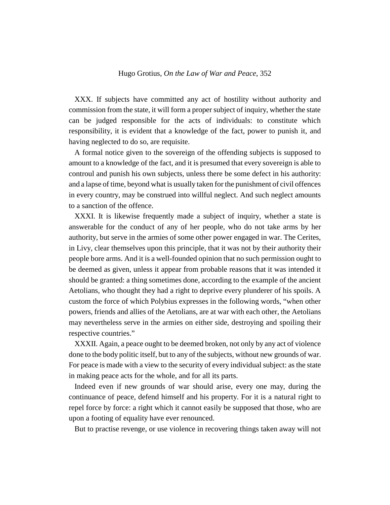XXX. If subjects have committed any act of hostility without authority and commission from the state, it will form a proper subject of inquiry, whether the state can be judged responsible for the acts of individuals: to constitute which responsibility, it is evident that a knowledge of the fact, power to punish it, and having neglected to do so, are requisite.

A formal notice given to the sovereign of the offending subjects is supposed to amount to a knowledge of the fact, and it is presumed that every sovereign is able to controul and punish his own subjects, unless there be some defect in his authority: and a lapse of time, beyond what is usually taken for the punishment of civil offences in every country, may be construed into willful neglect. And such neglect amounts to a sanction of the offence.

XXXI. It is likewise frequently made a subject of inquiry, whether a state is answerable for the conduct of any of her people, who do not take arms by her authority, but serve in the armies of some other power engaged in war. The Cerites, in Livy, clear themselves upon this principle, that it was not by their authority their people bore arms. And it is a well-founded opinion that no such permission ought to be deemed as given, unless it appear from probable reasons that it was intended it should be granted: a thing sometimes done, according to the example of the ancient Aetolians, who thought they had a right to deprive every plunderer of his spoils. A custom the force of which Polybius expresses in the following words, "when other powers, friends and allies of the Aetolians, are at war with each other, the Aetolians may nevertheless serve in the armies on either side, destroying and spoiling their respective countries."

XXXII. Again, a peace ought to be deemed broken, not only by any act of violence done to the body politic itself, but to any of the subjects, without new grounds of war. For peace is made with a view to the security of every individual subject: as the state in making peace acts for the whole, and for all its parts.

Indeed even if new grounds of war should arise, every one may, during the continuance of peace, defend himself and his property. For it is a natural right to repel force by force: a right which it cannot easily be supposed that those, who are upon a footing of equality have ever renounced.

But to practise revenge, or use violence in recovering things taken away will not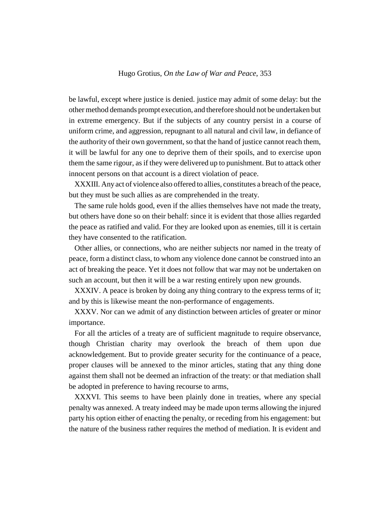be lawful, except where justice is denied. justice may admit of some delay: but the other method demands prompt execution, and therefore should not be undertaken but in extreme emergency. But if the subjects of any country persist in a course of uniform crime, and aggression, repugnant to all natural and civil law, in defiance of the authority of their own government, so that the hand of justice cannot reach them, it will be lawful for any one to deprive them of their spoils, and to exercise upon them the same rigour, as if they were delivered up to punishment. But to attack other innocent persons on that account is a direct violation of peace.

XXXIII. Any act of violence also offered to allies, constitutes a breach of the peace, but they must be such allies as are comprehended in the treaty.

The same rule holds good, even if the allies themselves have not made the treaty, but others have done so on their behalf: since it is evident that those allies regarded the peace as ratified and valid. For they are looked upon as enemies, till it is certain they have consented to the ratification.

Other allies, or connections, who are neither subjects nor named in the treaty of peace, form a distinct class, to whom any violence done cannot be construed into an act of breaking the peace. Yet it does not follow that war may not be undertaken on such an account, but then it will be a war resting entirely upon new grounds.

XXXIV. A peace is broken by doing any thing contrary to the express terms of it; and by this is likewise meant the non-performance of engagements.

XXXV. Nor can we admit of any distinction between articles of greater or minor importance.

For all the articles of a treaty are of sufficient magnitude to require observance, though Christian charity may overlook the breach of them upon due acknowledgement. But to provide greater security for the continuance of a peace, proper clauses will be annexed to the minor articles, stating that any thing done against them shall not be deemed an infraction of the treaty: or that mediation shall be adopted in preference to having recourse to arms,

XXXVI. This seems to have been plainly done in treaties, where any special penalty was annexed. A treaty indeed may be made upon terms allowing the injured party his option either of enacting the penalty, or receding from his engagement: but the nature of the business rather requires the method of mediation. It is evident and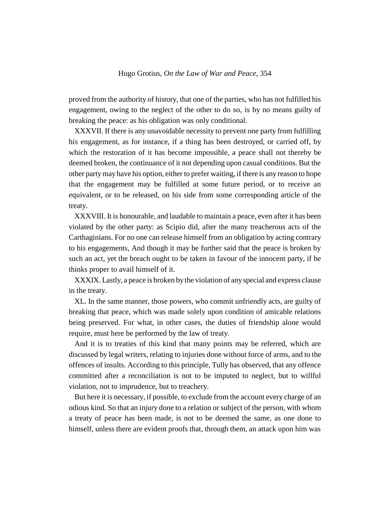proved from the authority of history, that one of the parties, who has not fulfilled his engagement, owing to the neglect of the other to do so, is by no means guilty of breaking the peace: as his obligation was only conditional.

XXXVII. If there is any unavoidable necessity to prevent one party from fulfilling his engagement, as for instance, if a thing has been destroyed, or carried off, by which the restoration of it has become impossible, a peace shall not thereby be deemed broken, the continuance of it not depending upon casual conditions. But the other party may have his option, either to prefer waiting, if there is any reason to hope that the engagement may be fulfilled at some future period, or to receive an equivalent, or to be released, on his side from some corresponding article of the treaty.

XXXVIII. It is honourable, and laudable to maintain a peace, even after it has been violated by the other party: as Scipio did, after the many treacherous acts of the Carthaginians. For no one can release himself from an obligation by acting contrary to his engagements, And though it may be further said that the peace is broken by such an act, yet the breach ought to be taken in favour of the innocent party, if he thinks proper to avail himself of it.

XXXIX. Lastly, a peace is broken by the violation of any special and express clause in the treaty.

XL. In the same manner, those powers, who commit unfriendly acts, are guilty of breaking that peace, which was made solely upon condition of amicable relations being preserved. For what, in other cases, the duties of friendship alone would require, must here be performed by the law of treaty.

And it is to treaties of this kind that many points may be referred, which are discussed by legal writers, relating to injuries done without force of arms, and to the offences of insults. According to this principle, Tully has observed, that any offence committed after a reconciliation is not to be imputed to neglect, but to willful violation, not to imprudence, but to treachery.

But here it is necessary, if possible, to exclude from the account every charge of an odious kind. So that an injury done to a relation or subject of the person, with whom a treaty of peace has been made, is not to be deemed the same, as one done to himself, unless there are evident proofs that, through them, an attack upon him was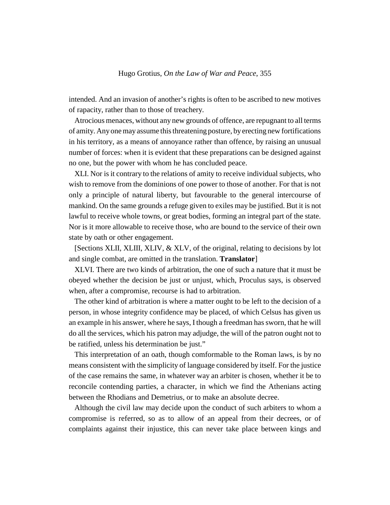intended. And an invasion of another's rights is often to be ascribed to new motives of rapacity, rather than to those of treachery.

Atrocious menaces, without any new grounds of offence, are repugnant to all terms of amity. Any one may assume this threatening posture, by erecting new fortifications in his territory, as a means of annoyance rather than offence, by raising an unusual number of forces: when it is evident that these preparations can be designed against no one, but the power with whom he has concluded peace.

XLI. Nor is it contrary to the relations of amity to receive individual subjects, who wish to remove from the dominions of one power to those of another. For that is not only a principle of natural liberty, but favourable to the general intercourse of mankind. On the same grounds a refuge given to exiles may be justified. But it is not lawful to receive whole towns, or great bodies, forming an integral part of the state. Nor is it more allowable to receive those, who are bound to the service of their own state by oath or other engagement.

[Sections XLII, XLIII, XLIV, & XLV, of the original, relating to decisions by lot and single combat, are omitted in the translation. **Translator**]

XLVI. There are two kinds of arbitration, the one of such a nature that it must be obeyed whether the decision be just or unjust, which, Proculus says, is observed when, after a compromise, recourse is had to arbitration.

The other kind of arbitration is where a matter ought to be left to the decision of a person, in whose integrity confidence may be placed, of which Celsus has given us an example in his answer, where he says, I though a freedman has sworn, that he will do all the services, which his patron may adjudge, the will of the patron ought not to be ratified, unless his determination be just."

This interpretation of an oath, though comformable to the Roman laws, is by no means consistent with the simplicity of language considered by itself. For the justice of the case remains the same, in whatever way an arbiter is chosen, whether it be to reconcile contending parties, a character, in which we find the Athenians acting between the Rhodians and Demetrius, or to make an absolute decree.

Although the civil law may decide upon the conduct of such arbiters to whom a compromise is referred, so as to allow of an appeal from their decrees, or of complaints against their injustice, this can never take place between kings and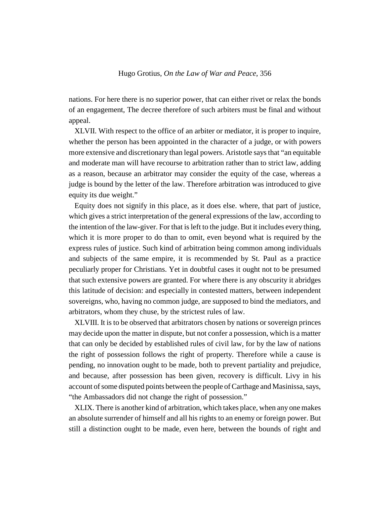nations. For here there is no superior power, that can either rivet or relax the bonds of an engagement, The decree therefore of such arbiters must be final and without appeal.

XLVII. With respect to the office of an arbiter or mediator, it is proper to inquire, whether the person has been appointed in the character of a judge, or with powers more extensive and discretionary than legal powers. Aristotle says that "an equitable and moderate man will have recourse to arbitration rather than to strict law, adding as a reason, because an arbitrator may consider the equity of the case, whereas a judge is bound by the letter of the law. Therefore arbitration was introduced to give equity its due weight."

Equity does not signify in this place, as it does else. where, that part of justice, which gives a strict interpretation of the general expressions of the law, according to the intention of the law-giver. For that is left to the judge. But it includes every thing, which it is more proper to do than to omit, even beyond what is required by the express rules of justice. Such kind of arbitration being common among individuals and subjects of the same empire, it is recommended by St. Paul as a practice peculiarly proper for Christians. Yet in doubtful cases it ought not to be presumed that such extensive powers are granted. For where there is any obscurity it abridges this latitude of decision: and especially in contested matters, between independent sovereigns, who, having no common judge, are supposed to bind the mediators, and arbitrators, whom they chuse, by the strictest rules of law.

XLVIII. It is to be observed that arbitrators chosen by nations or sovereign princes may decide upon the matter in dispute, but not confer a possession, which is a matter that can only be decided by established rules of civil law, for by the law of nations the right of possession follows the right of property. Therefore while a cause is pending, no innovation ought to be made, both to prevent partiality and prejudice, and because, after possession has been given, recovery is difficult. Livy in his account of some disputed points between the people of Carthage and Masinissa, says, "the Ambassadors did not change the right of possession."

XLIX. There is another kind of arbitration, which takes place, when any one makes an absolute surrender of himself and all his rights to an enemy or foreign power. But still a distinction ought to be made, even here, between the bounds of right and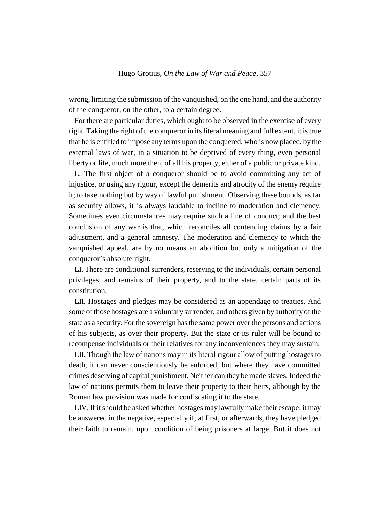wrong, limiting the submission of the vanquished, on the one hand, and the authority of the conqueror, on the other, to a certain degree.

For there are particular duties, which ought to be observed in the exercise of every right. Taking the right of the conqueror in its literal meaning and full extent, it is true that he is entitled to impose any terms upon the conquered, who is now placed, by the external laws of war, in a situation to be deprived of every thing, even personal liberty or life, much more then, of all his property, either of a public or private kind.

L. The first object of a conqueror should be to avoid committing any act of injustice, or using any rigour, except the demerits and atrocity of the enemy require it; to take nothing but by way of lawful punishment. Observing these bounds, as far as security allows, it is always laudable to incline to moderation and clemency. Sometimes even circumstances may require such a line of conduct; and the best conclusion of any war is that, which reconciles all contending claims by a fair adjustment, and a general amnesty. The moderation and clemency to which the vanquished appeal, are by no means an abolition but only a mitigation of the conqueror's absolute right.

LI. There are conditional surrenders, reserving to the individuals, certain personal privileges, and remains of their property, and to the state, certain parts of its constitution.

LII. Hostages and pledges may be considered as an appendage to treaties. And some of those hostages are a voluntary surrender, and others given by authority of the state as a security. For the sovereign has the same power over the persons and actions of his subjects, as over their property. But the state or its ruler will be bound to recompense individuals or their relatives for any inconveniences they may sustain.

LII. Though the law of nations may in its literal rigour allow of putting hostages to death, it can never conscientiously be enforced, but where they have committed crimes deserving of capital punishment. Neither can they be made slaves. Indeed the law of nations permits them to leave their property to their heirs, although by the Roman law provision was made for confiscating it to the state.

LIV. If it should be asked whether hostages may lawfully make their escape: it may be answered in the negative, especially if, at first, or afterwards, they have pledged their faith to remain, upon condition of being prisoners at large. But it does not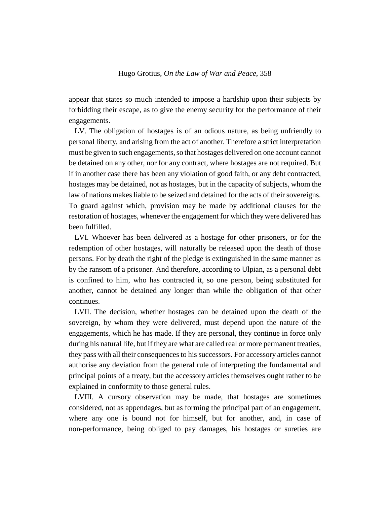appear that states so much intended to impose a hardship upon their subjects by forbidding their escape, as to give the enemy security for the performance of their engagements.

LV. The obligation of hostages is of an odious nature, as being unfriendly to personal liberty, and arising from the act of another. Therefore a strict interpretation must be given to such engagements, so that hostages delivered on one account cannot be detained on any other, nor for any contract, where hostages are not required. But if in another case there has been any violation of good faith, or any debt contracted, hostages may be detained, not as hostages, but in the capacity of subjects, whom the law of nations makes liable to be seized and detained for the acts of their sovereigns. To guard against which, provision may be made by additional clauses for the restoration of hostages, whenever the engagement for which they were delivered has been fulfilled.

LVI. Whoever has been delivered as a hostage for other prisoners, or for the redemption of other hostages, will naturally be released upon the death of those persons. For by death the right of the pledge is extinguished in the same manner as by the ransom of a prisoner. And therefore, according to Ulpian, as a personal debt is confined to him, who has contracted it, so one person, being substituted for another, cannot be detained any longer than while the obligation of that other continues.

LVII. The decision, whether hostages can be detained upon the death of the sovereign, by whom they were delivered, must depend upon the nature of the engagements, which he has made. If they are personal, they continue in force only during his natural life, but if they are what are called real or more permanent treaties, they pass with all their consequences to his successors. For accessory articles cannot authorise any deviation from the general rule of interpreting the fundamental and principal points of a treaty, but the accessory articles themselves ought rather to be explained in conformity to those general rules.

LVIII. A cursory observation may be made, that hostages are sometimes considered, not as appendages, but as forming the principal part of an engagement, where any one is bound not for himself, but for another, and, in case of non-performance, being obliged to pay damages, his hostages or sureties are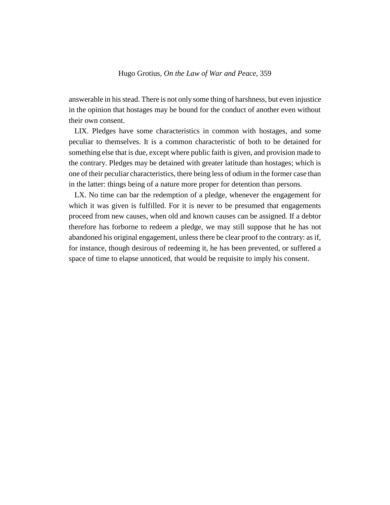answerable in his stead. There is not only some thing of harshness, but even injustice in the opinion that hostages may be bound for the conduct of another even without their own consent.

LIX. Pledges have some characteristics in common with hostages, and some peculiar to themselves. It is a common characteristic of both to be detained for something else that is due, except where public faith is given, and provision made to the contrary. Pledges may be detained with greater latitude than hostages; which is one of their peculiar characteristics, there being less of odium in the former case than in the latter: things being of a nature more proper for detention than persons.

LX. No time can bar the redemption of a pledge, whenever the engagement for which it was given is fulfilled. For it is never to be presumed that engagements proceed from new causes, when old and known causes can be assigned. If a debtor therefore has forborne to redeem a pledge, we may still suppose that he has not abandoned his original engagement, unless there be clear proof to the contrary: as if, for instance, though desirous of redeeming it, he has been prevented, or suffered a space of time to elapse unnoticed, that would be requisite to imply his consent.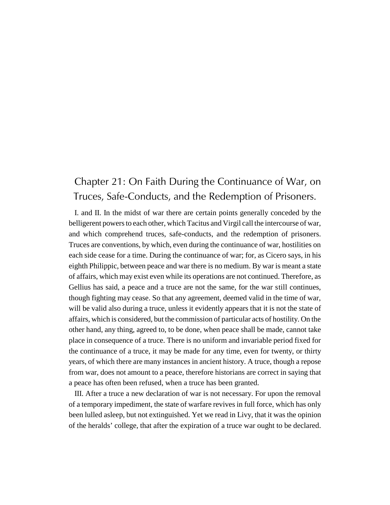## Chapter 21: On Faith During the Continuance of War, on Truces, Safe-Conducts, and the Redemption of Prisoners.

I. and II. In the midst of war there are certain points generally conceded by the belligerent powers to each other, which Tacitus and Virgil call the intercourse of war, and which comprehend truces, safe-conducts, and the redemption of prisoners. Truces are conventions, by which, even during the continuance of war, hostilities on each side cease for a time. During the continuance of war; for, as Cicero says, in his eighth Philippic, between peace and war there is no medium. By war is meant a state of affairs, which may exist even while its operations are not continued. Therefore, as Gellius has said, a peace and a truce are not the same, for the war still continues, though fighting may cease. So that any agreement, deemed valid in the time of war, will be valid also during a truce, unless it evidently appears that it is not the state of affairs, which is considered, but the commission of particular acts of hostility. On the other hand, any thing, agreed to, to be done, when peace shall be made, cannot take place in consequence of a truce. There is no uniform and invariable period fixed for the continuance of a truce, it may be made for any time, even for twenty, or thirty years, of which there are many instances in ancient history. A truce, though a repose from war, does not amount to a peace, therefore historians are correct in saying that a peace has often been refused, when a truce has been granted.

III. After a truce a new declaration of war is not necessary. For upon the removal of a temporary impediment, the state of warfare revives in full force, which has only been lulled asleep, but not extinguished. Yet we read in Livy, that it was the opinion of the heralds' college, that after the expiration of a truce war ought to be declared.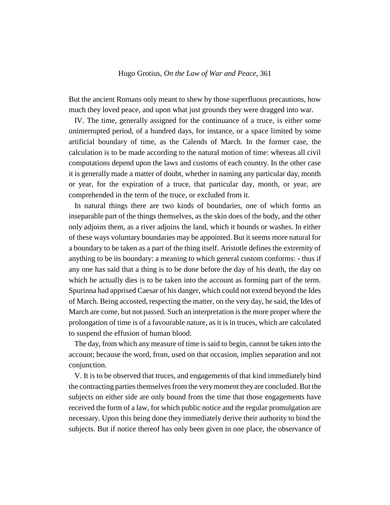But the ancient Romans only meant to shew by those superfluous precautions, how much they loved peace, and upon what just grounds they were dragged into war.

IV. The time, generally assigned for the continuance of a truce, is either some uninterrupted period, of a hundred days, for instance, or a space limited by some artificial boundary of time, as the Calends of March. In the former case, the calculation is to be made according to the natural motion of time: whereas all civil computations depend upon the laws and customs of each country. In the other case it is generally made a matter of doubt, whether in naming any particular day, month or year, for the expiration of a truce, that particular day, month, or year, are comprehended in the term of the truce, or excluded from it.

In natural things there are two kinds of boundaries, one of which forms an inseparable part of the things themselves, as the skin does of the body, and the other only adjoins them, as a river adjoins the land, which it bounds or washes. In either of these ways voluntary boundaries may be appointed. But it seems more natural for a boundary to be taken as a part of the thing itself. Aristotle defines the extremity of anything to be its boundary: a meaning to which general custom conforms: - thus if any one has said that a thing is to be done before the day of his death, the day on which he actually dies is to be taken into the account as forming part of the term. Spurinna had apprised Caesar of his danger, which could not extend beyond the Ides of March. Being accosted, respecting the matter, on the very day, he said, the Ides of March are come, but not passed. Such an interpretation is the more proper where the prolongation of time is of a favourable nature, as it is in truces, which are calculated to suspend the effusion of human blood.

The day, from which any measure of time is said to begin, cannot be taken into the account; because the word, from, used on that occasion, implies separation and not conjunction.

V. It is to be observed that truces, and engagements of that kind immediately bind the contracting parties themselves from the very moment they are concluded. But the subjects on either side are only bound from the time that those engagements have received the form of a law, for which public notice and the regular promulgation are necessary. Upon this being done they immediately derive their authority to bind the subjects. But if notice thereof has only been given in one place, the observance of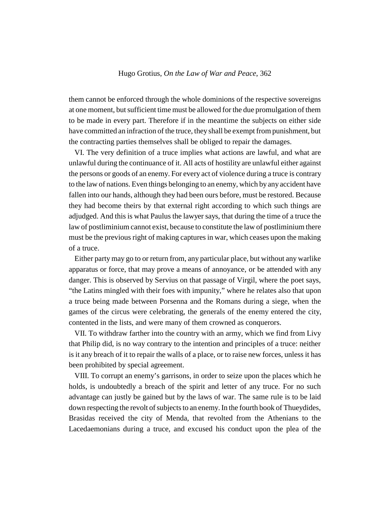them cannot be enforced through the whole dominions of the respective sovereigns at one moment, but sufficient time must be allowed for the due promulgation of them to be made in every part. Therefore if in the meantime the subjects on either side have committed an infraction of the truce, they shall be exempt from punishment, but the contracting parties themselves shall be obliged to repair the damages.

VI. The very definition of a truce implies what actions are lawful, and what are unlawful during the continuance of it. All acts of hostility are unlawful either against the persons or goods of an enemy. For every act of violence during a truce is contrary to the law of nations. Even things belonging to an enemy, which by any accident have fallen into our hands, although they had been ours before, must be restored. Because they had become theirs by that external right according to which such things are adjudged. And this is what Paulus the lawyer says, that during the time of a truce the law of postliminium cannot exist, because to constitute the law of postliminium there must be the previous right of making captures in war, which ceases upon the making of a truce.

Either party may go to or return from, any particular place, but without any warlike apparatus or force, that may prove a means of annoyance, or be attended with any danger. This is observed by Servius on that passage of Virgil, where the poet says, "the Latins mingled with their foes with impunity," where he relates also that upon a truce being made between Porsenna and the Romans during a siege, when the games of the circus were celebrating, the generals of the enemy entered the city, contented in the lists, and were many of them crowned as conquerors.

VII. To withdraw farther into the country with an army, which we find from Livy that Philip did, is no way contrary to the intention and principles of a truce: neither is it any breach of it to repair the walls of a place, or to raise new forces, unless it has been prohibited by special agreement.

VIII. To corrupt an enemy's garrisons, in order to seize upon the places which he holds, is undoubtedly a breach of the spirit and letter of any truce. For no such advantage can justly be gained but by the laws of war. The same rule is to be laid down respecting the revolt of subjects to an enemy. In the fourth book of Thueydides, Brasidas received the city of Menda, that revolted from the Athenians to the Lacedaemonians during a truce, and excused his conduct upon the plea of the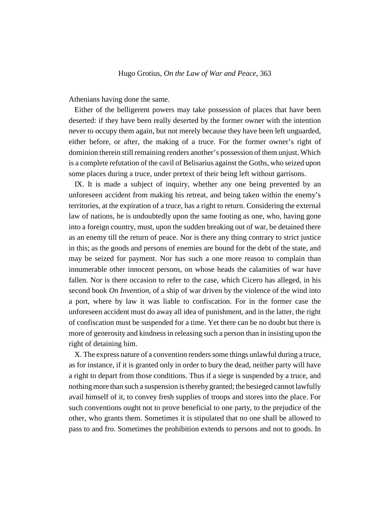Athenians having done the same.

Either of the belligerent powers may take possession of places that have been deserted: if they have been really deserted by the former owner with the intention never to occupy them again, but not merely because they have been left unguarded, either before, or after, the making of a truce. For the former owner's right of dominion therein still remaining renders another's possession of them unjust. Which is a complete refutation of the cavil of Belisarius against the Goths, who seized upon some places during a truce, under pretext of their being left without garrisons.

IX. It is made a subject of inquiry, whether any one being prevented by an unforeseen accident from making his retreat, and being taken within the enemy's territories, at the expiration of a truce, has a right to return. Considering the external law of nations, he is undoubtedly upon the same footing as one, who, having gone into a foreign country, must, upon the sudden breaking out of war, be detained there as an enemy till the return of peace. Nor is there any thing contrary to strict justice in this; as the goods and persons of enemies are bound for the debt of the state, and may be seized for payment. Nor has such a one more reason to complain than innumerable other innocent persons, on whose heads the calamities of war have fallen. Nor is there occasion to refer to the case, which Cicero has alleged, in his second book *On Invention*, of a ship of war driven by the violence of the wind into a port, where by law it was liable to confiscation. For in the former case the unforeseen accident must do away all idea of punishment, and in the latter, the right of confiscation must be suspended for a time. Yet there can be no doubt but there is more of generosity and kindness in releasing such a person than in insisting upon the right of detaining him.

X. The express nature of a convention renders some things unlawful during a truce, as for instance, if it is granted only in order to bury the dead, neither party will have a right to depart from those conditions. Thus if a siege is suspended by a truce, and nothing more than such a suspension is thereby granted; the besieged cannot lawfully avail himself of it, to convey fresh supplies of troops and stores into the place. For such conventions ought not to prove beneficial to one party, to the prejudice of the other, who grants them. Sometimes it is stipulated that no one shall be allowed to pass to and fro. Sometimes the prohibition extends to persons and not to goods. In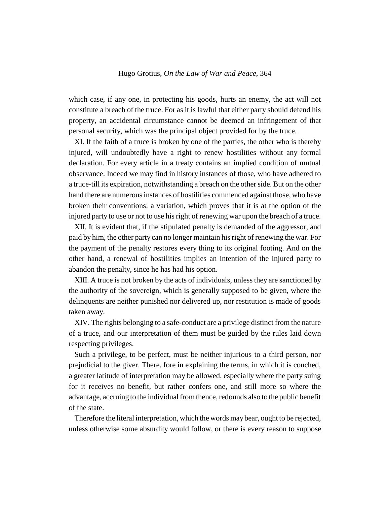which case, if any one, in protecting his goods, hurts an enemy, the act will not constitute a breach of the truce. For as it is lawful that either party should defend his property, an accidental circumstance cannot be deemed an infringement of that personal security, which was the principal object provided for by the truce.

XI. If the faith of a truce is broken by one of the parties, the other who is thereby injured, will undoubtedly have a right to renew hostilities without any formal declaration. For every article in a treaty contains an implied condition of mutual observance. Indeed we may find in history instances of those, who have adhered to a truce-till its expiration, notwithstanding a breach on the other side. But on the other hand there are numerous instances of hostilities commenced against those, who have broken their conventions: a variation, which proves that it is at the option of the injured party to use or not to use his right of renewing war upon the breach of a truce.

XII. It is evident that, if the stipulated penalty is demanded of the aggressor, and paid by him, the other party can no longer maintain his right of renewing the war. For the payment of the penalty restores every thing to its original footing. And on the other hand, a renewal of hostilities implies an intention of the injured party to abandon the penalty, since he has had his option.

XIII. A truce is not broken by the acts of individuals, unless they are sanctioned by the authority of the sovereign, which is generally supposed to be given, where the delinquents are neither punished nor delivered up, nor restitution is made of goods taken away.

XIV. The rights belonging to a safe-conduct are a privilege distinct from the nature of a truce, and our interpretation of them must be guided by the rules laid down respecting privileges.

Such a privilege, to be perfect, must be neither injurious to a third person, nor prejudicial to the giver. There. fore in explaining the terms, in which it is couched, a greater latitude of interpretation may be allowed, especially where the party suing for it receives no benefit, but rather confers one, and still more so where the advantage, accruing to the individual from thence, redounds also to the public benefit of the state.

Therefore the literal interpretation, which the words may bear, ought to be rejected, unless otherwise some absurdity would follow, or there is every reason to suppose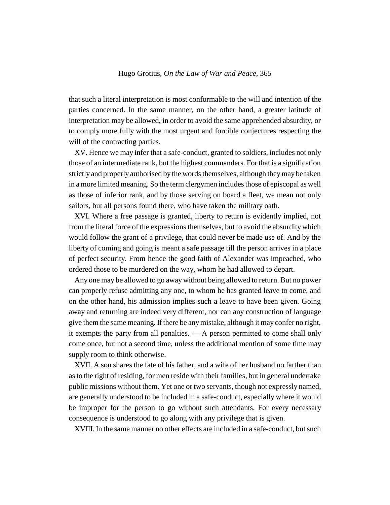that such a literal interpretation is most conformable to the will and intention of the parties concerned. In the same manner, on the other hand, a greater latitude of interpretation may be allowed, in order to avoid the same apprehended absurdity, or to comply more fully with the most urgent and forcible conjectures respecting the will of the contracting parties.

XV. Hence we may infer that a safe-conduct, granted to soldiers, includes not only those of an intermediate rank, but the highest commanders. For that is a signification strictly and properly authorised by the words themselves, although they may be taken in a more limited meaning. So the term clergymen includes those of episcopal as well as those of inferior rank, and by those serving on board a fleet, we mean not only sailors, but all persons found there, who have taken the military oath.

XVI. Where a free passage is granted, liberty to return is evidently implied, not from the literal force of the expressions themselves, but to avoid the absurdity which would follow the grant of a privilege, that could never be made use of. And by the liberty of coming and going is meant a safe passage till the person arrives in a place of perfect security. From hence the good faith of Alexander was impeached, who ordered those to be murdered on the way, whom he had allowed to depart.

Any one may be allowed to go away without being allowed to return. But no power can properly refuse admitting any one, to whom he has granted leave to come, and on the other hand, his admission implies such a leave to have been given. Going away and returning are indeed very different, nor can any construction of language give them the same meaning. If there be any mistake, although it may confer no right, it exempts the party from all penalties. — A person permitted to come shall only come once, but not a second time, unless the additional mention of some time may supply room to think otherwise.

XVII. A son shares the fate of his father, and a wife of her husband no farther than as to the right of residing, for men reside with their families, but in general undertake public missions without them. Yet one or two servants, though not expressly named, are generally understood to be included in a safe-conduct, especially where it would be improper for the person to go without such attendants. For every necessary consequence is understood to go along with any privilege that is given.

XVIII. In the same manner no other effects are included in a safe-conduct, but such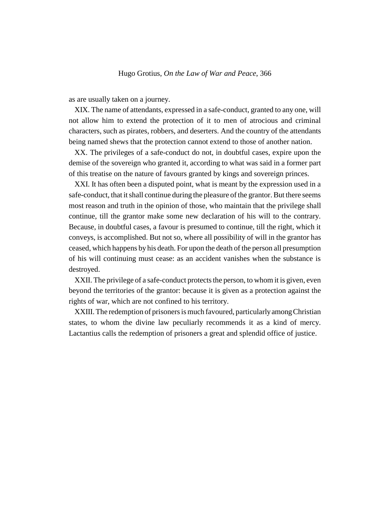as are usually taken on a journey.

XIX. The name of attendants, expressed in a safe-conduct, granted to any one, will not allow him to extend the protection of it to men of atrocious and criminal characters, such as pirates, robbers, and deserters. And the country of the attendants being named shews that the protection cannot extend to those of another nation.

XX. The privileges of a safe-conduct do not, in doubtful cases, expire upon the demise of the sovereign who granted it, according to what was said in a former part of this treatise on the nature of favours granted by kings and sovereign princes.

XXI. It has often been a disputed point, what is meant by the expression used in a safe-conduct, that it shall continue during the pleasure of the grantor. But there seems most reason and truth in the opinion of those, who maintain that the privilege shall continue, till the grantor make some new declaration of his will to the contrary. Because, in doubtful cases, a favour is presumed to continue, till the right, which it conveys, is accomplished. But not so, where all possibility of will in the grantor has ceased, which happens by his death. For upon the death of the person all presumption of his will continuing must cease: as an accident vanishes when the substance is destroyed.

XXII. The privilege of a safe-conduct protects the person, to whom it is given, even beyond the territories of the grantor: because it is given as a protection against the rights of war, which are not confined to his territory.

XXIII. The redemption of prisoners is much favoured, particularly among Christian states, to whom the divine law peculiarly recommends it as a kind of mercy. Lactantius calls the redemption of prisoners a great and splendid office of justice.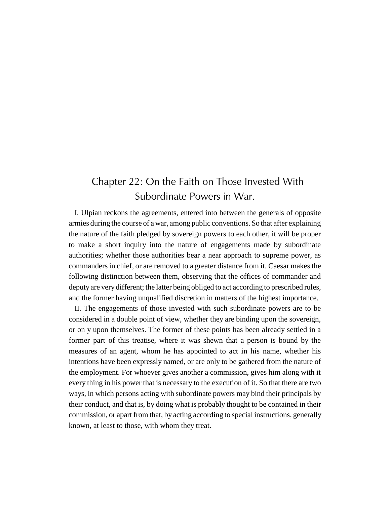# Chapter 22: On the Faith on Those Invested With Subordinate Powers in War.

I. Ulpian reckons the agreements, entered into between the generals of opposite armies during the course of a war, among public conventions. So that after explaining the nature of the faith pledged by sovereign powers to each other, it will be proper to make a short inquiry into the nature of engagements made by subordinate authorities; whether those authorities bear a near approach to supreme power, as commanders in chief, or are removed to a greater distance from it. Caesar makes the following distinction between them, observing that the offices of commander and deputy are very different; the latter being obliged to act according to prescribed rules, and the former having unqualified discretion in matters of the highest importance.

II. The engagements of those invested with such subordinate powers are to be considered in a double point of view, whether they are binding upon the sovereign, or on y upon themselves. The former of these points has been already settled in a former part of this treatise, where it was shewn that a person is bound by the measures of an agent, whom he has appointed to act in his name, whether his intentions have been expressly named, or are only to be gathered from the nature of the employment. For whoever gives another a commission, gives him along with it every thing in his power that is necessary to the execution of it. So that there are two ways, in which persons acting with subordinate powers may bind their principals by their conduct, and that is, by doing what is probably thought to be contained in their commission, or apart from that, by acting according to special instructions, generally known, at least to those, with whom they treat.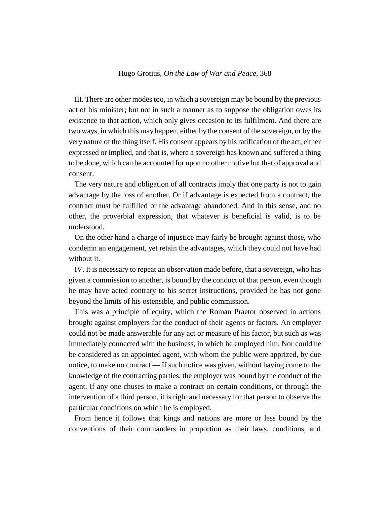III. There are other modes too, in which a sovereign may be bound by the previous act of his minister; but not in such a manner as to suppose the obligation owes its existence to that action, which only gives occasion to its fulfilment. And there are two ways, in which this may happen, either by the consent of the sovereign, or by the very nature of the thing itself. His consent appears by his ratification of the act, either expressed or implied, and that is, where a sovereign has known and suffered a thing to be done, which can be accounted for upon no other motive but that of approval and consent.

The very nature and obligation of all contracts imply that one party is not to gain advantage by the loss of another. Or if advantage is expected from a contract, the contract must be fulfilled or the advantage abandoned. And in this sense, and no other, the proverbial expression, that whatever is beneficial is valid, is to be understood.

On the other hand a charge of injustice may fairly be brought against those, who condemn an engagement, yet retain the advantages, which they could not have had without it.

IV. It is necessary to repeat an observation made before, that a sovereign, who has given a commission to another, is bound by the conduct of that person, even though he may have acted contrary to his secret instructions, provided he has not gone beyond the limits of his ostensible, and public commission.

This was a principle of equity, which the Roman Praetor observed in actions brought against employers for the conduct of their agents or factors. An employer could not be made answerable for any act or measure of his factor, but such as was immediately connected with the business, in which he employed him. Nor could he be considered as an appointed agent, with whom the public were apprized, by due notice, to make no contract — If such notice was given, without having come to the knowledge of the contracting parties, the employer was bound by the conduct of the agent. If any one chuses to make a contract on certain conditions, or through the intervention of a third person, it is right and necessary for that person to observe the particular conditions on which he is employed.

From hence it follows that kings and nations are more or less bound by the conventions of their commanders in proportion as their laws, conditions, and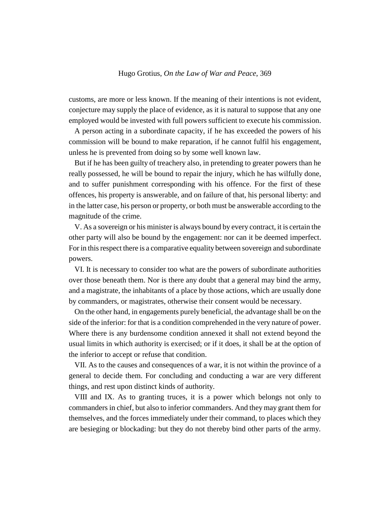customs, are more or less known. If the meaning of their intentions is not evident, conjecture may supply the place of evidence, as it is natural to suppose that any one employed would be invested with full powers sufficient to execute his commission.

A person acting in a subordinate capacity, if he has exceeded the powers of his commission will be bound to make reparation, if he cannot fulfil his engagement, unless he is prevented from doing so by some well known law.

But if he has been guilty of treachery also, in pretending to greater powers than he really possessed, he will be bound to repair the injury, which he has wilfully done, and to suffer punishment corresponding with his offence. For the first of these offences, his property is answerable, and on failure of that, his personal liberty: and in the latter case, his person or property, or both must be answerable according to the magnitude of the crime.

V. As a sovereign or his minister is always bound by every contract, it is certain the other party will also be bound by the engagement: nor can it be deemed imperfect. For in this respect there is a comparative equality between sovereign and subordinate powers.

VI. It is necessary to consider too what are the powers of subordinate authorities over those beneath them. Nor is there any doubt that a general may bind the army, and a magistrate, the inhabitants of a place by those actions, which are usually done by commanders, or magistrates, otherwise their consent would be necessary.

On the other hand, in engagements purely beneficial, the advantage shall be on the side of the inferior: for that is a condition comprehended in the very nature of power. Where there is any burdensome condition annexed it shall not extend beyond the usual limits in which authority is exercised; or if it does, it shall be at the option of the inferior to accept or refuse that condition.

VII. As to the causes and consequences of a war, it is not within the province of a general to decide them. For concluding and conducting a war are very different things, and rest upon distinct kinds of authority.

VIII and IX. As to granting truces, it is a power which belongs not only to commanders in chief, but also to inferior commanders. And they may grant them for themselves, and the forces immediately under their command, to places which they are besieging or blockading: but they do not thereby bind other parts of the army.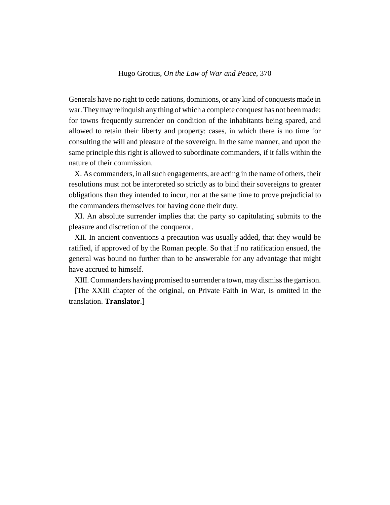Generals have no right to cede nations, dominions, or any kind of conquests made in war. They may relinquish any thing of which a complete conquest has not been made: for towns frequently surrender on condition of the inhabitants being spared, and allowed to retain their liberty and property: cases, in which there is no time for consulting the will and pleasure of the sovereign. In the same manner, and upon the same principle this right is allowed to subordinate commanders, if it falls within the nature of their commission.

X. As commanders, in all such engagements, are acting in the name of others, their resolutions must not be interpreted so strictly as to bind their sovereigns to greater obligations than they intended to incur, nor at the same time to prove prejudicial to the commanders themselves for having done their duty.

XI. An absolute surrender implies that the party so capitulating submits to the pleasure and discretion of the conqueror.

XII. In ancient conventions a precaution was usually added, that they would be ratified, if approved of by the Roman people. So that if no ratification ensued, the general was bound no further than to be answerable for any advantage that might have accrued to himself.

XIII. Commanders having promised to surrender a town, may dismiss the garrison.

[The XXIII chapter of the original, on Private Faith in War, is omitted in the translation. **Translator**.]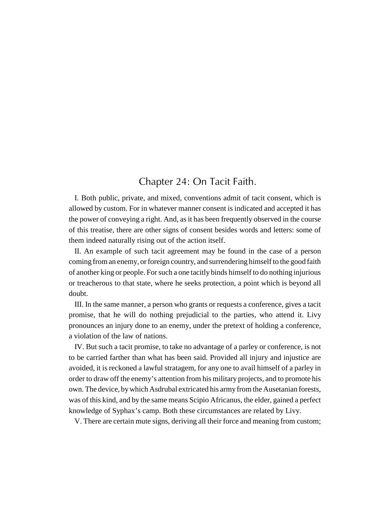# Chapter 24: On Tacit Faith.

I. Both public, private, and mixed, conventions admit of tacit consent, which is allowed by custom. For in whatever manner consent is indicated and accepted it has the power of conveying a right. And, as it has been frequently observed in the course of this treatise, there are other signs of consent besides words and letters: some of them indeed naturally rising out of the action itself.

II. An example of such tacit agreement may be found in the case of a person coming from an enemy, or foreign country, and surrendering himself to the good faith of another king or people. For such a one tacitly binds himself to do nothing injurious or treacherous to that state, where he seeks protection, a point which is beyond all doubt.

III. In the same manner, a person who grants or requests a conference, gives a tacit promise, that he will do nothing prejudicial to the parties, who attend it. Livy pronounces an injury done to an enemy, under the pretext of holding a conference, a violation of the law of nations.

IV. But such a tacit promise, to take no advantage of a parley or conference, is not to be carried farther than what has been said. Provided all injury and injustice are avoided, it is reckoned a lawful stratagem, for any one to avail himself of a parley in order to draw off the enemy's attention from his military projects, and to promote his own. The device, by which Asdrubal extricated his army from the Ausetanian forests, was of this kind, and by the same means Scipio Africanus, the elder, gained a perfect knowledge of Syphax's camp. Both these circumstances are related by Livy.

V. There are certain mute signs, deriving all their force and meaning from custom;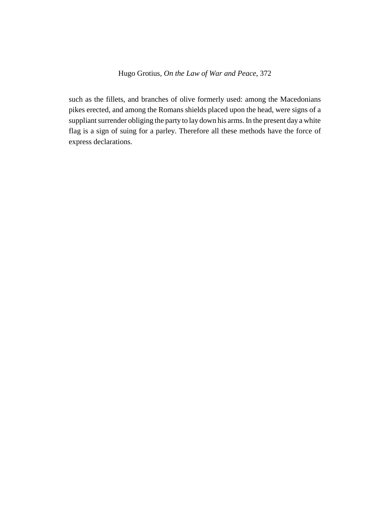such as the fillets, and branches of olive formerly used: among the Macedonians pikes erected, and among the Romans shields placed upon the head, were signs of a suppliant surrender obliging the party to lay down his arms. In the present day a white flag is a sign of suing for a parley. Therefore all these methods have the force of express declarations.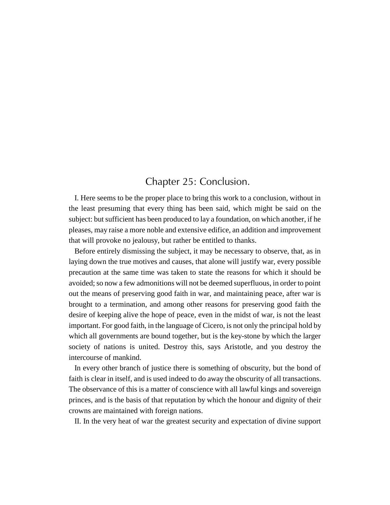# Chapter 25: Conclusion.

I. Here seems to be the proper place to bring this work to a conclusion, without in the least presuming that every thing has been said, which might be said on the subject: but sufficient has been produced to lay a foundation, on which another, if he pleases, may raise a more noble and extensive edifice, an addition and improvement that will provoke no jealousy, but rather be entitled to thanks.

Before entirely dismissing the subject, it may be necessary to observe, that, as in laying down the true motives and causes, that alone will justify war, every possible precaution at the same time was taken to state the reasons for which it should be avoided; so now a few admonitions will not be deemed superfluous, in order to point out the means of preserving good faith in war, and maintaining peace, after war is brought to a termination, and among other reasons for preserving good faith the desire of keeping alive the hope of peace, even in the midst of war, is not the least important. For good faith, in the language of Cicero, is not only the principal hold by which all governments are bound together, but is the key-stone by which the larger society of nations is united. Destroy this, says Aristotle, and you destroy the intercourse of mankind.

In every other branch of justice there is something of obscurity, but the bond of faith is clear in itself, and is used indeed to do away the obscurity of all transactions. The observance of this is a matter of conscience with all lawful kings and sovereign princes, and is the basis of that reputation by which the honour and dignity of their crowns are maintained with foreign nations.

II. In the very heat of war the greatest security and expectation of divine support